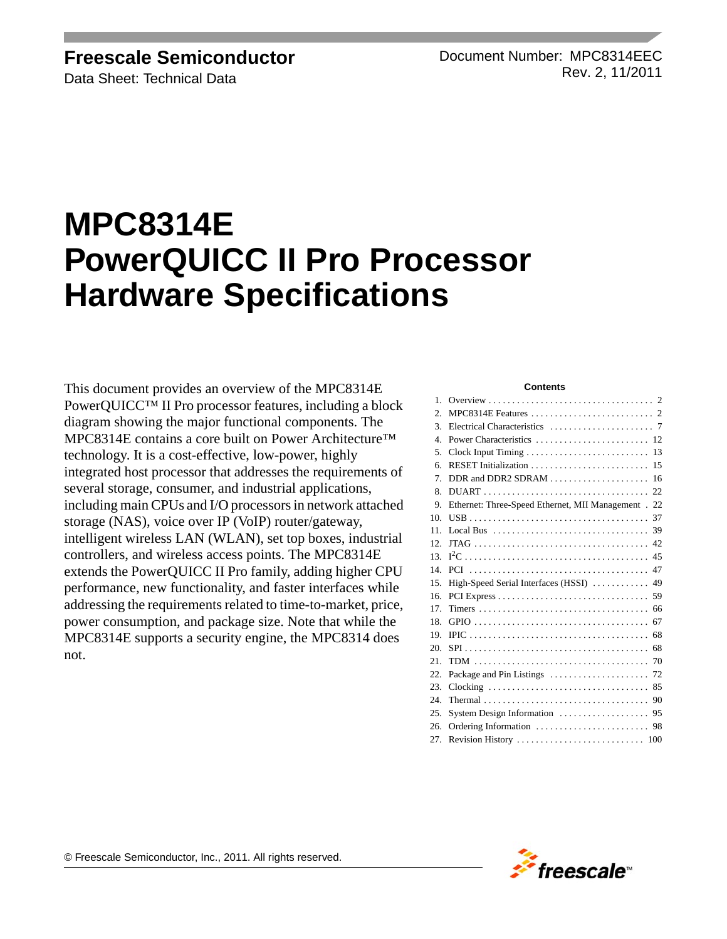## **Freescale Semiconductor**

Data Sheet: Technical Data

Document Number: MPC8314EEC Rev. 2, 11/2011

# **MPC8314E PowerQUICC II Pro Processor Hardware Specifications**

This document provides an overview of the MPC8314E PowerQUICC™ II Pro processor features, including a block diagram showing the major functional components. The MPC8314E contains a core built on Power Architecture™ technology. It is a cost-effective, low-power, highly integrated host processor that addresses the requirements of several storage, consumer, and industrial applications, including main CPUs and I/O processors in network attached storage (NAS), voice over IP (VoIP) router/gateway, intelligent wireless LAN (WLAN), set top boxes, industrial controllers, and wireless access points. The MPC8314E extends the PowerQUICC II Pro family, adding higher CPU performance, new functionality, and faster interfaces while addressing the requirements related to time-to-market, price, power consumption, and package size. Note that while the MPC8314E supports a security engine, the MPC8314 does not.

#### **Contents**

| $\mathbf{1}$ . |                                                     |
|----------------|-----------------------------------------------------|
| 2.             |                                                     |
| 3.             |                                                     |
| $\overline{4}$ |                                                     |
| 5.             | 13                                                  |
| 6.             | RESET Initialization<br>15                          |
| 7 <sup>1</sup> | 16                                                  |
| 8.             |                                                     |
| 9.             | Ethernet: Three-Speed Ethernet, MII Management . 22 |
| 10.            | 37                                                  |
| 11.            |                                                     |
| 12.            |                                                     |
| 13.            |                                                     |
| 14             |                                                     |
| 15.            | High-Speed Serial Interfaces (HSSI)  49             |
| 16.            |                                                     |
| 17.            |                                                     |
| 18.            |                                                     |
| 19.            |                                                     |
| 20.            |                                                     |
| 21.            |                                                     |
| 22.            |                                                     |
| 23.            |                                                     |
| 24.            |                                                     |
| 25.            |                                                     |
| 26.            |                                                     |
| 27.            |                                                     |

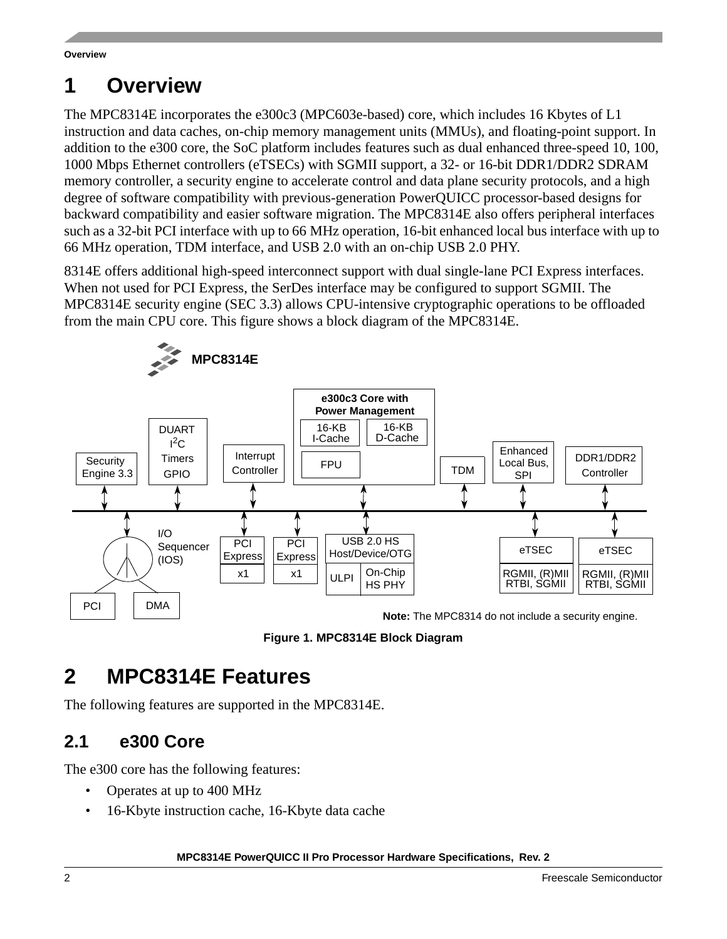# <span id="page-1-0"></span>**1 Overview**

The MPC8314E incorporates the e300c3 (MPC603e-based) core, which includes 16 Kbytes of L1 instruction and data caches, on-chip memory management units (MMUs), and floating-point support. In addition to the e300 core, the SoC platform includes features such as dual enhanced three-speed 10, 100, 1000 Mbps Ethernet controllers (eTSECs) with SGMII support, a 32- or 16-bit DDR1/DDR2 SDRAM memory controller, a security engine to accelerate control and data plane security protocols, and a high degree of software compatibility with previous-generation PowerQUICC processor-based designs for backward compatibility and easier software migration. The MPC8314E also offers peripheral interfaces such as a 32-bit PCI interface with up to 66 MHz operation, 16-bit enhanced local bus interface with up to 66 MHz operation, TDM interface, and USB 2.0 with an on-chip USB 2.0 PHY.

8314E offers additional high-speed interconnect support with dual single-lane PCI Express interfaces. When not used for PCI Express, the SerDes interface may be configured to support SGMII. The MPC8314E security engine (SEC 3.3) allows CPU-intensive cryptographic operations to be offloaded from the main CPU core. This figure shows a block diagram of the MPC8314E.



**Figure 1. MPC8314E Block Diagram**

# <span id="page-1-1"></span>**2 MPC8314E Features**

The following features are supported in the MPC8314E.

# **2.1 e300 Core**

The e300 core has the following features:

- Operates at up to 400 MHz
- 16-Kbyte instruction cache, 16-Kbyte data cache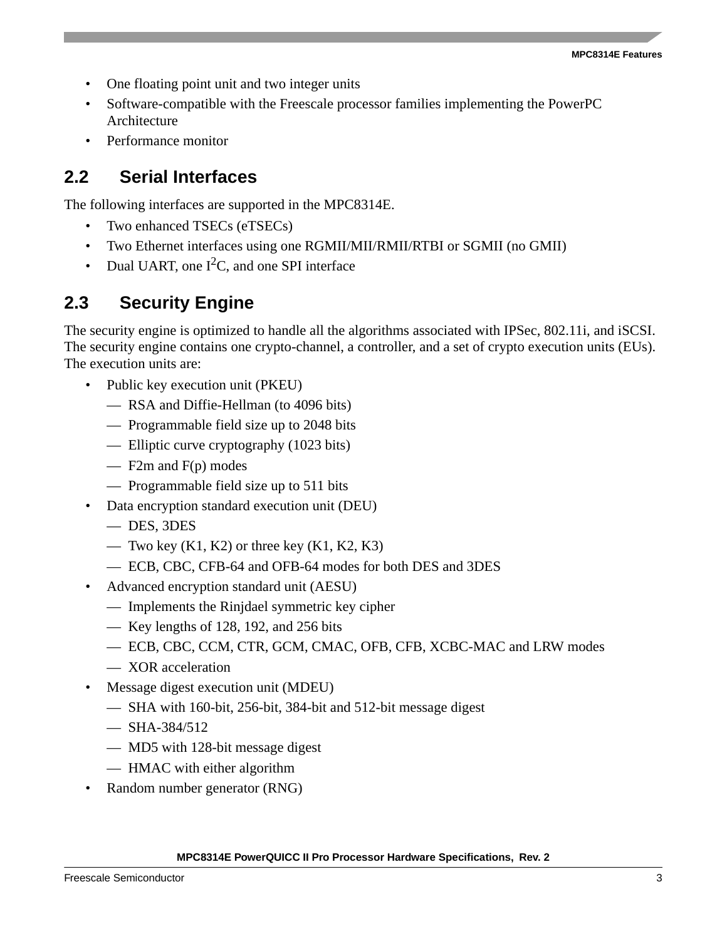- One floating point unit and two integer units
- Software-compatible with the Freescale processor families implementing the PowerPC Architecture
- Performance monitor

## **2.2 Serial Interfaces**

The following interfaces are supported in the MPC8314E.

- Two enhanced TSECs (eTSECs)
- Two Ethernet interfaces using one RGMII/MII/RMII/RTBI or SGMII (no GMII)
- Dual UART, one  $I^2C$ , and one SPI interface

# **2.3 Security Engine**

The security engine is optimized to handle all the algorithms associated with IPSec, 802.11i, and iSCSI. The security engine contains one crypto-channel, a controller, and a set of crypto execution units (EUs). The execution units are:

- Public key execution unit (PKEU)
	- RSA and Diffie-Hellman (to 4096 bits)
	- Programmable field size up to 2048 bits
	- Elliptic curve cryptography (1023 bits)
	- F2m and F(p) modes
	- Programmable field size up to 511 bits
- Data encryption standard execution unit (DEU)
	- DES, 3DES
	- Two key  $(K1, K2)$  or three key  $(K1, K2, K3)$
	- ECB, CBC, CFB-64 and OFB-64 modes for both DES and 3DES
- Advanced encryption standard unit (AESU)
	- Implements the Rinjdael symmetric key cipher
	- Key lengths of 128, 192, and 256 bits
	- ECB, CBC, CCM, CTR, GCM, CMAC, OFB, CFB, XCBC-MAC and LRW modes
	- XOR acceleration
- Message digest execution unit (MDEU)
	- SHA with 160-bit, 256-bit, 384-bit and 512-bit message digest
	- $-$  SHA-384/512
	- MD5 with 128-bit message digest
	- HMAC with either algorithm
- Random number generator (RNG)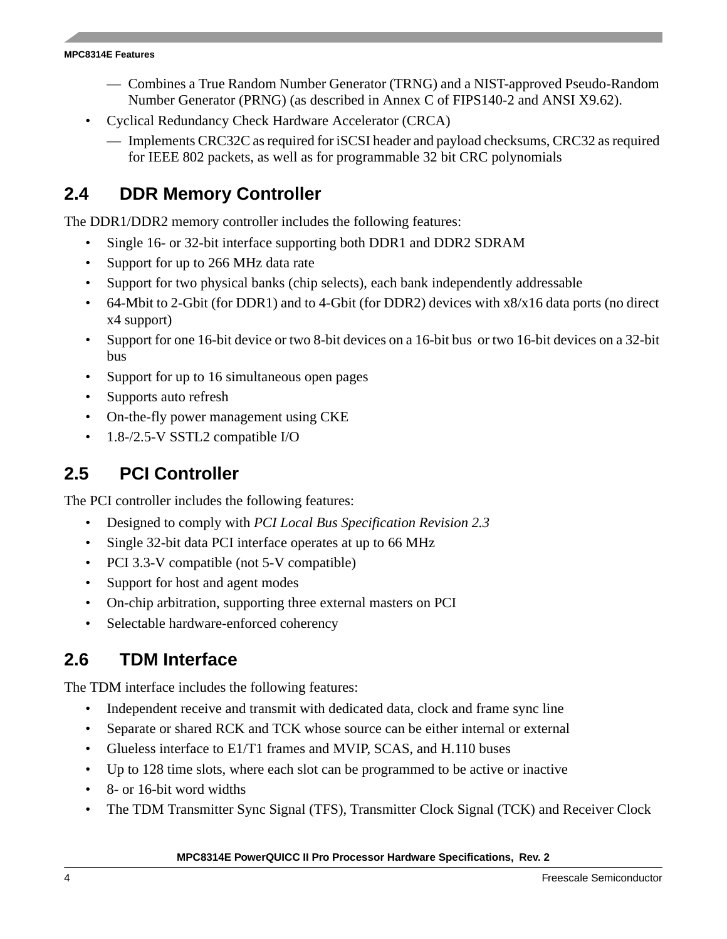#### **MPC8314E Features**

- Combines a True Random Number Generator (TRNG) and a NIST-approved Pseudo-Random Number Generator (PRNG) (as described in Annex C of FIPS140-2 and ANSI X9.62).
- Cyclical Redundancy Check Hardware Accelerator (CRCA)
	- Implements CRC32C as required for iSCSI header and payload checksums, CRC32 as required for IEEE 802 packets, as well as for programmable 32 bit CRC polynomials

# **2.4 DDR Memory Controller**

The DDR1/DDR2 memory controller includes the following features:

- Single 16- or 32-bit interface supporting both DDR1 and DDR2 SDRAM
- Support for up to 266 MHz data rate
- Support for two physical banks (chip selects), each bank independently addressable
- 64-Mbit to 2-Gbit (for DDR1) and to 4-Gbit (for DDR2) devices with x8/x16 data ports (no direct x4 support)
- Support for one 16-bit device or two 8-bit devices on a 16-bit bus or two 16-bit devices on a 32-bit bus
- Support for up to 16 simultaneous open pages
- Supports auto refresh
- On-the-fly power management using CKE
- 1.8-/2.5-V SSTL2 compatible I/O

## **2.5 PCI Controller**

The PCI controller includes the following features:

- Designed to comply with *PCI Local Bus Specification Revision 2.3*
- Single 32-bit data PCI interface operates at up to 66 MHz
- PCI 3.3-V compatible (not 5-V compatible)
- Support for host and agent modes
- On-chip arbitration, supporting three external masters on PCI
- Selectable hardware-enforced coherency

## **2.6 TDM Interface**

The TDM interface includes the following features:

- Independent receive and transmit with dedicated data, clock and frame sync line
- Separate or shared RCK and TCK whose source can be either internal or external
- Glueless interface to E1/T1 frames and MVIP, SCAS, and H.110 buses
- Up to 128 time slots, where each slot can be programmed to be active or inactive
- 8- or 16-bit word widths
- The TDM Transmitter Sync Signal (TFS), Transmitter Clock Signal (TCK) and Receiver Clock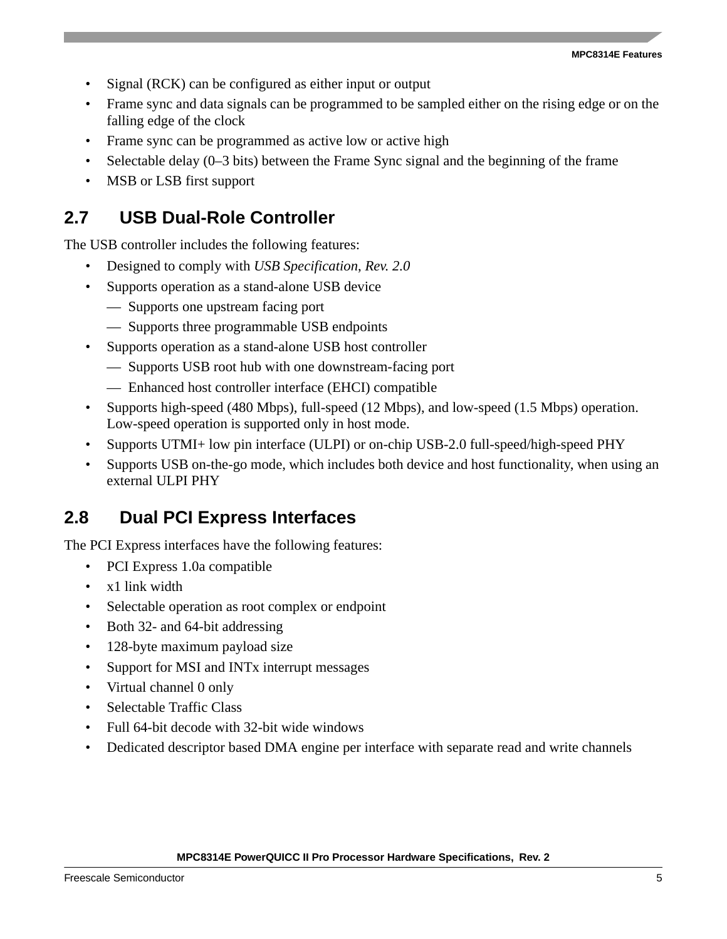- Signal (RCK) can be configured as either input or output
- Frame sync and data signals can be programmed to be sampled either on the rising edge or on the falling edge of the clock
- Frame sync can be programmed as active low or active high
- Selectable delay (0–3 bits) between the Frame Sync signal and the beginning of the frame
- MSB or LSB first support

# **2.7 USB Dual-Role Controller**

The USB controller includes the following features:

- Designed to comply with *USB Specification*, *Rev. 2.0*
- Supports operation as a stand-alone USB device
	- Supports one upstream facing port
	- Supports three programmable USB endpoints
- Supports operation as a stand-alone USB host controller
	- Supports USB root hub with one downstream-facing port
	- Enhanced host controller interface (EHCI) compatible
- Supports high-speed (480 Mbps), full-speed (12 Mbps), and low-speed (1.5 Mbps) operation. Low-speed operation is supported only in host mode.
- Supports UTMI+ low pin interface (ULPI) or on-chip USB-2.0 full-speed/high-speed PHY
- Supports USB on-the-go mode, which includes both device and host functionality, when using an external ULPI PHY

## **2.8 Dual PCI Express Interfaces**

The PCI Express interfaces have the following features:

- PCI Express 1.0a compatible
- x1 link width
- Selectable operation as root complex or endpoint
- Both 32- and 64-bit addressing
- 128-byte maximum payload size
- Support for MSI and INTx interrupt messages
- Virtual channel 0 only
- Selectable Traffic Class
- Full 64-bit decode with 32-bit wide windows
- Dedicated descriptor based DMA engine per interface with separate read and write channels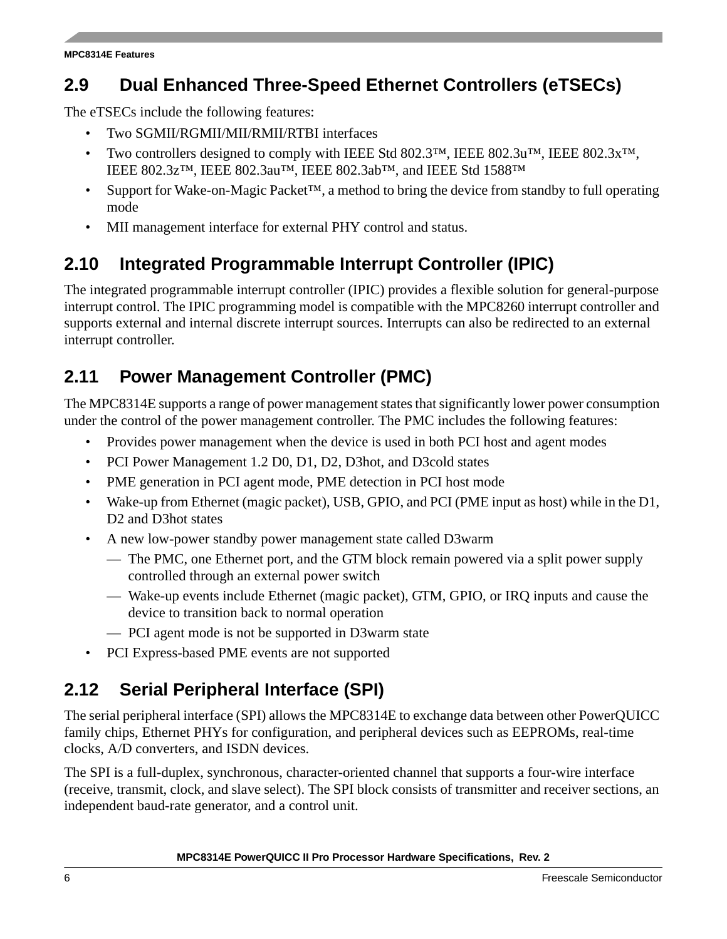# **2.9 Dual Enhanced Three-Speed Ethernet Controllers (eTSECs)**

The eTSECs include the following features:

- Two SGMII/RGMII/MII/RMII/RTBI interfaces
- Two controllers designed to comply with IEEE Std 802.3™, IEEE 802.3u™, IEEE 802.3x™, IEEE 802.3z™, IEEE 802.3au™, IEEE 802.3ab™, and IEEE Std 1588™
- Support for Wake-on-Magic Packet<sup>™</sup>, a method to bring the device from standby to full operating mode
- MII management interface for external PHY control and status.

# **2.10 Integrated Programmable Interrupt Controller (IPIC)**

The integrated programmable interrupt controller (IPIC) provides a flexible solution for general-purpose interrupt control. The IPIC programming model is compatible with the MPC8260 interrupt controller and supports external and internal discrete interrupt sources. Interrupts can also be redirected to an external interrupt controller.

# **2.11 Power Management Controller (PMC)**

The MPC8314E supports a range of power management states that significantly lower power consumption under the control of the power management controller. The PMC includes the following features:

- Provides power management when the device is used in both PCI host and agent modes
- PCI Power Management 1.2 D0, D1, D2, D3hot, and D3cold states
- PME generation in PCI agent mode, PME detection in PCI host mode
- Wake-up from Ethernet (magic packet), USB, GPIO, and PCI (PME input as host) while in the D1, D2 and D3hot states
- A new low-power standby power management state called D3warm
	- The PMC, one Ethernet port, and the GTM block remain powered via a split power supply controlled through an external power switch
	- Wake-up events include Ethernet (magic packet), GTM, GPIO, or IRQ inputs and cause the device to transition back to normal operation
	- PCI agent mode is not be supported in D3warm state
- PCI Express-based PME events are not supported

# **2.12 Serial Peripheral Interface (SPI)**

The serial peripheral interface (SPI) allows the MPC8314E to exchange data between other PowerQUICC family chips, Ethernet PHYs for configuration, and peripheral devices such as EEPROMs, real-time clocks, A/D converters, and ISDN devices.

The SPI is a full-duplex, synchronous, character-oriented channel that supports a four-wire interface (receive, transmit, clock, and slave select). The SPI block consists of transmitter and receiver sections, an independent baud-rate generator, and a control unit.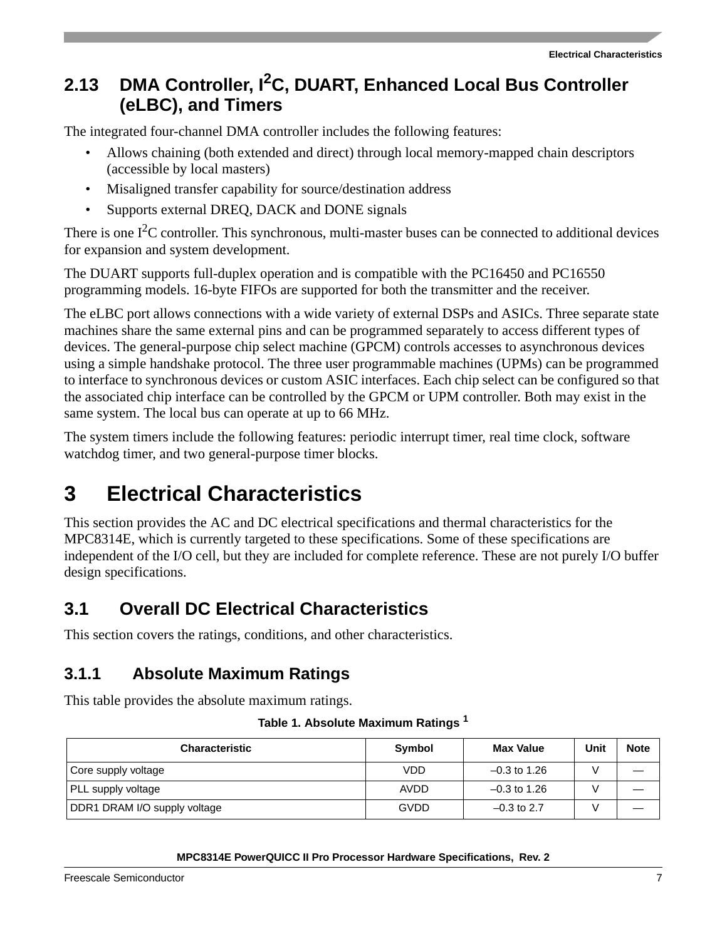# **2.13 DMA Controller, I2C, DUART, Enhanced Local Bus Controller (eLBC), and Timers**

The integrated four-channel DMA controller includes the following features:

- Allows chaining (both extended and direct) through local memory-mapped chain descriptors (accessible by local masters)
- Misaligned transfer capability for source/destination address
- Supports external DREQ, DACK and DONE signals

There is one  $I<sup>2</sup>C$  controller. This synchronous, multi-master buses can be connected to additional devices for expansion and system development.

The DUART supports full-duplex operation and is compatible with the PC16450 and PC16550 programming models. 16-byte FIFOs are supported for both the transmitter and the receiver.

The eLBC port allows connections with a wide variety of external DSPs and ASICs. Three separate state machines share the same external pins and can be programmed separately to access different types of devices. The general-purpose chip select machine (GPCM) controls accesses to asynchronous devices using a simple handshake protocol. The three user programmable machines (UPMs) can be programmed to interface to synchronous devices or custom ASIC interfaces. Each chip select can be configured so that the associated chip interface can be controlled by the GPCM or UPM controller. Both may exist in the same system. The local bus can operate at up to 66 MHz.

The system timers include the following features: periodic interrupt timer, real time clock, software watchdog timer, and two general-purpose timer blocks.

# <span id="page-6-0"></span>**3 Electrical Characteristics**

This section provides the AC and DC electrical specifications and thermal characteristics for the MPC8314E, which is currently targeted to these specifications. Some of these specifications are independent of the I/O cell, but they are included for complete reference. These are not purely I/O buffer design specifications.

## **3.1 Overall DC Electrical Characteristics**

This section covers the ratings, conditions, and other characteristics.

## **3.1.1 Absolute Maximum Ratings**

<span id="page-6-1"></span>This table provides the absolute maximum ratings.

| Table 1. Absolute Maximum Ratings <sup>1</sup> |  |  |  |
|------------------------------------------------|--|--|--|
|------------------------------------------------|--|--|--|

| <b>Characteristic</b>        | Symbol | <b>Max Value</b> | Unit | <b>Note</b> |
|------------------------------|--------|------------------|------|-------------|
| Core supply voltage          | VDD    | $-0.3$ to 1.26   |      |             |
| <b>PLL supply voltage</b>    | AVDD   | $-0.3$ to 1.26   |      |             |
| DDR1 DRAM I/O supply voltage | GVDD   | $-0.3$ to 2.7    |      |             |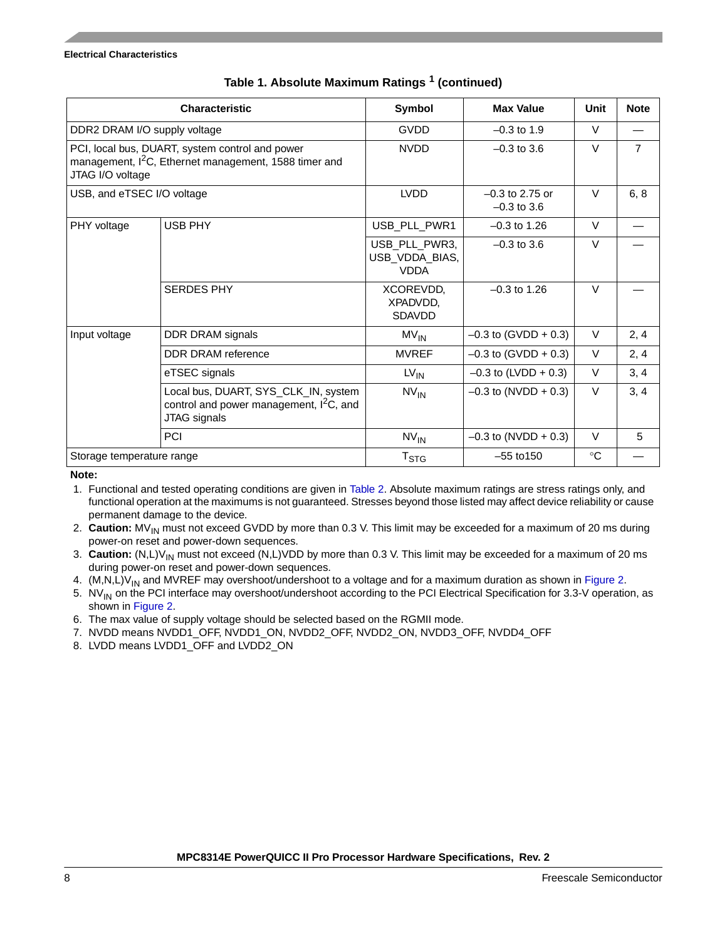|                              | <b>Characteristic</b>                                                                                                | Symbol                                         | <b>Max Value</b>                   | Unit        | <b>Note</b>    |
|------------------------------|----------------------------------------------------------------------------------------------------------------------|------------------------------------------------|------------------------------------|-------------|----------------|
| DDR2 DRAM I/O supply voltage |                                                                                                                      | <b>GVDD</b>                                    | $-0.3$ to 1.9                      | $\vee$      |                |
| JTAG I/O voltage             | PCI, local bus, DUART, system control and power<br>management, I <sup>2</sup> C, Ethernet management, 1588 timer and | <b>NVDD</b><br>$-0.3$ to 3.6                   |                                    | $\vee$      | $\overline{7}$ |
| USB, and eTSEC I/O voltage   |                                                                                                                      | <b>LVDD</b>                                    | $-0.3$ to 2.75 or<br>$-0.3$ to 3.6 |             | 6, 8           |
| PHY voltage                  | <b>USB PHY</b>                                                                                                       | USB_PLL_PWR1                                   | $-0.3$ to 1.26                     | $\vee$      |                |
|                              |                                                                                                                      | USB_PLL_PWR3,<br>USB_VDDA_BIAS,<br><b>VDDA</b> | $-0.3$ to 3.6                      | $\vee$      |                |
|                              | <b>SERDES PHY</b>                                                                                                    | XCOREVDD,<br>XPADVDD.<br><b>SDAVDD</b>         | $-0.3$ to 1.26                     | $\vee$      |                |
| Input voltage                | DDR DRAM signals                                                                                                     | $MV_{IN}$                                      | $-0.3$ to (GVDD + 0.3)             | $\vee$      | 2, 4           |
|                              | DDR DRAM reference                                                                                                   | <b>MVREF</b>                                   | $-0.3$ to (GVDD + 0.3)             | V           | 2, 4           |
|                              | eTSEC signals                                                                                                        | $LV_{IN}$                                      | $-0.3$ to (LVDD + 0.3)             | $\vee$      | 3, 4           |
|                              | Local bus, DUART, SYS_CLK_IN, system<br>control and power management, $I^2C$ , and<br>JTAG signals                   | $N V_{IN}$                                     | $-0.3$ to (NVDD + 0.3)             | V           | 3, 4           |
|                              | <b>PCI</b>                                                                                                           | $N V_{IN}$                                     | $-0.3$ to (NVDD + 0.3)             | $\vee$      | 5              |
| Storage temperature range    |                                                                                                                      | T <sub>STG</sub>                               | $-55$ to $150$                     | $^{\circ}C$ |                |

## **Table 1. Absolute Maximum Ratings 1 (continued)**

**Note:** 

1. Functional and tested operating conditions are given in [Table 2](#page-8-0). Absolute maximum ratings are stress ratings only, and functional operation at the maximums is not guaranteed. Stresses beyond those listed may affect device reliability or cause permanent damage to the device.

- 2. **Caution:** MV<sub>IN</sub> must not exceed GVDD by more than 0.3 V. This limit may be exceeded for a maximum of 20 ms during power-on reset and power-down sequences.
- 3. **Caution:** (N,L)V<sub>IN</sub> must not exceed (N,L)VDD by more than 0.3 V. This limit may be exceeded for a maximum of 20 ms during power-on reset and power-down sequences.
- 4.  $(M,N,L)V_{IN}$  and MVREF may overshoot/undershoot to a voltage and for a maximum duration as shown in [Figure 2.](#page-9-0)
- 5. NV<sub>IN</sub> on the PCI interface may overshoot/undershoot according to the PCI Electrical Specification for 3.3-V operation, as shown in [Figure 2.](#page-9-0)
- 6. The max value of supply voltage should be selected based on the RGMII mode.
- 7. NVDD means NVDD1\_OFF, NVDD1\_ON, NVDD2\_OFF, NVDD2\_ON, NVDD3\_OFF, NVDD4\_OFF
- 8. LVDD means LVDD1\_OFF and LVDD2\_ON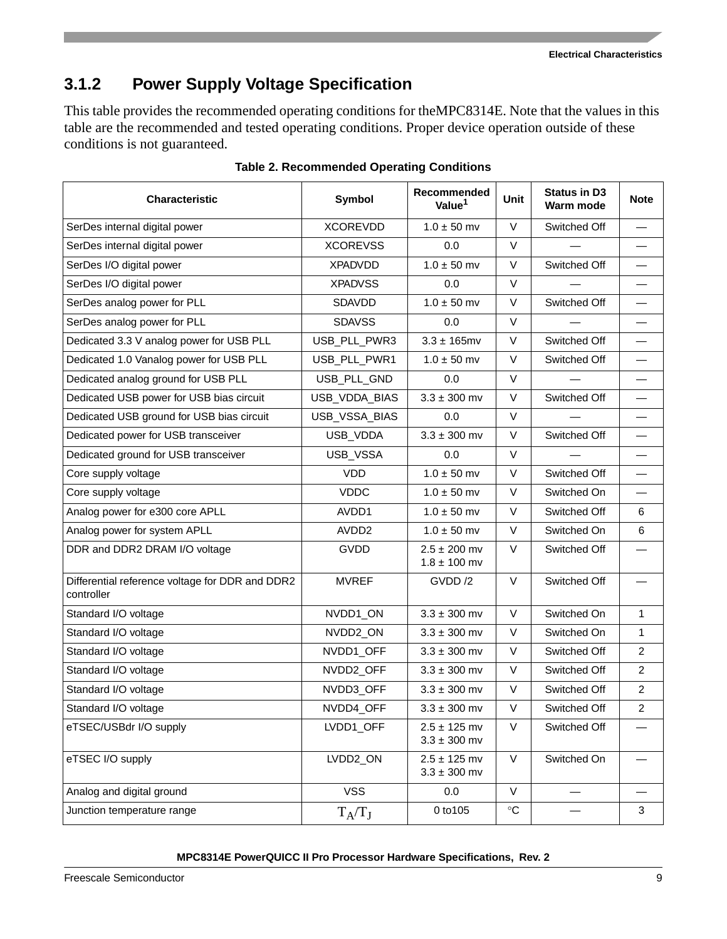**Electrical Characteristics**

# **3.1.2 Power Supply Voltage Specification**

This table provides the recommended operating conditions for theMPC8314E. Note that the values in this table are the recommended and tested operating conditions. Proper device operation outside of these conditions is not guaranteed.

<span id="page-8-0"></span>

| Characteristic                                                | Symbol            | Recommended<br>Value <sup>1</sup>    | <b>Unit</b>     | <b>Status in D3</b><br>Warm mode | <b>Note</b>    |
|---------------------------------------------------------------|-------------------|--------------------------------------|-----------------|----------------------------------|----------------|
| SerDes internal digital power                                 | <b>XCOREVDD</b>   | $1.0 \pm 50$ mv                      | $\vee$          | Switched Off                     |                |
| SerDes internal digital power                                 | <b>XCOREVSS</b>   | 0.0                                  | $\vee$          |                                  |                |
| SerDes I/O digital power                                      | <b>XPADVDD</b>    | $1.0 \pm 50$ mv                      | V               | Switched Off                     |                |
| SerDes I/O digital power                                      | <b>XPADVSS</b>    | 0.0                                  | $\vee$          |                                  |                |
| SerDes analog power for PLL                                   | <b>SDAVDD</b>     | $1.0 \pm 50$ mv                      | $\vee$          | Switched Off                     |                |
| SerDes analog power for PLL                                   | <b>SDAVSS</b>     | 0.0                                  | $\vee$          |                                  |                |
| Dedicated 3.3 V analog power for USB PLL                      | USB_PLL_PWR3      | $3.3 \pm 165$ mv                     | $\vee$          | Switched Off                     |                |
| Dedicated 1.0 Vanalog power for USB PLL                       | USB_PLL_PWR1      | $1.0 \pm 50$ mv                      | $\vee$          | Switched Off                     |                |
| Dedicated analog ground for USB PLL                           | USB_PLL_GND       | 0.0                                  | $\vee$          |                                  |                |
| Dedicated USB power for USB bias circuit                      | USB_VDDA_BIAS     | $3.3 \pm 300$ mv                     | V               | Switched Off                     |                |
| Dedicated USB ground for USB bias circuit                     | USB_VSSA_BIAS     | 0.0                                  | $\vee$          |                                  |                |
| Dedicated power for USB transceiver                           | USB_VDDA          | $3.3 \pm 300$ mv                     | $\vee$          | Switched Off                     |                |
| Dedicated ground for USB transceiver                          | USB_VSSA          | 0.0                                  | $\vee$          |                                  |                |
| Core supply voltage                                           | <b>VDD</b>        | $1.0 \pm 50$ mv                      | $\vee$          | Switched Off                     |                |
| Core supply voltage                                           | <b>VDDC</b>       | $1.0 \pm 50$ mv                      | V               | Switched On                      |                |
| Analog power for e300 core APLL                               | AVDD1             | $1.0 \pm 50$ mv                      | $\vee$          | Switched Off                     | 6              |
| Analog power for system APLL                                  | AVDD <sub>2</sub> | $1.0 \pm 50$ mv                      | $\vee$          | Switched On                      | 6              |
| DDR and DDR2 DRAM I/O voltage                                 | <b>GVDD</b>       | $2.5 \pm 200$ mv<br>$1.8 \pm 100$ mv | V               | Switched Off                     |                |
| Differential reference voltage for DDR and DDR2<br>controller | <b>MVREF</b>      | GVDD /2                              | $\vee$          | Switched Off                     |                |
| Standard I/O voltage                                          | NVDD1_ON          | $3.3 \pm 300$ mv                     | $\vee$          | Switched On                      | 1              |
| Standard I/O voltage                                          | NVDD2_ON          | $3.3 \pm 300$ mv                     | V               | Switched On                      | 1              |
| Standard I/O voltage                                          | NVDD1_OFF         | $3.3 \pm 300$ mv                     | $\vee$          | Switched Off                     | $\overline{c}$ |
| Standard I/O voltage                                          | NVDD2_OFF         | $3.3 \pm 300$ mv                     | $\vee$          | Switched Off                     | $\overline{c}$ |
| Standard I/O voltage                                          | NVDD3_OFF         | $3.3 \pm 300$ mv                     | V               | Switched Off                     | 2              |
| Standard I/O voltage                                          | NVDD4_OFF         | $3.3 \pm 300$ mv                     | V               | Switched Off                     | $\overline{2}$ |
| eTSEC/USBdr I/O supply                                        | LVDD1_OFF         | $2.5 \pm 125$ mv<br>$3.3 \pm 300$ mv | V               | Switched Off                     |                |
| eTSEC I/O supply                                              | LVDD2_ON          | $2.5 \pm 125$ mv<br>$3.3 \pm 300$ mv | $\mathsf{V}$    | Switched On                      |                |
| Analog and digital ground                                     | <b>VSS</b>        | 0.0                                  | $\vee$          |                                  |                |
| Junction temperature range                                    | $T_A/T_J$         | 0 to 105                             | $\rm ^{\circ}C$ |                                  | 3              |

**Table 2. Recommended Operating Conditions**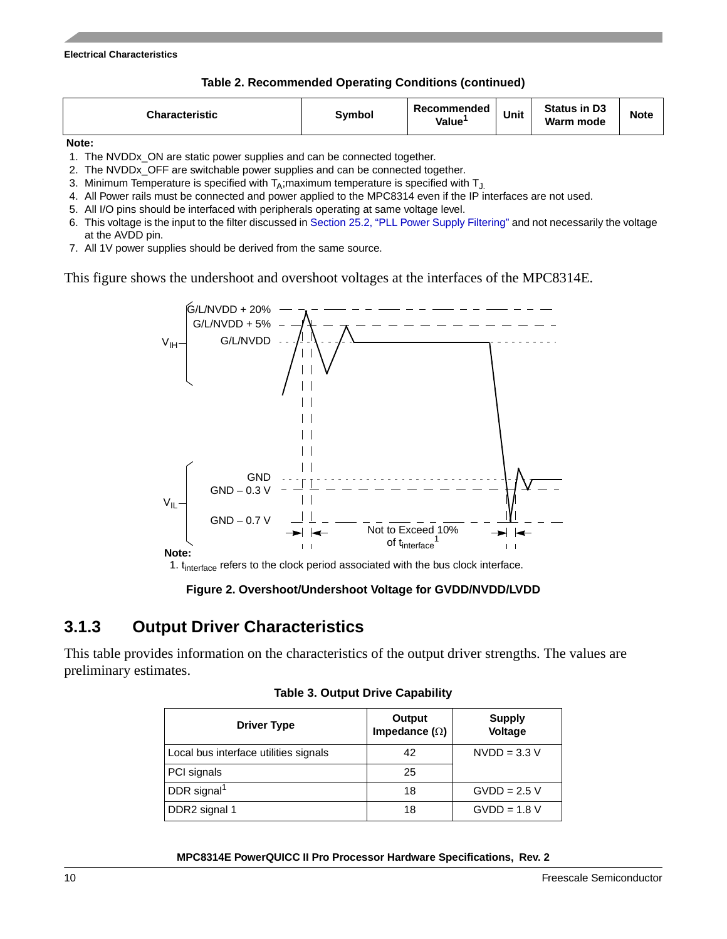**Table 2. Recommended Operating Conditions (continued)**

|--|

**Note:** 

- 1. The NVDDx\_ON are static power supplies and can be connected together.
- 2. The NVDDx\_OFF are switchable power supplies and can be connected together.
- 3. Minimum Temperature is specified with  $T_A$ ; maximum temperature is specified with  $T_A$ .
- 4. All Power rails must be connected and power applied to the MPC8314 even if the IP interfaces are not used.
- 5. All I/O pins should be interfaced with peripherals operating at same voltage level.
- 6. This voltage is the input to the filter discussed in [Section 25.2, "PLL Power Supply Filtering](#page-94-1)" and not necessarily the voltage at the AVDD pin.
- 7. All 1V power supplies should be derived from the same source.

This figure shows the undershoot and overshoot voltages at the interfaces of the MPC8314E.



**Figure 2. Overshoot/Undershoot Voltage for GVDD/NVDD/LVDD**

## <span id="page-9-0"></span>**3.1.3 Output Driver Characteristics**

This table provides information on the characteristics of the output driver strengths. The values are preliminary estimates.

| <b>Driver Type</b>                    | Output<br>Impedance $(\Omega)$ | <b>Supply</b><br>Voltage |
|---------------------------------------|--------------------------------|--------------------------|
| Local bus interface utilities signals | 42                             | $NVDD = 3.3 V$           |
| PCI signals                           | 25                             |                          |
| DDR signal <sup>1</sup>               | 18                             | $GVDD = 2.5 V$           |
| DDR2 signal 1                         | 18                             | $GVDD = 1.8 V$           |

**Table 3. Output Drive Capability**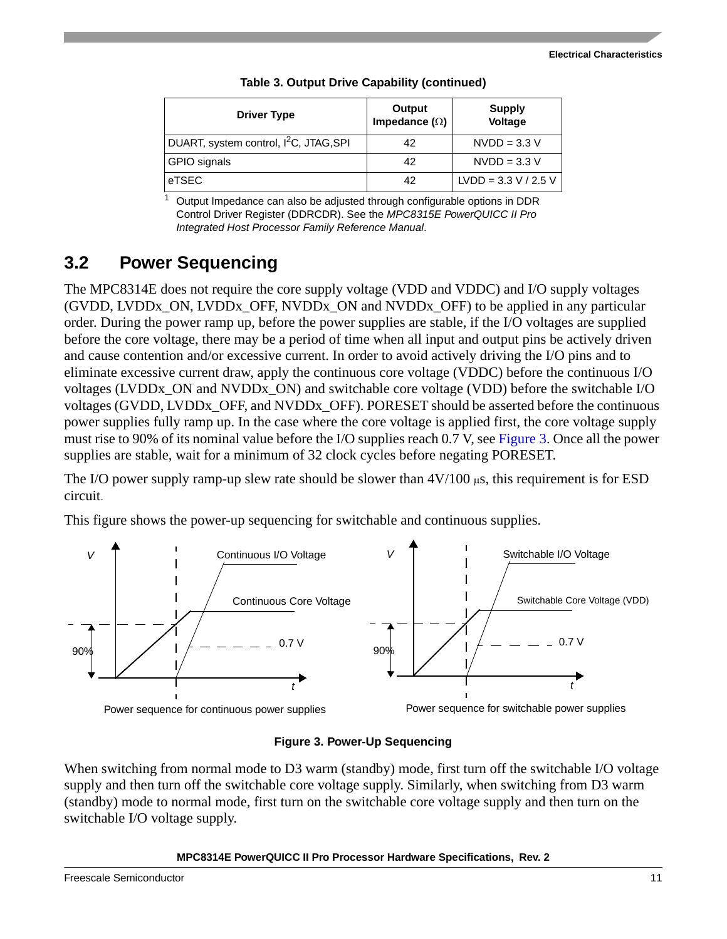| <b>Driver Type</b>                                 | Output<br>Impedance $(\Omega)$ | <b>Supply</b><br>Voltage |
|----------------------------------------------------|--------------------------------|--------------------------|
| DUART, system control, I <sup>2</sup> C, JTAG, SPI | 42                             | $NVDD = 3.3 V$           |
| GPIO signals                                       | 42                             | $NVDD = 3.3 V$           |
| eTSEC                                              | 42                             | $LVDD = 3.3 V / 2.5 V$   |

 $1$  Output Impedance can also be adjusted through configurable options in DDR Control Driver Register (DDRCDR). See the *MPC8315E PowerQUICC II Pro Integrated Host Processor Family Reference Manual*.

## **3.2 Power Sequencing**

The MPC8314E does not require the core supply voltage (VDD and VDDC) and I/O supply voltages (GVDD, LVDDx\_ON, LVDDx\_OFF, NVDDx\_ON and NVDDx\_OFF) to be applied in any particular order. During the power ramp up, before the power supplies are stable, if the I/O voltages are supplied before the core voltage, there may be a period of time when all input and output pins be actively driven and cause contention and/or excessive current. In order to avoid actively driving the I/O pins and to eliminate excessive current draw, apply the continuous core voltage (VDDC) before the continuous I/O voltages (LVDDx\_ON and NVDDx\_ON) and switchable core voltage (VDD) before the switchable I/O voltages (GVDD, LVDDx\_OFF, and NVDDx\_OFF). PORESET should be asserted before the continuous power supplies fully ramp up. In the case where the core voltage is applied first, the core voltage supply must rise to 90% of its nominal value before the I/O supplies reach 0.7 V, see [Figure 3](#page-10-0). Once all the power supplies are stable, wait for a minimum of 32 clock cycles before negating PORESET.

The I/O power supply ramp-up slew rate should be slower than  $4V/100 \mu s$ , this requirement is for ESD circuit.

This figure shows the power-up sequencing for switchable and continuous supplies.



## **Figure 3. Power-Up Sequencing**

<span id="page-10-0"></span>When switching from normal mode to D3 warm (standby) mode, first turn off the switchable I/O voltage supply and then turn off the switchable core voltage supply. Similarly, when switching from D3 warm (standby) mode to normal mode, first turn on the switchable core voltage supply and then turn on the switchable I/O voltage supply.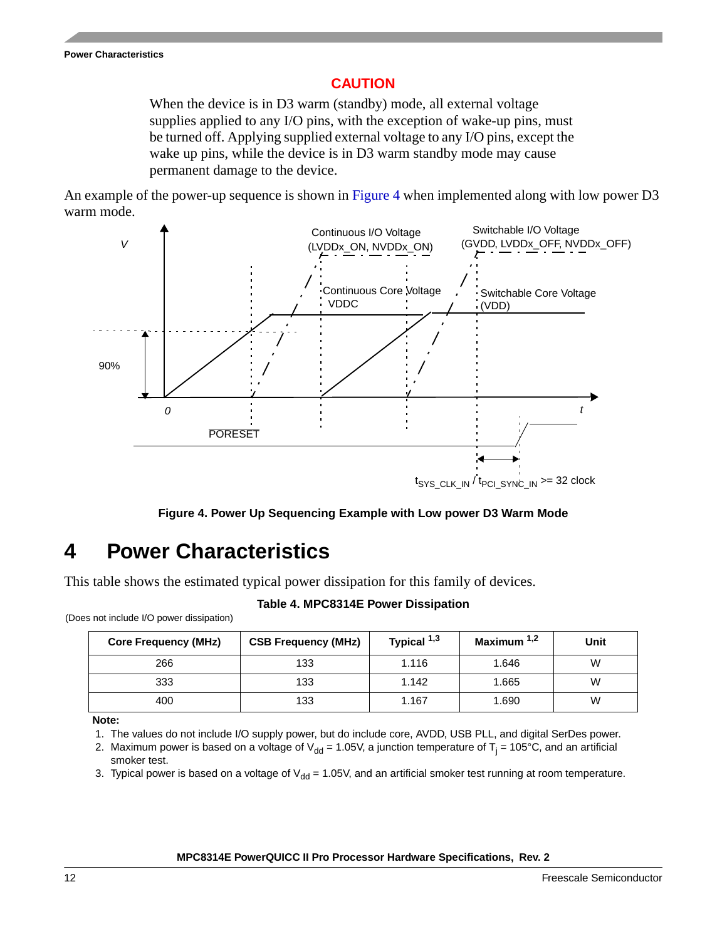## **CAUTION**

When the device is in D3 warm (standby) mode, all external voltage supplies applied to any I/O pins, with the exception of wake-up pins, must be turned off. Applying supplied external voltage to any I/O pins, except the wake up pins, while the device is in D3 warm standby mode may cause permanent damage to the device.

An example of the power-up sequence is shown in [Figure 4](#page-11-1) when implemented along with low power D3 warm mode.



**Figure 4. Power Up Sequencing Example with Low power D3 Warm Mode**

# <span id="page-11-1"></span><span id="page-11-0"></span>**4 Power Characteristics**

(Does not include I/O power dissipation)

This table shows the estimated typical power dissipation for this family of devices.

## **Table 4. MPC8314E Power Dissipation**

| <b>Core Frequency (MHz)</b> | <b>CSB Frequency (MHz)</b> | Typical 1,3 | Maximum $1,2$ | Unit |
|-----------------------------|----------------------------|-------------|---------------|------|
| 266                         | 133                        | 1.116       | 1.646         | W    |
| 333                         | 133                        | 1.142       | 1.665         | W    |
| 400                         | 133                        | 1.167       | 1.690         | W    |

**Note:** 

1. The values do not include I/O supply power, but do include core, AVDD, USB PLL, and digital SerDes power.

2. Maximum power is based on a voltage of V<sub>dd</sub> = 1.05V, a junction temperature of T<sub>j</sub> = 105°C, and an artificial smoker test.

3. Typical power is based on a voltage of  $V_{dd} = 1.05V$ , and an artificial smoker test running at room temperature.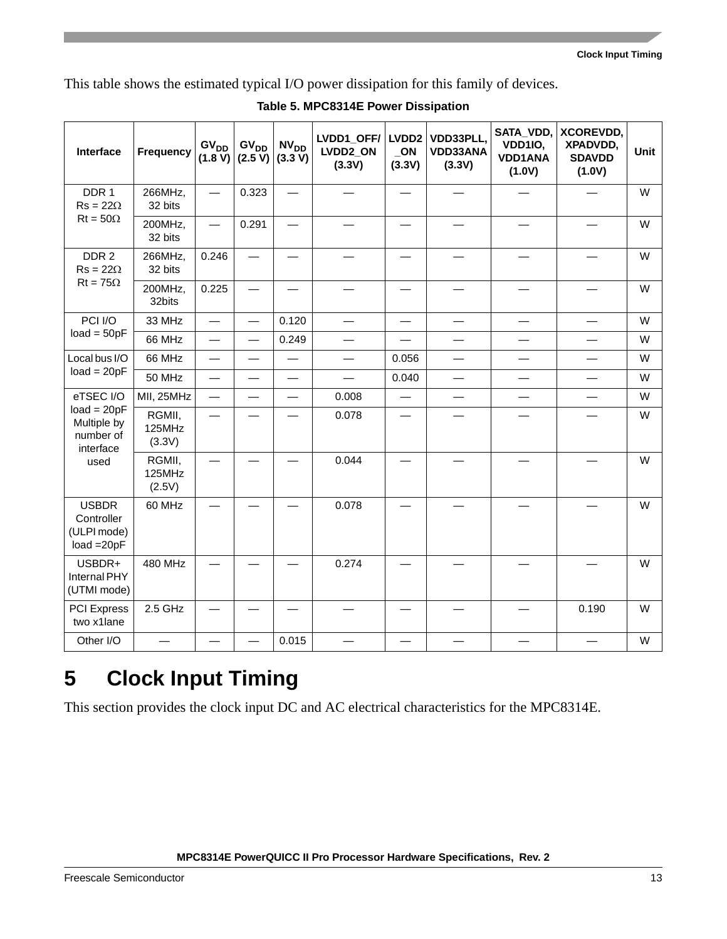This table shows the estimated typical I/O power dissipation for this family of devices.

| Interface                                                  | Frequency                  | GV <sub>DD</sub><br>(1.8 V) | GV <sub>DD</sub><br>(2.5 V) | $N V_{DD}$<br>(3.3 V)    | LVDD1_OFF/<br>LVDD2_ON<br>(3.3V) | LVDD <sub>2</sub><br>ON<br>(3.3V) | VDD33PLL,<br>VDD33ANA<br>(3.3V) | SATA_VDD,<br>VDD1IO,<br><b>VDD1ANA</b><br>(1.0V) | <b>XCOREVDD,</b><br>XPADVDD,<br><b>SDAVDD</b><br>(1.0V) | Unit |
|------------------------------------------------------------|----------------------------|-----------------------------|-----------------------------|--------------------------|----------------------------------|-----------------------------------|---------------------------------|--------------------------------------------------|---------------------------------------------------------|------|
| DDR 1<br>$Rs = 22\Omega$                                   | 266MHz,<br>32 bits         |                             | 0.323                       |                          |                                  |                                   |                                 |                                                  |                                                         | W    |
| $Rt = 50\Omega$                                            | 200MHz,<br>32 bits         |                             | 0.291                       |                          |                                  |                                   |                                 |                                                  |                                                         | W    |
| DDR 2<br>$Rs = 22Ω$                                        | 266MHz,<br>32 bits         | 0.246                       | $\overline{\phantom{0}}$    |                          |                                  |                                   |                                 |                                                  |                                                         | W    |
| $Rt = 75\Omega$                                            | 200MHz,<br>32bits          | 0.225                       |                             |                          |                                  |                                   |                                 |                                                  |                                                         | W    |
| PCI I/O                                                    | 33 MHz                     |                             | $\overline{\phantom{0}}$    | 0.120                    | $\overline{\phantom{0}}$         |                                   |                                 | —                                                | —                                                       | W    |
| $load = 50pF$                                              | 66 MHz                     | $\overline{\phantom{0}}$    | $\overline{\phantom{0}}$    | 0.249                    | —                                |                                   | $\overline{\phantom{0}}$        |                                                  |                                                         | W    |
| Local bus I/O                                              | 66 MHz                     |                             |                             |                          |                                  | 0.056                             |                                 |                                                  |                                                         | W    |
| $load = 20pF$                                              | 50 MHz                     | $\overline{\phantom{0}}$    | $\overline{\phantom{0}}$    |                          | $\overline{\phantom{0}}$         | 0.040                             | $\overline{\phantom{0}}$        | $\overline{\phantom{0}}$                         | $\overline{\phantom{0}}$                                | W    |
| eTSEC I/O                                                  | MII, 25MHz                 | $\overline{\phantom{0}}$    | $\overline{\phantom{0}}$    | $\overline{\phantom{0}}$ | 0.008                            |                                   |                                 |                                                  |                                                         | W    |
| $load = 20pF$<br>Multiple by<br>number of<br>interface     | RGMII,<br>125MHz<br>(3.3V) |                             |                             |                          | 0.078                            |                                   |                                 |                                                  |                                                         | W    |
| used                                                       | RGMII,<br>125MHz<br>(2.5V) |                             |                             |                          | 0.044                            |                                   |                                 |                                                  |                                                         | W    |
| <b>USBDR</b><br>Controller<br>(ULPI mode)<br>$load = 20pF$ | 60 MHz                     |                             |                             |                          | 0.078                            |                                   |                                 |                                                  |                                                         | W    |
| USBDR+<br>Internal PHY<br>(UTMI mode)                      | 480 MHz                    |                             |                             |                          | 0.274                            |                                   |                                 |                                                  |                                                         | W    |
| <b>PCI Express</b><br>two x1lane                           | 2.5 GHz                    |                             |                             |                          |                                  |                                   |                                 |                                                  | 0.190                                                   | W    |
| Other I/O                                                  |                            |                             |                             | 0.015                    |                                  |                                   |                                 |                                                  |                                                         | W    |

## **Table 5. MPC8314E Power Dissipation**

# <span id="page-12-0"></span>**5 Clock Input Timing**

This section provides the clock input DC and AC electrical characteristics for the MPC8314E.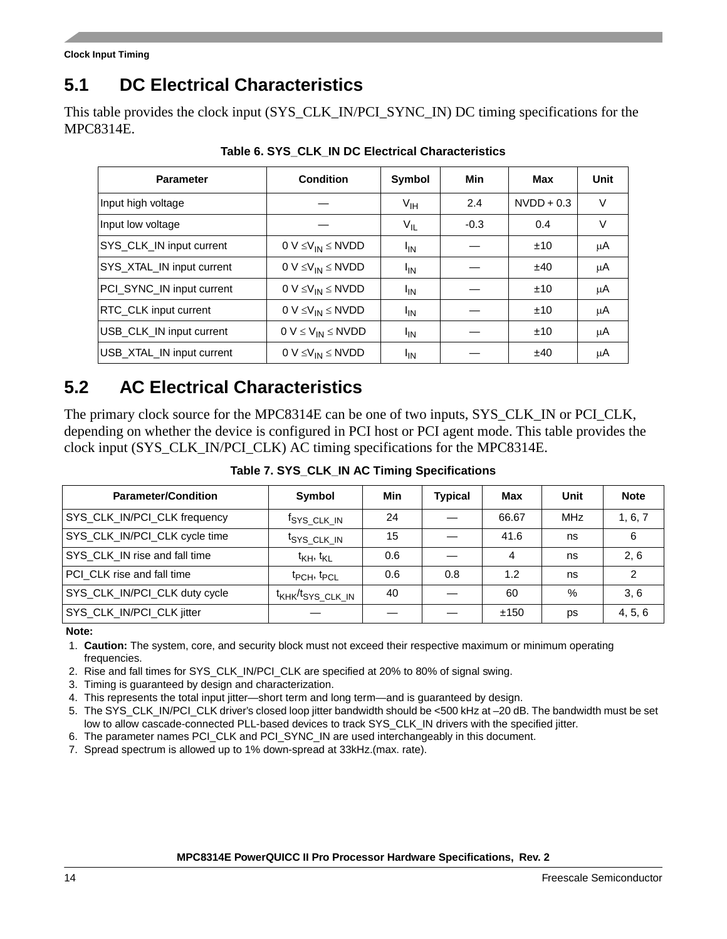# **5.1 DC Electrical Characteristics**

This table provides the clock input (SYS\_CLK\_IN/PCI\_SYNC\_IN) DC timing specifications for the MPC8314E.

| <b>Parameter</b>          | <b>Condition</b>             | Symbol          | Min    | Max          | Unit   |
|---------------------------|------------------------------|-----------------|--------|--------------|--------|
| Input high voltage        |                              | $V_{\text{IH}}$ | 2.4    | $NVDD + 0.3$ | V      |
| Input low voltage         |                              | $V_{IL}$        | $-0.3$ | 0.4          | $\vee$ |
| SYS_CLK_IN input current  | $0 V \leq V_{IN} \leq N VDD$ | <sup>I</sup> IN |        | ±10          | μA     |
| SYS XTAL IN input current | $0 V \leq V_{IN} \leq N VDD$ | <sup>I</sup> IN |        | ±40          | μA     |
| PCI_SYNC_IN input current | $0 V \leq V_{IN} \leq N VDD$ | <sup>I</sup> IN |        | ±10          | μA     |
| RTC CLK input current     | $0 V \leq V_{IN} \leq N VDD$ | <sup>I</sup> IN |        | ±10          | μA     |
| USB CLK IN input current  | $0 V \leq V_{IN} \leq N VDD$ | $I_{IN}$        |        | ±10          | μA     |
| USB_XTAL_IN input current | $0 V \leq V_{IN} \leq N VDD$ | <sup>I</sup> IN |        | ±40          | μA     |

**Table 6. SYS\_CLK\_IN DC Electrical Characteristics**

# **5.2 AC Electrical Characteristics**

The primary clock source for the MPC8314E can be one of two inputs, SYS\_CLK\_IN or PCI\_CLK, depending on whether the device is configured in PCI host or PCI agent mode. This table provides the clock input (SYS\_CLK\_IN/PCI\_CLK) AC timing specifications for the MPC8314E.

**Table 7. SYS\_CLK\_IN AC Timing Specifications**

| <b>Parameter/Condition</b>    | Symbol                                    | Min | <b>Typical</b> | Max   | Unit       | <b>Note</b> |
|-------------------------------|-------------------------------------------|-----|----------------|-------|------------|-------------|
| SYS_CLK_IN/PCI_CLK frequency  | <sup>t</sup> SYS_CLK_IN                   | 24  |                | 66.67 | <b>MHz</b> | 1, 6, 7     |
| SYS_CLK_IN/PCI_CLK cycle time | <sup>t</sup> SYS CLK IN                   | 15  |                | 41.6  | ns         | 6           |
| SYS_CLK_IN rise and fall time | $t_{\mathsf{KH}}, t_{\mathsf{KL}}$        | 0.6 |                | 4     | ns         | 2.6         |
| PCI_CLK rise and fall time    | t <sub>PCH</sub> , t <sub>PCL</sub>       | 0.6 | 0.8            | 1.2   | ns         | າ           |
| SYS_CLK_IN/PCI_CLK duty cycle | t <sub>KHK</sub> /t <sub>SYS_CLK_IN</sub> | 40  |                | 60    | %          | 3.6         |
| SYS_CLK_IN/PCI_CLK jitter     |                                           |     |                | ±150  | ps         | 4, 5, 6     |

### **Note:**

- 1. **Caution:** The system, core, and security block must not exceed their respective maximum or minimum operating frequencies.
- 2. Rise and fall times for SYS\_CLK\_IN/PCI\_CLK are specified at 20% to 80% of signal swing.
- 3. Timing is guaranteed by design and characterization.
- 4. This represents the total input jitter—short term and long term—and is guaranteed by design.
- 5. The SYS\_CLK\_IN/PCI\_CLK driver's closed loop jitter bandwidth should be <500 kHz at –20 dB. The bandwidth must be set low to allow cascade-connected PLL-based devices to track SYS\_CLK\_IN drivers with the specified jitter.
- 6. The parameter names PCI\_CLK and PCI\_SYNC\_IN are used interchangeably in this document.
- 7. Spread spectrum is allowed up to 1% down-spread at 33kHz.(max. rate).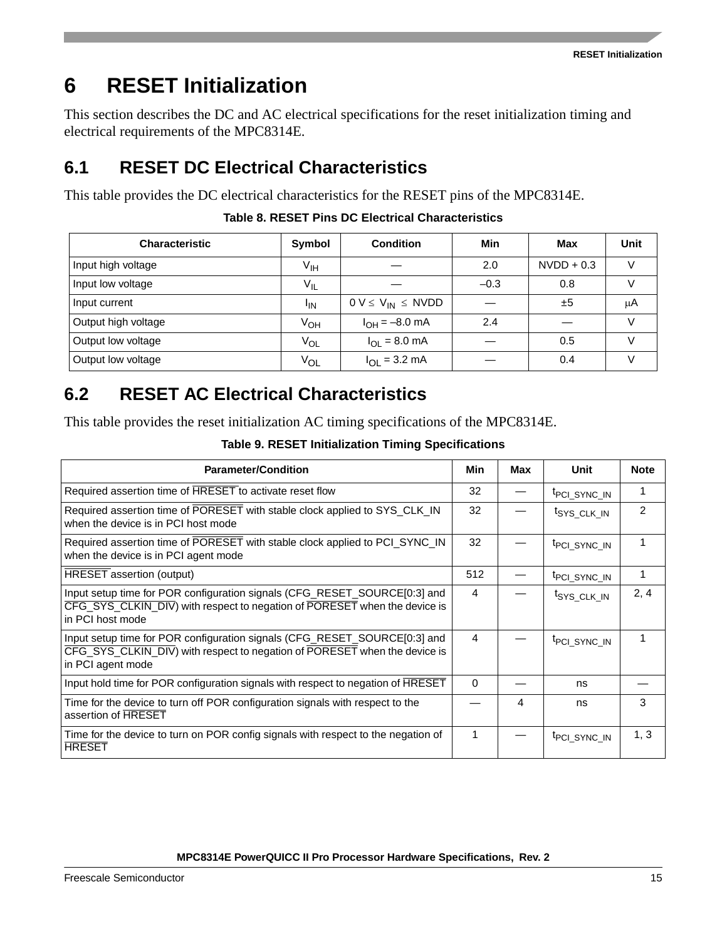# <span id="page-14-0"></span>**6 RESET Initialization**

This section describes the DC and AC electrical specifications for the reset initialization timing and electrical requirements of the MPC8314E.

# **6.1 RESET DC Electrical Characteristics**

This table provides the DC electrical characteristics for the RESET pins of the MPC8314E.

| <b>Characteristic</b> | Symbol          | <b>Condition</b>           | Min    | Max          | Unit          |
|-----------------------|-----------------|----------------------------|--------|--------------|---------------|
| Input high voltage    | $V_{\text{IH}}$ |                            | 2.0    | $NVDD + 0.3$ | V             |
| Input low voltage     | $V_{IL}$        |                            | $-0.3$ | 0.8          |               |
| Input current         | <sup>I</sup> IN | $0 V \le V_{IN} \le N VDD$ |        | ±5           | μA            |
| Output high voltage   | $V_{OH}$        | $I_{OH} = -8.0$ mA         | 2.4    |              | $\mathcal{L}$ |
| Output low voltage    | $V_{OL}$        | $I_{OL} = 8.0$ mA          |        | 0.5          |               |
| Output low voltage    | Vol             | $I_{OL} = 3.2$ mA          |        | 0.4          |               |

## **Table 8. RESET Pins DC Electrical Characteristics**

# **6.2 RESET AC Electrical Characteristics**

This table provides the reset initialization AC timing specifications of the MPC8314E.

| <b>Parameter/Condition</b>                                                                                                                                                  | Min      | Max | Unit                     | <b>Note</b>   |
|-----------------------------------------------------------------------------------------------------------------------------------------------------------------------------|----------|-----|--------------------------|---------------|
| Required assertion time of HRESET to activate reset flow                                                                                                                    | 32       |     | <sup>t</sup> PCI SYNC IN |               |
| Required assertion time of PORESET with stable clock applied to SYS_CLK_IN<br>when the device is in PCI host mode                                                           | 32       |     | t <sub>SYS_CLK_IN</sub>  | $\mathcal{P}$ |
| Required assertion time of PORESET with stable clock applied to PCI_SYNC_IN<br>when the device is in PCI agent mode                                                         | 32       |     | <sup>t</sup> PCI_SYNC_IN |               |
| <b>HRESET</b> assertion (output)                                                                                                                                            | 512      |     | <sup>t</sup> PCI SYNC IN |               |
| Input setup time for POR configuration signals (CFG_RESET_SOURCE[0:3] and<br>CFG_SYS_CLKIN_DIV) with respect to negation of PORESET when the device is<br>in PCI host mode  | 4        |     | <sup>t</sup> SYS CLK IN  | 2, 4          |
| Input setup time for POR configuration signals (CFG_RESET_SOURCE[0:3] and<br>CFG_SYS_CLKIN_DIV) with respect to negation of PORESET when the device is<br>in PCI agent mode | 4        |     | <sup>t</sup> PCI SYNC IN |               |
| Input hold time for POR configuration signals with respect to negation of HRESET                                                                                            | $\Omega$ |     | ns                       |               |
| Time for the device to turn off POR configuration signals with respect to the<br>assertion of HRESET                                                                        |          | 4   | ns                       | 3             |
| Time for the device to turn on POR config signals with respect to the negation of<br><b>HRESET</b>                                                                          | 1        |     | <sup>t</sup> PCI SYNC IN | 1, 3          |

## **Table 9. RESET Initialization Timing Specifications**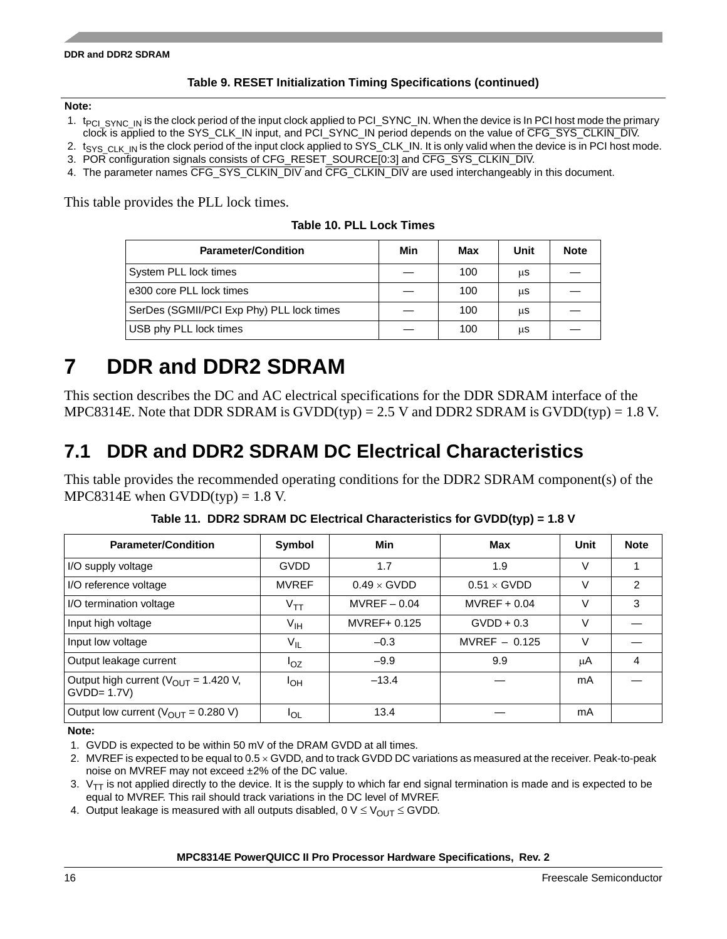#### **DDR and DDR2 SDRAM**

## **Table 9. RESET Initialization Timing Specifications (continued)**

### **Note:**

- 1. t<sub>PCI SYNC</sub> IN is the clock period of the input clock applied to PCI\_SYNC\_IN. When the device is In PCI host mode the primary clock is applied to the SYS\_CLK\_IN input, and PCI\_SYNC\_IN period depends on the value of CFG\_SYS\_CLKIN\_DIV.
- 2.  $t_{\rm SYS-CLK-IN}$  is the clock period of the input clock applied to SYS\_CLK\_IN. It is only valid when the device is in PCI host mode. 3. POR configuration signals consists of CFG\_RESET\_SOURCE[0:3] and CFG\_SYS\_CLKIN\_DIV.
- 4. The parameter names CFG\_SYS\_CLKIN\_DIV and CFG\_CLKIN\_DIV are used interchangeably in this document.

This table provides the PLL lock times.

|  |  |  |  |  | Table 10. PLL Lock Times |
|--|--|--|--|--|--------------------------|
|--|--|--|--|--|--------------------------|

| <b>Parameter/Condition</b>                | Min | Max | Unit | <b>Note</b> |
|-------------------------------------------|-----|-----|------|-------------|
| System PLL lock times                     |     | 100 | μS   |             |
| e300 core PLL lock times                  |     | 100 | μS   |             |
| SerDes (SGMII/PCI Exp Phy) PLL lock times |     | 100 | μS   |             |
| USB phy PLL lock times                    |     | 100 | μS   |             |

# <span id="page-15-0"></span>**7 DDR and DDR2 SDRAM**

This section describes the DC and AC electrical specifications for the DDR SDRAM interface of the MPC8314E. Note that DDR SDRAM is  $GVDD(typ) = 2.5$  V and DDR2 SDRAM is  $GVDD(typ) = 1.8$  V.

# **7.1 DDR and DDR2 SDRAM DC Electrical Characteristics**

This table provides the recommended operating conditions for the DDR2 SDRAM component(s) of the MPC8314E when  $GVDD(typ) = 1.8$  V.

| <b>Parameter/Condition</b>                               | Symbol          | Min                | <b>Max</b>         | Unit   | <b>Note</b>   |
|----------------------------------------------------------|-----------------|--------------------|--------------------|--------|---------------|
| I/O supply voltage                                       | <b>GVDD</b>     | 1.7                | 1.9                | $\vee$ |               |
| I/O reference voltage                                    | <b>MVREF</b>    | $0.49 \times$ GVDD | $0.51 \times$ GVDD | $\vee$ | $\mathcal{P}$ |
| I/O termination voltage                                  | $V_{TT}$        | $MVREF-0.04$       | $MVREF+0.04$       | $\vee$ | 3             |
| Input high voltage                                       | $V_{\text{IH}}$ | MVREF+ 0.125       | $GVDD + 0.3$       | V      |               |
| Input low voltage                                        | $V_{IL}$        | $-0.3$             | MVREF $-$ 0.125    | V      |               |
| Output leakage current                                   | $I_{OZ}$        | $-9.9$             | 9.9                | μA     | 4             |
| Output high current $(V_{OUT} = 1.420 V,$<br>$GVDD=1.7V$ | I <sub>OH</sub> | $-13.4$            |                    | mA     |               |
| Output low current $(V_{OUT} = 0.280 V)$                 | <sup>I</sup> OL | 13.4               |                    | mA     |               |

**Table 11. DDR2 SDRAM DC Electrical Characteristics for GVDD(typ) = 1.8 V**

**Note:** 

1. GVDD is expected to be within 50 mV of the DRAM GVDD at all times.

- 2. MVREF is expected to be equal to  $0.5 \times$  GVDD, and to track GVDD DC variations as measured at the receiver. Peak-to-peak noise on MVREF may not exceed ±2% of the DC value.
- 3.  $V_{TT}$  is not applied directly to the device. It is the supply to which far end signal termination is made and is expected to be equal to MVREF. This rail should track variations in the DC level of MVREF.

4. Output leakage is measured with all outputs disabled,  $0 \vee \leq V_{\text{OUT}} \leq GVDD$ .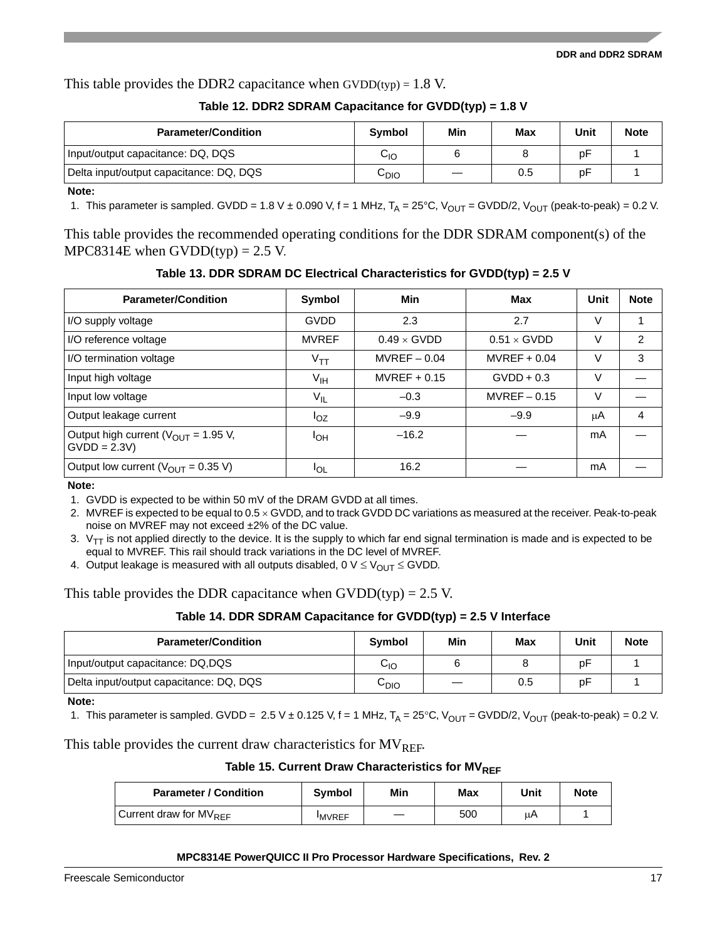#### **DDR and DDR2 SDRAM**

This table provides the DDR2 capacitance when  $GVDD(typ) = 1.8 V$ .

|  | Table 12. DDR2 SDRAM Capacitance for GVDD(typ) = 1.8 V |
|--|--------------------------------------------------------|
|  |                                                        |

| <b>Parameter/Condition</b>              | Symbol           | Min | Max | Unit | <b>Note</b> |
|-----------------------------------------|------------------|-----|-----|------|-------------|
| Input/output capacitance: DQ, DQS       | $\rm{C_{IO}}$    |     |     | рF   |             |
| Delta input/output capacitance: DQ, DQS | С <sub>DIO</sub> |     | 0.5 | рF   |             |

**Note:** 

1. This parameter is sampled. GVDD = 1.8 V  $\pm$  0.090 V, f = 1 MHz, T<sub>A</sub> = 25°C, V<sub>OUT</sub> = GVDD/2, V<sub>OUT</sub> (peak-to-peak) = 0.2 V.

This table provides the recommended operating conditions for the DDR SDRAM component(s) of the MPC8314E when  $GVDD(typ) = 2.5 V$ .

**Table 13. DDR SDRAM DC Electrical Characteristics for GVDD(typ) = 2.5 V**

| <b>Parameter/Condition</b>                                        | Symbol          | Min                | Max                | Unit | <b>Note</b>    |
|-------------------------------------------------------------------|-----------------|--------------------|--------------------|------|----------------|
| I/O supply voltage                                                | GVDD            | 2.3                | 2.7                | V    |                |
| I/O reference voltage                                             | <b>MVREF</b>    | $0.49 \times$ GVDD | $0.51 \times$ GVDD | V    | $\mathfrak{p}$ |
| I/O termination voltage                                           | $V_{TT}$        | $MVREF-0.04$       | $MVREF+0.04$       | V    | 3              |
| Input high voltage                                                | $V_{\text{IH}}$ | $MVREF+0.15$       | $GVDD + 0.3$       | v    |                |
| Input low voltage                                                 | $V_{IL}$        | $-0.3$             | $MVREF-0.15$       | V    |                |
| Output leakage current                                            | $I_{OZ}$        | $-9.9$             | $-9.9$             | μA   | 4              |
| Output high current ( $V_{\text{OUT}}$ = 1.95 V,<br>$GVDD = 2.3V$ | <b>IOH</b>      | $-16.2$            |                    | mA   |                |
| Output low current ( $V_{\text{OUT}}$ = 0.35 V)                   | <b>IOL</b>      | 16.2               |                    | mA   |                |

**Note:** 

1. GVDD is expected to be within 50 mV of the DRAM GVDD at all times.

2. MVREF is expected to be equal to  $0.5 \times$  GVDD, and to track GVDD DC variations as measured at the receiver. Peak-to-peak noise on MVREF may not exceed ±2% of the DC value.

3.  $V_{TT}$  is not applied directly to the device. It is the supply to which far end signal termination is made and is expected to be equal to MVREF. This rail should track variations in the DC level of MVREF.

4. Output leakage is measured with all outputs disabled, 0  $V \leq V_{\text{OUT}} \leq$  GVDD.

This table provides the DDR capacitance when  $GVDD(typ) = 2.5 V$ .

| Table 14. DDR SDRAM Capacitance for GVDD(typ) = 2.5 V Interface |  |  |  |
|-----------------------------------------------------------------|--|--|--|
|-----------------------------------------------------------------|--|--|--|

| <b>Parameter/Condition</b>              | <b>Symbol</b>  | Min | Max | Unit | <b>Note</b> |
|-----------------------------------------|----------------|-----|-----|------|-------------|
| Input/output capacitance: DQ,DQS        | С <sub>Ю</sub> |     |     | рF   |             |
| Delta input/output capacitance: DQ, DQS | $C_{DIO}$      |     | 0.5 | рF   |             |

**Note:** 

1. This parameter is sampled. GVDD = 2.5 V ± 0.125 V, f = 1 MHz,  $T_A$  = 25°C, V<sub>OUT</sub> = GVDD/2, V<sub>OUT</sub> (peak-to-peak) = 0.2 V.

This table provides the current draw characteristics for  $MV_{RFE}$ .

Table 15. Current Draw Characteristics for MV<sub>RFF</sub>

| <b>Parameter / Condition</b> | Symbol        | Min | Max | Unit | <b>Note</b> |
|------------------------------|---------------|-----|-----|------|-------------|
| Current draw for $MV_{REF}$  | <b>IMVREF</b> |     | 500 | uΑ   |             |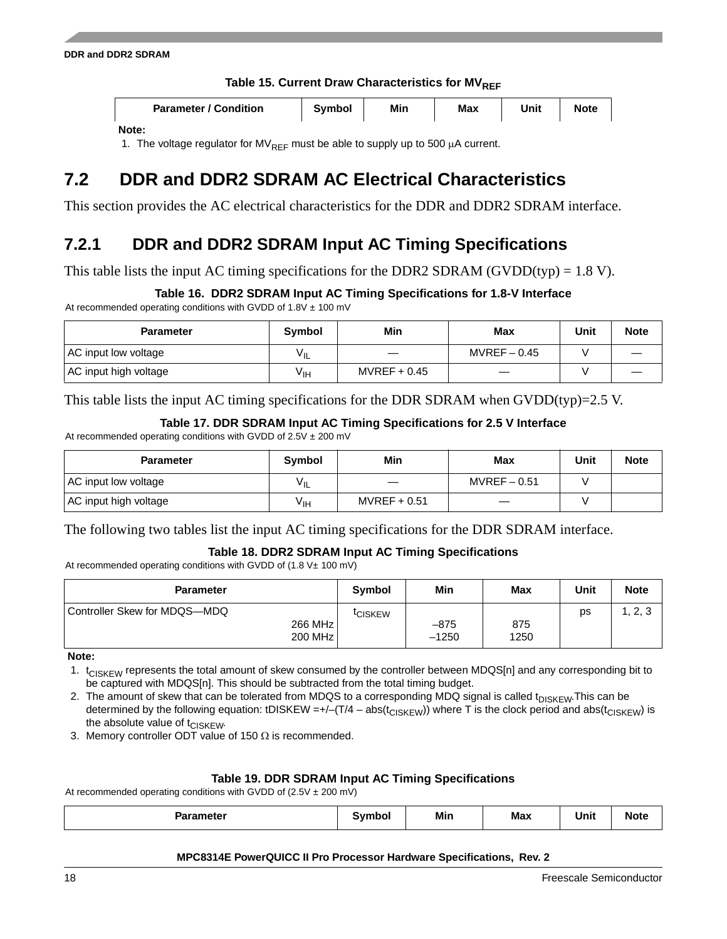### Table 15. Current Draw Characteristics for MV<sub>REF</sub>

| <b>Parameter / Condition</b> | <b>Symbol</b> | Min | <b>Max</b> | Unit | <b>Note</b> |
|------------------------------|---------------|-----|------------|------|-------------|
| nta ·                        |               |     |            |      |             |

#### **Note:**

1. The voltage regulator for MV<sub>RFF</sub> must be able to supply up to 500  $\mu$ A current.

# **7.2 DDR and DDR2 SDRAM AC Electrical Characteristics**

This section provides the AC electrical characteristics for the DDR and DDR2 SDRAM interface.

## **7.2.1 DDR and DDR2 SDRAM Input AC Timing Specifications**

This table lists the input AC timing specifications for the DDR2 SDRAM (GVDD(typ) =  $1.8$  V).

## **Table 16. DDR2 SDRAM Input AC Timing Specifications for 1.8-V Interface**

At recommended operating conditions with GVDD of  $1.8V \pm 100$  mV

| <b>Parameter</b>      | Symbol          | Min          | <b>Max</b>   | Unit | <b>Note</b> |
|-----------------------|-----------------|--------------|--------------|------|-------------|
| AC input low voltage  | YIL             |              | $MVREF-0.45$ |      |             |
| AC input high voltage | V <sub>IH</sub> | $MVREF+0.45$ |              |      |             |

This table lists the input AC timing specifications for the DDR SDRAM when GVDD(typ)=2.5 V.

**Table 17. DDR SDRAM Input AC Timing Specifications for 2.5 V Interface**

At recommended operating conditions with GVDD of  $2.5V \pm 200$  mV

| <b>Parameter</b>      | <b>Symbol</b> | Min          | Max          | Unit | <b>Note</b> |
|-----------------------|---------------|--------------|--------------|------|-------------|
| AC input low voltage  | YIL           |              | $MVREF-0.51$ |      |             |
| AC input high voltage | ⊻⊩            | $MVREF+0.51$ |              |      |             |

The following two tables list the input AC timing specifications for the DDR SDRAM interface.

## **Table 18. DDR2 SDRAM Input AC Timing Specifications**

At recommended operating conditions with GVDD of  $(1.8 \text{ V} \pm 100 \text{ mV})$ 

| <b>Parameter</b>                                   | <b>Symbol</b>       | Min               | Max         | Unit | <b>Note</b>                      |
|----------------------------------------------------|---------------------|-------------------|-------------|------|----------------------------------|
| Controller Skew for MDQS-MDQ<br>266 MHz<br>200 MHz | <sup>I</sup> CISKEW | $-875$<br>$-1250$ | 875<br>1250 | ps   | റ 2<br>$\cdot$ , $\sim$ , $\sim$ |

**Note:** 

1. t<sub>CISKEW</sub> represents the total amount of skew consumed by the controller between MDQS[n] and any corresponding bit to be captured with MDQS[n]. This should be subtracted from the total timing budget.

2. The amount of skew that can be tolerated from MDQS to a corresponding MDQ signal is called t<sub>DISKEW</sub>. This can be determined by the following equation: tDISKEW =+/–(T/4 – abs( $t_{CISKEY}$ )) where T is the clock period and abs( $t_{CISKEY}$ ) is the absolute value of  $t_{CISKEW}$ .

3. Memory controller ODT value of 150  $\Omega$  is recommended.

## **Table 19. DDR SDRAM Input AC Timing Specifications**

At recommended operating conditions with GVDD of  $(2.5V \pm 200 \text{ mV})$ 

| <b>Parameter</b> | Symbol | Min | <b>Max</b> | $\sim$ $\sim$<br>Unit<br>__ | <br><b>Note</b> |
|------------------|--------|-----|------------|-----------------------------|-----------------|
|                  |        |     |            |                             |                 |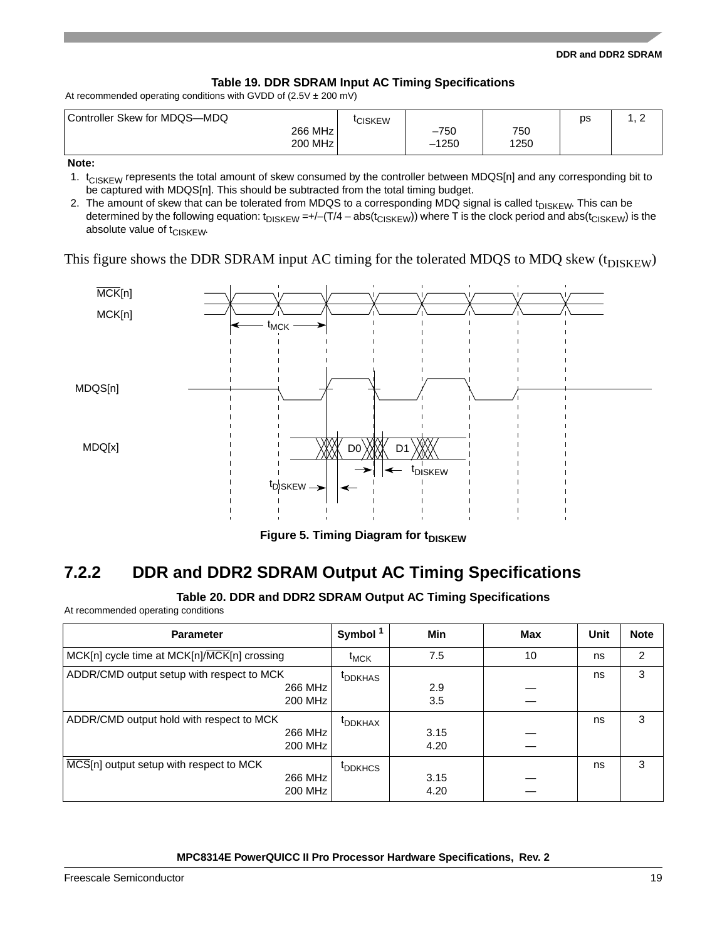#### **DDR and DDR2 SDRAM**

### **Table 19. DDR SDRAM Input AC Timing Specifications**

At recommended operating conditions with GVDD of  $(2.5V \pm 200 \text{ mV})$ 

| Controller Skew for MDQS-MDQ | <b>CISKEW</b> |         |      | DS | $\sim$<br><u>_</u> |
|------------------------------|---------------|---------|------|----|--------------------|
| 266 MHz                      |               | $-750$  | 750  |    |                    |
| 200 MHz                      |               | $-1250$ | 1250 |    |                    |

#### **Note:**

1.  $t_{CISKEYW}$  represents the total amount of skew consumed by the controller between MDQS[n] and any corresponding bit to be captured with MDQS[n]. This should be subtracted from the total timing budget.

2. The amount of skew that can be tolerated from MDQS to a corresponding MDQ signal is called t<sub>DISKEW</sub>. This can be determined by the following equation:  $t_{DISKEW} = +/-(T/4 - abs(t_{CISKEW}))$  where T is the clock period and abs( $t_{CISKEW}$ ) is the absolute value of  $t_{CISKEYW}$ .

This figure shows the DDR SDRAM input AC timing for the tolerated MDQS to MDQ skew  $(t_{DISKEW})$ 



**Figure 5. Timing Diagram for tDISKEW** 

## **7.2.2 DDR and DDR2 SDRAM Output AC Timing Specifications**

### **Table 20. DDR and DDR2 SDRAM Output AC Timing Specifications**

At recommended operating conditions

| <b>Parameter</b>                                                | Symbol <sup>1</sup> | Min          | Max | Unit | <b>Note</b> |
|-----------------------------------------------------------------|---------------------|--------------|-----|------|-------------|
| MCK[n] cycle time at MCK[n]/MCK[n] crossing                     | $t_{MCK}$           | 7.5          | 10  | ns   | 2           |
| ADDR/CMD output setup with respect to MCK<br>266 MHz<br>200 MHz | <sup>t</sup> DDKHAS | 2.9<br>3.5   |     | ns   | 3           |
| ADDR/CMD output hold with respect to MCK<br>266 MHz<br>200 MHz  | <sup>t</sup> DDKHAX | 3.15<br>4.20 |     | ns   | 3           |
| MCS[n] output setup with respect to MCK<br>266 MHz<br>200 MHz   | <sup>t</sup> DDKHCS | 3.15<br>4.20 |     | ns   | 3           |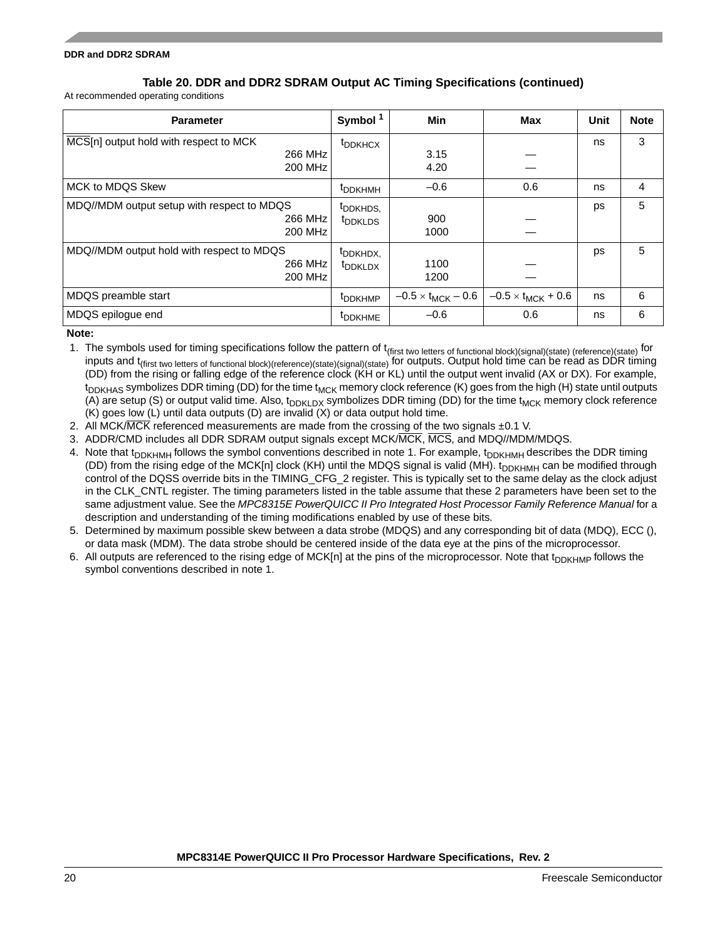## **Table 20. DDR and DDR2 SDRAM Output AC Timing Specifications (continued)**

At recommended operating conditions

| <b>Parameter</b>                                                 | Symbol <sup>1</sup>                         | Min                         | Max                         | Unit | <b>Note</b> |
|------------------------------------------------------------------|---------------------------------------------|-----------------------------|-----------------------------|------|-------------|
| MCS[n] output hold with respect to MCK<br>266 MHz<br>200 MHz     | <sup>t</sup> DDKHCX                         | 3.15<br>4.20                |                             | ns   | 3           |
| <b>MCK to MDQS Skew</b>                                          | <sup>t</sup> DDKHMH                         | $-0.6$                      | 0.6                         | ns   | 4           |
| MDQ//MDM output setup with respect to MDQS<br>266 MHz<br>200 MHz | <sup>t</sup> DDKHDS,<br><sup>t</sup> DDKLDS | 900<br>1000                 |                             | ps   | 5           |
| MDQ//MDM output hold with respect to MDQS<br>266 MHz<br>200 MHz  | t <sub>DDKHDX,</sub><br><sup>t</sup> DDKLDX | 1100<br>1200                |                             | ps   | 5           |
| MDQS preamble start                                              | t <sub>DDKHMP</sub>                         | $-0.5 \times t_{MCK} - 0.6$ | $-0.5 \times t_{MCK} + 0.6$ | ns   | 6           |
| MDQS epilogue end                                                | <sup>t</sup> DDKHME                         | $-0.6$                      | 0.6                         | ns   | 6           |

**Note:** 

- 1. The symbols used for timing specifications follow the pattern of t<sub>(first two letters of functional block)(signal)(state) (reference)(state) for</sub> inputs and t(first two letters of functional block)(reference)(state)(signal)(state) for outputs. Output hold time can be read as DDR timing (DD) from the rising or falling edge of the reference clock (KH or KL) until the output went invalid (AX or DX). For example,  $t_{\text{DNHAS}}$  symbolizes DDR timing (DD) for the time  $t_{\text{MCK}}$  memory clock reference (K) goes from the high (H) state until outputs (A) are setup (S) or output valid time. Also,  $t_{DDKDX}$  symbolizes DDR timing (DD) for the time  $t_{MCK}$  memory clock reference (K) goes low (L) until data outputs (D) are invalid (X) or data output hold time.
- 2. All MCK/MCK referenced measurements are made from the crossing of the two signals  $\pm 0.1$  V.
- 3. ADDR/CMD includes all DDR SDRAM output signals except MCK/MCK, MCS, and MDQ//MDM/MDQS.
- 4. Note that t<sub>DDKHMH</sub> follows the symbol conventions described in note 1. For example, t<sub>DDKHMH</sub> describes the DDR timing (DD) from the rising edge of the MCK[n] clock (KH) until the MDQS signal is valid (MH).  $t_{\text{DDKHMH}}$  can be modified through control of the DQSS override bits in the TIMING\_CFG\_2 register. This is typically set to the same delay as the clock adjust in the CLK\_CNTL register. The timing parameters listed in the table assume that these 2 parameters have been set to the same adjustment value. See the *MPC8315E PowerQUICC II Pro Integrated Host Processor Family Reference Manual* for a description and understanding of the timing modifications enabled by use of these bits.
- 5. Determined by maximum possible skew between a data strobe (MDQS) and any corresponding bit of data (MDQ), ECC (), or data mask (MDM). The data strobe should be centered inside of the data eye at the pins of the microprocessor.
- 6. All outputs are referenced to the rising edge of MCK[n] at the pins of the microprocessor. Note that  $t_{D D K H M P}$  follows the symbol conventions described in note 1.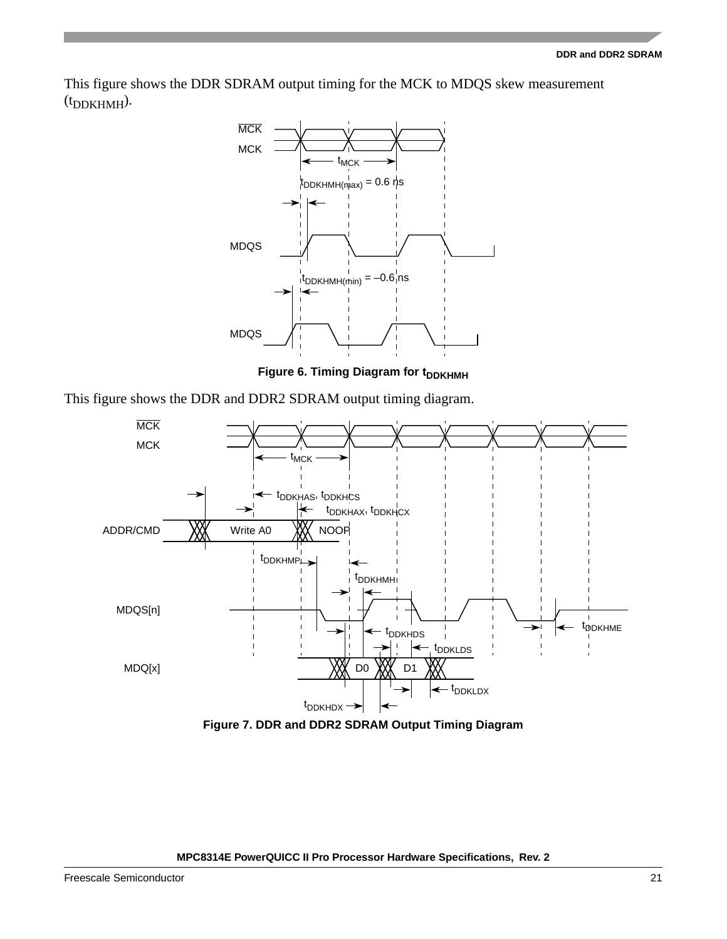This figure shows the DDR SDRAM output timing for the MCK to MDQS skew measurement  $(t_{\text{DDKHMH}})$ .



**Figure 6. Timing Diagram for t<sub>DDKHMH</sub>** 

This figure shows the DDR and DDR2 SDRAM output timing diagram.



**Figure 7. DDR and DDR2 SDRAM Output Timing Diagram**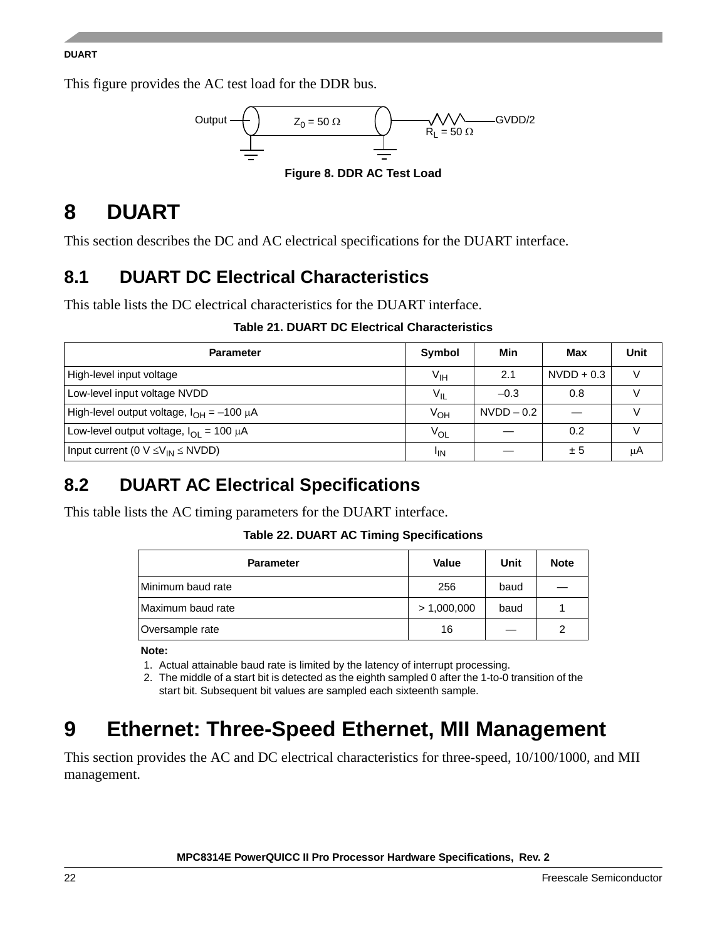### **DUART**

This figure provides the AC test load for the DDR bus.



# <span id="page-21-0"></span>**8 DUART**

This section describes the DC and AC electrical specifications for the DUART interface.

# **8.1 DUART DC Electrical Characteristics**

This table lists the DC electrical characteristics for the DUART interface.

## **Table 21. DUART DC Electrical Characteristics**

| <b>Parameter</b>                                            | Symbol          | Min          | Max          | Unit |
|-------------------------------------------------------------|-----------------|--------------|--------------|------|
| High-level input voltage                                    | $V_{\text{IH}}$ | 2.1          | $NVDD + 0.3$ |      |
| Low-level input voltage NVDD                                | $V_{\parallel}$ | $-0.3$       | 0.8          |      |
| High-level output voltage, $I_{OH} = -100 \mu A$            | $V_{OH}$        | $NVDD - 0.2$ |              |      |
| Low-level output voltage, $I_{\text{OI}} = 100 \mu\text{A}$ | $V_{OL}$        |              | 0.2          |      |
| Input current (0 $V \leq V_{IN} \leq NVDD$ )                | <sup>I</sup> IN |              | ± 5          | μA   |

# **8.2 DUART AC Electrical Specifications**

This table lists the AC timing parameters for the DUART interface.

**Table 22. DUART AC Timing Specifications**

| <b>Parameter</b>  | Value       | Unit | <b>Note</b> |
|-------------------|-------------|------|-------------|
| Minimum baud rate | 256         | baud |             |
| Maximum baud rate | > 1,000,000 | baud |             |
| Oversample rate   | 16          |      |             |

**Note:** 

1. Actual attainable baud rate is limited by the latency of interrupt processing.

2. The middle of a start bit is detected as the eighth sampled 0 after the 1-to-0 transition of the start bit. Subsequent bit values are sampled each sixteenth sample.

# <span id="page-21-1"></span>**9 Ethernet: Three-Speed Ethernet, MII Management**

This section provides the AC and DC electrical characteristics for three-speed, 10/100/1000, and MII management.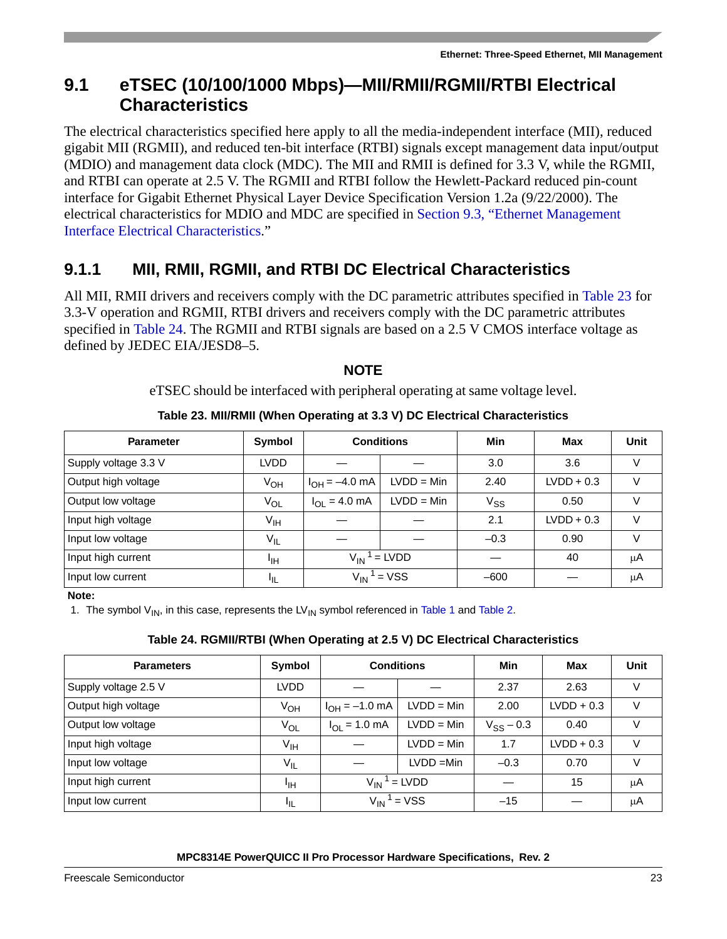# <span id="page-22-2"></span>**9.1 eTSEC (10/100/1000 Mbps)—MII/RMII/RGMII/RTBI Electrical Characteristics**

The electrical characteristics specified here apply to all the media-independent interface (MII), reduced gigabit MII (RGMII), and reduced ten-bit interface (RTBI) signals except management data input/output (MDIO) and management data clock (MDC). The MII and RMII is defined for 3.3 V, while the RGMII, and RTBI can operate at 2.5 V. The RGMII and RTBI follow the Hewlett-Packard reduced pin-count interface for Gigabit Ethernet Physical Layer Device Specification Version 1.2a (9/22/2000). The electrical characteristics for MDIO and MDC are specified in [Section 9.3, "Ethernet Management](#page-28-0)  [Interface Electrical Characteristics.](#page-28-0)"

# **9.1.1 MII, RMII, RGMII, and RTBI DC Electrical Characteristics**

All MII, RMII drivers and receivers comply with the DC parametric attributes specified in [Table 23](#page-22-0) for 3.3-V operation and RGMII, RTBI drivers and receivers comply with the DC parametric attributes specified in [Table 24](#page-22-1). The RGMII and RTBI signals are based on a 2.5 V CMOS interface voltage as defined by JEDEC EIA/JESD8–5.

## **NOTE**

eTSEC should be interfaced with peripheral operating at same voltage level.

<span id="page-22-0"></span>

| <b>Parameter</b>     | Symbol          | <b>Conditions</b>                |              | Min      | Max          | <b>Unit</b> |
|----------------------|-----------------|----------------------------------|--------------|----------|--------------|-------------|
| Supply voltage 3.3 V | LVDD            |                                  |              | 3.0      | 3.6          | V           |
| Output high voltage  | V <sub>OH</sub> | $I_{OH} = -4.0$ mA               | $LVDD = Min$ | 2.40     | $LVDD + 0.3$ |             |
| Output low voltage   | $V_{OL}$        | $I_{\text{OI}} = 4.0 \text{ mA}$ | $LVDD = Min$ | $V_{SS}$ | 0.50         | V           |
| Input high voltage   | V <sub>IH</sub> |                                  |              | 2.1      | $LVDD + 0.3$ |             |
| Input low voltage    | $V_{IL}$        |                                  |              | $-0.3$   | 0.90         | V           |
| Input high current   | ЧH              | $V_{IN}^1$ = LVDD                |              |          | 40           | μA          |
| Input low current    | ΠL              | $=$ VSS<br>$V_{IN}$              |              | $-600$   |              | μA          |

## **Table 23. MII/RMII (When Operating at 3.3 V) DC Electrical Characteristics**

## **Note:**

1. The symbol  $V_{IN}$ , in this case, represents the LV<sub>IN</sub> symbol referenced in [Table 1](#page-6-1) and [Table 2](#page-8-0).

## **Table 24. RGMII/RTBI (When Operating at 2.5 V) DC Electrical Characteristics**

<span id="page-22-1"></span>

| <b>Parameters</b>    | Symbol          | <b>Conditions</b>  |                             | Min            | Max          | Unit |
|----------------------|-----------------|--------------------|-----------------------------|----------------|--------------|------|
| Supply voltage 2.5 V | <b>LVDD</b>     |                    |                             | 2.37           | 2.63         | V    |
| Output high voltage  | $V_{OH}$        | $I_{OH} = -1.0$ mA | $LVDD = Min$                | 2.00           | $LVDD + 0.3$ | V    |
| Output low voltage   | V <sub>OL</sub> | $I_{OL} = 1.0$ mA  | $LVDD = Min$                | $V_{SS} - 0.3$ | 0.40         | V    |
| Input high voltage   | $V_{\text{IH}}$ |                    | $LVDD = Min$                | 1.7            | $LVDD + 0.3$ | V    |
| Input low voltage    | $V_{IL}$        |                    | $LVDD = Min$                | $-0.3$         | 0.70         | V    |
| Input high current   | ЧH              | $V_{IN}^1$ = LVDD  |                             |                | 15           | μA   |
| Input low current    | பா              |                    | $V_{IN}$ <sup>1</sup> = VSS | $-15$          |              | μA   |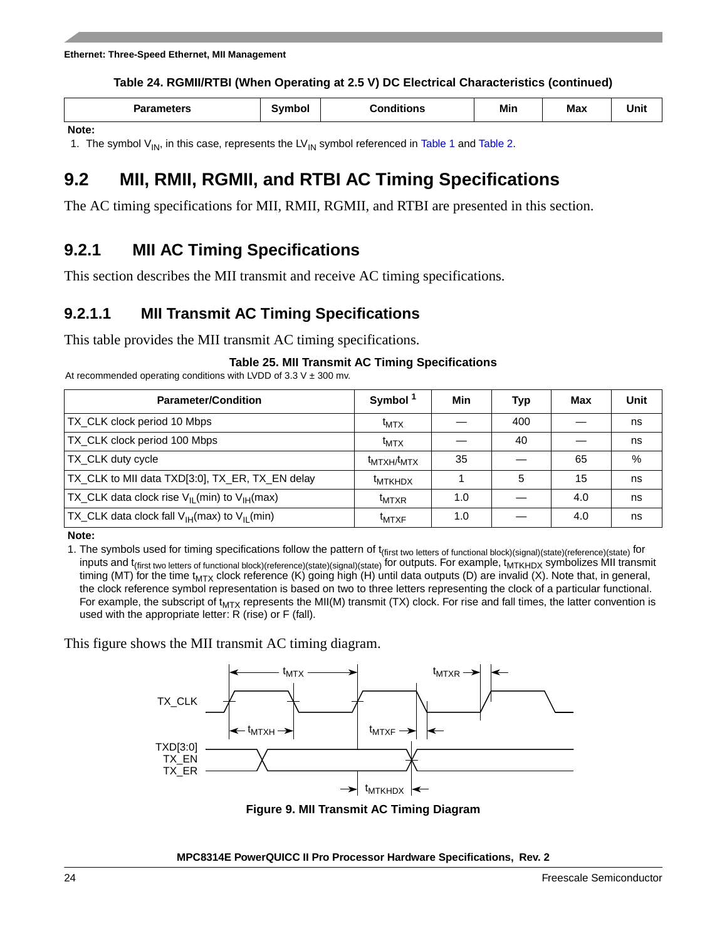## **Table 24. RGMII/RTBI (When Operating at 2.5 V) DC Electrical Characteristics (continued)**

| Parameters | <b>Symbol</b> | Conditions | Min | <b>Max</b> | Unit |
|------------|---------------|------------|-----|------------|------|
| Note:      |               |            |     |            |      |

1. The symbol  $V_{IN}$ , in this case, represents the LV<sub>IN</sub> symbol referenced in [Table 1](#page-6-1) and [Table 2](#page-8-0).

# **9.2 MII, RMII, RGMII, and RTBI AC Timing Specifications**

The AC timing specifications for MII, RMII, RGMII, and RTBI are presented in this section.

## **9.2.1 MII AC Timing Specifications**

This section describes the MII transmit and receive AC timing specifications.

## **9.2.1.1 MII Transmit AC Timing Specifications**

This table provides the MII transmit AC timing specifications.

## **Table 25. MII Transmit AC Timing Specifications**

At recommended operating conditions with LVDD of  $3.3$  V  $\pm$  300 mv.

| <b>Parameter/Condition</b>                                             | Symbol <sup>1</sup> | Min | <b>Typ</b> | Max | Unit |
|------------------------------------------------------------------------|---------------------|-----|------------|-----|------|
| TX_CLK clock period 10 Mbps                                            | $t_{\text{MTX}}$    |     | 400        |     | ns   |
| TX_CLK clock period 100 Mbps                                           | $t_{\text{MTX}}$    |     | 40         |     | ns   |
| TX_CLK duty cycle                                                      | $t_{MTXH}/t_{MTX}$  | 35  |            | 65  | %    |
| TX_CLK to MII data TXD[3:0], TX_ER, TX_EN delay                        | <sup>t</sup> MTKHDX |     | 5          | 15  | ns   |
| TX_CLK data clock rise V <sub>II</sub> (min) to V <sub>IH</sub> (max)  | <sup>I</sup> MTXR   | 1.0 |            | 4.0 | ns   |
| $TX$ <sub>L</sub> CLK data clock fall $V_{IH}$ (max) to $V_{II}$ (min) | <sup>t</sup> MTXF   | 1.0 |            | 4.0 | ns   |

**Note:** 

1. The symbols used for timing specifications follow the pattern of t<sub>(first two letters of functional block)(signal)(state)(reference)(state) for</sub> inputs and t<sub>(first two letters of functional block)(reference)(state)(signal)(state) for outputs. For example, t<sub>MTKHDX</sub> symbolizes MII transmit</sub> timing (MT) for the time t<sub>MTX</sub> clock reference (K) going high (H) until data outputs (D) are invalid (X). Note that, in general, the clock reference symbol representation is based on two to three letters representing the clock of a particular functional. For example, the subscript of  $t_{MTX}$  represents the MII(M) transmit (TX) clock. For rise and fall times, the latter convention is used with the appropriate letter: R (rise) or F (fall).

This figure shows the MII transmit AC timing diagram.



**Figure 9. MII Transmit AC Timing Diagram**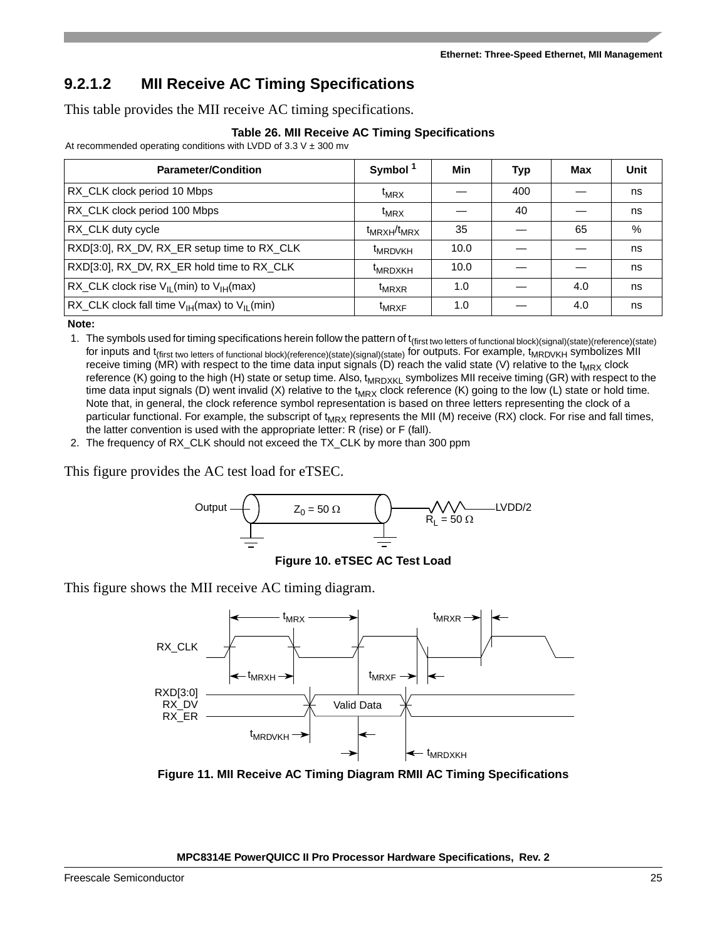## **9.2.1.2 MII Receive AC Timing Specifications**

This table provides the MII receive AC timing specifications.

|  |  |  |  |  | Table 26. MII Receive AC Timing Specifications |
|--|--|--|--|--|------------------------------------------------|
|--|--|--|--|--|------------------------------------------------|

At recommended operating conditions with LVDD of  $3.3 \text{ V} \pm 300 \text{ mV}$ 

| <b>Parameter/Condition</b>                                             | Symbol <sup>1</sup> | Min  | <b>Typ</b> | Max | Unit |
|------------------------------------------------------------------------|---------------------|------|------------|-----|------|
| RX_CLK clock period 10 Mbps                                            | $t_{MRX}$           |      | 400        |     | ns   |
| RX_CLK clock period 100 Mbps                                           | $t_{MRX}$           |      | 40         |     | ns   |
| RX_CLK duty cycle                                                      | $t_{MRXH}/t_{MRX}$  | 35   |            | 65  | $\%$ |
| RXD[3:0], RX_DV, RX_ER setup time to RX_CLK                            | <sup>t</sup> MRDVKH | 10.0 |            |     | ns   |
| RXD[3:0], RX_DV, RX_ER hold time to RX_CLK                             | <sup>t</sup> MRDXKH | 10.0 |            |     | ns   |
| RX_CLK clock rise $V_{II}$ (min) to $V_{IH}$ (max)                     | <sup>t</sup> MRXR   | 1.0  |            | 4.0 | ns   |
| $RX$ <sub>L</sub> CLK clock fall time $V_{IH}$ (max) to $V_{IL}$ (min) | <sup>t</sup> MRXF   | 1.0  |            | 4.0 | ns   |

**Note:** 

1. The symbols used for timing specifications herein follow the pattern of t<sub>(first two letters of functional block)(signal)(state)(reference)(state)</sub> for inputs and t<sub>(first two letters of functional block)(reference)(state)(signal)(state) for outputs. For example,  $t_{MRDVKH}$  symbolizes MII</sub> receive timing (MR) with respect to the time data input signals (D) reach the valid state (V) relative to the  $t_{MRX}$  clock reference (K) going to the high (H) state or setup time. Also,  $t_{MRDXKL}$  symbolizes MII receive timing (GR) with respect to the time data input signals (D) went invalid (X) relative to the  $t_{MRX}$  clock reference (K) going to the low (L) state or hold time. Note that, in general, the clock reference symbol representation is based on three letters representing the clock of a particular functional. For example, the subscript of  $t_{MRX}$  represents the MII (M) receive (RX) clock. For rise and fall times, the latter convention is used with the appropriate letter: R (rise) or F (fall).

2. The frequency of RX\_CLK should not exceed the TX\_CLK by more than 300 ppm

This figure provides the AC test load for eTSEC.



**Figure 10. eTSEC AC Test Load**

This figure shows the MII receive AC timing diagram.



**Figure 11. MII Receive AC Timing Diagram RMII AC Timing Specifications**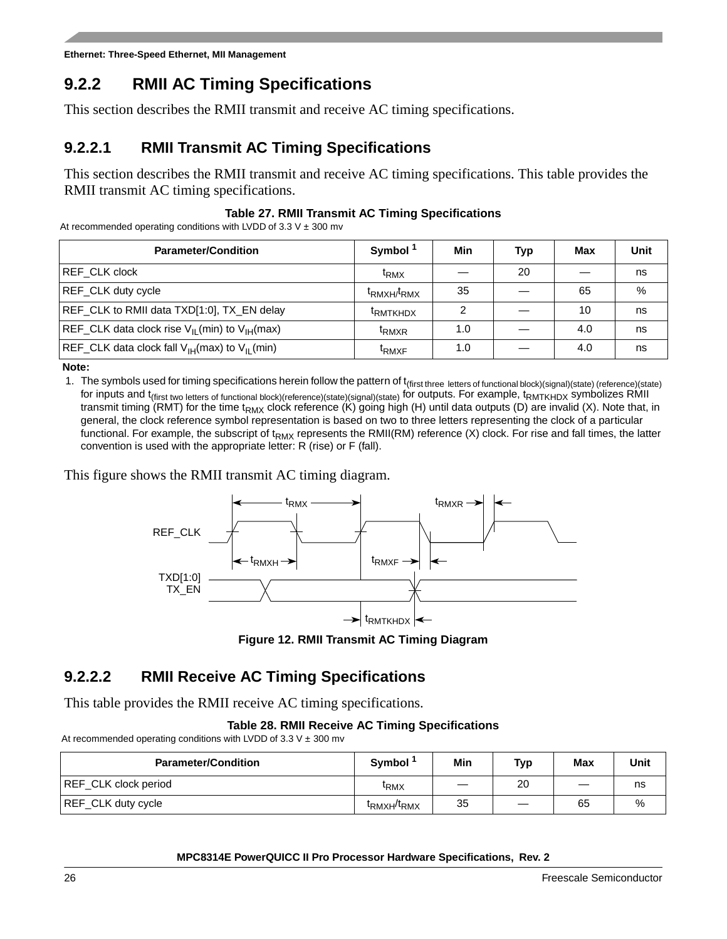## **9.2.2 RMII AC Timing Specifications**

This section describes the RMII transmit and receive AC timing specifications.

## **9.2.2.1 RMII Transmit AC Timing Specifications**

This section describes the RMII transmit and receive AC timing specifications. This table provides the RMII transmit AC timing specifications.

## **Table 27. RMII Transmit AC Timing Specifications**

At recommended operating conditions with LVDD of 3.3 V  $\pm$  300 mv

| <b>Parameter/Condition</b>                                             | Symbol <sup>1</sup>                 | Min | Typ | Max | Unit |
|------------------------------------------------------------------------|-------------------------------------|-----|-----|-----|------|
| REF CLK clock                                                          | <sup>t</sup> RMX                    |     | 20  |     | ns   |
| REF_CLK duty cycle                                                     | t <sub>RMXH/</sub> t <sub>RMX</sub> | 35  |     | 65  | %    |
| REF_CLK to RMII data TXD[1:0], TX_EN delay                             | <b>TRMTKHDX</b>                     |     |     | 10  | ns   |
| REF_CLK data clock rise V <sub>IL</sub> (min) to V <sub>IH</sub> (max) | <sup>I</sup> RMXR                   | 1.0 |     | 4.0 | ns   |
| $REF_CLK$ data clock fall $V_{H}(max)$ to $V_{H}(min)$                 | <sup>I</sup> RMXF                   | 1.0 |     | 4.0 | ns   |

**Note:** 

1. The symbols used for timing specifications herein follow the pattern of t<sub>(first three letters</sub> of functional block)(signal)(state) (reference)(state) for inputs and t<sub>(first two letters of functional block)(reference)(state)(signal)(state) for outputs. For example,  $t_{RMTKHDX}$  symbolizes RMII</sub> transmit timing (RMT) for the time t<sub>RMX</sub> clock reference (K) going high (H) until data outputs (D) are invalid (X). Note that, in general, the clock reference symbol representation is based on two to three letters representing the clock of a particular functional. For example, the subscript of  $t_{RMX}$  represents the RMII(RM) reference (X) clock. For rise and fall times, the latter convention is used with the appropriate letter: R (rise) or F (fall).

This figure shows the RMII transmit AC timing diagram.



**Figure 12. RMII Transmit AC Timing Diagram**

## **9.2.2.2 RMII Receive AC Timing Specifications**

This table provides the RMII receive AC timing specifications.

## **Table 28. RMII Receive AC Timing Specifications**

At recommended operating conditions with LVDD of 3.3 V  $\pm$  300 mv

| <b>Parameter/Condition</b> | Symbol                              | Min | Typ                           | Max | Unit |
|----------------------------|-------------------------------------|-----|-------------------------------|-----|------|
| REF CLK clock period       | <sup>I</sup> RMX                    |     | 20                            | _   | ns   |
| REF_CLK duty cycle         | <sup>t</sup> RMXH <sup>/t</sup> RMX | 35  | $\overbrace{\phantom{12332}}$ | 65  | %    |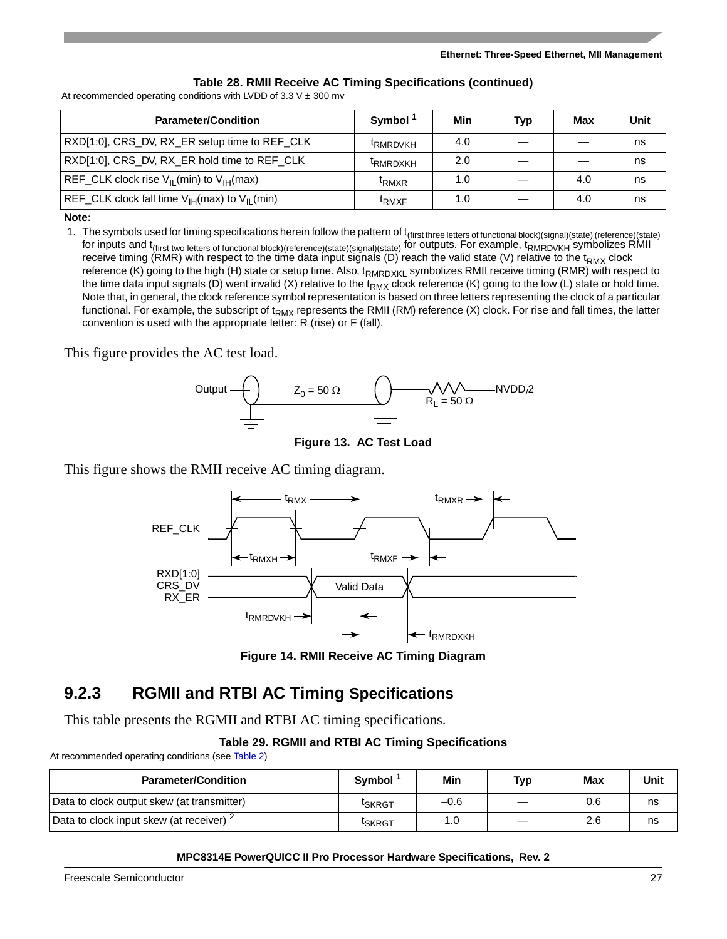### **Table 28. RMII Receive AC Timing Specifications (continued)**

At recommended operating conditions with LVDD of  $3.3$  V  $\pm$  300 mv

| <b>Parameter/Condition</b>                                | Symbol <sup>1</sup>  | Min | Typ | Max | <b>Unit</b> |
|-----------------------------------------------------------|----------------------|-----|-----|-----|-------------|
| RXD[1:0], CRS_DV, RX_ER setup time to REF_CLK             | <sup>I</sup> RMRDVKH | 4.0 |     |     | ns          |
| RXD[1:0], CRS_DV, RX_ER hold time to REF_CLK              | <b>ERMRDXKH</b>      | 2.0 |     |     | ns          |
| $REF_CLK$ clock rise $V_{II}$ (min) to $V_{IH}$ (max)     | <sup>I</sup> RMXR    | 1.0 |     | 4.0 | ns          |
| $ REF_CLK$ clock fall time $V_{IH}(max)$ to $V_{II}(min)$ | <sup>I</sup> RMXF    | 1.0 |     | 4.0 | ns          |

#### **Note:**

1. The symbols used for timing specifications herein follow the pattern of t<sub>(first three letters of functional block)(signal)(state) (reference)(state)</sub> for inputs and t<sub>(first two letters of functional block)(reference)(state)(signal)(state) for outputs. For example, t<sub>RMRDVKH</sub> symbolizes RMII</sub> receive timing (RMR) with respect to the time data input signals (D) reach the valid state (V) relative to the t<sub>RMX</sub> clock reference (K) going to the high (H) state or setup time. Also, t<sub>RMRDXKL</sub> symbolizes RMII receive timing (RMR) with respect to the time data input signals (D) went invalid (X) relative to the t<sub>RMX</sub> clock reference (K) going to the low (L) state or hold time. Note that, in general, the clock reference symbol representation is based on three letters representing the clock of a particular functional. For example, the subscript of t<sub>RMX</sub> represents the RMII (RM) reference (X) clock. For rise and fall times, the latter convention is used with the appropriate letter: R (rise) or F (fall).

This figure provides the AC test load.



**Figure 13. AC Test Load**

This figure shows the RMII receive AC timing diagram.



**Figure 14. RMII Receive AC Timing Diagram**

## **9.2.3 RGMII and RTBI AC Timing Specifications**

This table presents the RGMII and RTBI AC timing specifications.

### **Table 29. RGMII and RTBI AC Timing Specifications**

At recommended operating conditions (see [Table 2\)](#page-8-0)

| <b>Parameter/Condition</b>                    | Symbol <sup>1</sup> | Min    | Typ | Max | Unit |
|-----------------------------------------------|---------------------|--------|-----|-----|------|
| Data to clock output skew (at transmitter)    | <sup>I</sup> SKRGT  | $-0.6$ |     | 0.6 | ns   |
| Data to clock input skew (at receiver) $\leq$ | <sup>I</sup> SKRGT  | 1.0    |     | 2.6 | ns   |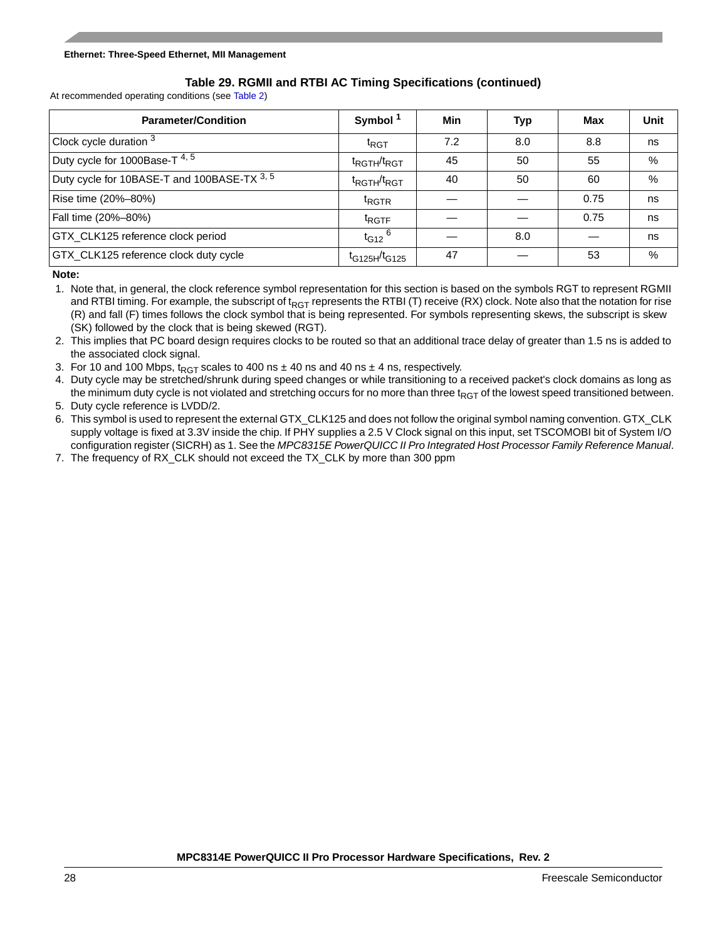## **Table 29. RGMII and RTBI AC Timing Specifications (continued)**

At recommended operating conditions (see Table 2)

| <b>Parameter/Condition</b>                  | Symbol <sup>1</sup>                 | Min | Typ | Max  | <b>Unit</b>   |
|---------------------------------------------|-------------------------------------|-----|-----|------|---------------|
| Clock cycle duration 3                      | $t_{\text{RGT}}$                    | 7.2 | 8.0 | 8.8  | ns            |
| Duty cycle for 1000Base-T <sup>4, 5</sup>   | $t_{\text{RGTH}}/t_{\text{RGT}}$    | 45  | 50  | 55   | $\frac{0}{0}$ |
| Duty cycle for 10BASE-T and 100BASE-TX 3, 5 | t <sub>RGTH</sub> /t <sub>RGT</sub> | 40  | 50  | 60   | %             |
| Rise time (20%-80%)                         | <sup>t</sup> RGTR                   |     |     | 0.75 | ns            |
| Fall time (20%-80%)                         | <sup>t</sup> RGTF                   |     |     | 0.75 | ns            |
| GTX_CLK125 reference clock period           | $t_{G12}$ <sup>6</sup>              |     | 8.0 |      | ns            |
| GTX_CLK125 reference clock duty cycle       | $t_{G125H}/t_{G125}$                | 47  |     | 53   | %             |

**Note:** 

1. Note that, in general, the clock reference symbol representation for this section is based on the symbols RGT to represent RGMII and RTBI timing. For example, the subscript of t<sub>RGT</sub> represents the RTBI (T) receive (RX) clock. Note also that the notation for rise (R) and fall (F) times follows the clock symbol that is being represented. For symbols representing skews, the subscript is skew (SK) followed by the clock that is being skewed (RGT).

2. This implies that PC board design requires clocks to be routed so that an additional trace delay of greater than 1.5 ns is added to the associated clock signal.

3. For 10 and 100 Mbps,  $t_{RGT}$  scales to 400 ns  $\pm$  40 ns and 40 ns  $\pm$  4 ns, respectively.

4. Duty cycle may be stretched/shrunk during speed changes or while transitioning to a received packet's clock domains as long as the minimum duty cycle is not violated and stretching occurs for no more than three  $t_{RGT}$  of the lowest speed transitioned between. 5. Duty cycle reference is LVDD/2.

6. This symbol is used to represent the external GTX\_CLK125 and does not follow the original symbol naming convention. GTX\_CLK supply voltage is fixed at 3.3V inside the chip. If PHY supplies a 2.5 V Clock signal on this input, set TSCOMOBI bit of System I/O configuration register (SICRH) as 1. See the *MPC8315E PowerQUICC II Pro Integrated Host Processor Family Reference Manual*.

7. The frequency of RX\_CLK should not exceed the TX\_CLK by more than 300 ppm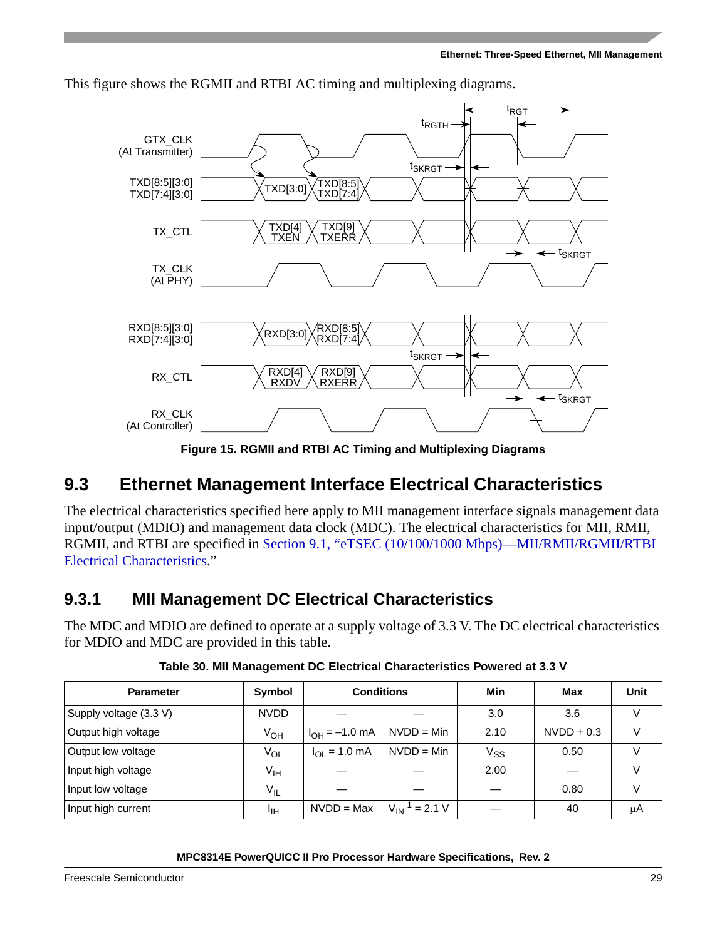

This figure shows the RGMII and RTBI AC timing and multiplexing diagrams.

**Figure 15. RGMII and RTBI AC Timing and Multiplexing Diagrams**

# <span id="page-28-0"></span>**9.3 Ethernet Management Interface Electrical Characteristics**

The electrical characteristics specified here apply to MII management interface signals management data input/output (MDIO) and management data clock (MDC). The electrical characteristics for MII, RMII, RGMII, and RTBI are specified in [Section 9.1, "eTSEC \(10/100/1000](#page-22-2) Mbps)—MII/RMII/RGMII/RTBI [Electrical Characteristics](#page-22-2)."

## **9.3.1 MII Management DC Electrical Characteristics**

The MDC and MDIO are defined to operate at a supply voltage of 3.3 V. The DC electrical characteristics for MDIO and MDC are provided in this table.

| <b>Parameter</b>       | Symbol          | <b>Conditions</b>               |                               | Min             | Max          | <b>Unit</b> |
|------------------------|-----------------|---------------------------------|-------------------------------|-----------------|--------------|-------------|
| Supply voltage (3.3 V) | NVDD            |                                 |                               | 3.0             | 3.6          | V           |
| Output high voltage    | V <sub>OH</sub> | $I_{OH} = -1.0$ mA              | $NVDD = Min$                  | 2.10            | $NVDD + 0.3$ |             |
| Output low voltage     | Vol             | $I_{\Omega I} = 1.0 \text{ mA}$ | $NVDD = Min$                  | V <sub>SS</sub> | 0.50         |             |
| Input high voltage     | V <sub>IH</sub> |                                 |                               | 2.00            |              |             |
| Input low voltage      | $V_{IL}$        |                                 |                               |                 | 0.80         |             |
| Input high current     | ЧH              | $NVDD = Max$                    | $V_{IN}$ <sup>1</sup> = 2.1 V |                 | 40           | μA          |

**Table 30. MII Management DC Electrical Characteristics Powered at 3.3 V**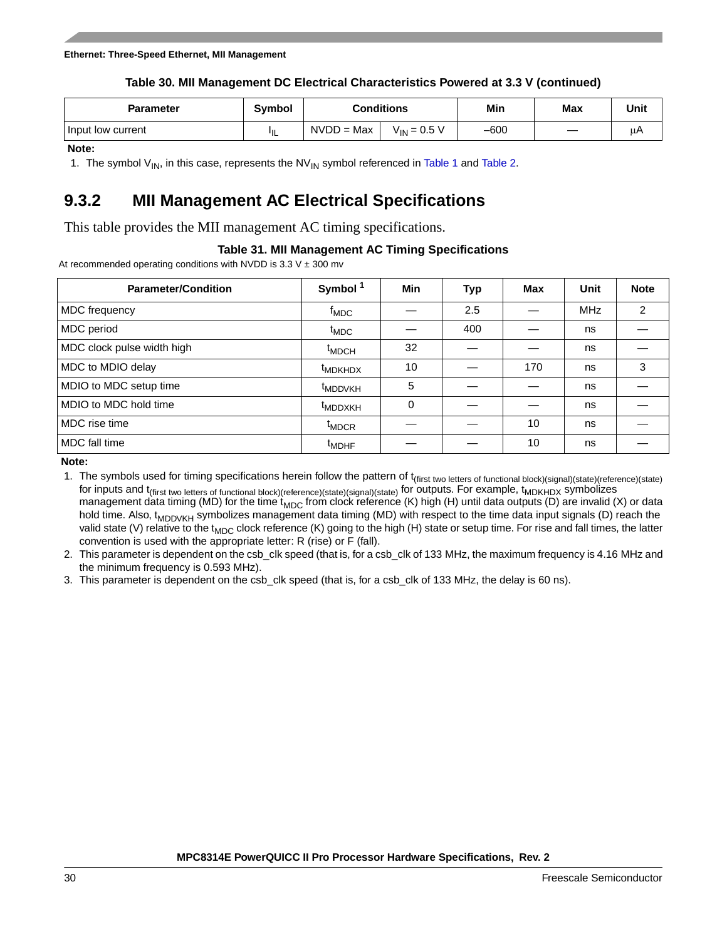#### **Ethernet: Three-Speed Ethernet, MII Management**

### **Table 30. MII Management DC Electrical Characteristics Powered at 3.3 V (continued)**

| Parameter         | <b>Symbol</b> | Conditions                       |  | Min    | Max | Unit |
|-------------------|---------------|----------------------------------|--|--------|-----|------|
| Input low current | "IL           | $NVDD = Max$<br>$V_{IN}$ = 0.5 V |  | $-600$ |     | u٣   |

**Note:** 

1. The symbol  $V_{\text{IN}}$ , in this case, represents the NV<sub>IN</sub> symbol referenced in [Table 1](#page-6-1) and [Table 2.](#page-8-0)

## **9.3.2 MII Management AC Electrical Specifications**

This table provides the MII management AC timing specifications.

### **Table 31. MII Management AC Timing Specifications**

At recommended operating conditions with NVDD is  $3.3 \text{ V} \pm 300 \text{ mV}$ 

| <b>Parameter/Condition</b> | Symbol <sup>1</sup> | Min      | Typ | Max | Unit       | <b>Note</b>   |
|----------------------------|---------------------|----------|-----|-----|------------|---------------|
| MDC frequency              | $t_{\text{MDC}}$    |          | 2.5 |     | <b>MHz</b> | $\mathcal{P}$ |
| MDC period                 | $t_{\text{MDC}}$    |          | 400 |     | ns         |               |
| MDC clock pulse width high | <sup>t</sup> MDCH   | 32       |     |     | ns         |               |
| MDC to MDIO delay          | <b>IMDKHDX</b>      | 10       |     | 170 | ns         | 3             |
| MDIO to MDC setup time     | <sup>t</sup> MDDVKH | 5        |     |     | ns         |               |
| MDIO to MDC hold time      | <sup>t</sup> MDDXKH | $\Omega$ |     |     | ns         |               |
| MDC rise time              | <sup>t</sup> MDCR   |          |     | 10  | ns         |               |
| MDC fall time              | <sup>t</sup> MDHF   |          |     | 10  | ns         |               |

**Note:** 

1. The symbols used for timing specifications herein follow the pattern of t<sub>(first two letters of functional block)(signal)(state)(reference)(state)</sub> for inputs and t<sub>(first two letters of functional block)(reference)(state)(signal)(state)</sub> for outputs. For example, t<sub>MDKHDX</sub> symbolizes management data timing (MD) for the time  $t_{MDC}$  from clock reference (K) high (H) until data outputs (D) are invalid (X) or data hold time. Also,  $t_{MDDVKH}$  symbolizes management data timing (MD) with respect to the time data input signals (D) reach the valid state (V) relative to the t<sub>MDC</sub> clock reference (K) going to the high (H) state or setup time. For rise and fall times, the latter convention is used with the appropriate letter: R (rise) or F (fall).

2. This parameter is dependent on the csb\_clk speed (that is, for a csb\_clk of 133 MHz, the maximum frequency is 4.16 MHz and the minimum frequency is 0.593 MHz).

3. This parameter is dependent on the csb\_clk speed (that is, for a csb\_clk of 133 MHz, the delay is 60 ns).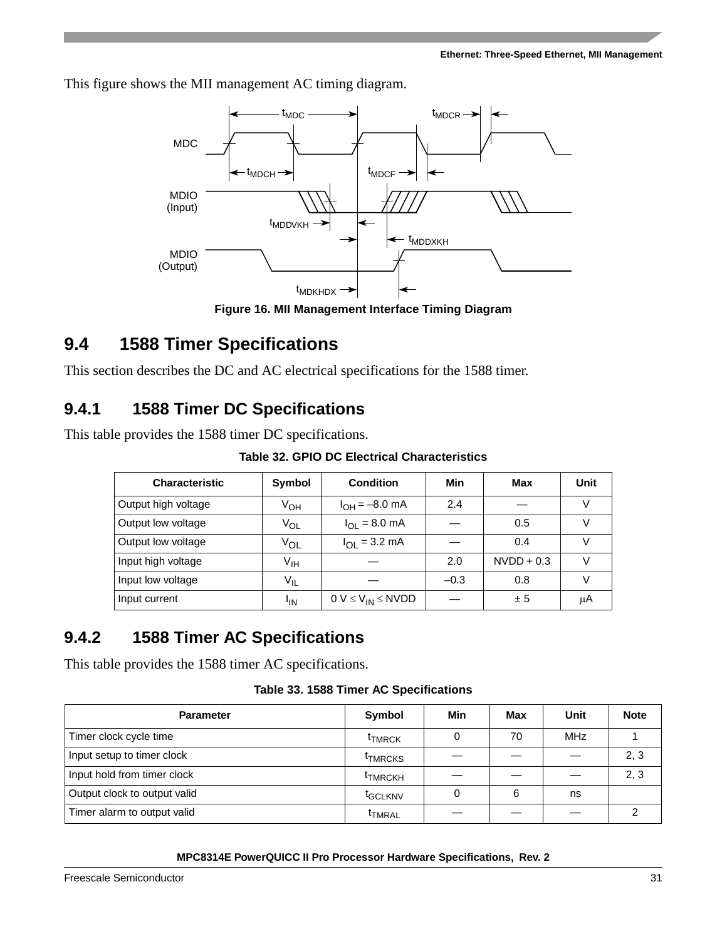This figure shows the MII management AC timing diagram.



**Figure 16. MII Management Interface Timing Diagram**

# <span id="page-30-0"></span>**9.4 1588 Timer Specifications**

This section describes the DC and AC electrical specifications for the 1588 timer.

## **9.4.1 1588 Timer DC Specifications**

This table provides the 1588 timer DC specifications.

**Table 32. GPIO DC Electrical Characteristics**

| <b>Characteristic</b> | Symbol          | <b>Condition</b>                 | Min    | Max          | Unit |
|-----------------------|-----------------|----------------------------------|--------|--------------|------|
| Output high voltage   | V <sub>OH</sub> | $I_{OH} = -8.0$ mA               | 2.4    |              |      |
| Output low voltage    | $V_{OL}$        | $I_{\text{OI}} = 8.0 \text{ mA}$ |        | 0.5          |      |
| Output low voltage    | VOL             | $I_{\text{OI}} = 3.2 \text{ mA}$ |        | 0.4          |      |
| Input high voltage    | V <sub>IH</sub> |                                  | 2.0    | $NVDD + 0.3$ |      |
| Input low voltage     | $V_{IL}$        |                                  | $-0.3$ | 0.8          |      |
| Input current         | <sup>I</sup> IN | $0 V \leq V_{IN} \leq N VDD$     |        | ± 5          | μA   |

## **9.4.2 1588 Timer AC Specifications**

This table provides the 1588 timer AC specifications.

|  |  |  |  | Table 33. 1588 Timer AC Specifications |
|--|--|--|--|----------------------------------------|
|--|--|--|--|----------------------------------------|

| <b>Parameter</b>             | Symbol              | Min | Max | Unit | <b>Note</b> |
|------------------------------|---------------------|-----|-----|------|-------------|
| Timer clock cycle time       | <b>THRCK</b>        |     | 70  | MHz  |             |
| Input setup to timer clock   | <sup>t</sup> TMRCKS |     |     |      | 2, 3        |
| Input hold from timer clock  | <b>THRCKH</b>       |     |     |      | 2, 3        |
| Output clock to output valid | <sup>t</sup> GCLKNV |     | 6   | ns   |             |
| Timer alarm to output valid  | <b>THRAL</b>        |     |     |      |             |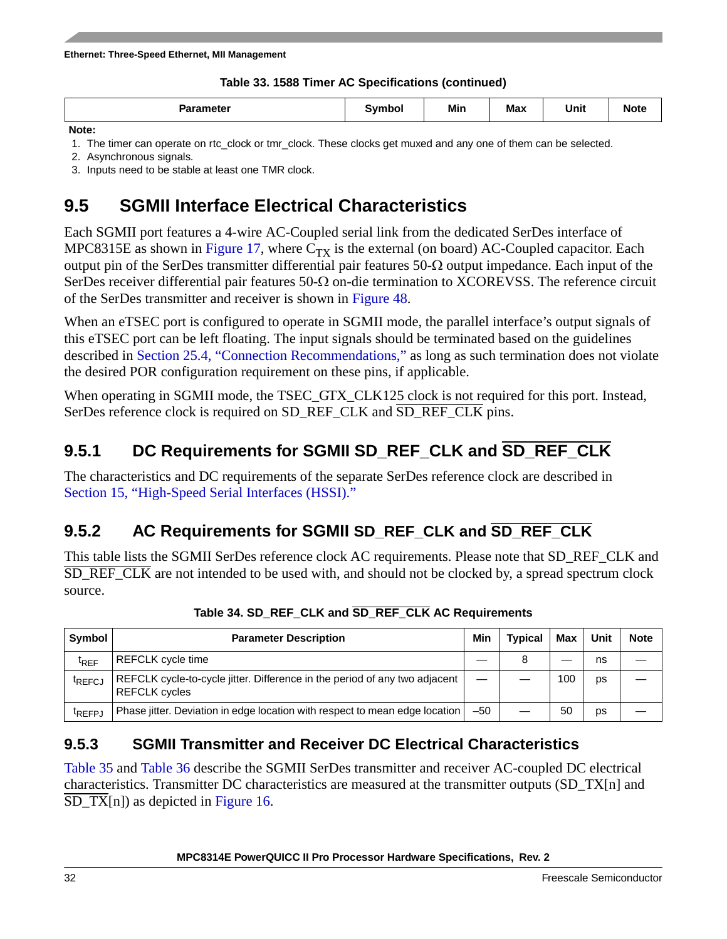## **Table 33. 1588 Timer AC Specifications (continued)**

|  | the contract of the contract of the contract of the contract of the contract of the contract of the contract of<br><b>Parameter</b> | Svmbol | Min | <b>Max</b> | Unit | <b>Note</b> |
|--|-------------------------------------------------------------------------------------------------------------------------------------|--------|-----|------------|------|-------------|
|--|-------------------------------------------------------------------------------------------------------------------------------------|--------|-----|------------|------|-------------|

**Note:** 

1. The timer can operate on rtc\_clock or tmr\_clock. These clocks get muxed and any one of them can be selected.

2. Asynchronous signals.

3. Inputs need to be stable at least one TMR clock.

# **9.5 SGMII Interface Electrical Characteristics**

Each SGMII port features a 4-wire AC-Coupled serial link from the dedicated SerDes interface of MPC8315E as shown in [Figure 17,](#page-33-0) where  $C_{TX}$  is the external (on board) AC-Coupled capacitor. Each output pin of the SerDes transmitter differential pair features  $50-\Omega$  output impedance. Each input of the SerDes receiver differential pair features  $50-\Omega$  on-die termination to XCOREVSS. The reference circuit of the SerDes transmitter and receiver is shown in [Figure 48](#page-57-0).

When an eTSEC port is configured to operate in SGMII mode, the parallel interface's output signals of this eTSEC port can be left floating. The input signals should be terminated based on the guidelines described in [Section 25.4, "Connection Recommendations](#page-95-0)," as long as such termination does not violate the desired POR configuration requirement on these pins, if applicable.

When operating in SGMII mode, the TSEC\_GTX\_CLK125 clock is not required for this port. Instead, SerDes reference clock is required on SD\_REF\_CLK and SD\_REF\_CLK pins.

## **9.5.1 DC Requirements for SGMII SD\_REF\_CLK and SD\_REF\_CLK**

The characteristics and DC requirements of the separate SerDes reference clock are described in [Section 15, "High-Speed Serial Interfaces \(HSSI\).](#page-48-0)"

# **9.5.2 AC Requirements for SGMII SD\_REF\_CLK and SD\_REF\_CLK**

This table lists the SGMII SerDes reference clock AC requirements. Please note that SD\_REF\_CLK and SD\_REF\_CLK are not intended to be used with, and should not be clocked by, a spread spectrum clock source.

| Symbol             | <b>Parameter Description</b>                                                                       | Min   | <b>Typical</b> | Max | Unit | <b>Note</b> |
|--------------------|----------------------------------------------------------------------------------------------------|-------|----------------|-----|------|-------------|
| <b>IRFF</b>        | <b>REFCLK</b> cycle time                                                                           |       | 8              |     | ns   |             |
| <sup>T</sup> REFCJ | REFCLK cycle-to-cycle jitter. Difference in the period of any two adjacent<br><b>REFCLK</b> cycles |       |                | 100 | ps   |             |
| <sup>I</sup> REFPJ | Phase jitter. Deviation in edge location with respect to mean edge location                        | $-50$ |                | 50  | DS   |             |

**Table 34. SD\_REF\_CLK and SD\_REF\_CLK AC Requirements**

## **9.5.3 SGMII Transmitter and Receiver DC Electrical Characteristics**

[Table 35](#page-32-0) and [Table 36](#page-33-1) describe the SGMII SerDes transmitter and receiver AC-coupled DC electrical characteristics. Transmitter DC characteristics are measured at the transmitter outputs (SD\_TX[n] and SD\_TX[n]) as depicted in [Figure 16.](#page-30-0)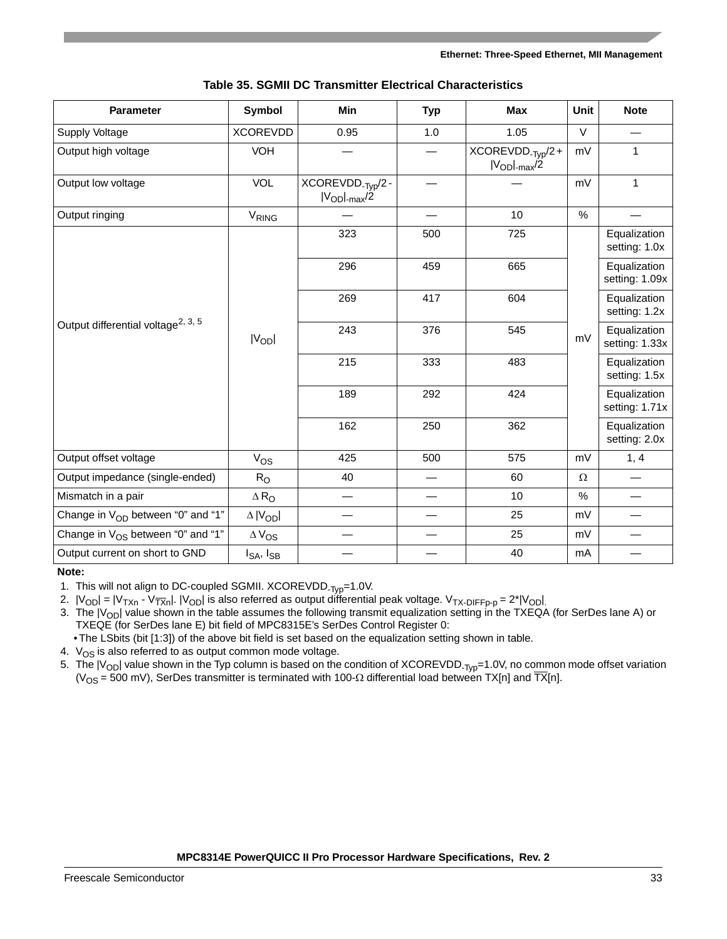<span id="page-32-0"></span>

| <b>Parameter</b>                               | <b>Symbol</b>       | Min                                                       | <b>Typ</b> | <b>Max</b>                                                       | Unit     | <b>Note</b>                    |
|------------------------------------------------|---------------------|-----------------------------------------------------------|------------|------------------------------------------------------------------|----------|--------------------------------|
| Supply Voltage                                 | <b>XCOREVDD</b>     | 0.95                                                      | 1.0        | 1.05                                                             | $\vee$   |                                |
| Output high voltage                            | VOH                 |                                                           |            | $XCOREVDD_{\text{-}\text{Typ}}/2 +$<br>$ V_{OD} _{\text{max}}/2$ | mV       | $\mathbf{1}$                   |
| Output low voltage                             | VOL                 | XCOREVDD <sub>-Typ</sub> /2-<br>$ V_{OD} _{\text{max}}/2$ |            |                                                                  | mV       | $\mathbf{1}$                   |
| Output ringing                                 | V <sub>RING</sub>   |                                                           |            | 10                                                               | $\%$     |                                |
|                                                |                     | 323                                                       | 500        | 725                                                              |          | Equalization<br>setting: 1.0x  |
|                                                |                     | 296                                                       | 459        | 665                                                              |          | Equalization<br>setting: 1.09x |
|                                                |                     | 269                                                       | 417        | 604                                                              |          | Equalization<br>setting: 1.2x  |
| Output differential voltage <sup>2, 3, 5</sup> | $ V_{OD} $          | 243                                                       | 376        | 545                                                              | mV       | Equalization<br>setting: 1.33x |
|                                                |                     | 215                                                       | 333        | 483                                                              |          | Equalization<br>setting: 1.5x  |
|                                                |                     | 189                                                       | 292        | 424                                                              |          | Equalization<br>setting: 1.71x |
|                                                |                     | 162                                                       | 250        | 362                                                              |          | Equalization<br>setting: 2.0x  |
| Output offset voltage                          | $V_{OS}$            | 425                                                       | 500        | 575                                                              | mV       | 1, 4                           |
| Output impedance (single-ended)                | $R_{\rm O}$         | 40                                                        |            | 60                                                               | $\Omega$ |                                |
| Mismatch in a pair                             | $\Delta R_{\odot}$  |                                                           |            | 10                                                               | $\%$     |                                |
| Change in $V_{OD}$ between "0" and "1"         | $\Delta$   $V_{OD}$ |                                                           |            | 25                                                               | mV       |                                |
| Change in $V_{OS}$ between "0" and "1"         | $\Delta V_{OS}$     |                                                           |            | 25                                                               | mV       |                                |
| Output current on short to GND                 | $I_{SA}$ , $I_{SB}$ |                                                           |            | 40                                                               | mA       |                                |

| Table 35. SGMII DC Transmitter Electrical Characteristics |  |  |  |
|-----------------------------------------------------------|--|--|--|
|-----------------------------------------------------------|--|--|--|

#### **Note:**

1. This will not align to DC-coupled SGMII. XCOREVDD<sub>-Typ</sub>=1.0V.

2.  $|V_{\rm OD}| = |V_{\rm TXn}$  - V $_{\rm TXn}^{-1}$ .  $|V_{\rm OD}|$  is also referred as output differential peak voltage.  $V_{\rm TX-DIFFp\hbox{-}p}$  = 2\* $|V_{\rm OD}|$ .

3. The  $|V_{\rm OD}|$  value shown in the table assumes the following transmit equalization setting in the TXEQA (for SerDes lane A) or TXEQE (for SerDes lane E) bit field of MPC8315E's SerDes Control Register 0:

• The LSbits (bit [1:3]) of the above bit field is set based on the equalization setting shown in table.

4.  $\rm\,V_{OS}$  is also referred to as output common mode voltage.

5. The  $|V_{OD}|$  value shown in the Typ column is based on the condition of XCOREVDD<sub>-Typ</sub>=1.0V, no common mode offset variation (V<sub>OS</sub> = 500 mV), SerDes transmitter is terminated with 100- $\Omega$  differential load between TX[n] and TX[n].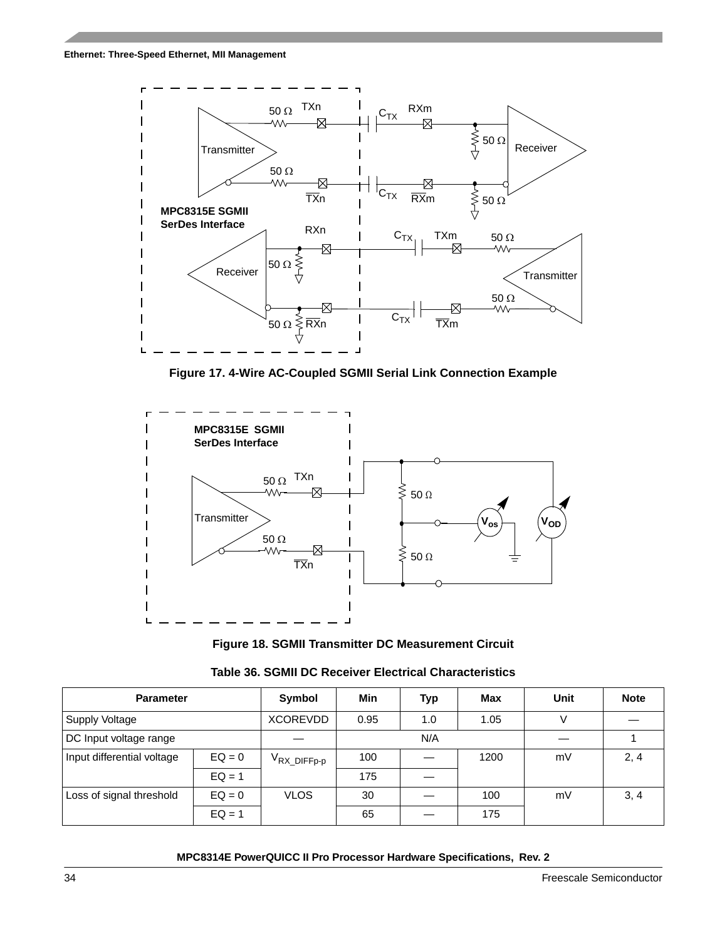#### **Ethernet: Three-Speed Ethernet, MII Management**



**Figure 17. 4-Wire AC-Coupled SGMII Serial Link Connection Example**

<span id="page-33-0"></span>

**Figure 18. SGMII Transmitter DC Measurement Circuit**

<span id="page-33-1"></span>

| <b>Parameter</b>           |          | Symbol                  | Min  | Typ | Max  | Unit | <b>Note</b> |
|----------------------------|----------|-------------------------|------|-----|------|------|-------------|
| Supply Voltage             |          | <b>XCOREVDD</b>         | 0.95 | 1.0 | 1.05 | V    |             |
| DC Input voltage range     |          |                         |      | N/A |      |      |             |
| Input differential voltage | $EQ = 0$ | V <sub>RX_DIFFp-p</sub> | 100  |     | 1200 | mV   | 2, 4        |
|                            | $EQ = 1$ |                         | 175  |     |      |      |             |
| Loss of signal threshold   | $EQ = 0$ | <b>VLOS</b>             | 30   |     | 100  | mV   | 3, 4        |
|                            | $EQ = 1$ |                         | 65   |     | 175  |      |             |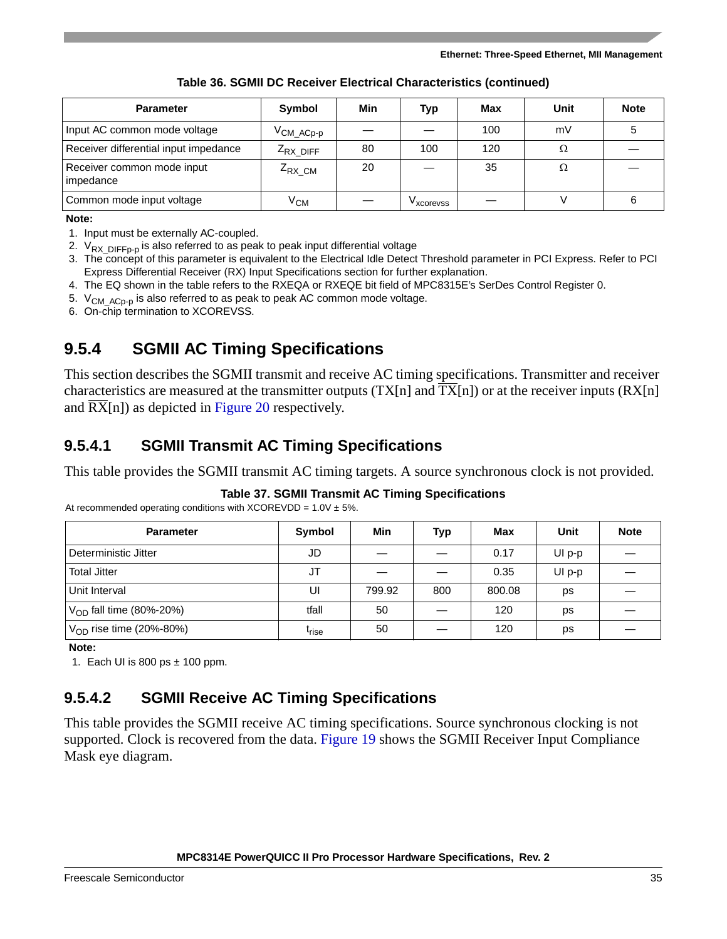| <b>Parameter</b>                        | <b>Symbol</b>                   | Min | Typ        | Max | Unit | <b>Note</b> |
|-----------------------------------------|---------------------------------|-----|------------|-----|------|-------------|
| Input AC common mode voltage            | $V_{\mathsf{CM\_ACp\text{-}p}}$ |     |            | 100 | mV   |             |
| Receiver differential input impedance   | $Z_{RX}$ DIFF                   | 80  | 100        | 120 | Ω    |             |
| Receiver common mode input<br>impedance | $Z_{RX}$ CM                     | 20  |            | 35  | Ω    |             |
| Common mode input voltage               | ∨см                             |     | v xcorevss |     |      |             |

**Table 36. SGMII DC Receiver Electrical Characteristics (continued)**

### **Note:**

- 1. Input must be externally AC-coupled.
- 2.  $V_{RX\_DIFF_Pp}$  is also referred to as peak to peak input differential voltage
- 3. The concept of this parameter is equivalent to the Electrical Idle Detect Threshold parameter in PCI Express. Refer to PCI Express Differential Receiver (RX) Input Specifications section for further explanation.
- 4. The EQ shown in the table refers to the RXEQA or RXEQE bit field of MPC8315E's SerDes Control Register 0.
- 5.  $V_{CMACp-p}$  is also referred to as peak to peak AC common mode voltage.
- 6. On-chip termination to XCOREVSS.

## **9.5.4 SGMII AC Timing Specifications**

This section describes the SGMII transmit and receive AC timing specifications. Transmitter and receiver characteristics are measured at the transmitter outputs  $(TX[n]$  and  $TX[n])$  or at the receiver inputs  $(RX[n]$ and RX[n]) as depicted in [Figure 20](#page-36-1) respectively.

## **9.5.4.1 SGMII Transmit AC Timing Specifications**

This table provides the SGMII transmit AC timing targets. A source synchronous clock is not provided.

## **Table 37. SGMII Transmit AC Timing Specifications**

| <b>Parameter</b>             | Symbol            | Min    | Typ | Max    | Unit     | <b>Note</b> |
|------------------------------|-------------------|--------|-----|--------|----------|-------------|
| Deterministic Jitter         | JD                |        |     | 0.17   | $UI p-p$ |             |
| <b>Total Jitter</b>          | JT                |        |     | 0.35   | $UI p-p$ |             |
| Unit Interval                | UI                | 799.92 | 800 | 800.08 | ps       |             |
| $V_{OD}$ fall time (80%-20%) | tfall             | 50     |     | 120    | ps       |             |
| $V_{OD}$ rise time (20%-80%) | <sup>l</sup> rise | 50     |     | 120    | ps       |             |

At recommended operating conditions with  $XCORE VDD = 1.0V \pm 5\%$ .

**Note:** 

1. Each UI is 800 ps  $\pm$  100 ppm.

## **9.5.4.2 SGMII Receive AC Timing Specifications**

This table provides the SGMII receive AC timing specifications. Source synchronous clocking is not supported. Clock is recovered from the data. [Figure 19](#page-35-0) shows the SGMII Receiver Input Compliance Mask eye diagram.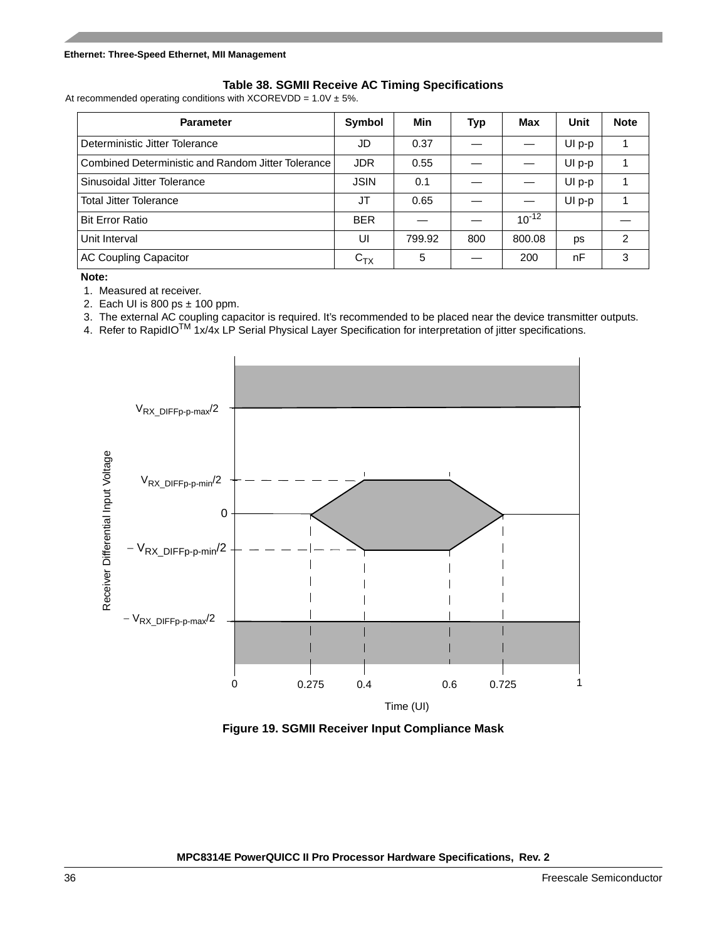### **Table 38. SGMII Receive AC Timing Specifications**

At recommended operating conditions with XCOREVDD =  $1.0V \pm 5\%$ .

| <b>Parameter</b>                                   | Symbol      | Min    | Typ | Max        | Unit     | <b>Note</b> |
|----------------------------------------------------|-------------|--------|-----|------------|----------|-------------|
| Deterministic Jitter Tolerance                     | JD          | 0.37   |     |            | UI p-p   |             |
| Combined Deterministic and Random Jitter Tolerance | <b>JDR</b>  | 0.55   |     |            | UI p-p   |             |
| Sinusoidal Jitter Tolerance                        | <b>JSIN</b> | 0.1    |     |            | UI p-p   |             |
| <b>Total Jitter Tolerance</b>                      | <b>JT</b>   | 0.65   |     |            | $UI p-p$ |             |
| <b>Bit Error Ratio</b>                             | <b>BER</b>  |        |     | $10^{-12}$ |          |             |
| Unit Interval                                      | UI          | 799.92 | 800 | 800.08     | ps       | 2           |
| <b>AC Coupling Capacitor</b>                       | $C_{TX}$    | 5      |     | 200        | nF       | 3           |

**Note:** 

1. Measured at receiver.

2. Each UI is 800 ps  $\pm$  100 ppm.

3. The external AC coupling capacitor is required. It's recommended to be placed near the device transmitter outputs.

4. Refer to RapidIO<sup>TM</sup> 1x/4x LP Serial Physical Layer Specification for interpretation of jitter specifications.



<span id="page-35-0"></span>**Figure 19. SGMII Receiver Input Compliance Mask**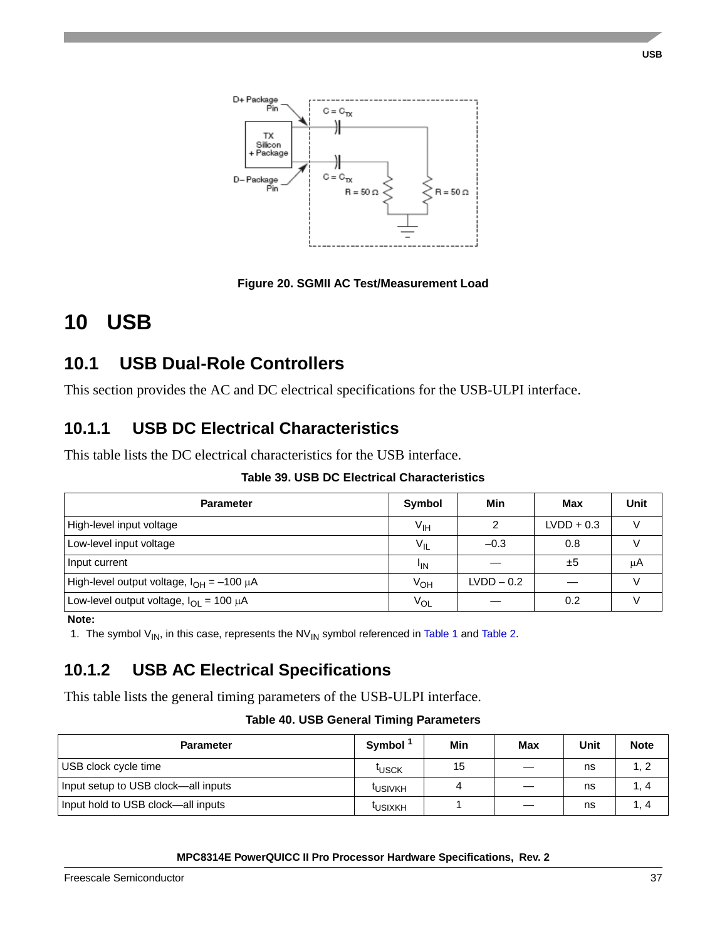

**Figure 20. SGMII AC Test/Measurement Load**

# **10 USB**

# **10.1 USB Dual-Role Controllers**

This section provides the AC and DC electrical specifications for the USB-ULPI interface.

### **10.1.1 USB DC Electrical Characteristics**

This table lists the DC electrical characteristics for the USB interface.

|  |  |  | <b>Table 39. USB DC Electrical Characteristics</b> |
|--|--|--|----------------------------------------------------|
|--|--|--|----------------------------------------------------|

| <b>Parameter</b>                                 | Symbol          | Min          | Max          | Unit |
|--------------------------------------------------|-----------------|--------------|--------------|------|
| High-level input voltage                         | $V_{\text{IH}}$ | 2            | $LVDD + 0.3$ |      |
| Low-level input voltage                          | $V_{IL}$        | $-0.3$       | 0.8          |      |
| Input current                                    | <sup>I</sup> IN |              | ±5           | μA   |
| High-level output voltage, $I_{OH} = -100 \mu A$ | V <sub>OH</sub> | $LVDD - 0.2$ |              |      |
| Low-level output voltage, $I_{OI} = 100 \mu A$   | $V_{OL}$        |              | 0.2          |      |

**Note:** 

1. The symbol  $V_{\text{IN}}$ , in this case, represents the NV<sub>IN</sub> symbol referenced in [Table 1](#page-6-0) and [Table 2.](#page-8-0)

### **10.1.2 USB AC Electrical Specifications**

This table lists the general timing parameters of the USB-ULPI interface.

### **Table 40. USB General Timing Parameters**

| <b>Parameter</b>                    | Symbol <sup>1</sup> | Min | Max               | <b>Unit</b> | <b>Note</b> |
|-------------------------------------|---------------------|-----|-------------------|-------------|-------------|
| USB clock cycle time                | <sup>т</sup> иѕск   | 15  |                   | ns          | 1, 2        |
| Input setup to USB clock—all inputs | <b>LUSIVKH</b>      |     | $\hspace{0.05cm}$ | ns          | 4 ، ا       |
| Input hold to USB clock—all inputs  | <b>LUSIXKH</b>      |     |                   | ns          | I , 4       |

### **MPC8314E PowerQUICC II Pro Processor Hardware Specifications, Rev. 2**

**USB**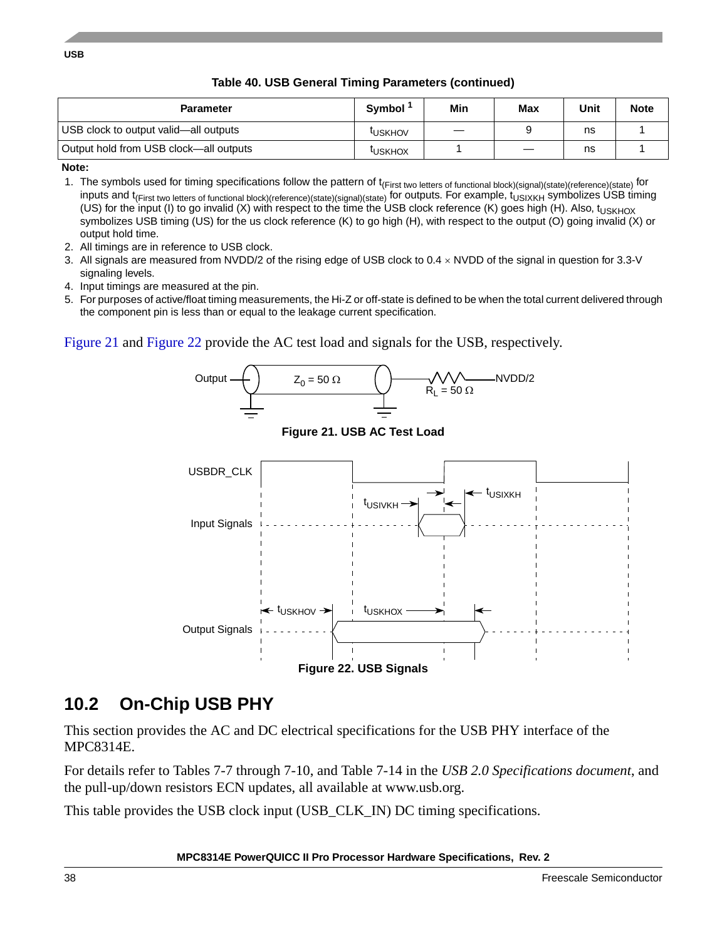| Table 40. USB General Timing Parameters (continued) |  |  |  |  |
|-----------------------------------------------------|--|--|--|--|
|-----------------------------------------------------|--|--|--|--|

| <b>Parameter</b>                       | Symbol <sup>-</sup> | Min | Max | Unit | <b>Note</b> |
|----------------------------------------|---------------------|-----|-----|------|-------------|
| USB clock to output valid—all outputs  | <b>LUSKHOV</b>      |     |     | ns   |             |
| Output hold from USB clock—all outputs | <b>LUSKHOX</b>      |     | __  | ns   |             |

**Note:** 

1. The symbols used for timing specifications follow the pattern of t<sub>(First two letters of functional block)(signal)(state)(reference)(state) for</sub> inputs and t<sub>(First two letters of functional block)(reference)(state)(signal)(state) for outputs. For example, t<sub>USIXKH</sub> symbolizes USB timing</sub> (US) for the input (I) to go invalid (X) with respect to the time the USB clock reference (K) goes high (H). Also, t<sub>USKHOX</sub> symbolizes USB timing (US) for the us clock reference (K) to go high (H), with respect to the output (O) going invalid (X) or output hold time.

- 2. All timings are in reference to USB clock.
- 3. All signals are measured from NVDD/2 of the rising edge of USB clock to 0.4 NVDD of the signal in question for 3.3-V signaling levels.
- 4. Input timings are measured at the pin.
- 5. For purposes of active/float timing measurements, the Hi-Z or off-state is defined to be when the total current delivered through the component pin is less than or equal to the leakage current specification.

<span id="page-37-1"></span>[Figure 21](#page-37-1) and [Figure 22](#page-37-0) provide the AC test load and signals for the USB, respectively.



### <span id="page-37-0"></span>**10.2 On-Chip USB PHY**

This section provides the AC and DC electrical specifications for the USB PHY interface of the MPC8314E.

For details refer to Tables 7-7 through 7-10, and Table 7-14 in the *USB 2.0 Specifications document*, and the pull-up/down resistors ECN updates, all available at www.usb.org.

This table provides the USB clock input (USB\_CLK\_IN) DC timing specifications.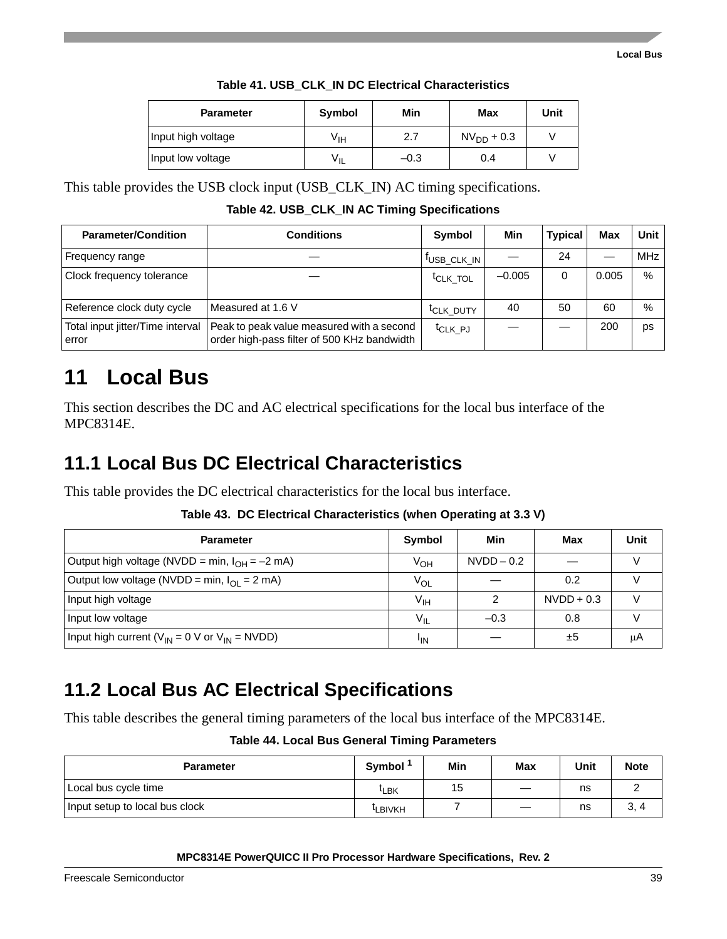| <b>Parameter</b>   | Symbol | Min    | Max          | Unit |
|--------------------|--------|--------|--------------|------|
| Input high voltage | ۷ін    | 2.7    | $NVDD + 0.3$ |      |
| Input low voltage  | ∨ı∟    | $-0.3$ | 0.4          |      |

|  |  | Table 41. USB CLK IN DC Electrical Characteristics |  |
|--|--|----------------------------------------------------|--|
|--|--|----------------------------------------------------|--|

This table provides the USB clock input (USB\_CLK\_IN) AC timing specifications.

**Table 42. USB\_CLK\_IN AC Timing Specifications**

| <b>Parameter/Condition</b>                | <b>Conditions</b>                                                                        | Symbol                  | Min      | <b>Typical</b> | <b>Max</b> | Unit       |
|-------------------------------------------|------------------------------------------------------------------------------------------|-------------------------|----------|----------------|------------|------------|
| Frequency range                           |                                                                                          | <sup>I</sup> USB CLK IN |          | 24             |            | <b>MHz</b> |
| Clock frequency tolerance                 |                                                                                          | <sup>t</sup> CLK TOL    | $-0.005$ | 0              | 0.005      | $\%$       |
| Reference clock duty cycle                | Measured at 1.6 V                                                                        | <sup>t</sup> CLK DUTY   | 40       | 50             | 60         | %          |
| Total input jitter/Time interval<br>error | Peak to peak value measured with a second<br>order high-pass filter of 500 KHz bandwidth | <sup>t</sup> CLK PJ     |          |                | 200        | ps         |

# **11 Local Bus**

This section describes the DC and AC electrical specifications for the local bus interface of the MPC8314E.

# **11.1 Local Bus DC Electrical Characteristics**

This table provides the DC electrical characteristics for the local bus interface.

|  |  | Table 43. DC Electrical Characteristics (when Operating at 3.3 V) |  |  |  |
|--|--|-------------------------------------------------------------------|--|--|--|
|--|--|-------------------------------------------------------------------|--|--|--|

| <b>Parameter</b>                                        | Symbol          | Min          | Max          | Unit |
|---------------------------------------------------------|-----------------|--------------|--------------|------|
| Output high voltage (NVDD = min, $I_{OH} = -2$ mA)      | V <sub>OH</sub> | $NVDD - 0.2$ |              |      |
| Output low voltage (NVDD = min, $I_{OI}$ = 2 mA)        | V <sub>OL</sub> |              | 0.2          |      |
| Input high voltage                                      | $V_{\text{IH}}$ |              | $NVDD + 0.3$ |      |
| Input low voltage                                       | $V_{IL}$        | $-0.3$       | 0.8          |      |
| Input high current ( $V_{IN}$ = 0 V or $V_{IN}$ = NVDD) | <sup>I</sup> IN |              | ±5           | μA   |

# **11.2 Local Bus AC Electrical Specifications**

This table describes the general timing parameters of the local bus interface of the MPC8314E.

| <b>Table 44. Local Bus General Timing Parameters</b> |  |
|------------------------------------------------------|--|
|------------------------------------------------------|--|

| <b>Parameter</b>               | Symbol <sup>1</sup> | Min | <b>Max</b> | Unit | <b>Note</b> |
|--------------------------------|---------------------|-----|------------|------|-------------|
| Local bus cycle time           | <sup>[</sup> LBK    | 15  |            | ns   |             |
| Input setup to local bus clock | <sup>I</sup> LBIVKH |     |            | ns   | 3.<br>4     |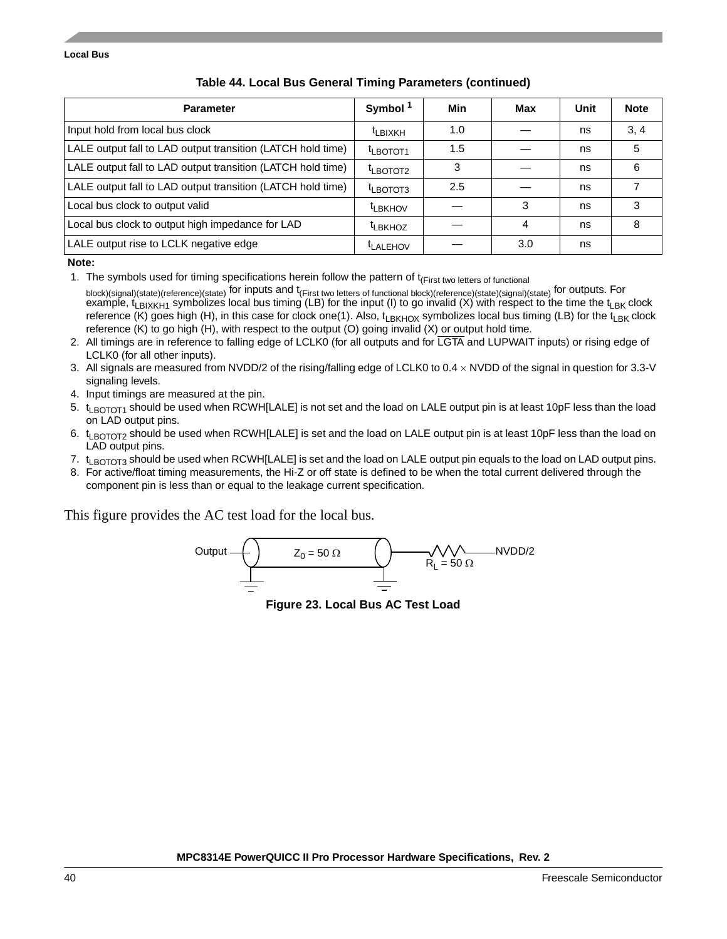| <b>Parameter</b>                                            | Symbol <sup>1</sup>              | Min | Max | Unit | <b>Note</b> |
|-------------------------------------------------------------|----------------------------------|-----|-----|------|-------------|
| Input hold from local bus clock                             | <sup>t</sup> LBIXKH              | 1.0 |     | ns   | 3, 4        |
| LALE output fall to LAD output transition (LATCH hold time) | <sup>t</sup> LBOTOT <sub>1</sub> | 1.5 |     | ns   | 5           |
| LALE output fall to LAD output transition (LATCH hold time) | $t_{LBOTOT2}$                    | 3   |     | ns   | 6           |
| LALE output fall to LAD output transition (LATCH hold time) | <sup>t</sup> LBOTOT3             | 2.5 |     | ns   |             |
| Local bus clock to output valid                             | <sup>t</sup> LBKHOV              |     | 3   | ns   | 3           |
| Local bus clock to output high impedance for LAD            | <sup>t</sup> LBKHOZ              |     | 4   | ns   | 8           |
| LALE output rise to LCLK negative edge                      | <sup>t</sup> LALEHOV             |     | 3.0 | ns   |             |

### **Table 44. Local Bus General Timing Parameters (continued)**

**Note:** 

1. The symbols used for timing specifications herein follow the pattern of t<sub>(First two letters of functional</sub>

block)(signal)(state)(reference)(state) for inputs and t(First two letters of functional block)(reference)(state)(signal)(state) for outputs. For example,  $t_{LBIXKH1}$  symbolizes local bus timing (LB) for the input (I) to go invalid (X) with respect to the time the  $t_{LBK}$  clock reference (K) goes high (H), in this case for clock one(1). Also,  $t_{LBKHOX}$  symbolizes local bus timing (LB) for the  $t_{LBK}$  clock reference (K) to go high (H), with respect to the output (O) going invalid (X) or output hold time.

- 2. All timings are in reference to falling edge of LCLK0 (for all outputs and for LGTA and LUPWAIT inputs) or rising edge of LCLK0 (for all other inputs).
- 3. All signals are measured from NVDD/2 of the rising/falling edge of LCLK0 to 0.4 NVDD of the signal in question for 3.3-V signaling levels.
- 4. Input timings are measured at the pin.
- 5. t<sub>LBOTOT1</sub> should be used when RCWH[LALE] is not set and the load on LALE output pin is at least 10pF less than the load on LAD output pins.
- 6. t<sub>LBOTOT2</sub> should be used when RCWH[LALE] is set and the load on LALE output pin is at least 10pF less than the load on LAD output pins.
- 7. t<sub>LBOTOT3</sub> should be used when RCWH[LALE] is set and the load on LALE output pin equals to the load on LAD output pins.
- 8. For active/float timing measurements, the Hi-Z or off state is defined to be when the total current delivered through the component pin is less than or equal to the leakage current specification.

This figure provides the AC test load for the local bus.



**Figure 23. Local Bus AC Test Load**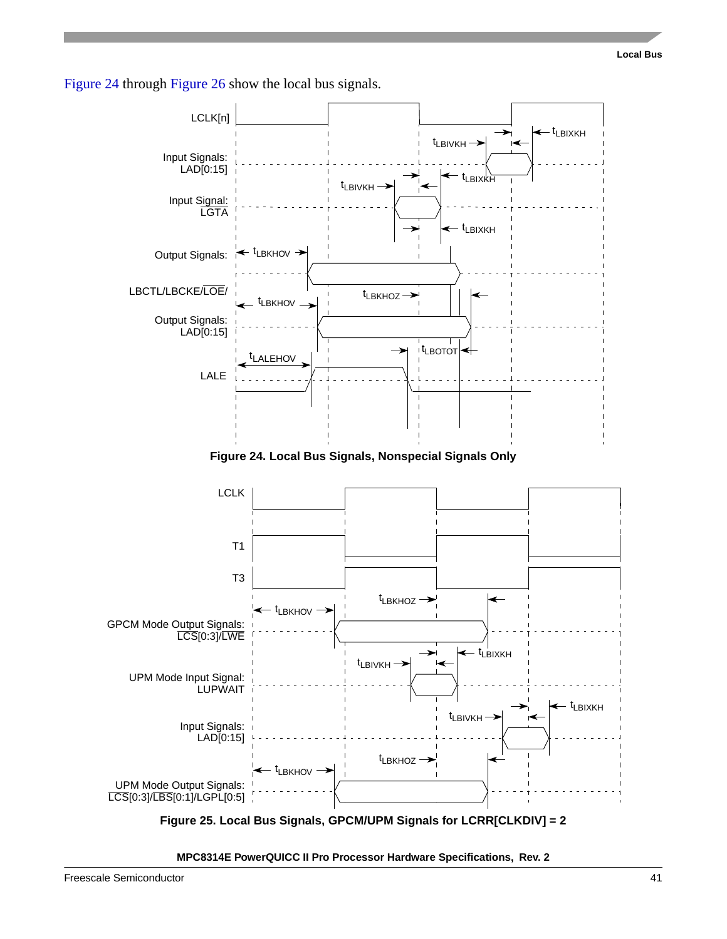

<span id="page-40-0"></span>

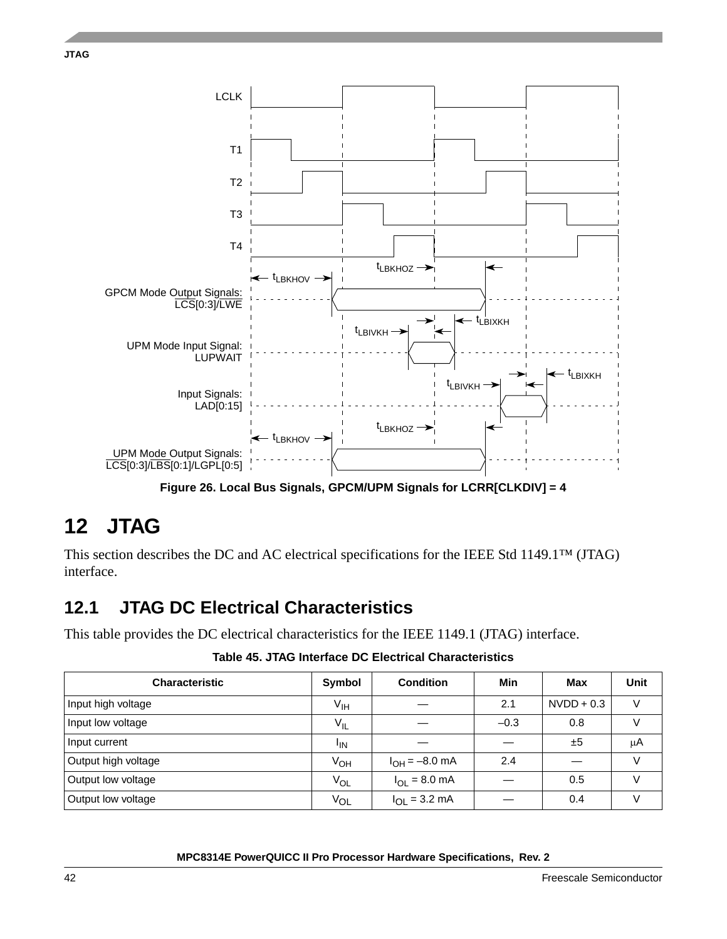



**Figure 26. Local Bus Signals, GPCM/UPM Signals for LCRR[CLKDIV] = 4** 

# <span id="page-41-0"></span>**12 JTAG**

This section describes the DC and AC electrical specifications for the IEEE Std 1149.1™ (JTAG) interface.

## **12.1 JTAG DC Electrical Characteristics**

This table provides the DC electrical characteristics for the IEEE 1149.1 (JTAG) interface.

**Table 45. JTAG Interface DC Electrical Characteristics**

| <b>Characteristic</b> | Symbol                | <b>Condition</b>          | Min    | Max          | <b>Unit</b> |
|-----------------------|-----------------------|---------------------------|--------|--------------|-------------|
| Input high voltage    | $V_{\text{IH}}$       |                           | 2.1    | $NVDD + 0.3$ | V           |
| Input low voltage     | $V_{IL}$              |                           | $-0.3$ | 0.8          |             |
| Input current         | <sup>I</sup> IN       |                           |        | ±5           | μA          |
| Output high voltage   | V <sub>OH</sub>       | $I_{OH} = -8.0$ mA        | 2.4    |              | $\vee$      |
| Output low voltage    | <b>V<sub>OL</sub></b> | $I_{OL} = 8.0$ mA         |        | 0.5          |             |
| Output low voltage    | $V_{OL}$              | $I_{OL} = 3.2 \text{ mA}$ |        | 0.4          |             |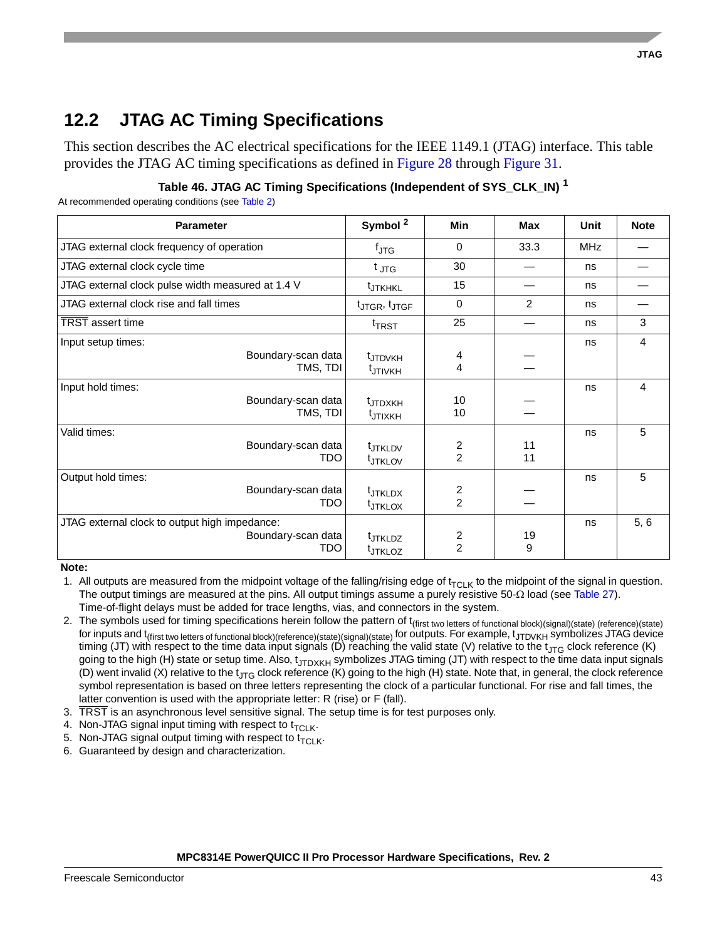# **12.2 JTAG AC Timing Specifications**

This section describes the AC electrical specifications for the IEEE 1149.1 (JTAG) interface. This table provides the JTAG AC timing specifications as defined in [Figure 28](#page-43-0) through [Figure 31](#page-44-0).

| Table 46. JTAG AC Timing Specifications (Independent of SYS_CLK_IN) $^\mathsf{1}$ |  |  |
|-----------------------------------------------------------------------------------|--|--|
|                                                                                   |  |  |

At recommended operating conditions (see [Table 2](#page-8-0))

| <b>Parameter</b>                                                           | Symbol <sup>2</sup>                        | <b>Min</b>                       | <b>Max</b>     | <b>Unit</b> | <b>Note</b> |
|----------------------------------------------------------------------------|--------------------------------------------|----------------------------------|----------------|-------------|-------------|
| JTAG external clock frequency of operation                                 | $f_{\text{JTG}}$                           | 0                                | 33.3           | MHz         |             |
| JTAG external clock cycle time                                             | $t_{\text{JTG}}$                           | 30                               |                | ns          |             |
| JTAG external clock pulse width measured at 1.4 V                          | <b>t</b> JTKHKL                            | 15                               |                | ns          |             |
| JTAG external clock rise and fall times                                    | t <sub>JTGR</sub> , t <sub>JTGF</sub>      | $\mathbf 0$                      | $\mathfrak{p}$ | ns          |             |
| <b>TRST</b> assert time                                                    | <sup>t</sup> TRST                          | 25                               |                | ns          | 3           |
| Input setup times:<br>Boundary-scan data<br>TMS, TDI                       | <sup>t</sup> JTDVKH<br>t <sub>JTIVKH</sub> | 4<br>4                           |                | ns          | 4           |
| Input hold times:<br>Boundary-scan data<br>TMS, TDI                        | <sup>t</sup> JTDXKH<br>t <sub>JTIXKH</sub> | 10<br>10                         |                | ns          | 4           |
| Valid times:<br>Boundary-scan data<br>TDO                                  | tJTKLDV<br>tJTKLOV                         | 2<br>$\overline{2}$              | 11<br>11       | ns          | 5           |
| Output hold times:<br>Boundary-scan data<br>TDO                            | <sup>t</sup> JTKLDX<br><b>t</b> JTKLOX     | $\overline{c}$<br>$\overline{2}$ |                | ns          | 5           |
| JTAG external clock to output high impedance:<br>Boundary-scan data<br>TDO | <sup>t</sup> JTKLDZ<br>t <sub>JTKLOZ</sub> | 2<br>$\overline{2}$              | 19<br>9        | ns          | 5, 6        |

**Note:** 

1. All outputs are measured from the midpoint voltage of the falling/rising edge of  $t_{TCLK}$  to the midpoint of the signal in question. The output timings are measured at the pins. All output timings assume a purely resistive  $50-\Omega$  load (see [Table 27\)](#page-43-1). Time-of-flight delays must be added for trace lengths, vias, and connectors in the system.

- 2. The symbols used for timing specifications herein follow the pattern of t<sub>(first two letters of functional block)(signal)(state) (reference)(state)</sub> for inputs and t<sub>(first two letters of functional block)(reference)(state)(signal)(state) for outputs. For example, t<sub>JTDVKH</sub> symbolizes JTAG device</sub> timing (JT) with respect to the time data input signals (D) reaching the valid state (V) relative to the t<sub>JTG</sub> clock reference (K) going to the high (H) state or setup time. Also, t<sub>JTDXKH</sub> symbolizes JTAG timing (JT) with respect to the time data input signals (D) went invalid (X) relative to the t<sub>JTG</sub> clock reference (K) going to the high (H) state. Note that, in general, the clock reference symbol representation is based on three letters representing the clock of a particular functional. For rise and fall times, the latter convention is used with the appropriate letter: R (rise) or F (fall).
- 3.  $\overline{\text{TRST}}$  is an asynchronous level sensitive signal. The setup time is for test purposes only.
- 4. Non-JTAG signal input timing with respect to  $t_{\text{TCLK}}$ .
- 5. Non-JTAG signal output timing with respect to  $t_{\text{TCLK}}$ .
- 6. Guaranteed by design and characterization.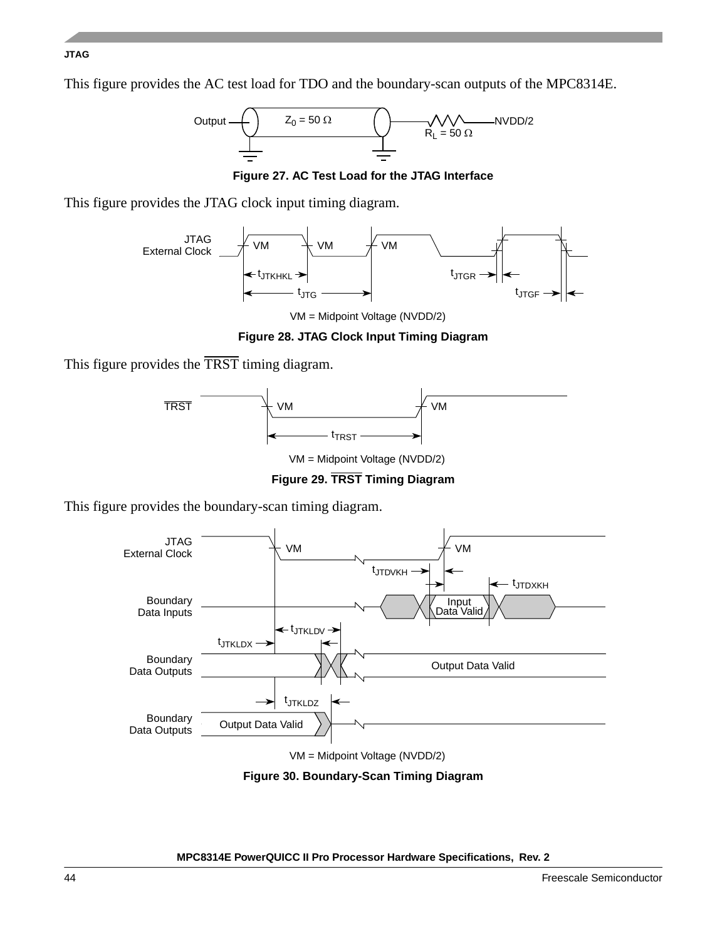### **JTAG**

This figure provides the AC test load for TDO and the boundary-scan outputs of the MPC8314E.



**Figure 27. AC Test Load for the JTAG Interface**

<span id="page-43-1"></span>This figure provides the JTAG clock input timing diagram.



VM = Midpoint Voltage (NVDD/2)

### **Figure 28. JTAG Clock Input Timing Diagram**

<span id="page-43-0"></span>This figure provides the TRST timing diagram.



**Figure 29. TRST Timing Diagram**

This figure provides the boundary-scan timing diagram.



VM = Midpoint Voltage (NVDD/2)

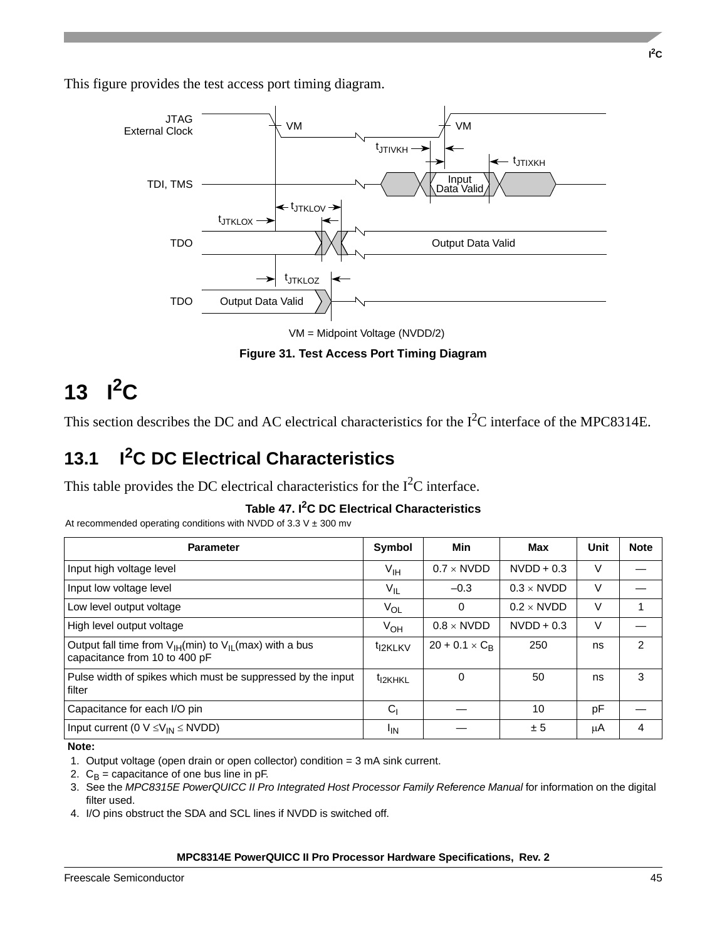This figure provides the test access port timing diagram.



**Figure 31. Test Access Port Timing Diagram**

# <span id="page-44-0"></span>13  $I^2C$

This section describes the DC and AC electrical characteristics for the I<sup>2</sup>C interface of the MPC8314E.

# **13.1 I2C DC Electrical Characteristics**

This table provides the DC electrical characteristics for the  $I<sup>2</sup>C$  interface.

**Table 47. I2C DC Electrical Characteristics**

<span id="page-44-1"></span>At recommended operating conditions with NVDD of 3.3 V  $\pm$  300 mv

| <b>Parameter</b>                                                                               | Symbol              | Min                   | Max               | Unit | <b>Note</b>    |
|------------------------------------------------------------------------------------------------|---------------------|-----------------------|-------------------|------|----------------|
| Input high voltage level                                                                       | $V_{\text{IH}}$     | $0.7 \times$ NVDD     | $NVDD + 0.3$      | V    |                |
| Input low voltage level                                                                        | $V_{IL}$            | $-0.3$                | $0.3 \times$ NVDD | V    |                |
| Low level output voltage                                                                       | $V_{OL}$            | 0                     | $0.2 \times$ NVDD | V    |                |
| High level output voltage                                                                      | $V_{OH}$            | $0.8 \times$ NVDD     | $NVDD + 0.3$      | V    |                |
| Output fall time from $V_{H}(min)$ to $V_{H}(max)$ with a bus<br>capacitance from 10 to 400 pF | <sup>t</sup> I2KLKV | $20 + 0.1 \times C_R$ | 250               | ns   | $\overline{2}$ |
| Pulse width of spikes which must be suppressed by the input<br>filter                          | <sup>t</sup> I2KHKL | 0                     | 50                | ns   | 3              |
| Capacitance for each I/O pin                                                                   | C <sub>1</sub>      |                       | 10                | pF   |                |
| Input current (0 $V \leq V_{IN} \leq N VDD$ )                                                  | <sup>I</sup> IN     |                       | ± 5               | μA   | 4              |

**Note:** 

1. Output voltage (open drain or open collector) condition = 3 mA sink current.

- 2.  $C_B$  = capacitance of one bus line in pF.
- 3. See the MPC8315E PowerQUICC II Pro Integrated Host Processor Family Reference Manual for information on the digital filter used.
- 4. I/O pins obstruct the SDA and SCL lines if NVDD is switched off.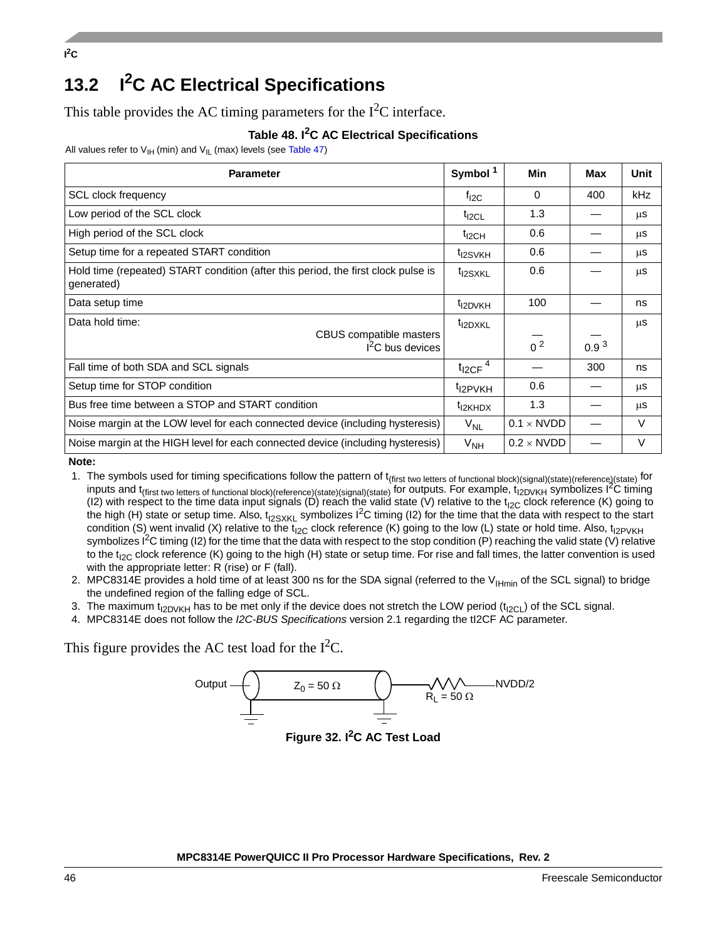$P^2C$ 

# **13.2 I2C AC Electrical Specifications**

This table provides the AC timing parameters for the  $I<sup>2</sup>C$  interface.

### **Table 48. I2C AC Electrical Specifications**

All values refer to  $V_{H}$  (min) and  $V_{IL}$  (max) levels (see [Table 47](#page-44-1))

| <b>Parameter</b>                                                                                | Symbol <sup>1</sup>     | Min                      | Max              | Unit |
|-------------------------------------------------------------------------------------------------|-------------------------|--------------------------|------------------|------|
| <b>SCL clock frequency</b>                                                                      | $f_{I2C}$               | 0                        | 400              | kHz  |
| Low period of the SCL clock                                                                     | $t_{\text{I2CL}}$       | 1.3                      |                  | μS   |
| High period of the SCL clock                                                                    | $t_{\text{I2CH}}$       | 0.6                      |                  | μS   |
| Setup time for a repeated START condition                                                       | t <sub>I2SVKH</sub>     | 0.6                      |                  | μS   |
| Hold time (repeated) START condition (after this period, the first clock pulse is<br>generated) | <sup>t</sup> I2SXKL     | 0.6                      |                  | μS   |
| Data setup time                                                                                 | t <sub>12DVKH</sub>     | 100                      |                  | ns   |
| Data hold time:<br>CBUS compatible masters<br>$I2C$ bus devices                                 | t <sub>I2DXKL</sub>     | 0 <sup>2</sup>           | 0.9 <sup>3</sup> | μS   |
| Fall time of both SDA and SCL signals                                                           | $t_{I2CF}$ <sup>4</sup> |                          | 300              | ns   |
| Setup time for STOP condition                                                                   | <sup>t</sup> I2PVKH     | 0.6                      |                  | μS   |
| Bus free time between a STOP and START condition                                                | t <sub>l2KHDX</sub>     | 1.3                      |                  | μS   |
| Noise margin at the LOW level for each connected device (including hysteresis)                  | $V_{NL}$                | $0.1 \times \text{NVDD}$ |                  | V    |
| Noise margin at the HIGH level for each connected device (including hysteresis)                 | V <sub>NH</sub>         | $0.2 \times \text{NVDD}$ |                  | V    |

**Note:** 

1. The symbols used for timing specifications follow the pattern of t<sub>(first two letters of functional block)(signal)(state)(reference)(state) for</sub> inputs and t<sub>(first two letters of functional block)(reference)(state)(signal)(state) for outputs. For example, t<sub>I2DVKH</sub> symbolizes I<sup>2</sup>C timing</sub> (I2) with respect to the time data input signals (D) reach the valid state (V) relative to the t<sub>I2C</sub> clock reference (K) going to the high (H) state or setup time. Also,  $t_{12SXKL}$  symbolizes I<sup>2</sup>C timing (I2) for the time that the data with respect to the start condition (S) went invalid (X) relative to the t<sub>I2C</sub> clock reference (K) going to the low (L) state or hold time. Also, t<sub>I2PVKH</sub> symbolizes I<sup>2</sup>C timing (I2) for the time that the data with respect to the stop condition (P) reaching the valid state (V) relative to the t<sub>I2C</sub> clock reference (K) going to the high (H) state or setup time. For rise and fall times, the latter convention is used with the appropriate letter: R (rise) or F (fall).

- 2. MPC8314E provides a hold time of at least 300 ns for the SDA signal (referred to the  $V_{Hmin}$  of the SCL signal) to bridge the undefined region of the falling edge of SCL.
- 3. The maximum t<sub>I2DVKH</sub> has to be met only if the device does not stretch the LOW period (t<sub>I2CL</sub>) of the SCL signal.
- 4. MPC8314E does not follow the *I2C-BUS Specifications* version 2.1 regarding the tI2CF AC parameter.

This figure provides the AC test load for the  $I<sup>2</sup>C$ .

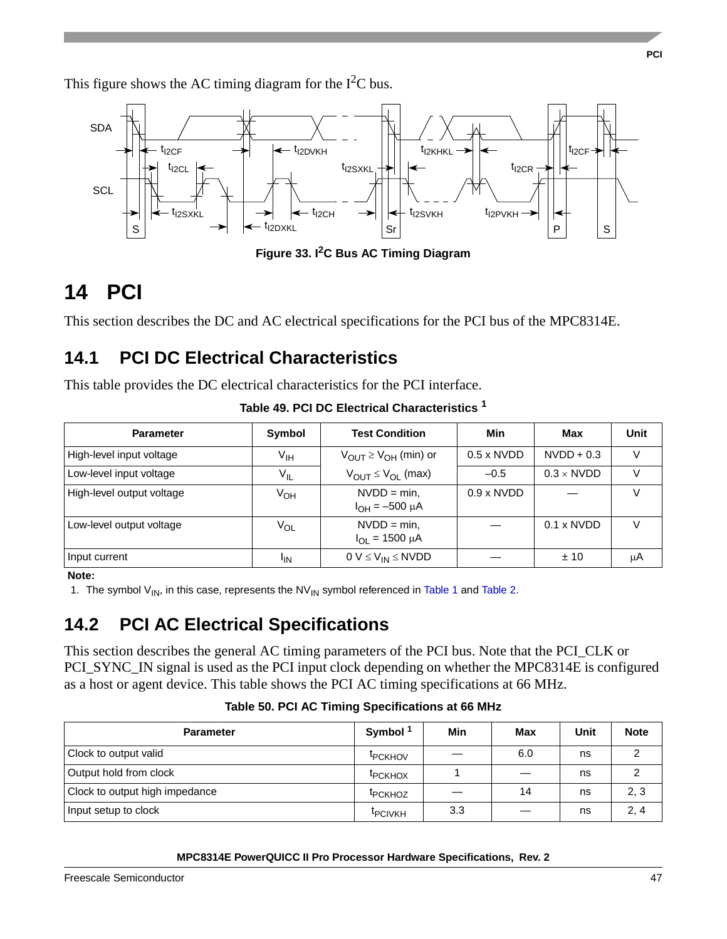This figure shows the AC timing diagram for the  $I<sup>2</sup>C$  bus.



**Figure 33. I2C Bus AC Timing Diagram**

# **14 PCI**

This section describes the DC and AC electrical specifications for the PCI bus of the MPC8314E.

# **14.1 PCI DC Electrical Characteristics**

This table provides the DC electrical characteristics for the PCI interface.

| <b>Parameter</b>          | Symbol          | <b>Test Condition</b>                          | Min                      | Max                      | Unit |
|---------------------------|-----------------|------------------------------------------------|--------------------------|--------------------------|------|
| High-level input voltage  | V <sub>IH</sub> | $V_{\text{OUT}} \geq V_{\text{OH}}$ (min) or   | $0.5 \times \text{NVDD}$ | $NVDD + 0.3$             | V    |
| Low-level input voltage   | $V_{IL}$        | $V_{OUT} \leq V_{OL}$ (max)                    | $-0.5$                   | $0.3 \times \text{NVDD}$ | V    |
| High-level output voltage | V <sub>OH</sub> | $NVDD = min.$<br>$I_{OH} = -500 \mu A$         | $0.9 \times \text{NVDD}$ |                          | V    |
| Low-level output voltage  | Vol             | $NVDD = min$ ,<br>$I_{\text{OI}} = 1500 \mu A$ |                          | $0.1 \times \text{NVDD}$ | V    |
| Input current             | <sup>I</sup> IN | $0 V \leq V_{IN} \leq N VDD$                   |                          | ±10                      | μA   |

**Table 49. PCI DC Electrical Characteristics <sup>1</sup>**

### **Note:**

1. The symbol  $V_{IN}$ , in this case, represents the  $NV_{IN}$  symbol referenced in [Table 1](#page-6-0) and [Table 2.](#page-8-0)

# **14.2 PCI AC Electrical Specifications**

This section describes the general AC timing parameters of the PCI bus. Note that the PCI\_CLK or PCI\_SYNC\_IN signal is used as the PCI input clock depending on whether the MPC8314E is configured as a host or agent device. This table shows the PCI AC timing specifications at 66 MHz. .

| <b>Parameter</b>               | Symbol <sup>1</sup> | Min | Max | Unit | <b>Note</b> |
|--------------------------------|---------------------|-----|-----|------|-------------|
| Clock to output valid          | <b>IPCKHOV</b>      |     | 6.0 | ns   |             |
| Output hold from clock         | <b>IPCKHOX</b>      |     |     | ns   |             |
| Clock to output high impedance | <b>IPCKHOZ</b>      |     | 14  | ns   | 2, 3        |
| Input setup to clock           | <b>IPCIVKH</b>      | 3.3 |     | ns   | 2, 4        |

**Table 50. PCI AC Timing Specifications at 66 MHz**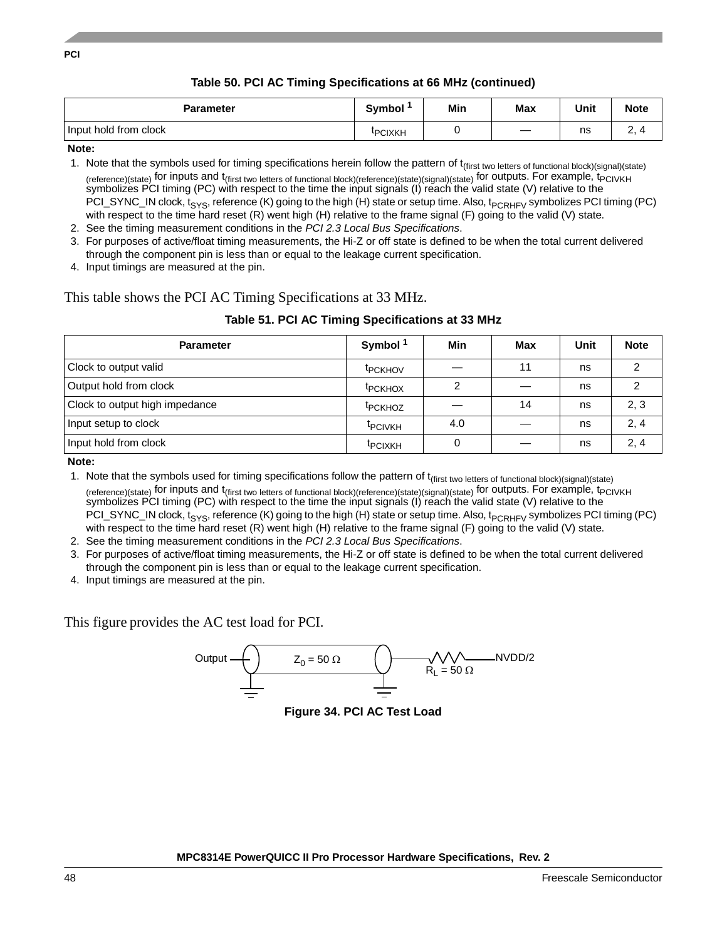### **Table 50. PCI AC Timing Specifications at 66 MHz (continued)**

| <b>Parameter</b>      | <b>Symbol</b> | Min | Max | Unit | <b>Note</b> |
|-----------------------|---------------|-----|-----|------|-------------|
| Input hold from clock | <b>PCIXKH</b> |     |     | ns   | <u>.</u>    |

**Note:** 

1. Note that the symbols used for timing specifications herein follow the pattern of t<sub>(first two letters of functional block)(signal)(state)</sub> (reference)(state) for inputs and t<sub>(first two letters of functional block)(reference)(state)(signal)(state)</sub> for outputs. For example, t<sub>PCIVKH</sub> symbolizes PCI timing (PC) with respect to the time the input signals (I) reach the valid state (V) relative to the PCI\_SYNC\_IN clock, t<sub>SYS</sub>, reference (K) going to the high (H) state or setup time. Also, t<sub>PCRHFV</sub> symbolizes PCI timing (PC) with respect to the time hard reset (R) went high (H) relative to the frame signal (F) going to the valid (V) state.

2. See the timing measurement conditions in the *PCI 2.3 Local Bus Specifications*.

- 3. For purposes of active/float timing measurements, the Hi-Z or off state is defined to be when the total current delivered through the component pin is less than or equal to the leakage current specification.
- 4. Input timings are measured at the pin.

### This table shows the PCI AC Timing Specifications at 33 MHz.

| Table 51. PCI AC Timing Specifications at 33 MHz |  |  |
|--------------------------------------------------|--|--|

| <b>Parameter</b>               | Symbol <sup>1</sup> | Min | Max | Unit | <b>Note</b> |
|--------------------------------|---------------------|-----|-----|------|-------------|
| Clock to output valid          | <sup>t</sup> PCKHOV |     | 11  | ns   | າ           |
| Output hold from clock         | <sup>t</sup> PCKHOX | ⌒   |     | ns   |             |
| Clock to output high impedance | <sup>t</sup> PCKHOZ |     | 14  | ns   | 2, 3        |
| Input setup to clock           | <b>TPCIVKH</b>      | 4.0 |     | ns   | 2, 4        |
| Input hold from clock          | <b>IPCIXKH</b>      |     |     | ns   | 2, 4        |

**Note:** 

1. Note that the symbols used for timing specifications follow the pattern of t<sub>(first two letters of functional block)(signal)(state)</sub> (reference)(state) for inputs and t<sub>(first two letters of functional block)(reference)(state)(signal)(state) for outputs. For example, t<sub>PCIVKH</sub></sub> symbolizes PCI timing (PC) with respect to the time the input signals (I) reach the valid state (V) relative to the PCI\_SYNC\_IN clock,  $t_{SYS}$ , reference (K) going to the high (H) state or setup time. Also,  $t_{PCRHFV}$  symbolizes PCI timing (PC) with respect to the time hard reset (R) went high (H) relative to the frame signal (F) going to the valid (V) state.

2. See the timing measurement conditions in the *PCI 2.3 Local Bus Specifications*.

- 3. For purposes of active/float timing measurements, the Hi-Z or off state is defined to be when the total current delivered through the component pin is less than or equal to the leakage current specification.
- 4. Input timings are measured at the pin.

This figure provides the AC test load for PCI.



**Figure 34. PCI AC Test Load**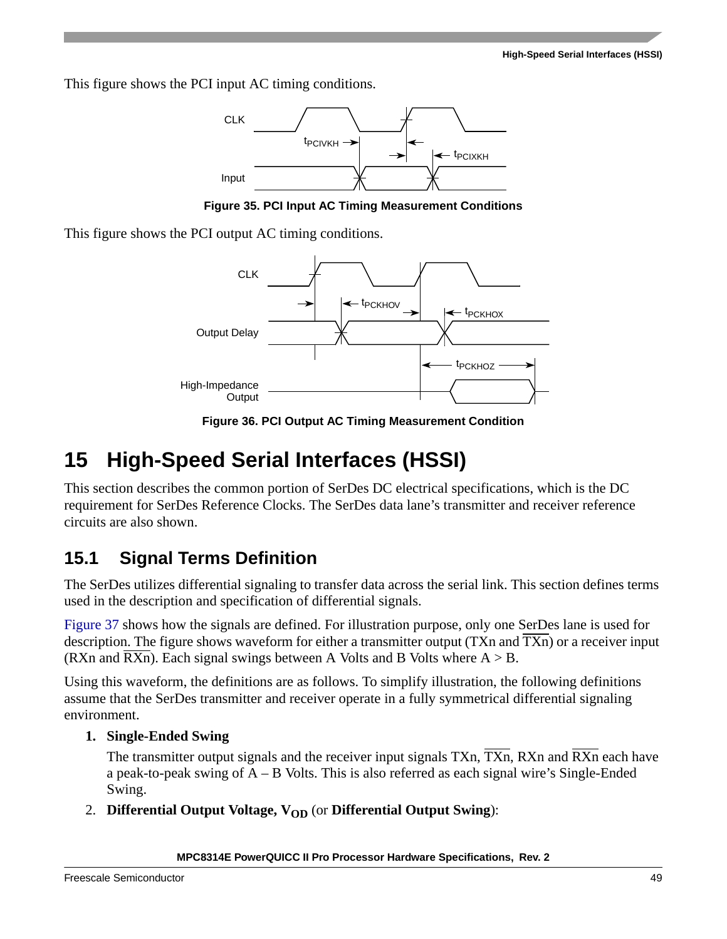This figure shows the PCI input AC timing conditions.



**Figure 35. PCI Input AC Timing Measurement Conditions**

This figure shows the PCI output AC timing conditions.



**Figure 36. PCI Output AC Timing Measurement Condition**

# **15 High-Speed Serial Interfaces (HSSI)**

This section describes the common portion of SerDes DC electrical specifications, which is the DC requirement for SerDes Reference Clocks. The SerDes data lane's transmitter and receiver reference circuits are also shown.

# **15.1 Signal Terms Definition**

The SerDes utilizes differential signaling to transfer data across the serial link. This section defines terms used in the description and specification of differential signals.

[Figure 37](#page-50-0) shows how the signals are defined. For illustration purpose, only one SerDes lane is used for description. The figure shows waveform for either a transmitter output (TXn and TXn) or a receiver input (RXn and  $\overline{RXn}$ ). Each signal swings between A Volts and B Volts where  $A > B$ .

Using this waveform, the definitions are as follows. To simplify illustration, the following definitions assume that the SerDes transmitter and receiver operate in a fully symmetrical differential signaling environment.

### **1. Single-Ended Swing**

The transmitter output signals and the receiver input signals  $TXn$ ,  $\overline{TXn}$ ,  $RXn$  and  $\overline{RXn}$  each have a peak-to-peak swing of A – B Volts. This is also referred as each signal wire's Single-Ended Swing.

2. **Differential Output Voltage, V<sub>OD</sub>** (or Differential Output Swing):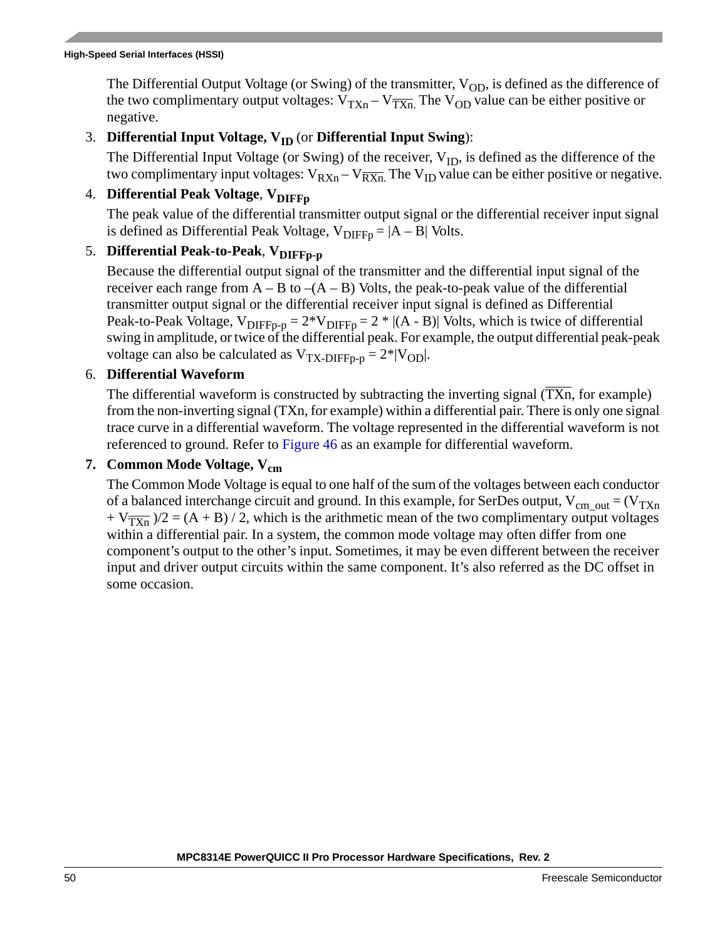The Differential Output Voltage (or Swing) of the transmitter,  $V_{OD}$ , is defined as the difference of the two complimentary output voltages:  $V_{TXn} - V_{\overline{TXn}}$ . The  $V_{OD}$  value can be either positive or negative.

### 3. **Differential Input Voltage, V<sub>ID</sub> (or Differential Input Swing):**

The Differential Input Voltage (or Swing) of the receiver,  $V_{ID}$ , is defined as the difference of the two complimentary input voltages:  $V_{RXn} - V_{\overline{RXn}}$ . The  $V_{ID}$  value can be either positive or negative.

### 4. **Differential Peak Voltage**,  $V_{\text{DIFF}}$

The peak value of the differential transmitter output signal or the differential receiver input signal is defined as Differential Peak Voltage,  $V_{\text{DIFF}} = |A - B|$  Volts.

### 5. **Differential Peak-to-Peak**,  $V_{\text{DIFFo-p}}$

Because the differential output signal of the transmitter and the differential input signal of the receiver each range from  $A - B$  to  $-(A - B)$  Volts, the peak-to-peak value of the differential transmitter output signal or the differential receiver input signal is defined as Differential Peak-to-Peak Voltage,  $V_{\text{DIFF-p}} = 2^*V_{\text{DIFF-p}} = 2^*$  |(A - B)| Volts, which is twice of differential swing in amplitude, or twice of the differential peak. For example, the output differential peak-peak voltage can also be calculated as  $V_{TX-DIFFp-p} = 2^*|V_{OD}|$ .

### 6. **Differential Waveform**

The differential waveform is constructed by subtracting the inverting signal  $(TXn)$ , for example) from the non-inverting signal (TXn, for example) within a differential pair. There is only one signal trace curve in a differential waveform. The voltage represented in the differential waveform is not referenced to ground. Refer to [Figure 46](#page-56-0) as an example for differential waveform.

### 7. Common Mode Voltage, V<sub>cm</sub>

The Common Mode Voltage is equal to one half of the sum of the voltages between each conductor of a balanced interchange circuit and ground. In this example, for SerDes output,  $V_{cm}$  out = ( $V_{TXn}$ )  $+ V_{\overline{TXn}}$  /2 = (A + B) / 2, which is the arithmetic mean of the two complimentary output voltages within a differential pair. In a system, the common mode voltage may often differ from one component's output to the other's input. Sometimes, it may be even different between the receiver input and driver output circuits within the same component. It's also referred as the DC offset in some occasion.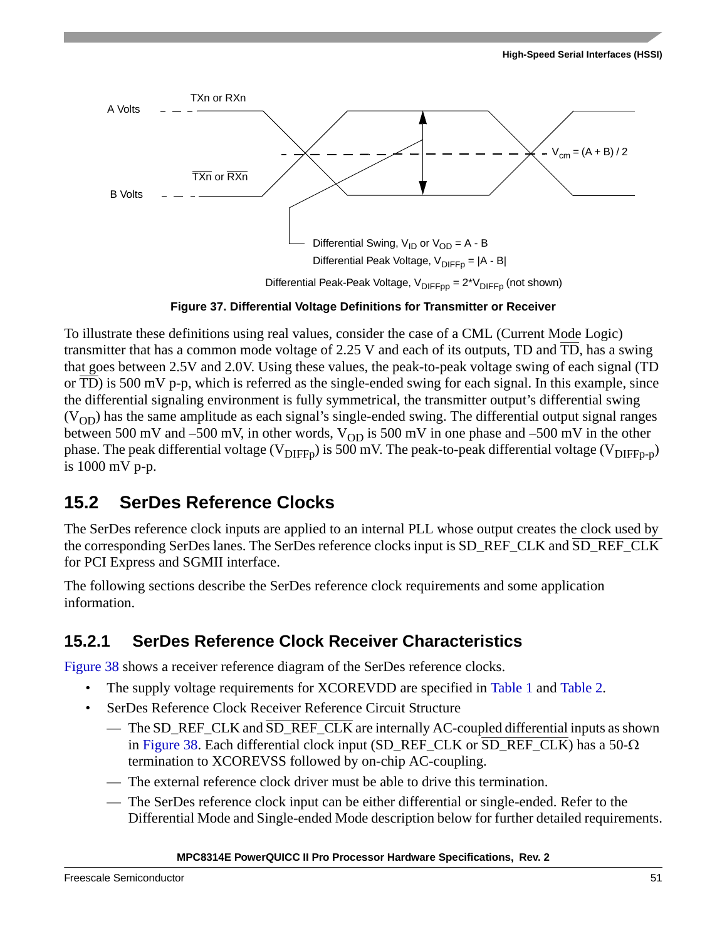

Differential Peak-Peak Voltage,  $V_{\text{DIFFo}} = 2^*V_{\text{DIFFo}}$  (not shown)

### **Figure 37. Differential Voltage Definitions for Transmitter or Receiver**

<span id="page-50-0"></span>To illustrate these definitions using real values, consider the case of a CML (Current Mode Logic) transmitter that has a common mode voltage of 2.25 V and each of its outputs, TD and  $\overline{TD}$ , has a swing that goes between 2.5V and 2.0V. Using these values, the peak-to-peak voltage swing of each signal (TD or TD) is 500 mV p-p, which is referred as the single-ended swing for each signal. In this example, since the differential signaling environment is fully symmetrical, the transmitter output's differential swing  $(V<sub>OD</sub>)$  has the same amplitude as each signal's single-ended swing. The differential output signal ranges between 500 mV and –500 mV, in other words,  $V_{OD}$  is 500 mV in one phase and –500 mV in the other phase. The peak differential voltage ( $V_{\text{DIFF}}$ ) is 500 mV. The peak-to-peak differential voltage ( $V_{\text{DIFF}}$ <sub>p</sub>) is 1000 mV p-p.

## <span id="page-50-2"></span>**15.2 SerDes Reference Clocks**

The SerDes reference clock inputs are applied to an internal PLL whose output creates the clock used by the corresponding SerDes lanes. The SerDes reference clocks input is SD\_REF\_CLK and SD\_REF\_CLK for PCI Express and SGMII interface.

The following sections describe the SerDes reference clock requirements and some application information.

### <span id="page-50-1"></span>**15.2.1 SerDes Reference Clock Receiver Characteristics**

[Figure 38](#page-51-0) shows a receiver reference diagram of the SerDes reference clocks.

- The supply voltage requirements for XCOREVDD are specified in [Table 1](#page-6-0) and [Table 2.](#page-8-0)
- SerDes Reference Clock Receiver Reference Circuit Structure
	- The SD\_REF\_CLK and  $\overline{SD}$ \_REF\_CLK are internally AC-coupled differential inputs as shown in [Figure 38.](#page-51-0) Each differential clock input (SD\_REF\_CLK or SD\_REF\_CLK) has a  $50-\Omega$ termination to XCOREVSS followed by on-chip AC-coupling.
	- The external reference clock driver must be able to drive this termination.
	- The SerDes reference clock input can be either differential or single-ended. Refer to the Differential Mode and Single-ended Mode description below for further detailed requirements.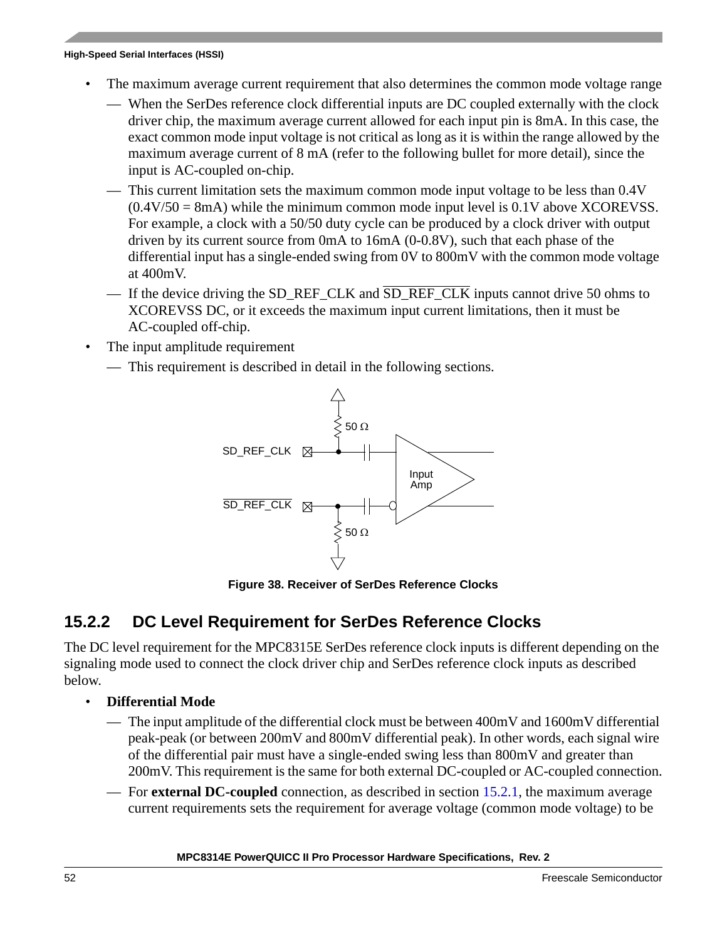- The maximum average current requirement that also determines the common mode voltage range
	- When the SerDes reference clock differential inputs are DC coupled externally with the clock driver chip, the maximum average current allowed for each input pin is 8mA. In this case, the exact common mode input voltage is not critical as long as it is within the range allowed by the maximum average current of 8 mA (refer to the following bullet for more detail), since the input is AC-coupled on-chip.
	- This current limitation sets the maximum common mode input voltage to be less than 0.4V  $(0.4V/50 = 8mA)$  while the minimum common mode input level is  $0.1V$  above XCOREVSS. For example, a clock with a 50/50 duty cycle can be produced by a clock driver with output driven by its current source from 0mA to 16mA (0-0.8V), such that each phase of the differential input has a single-ended swing from 0V to 800mV with the common mode voltage at 400mV.
	- If the device driving the SD\_REF\_CLK and  $\overline{SD\_REF\_CLK}$  inputs cannot drive 50 ohms to XCOREVSS DC, or it exceeds the maximum input current limitations, then it must be AC-coupled off-chip.
- The input amplitude requirement
	- This requirement is described in detail in the following sections.



**Figure 38. Receiver of SerDes Reference Clocks**

### <span id="page-51-0"></span>**15.2.2 DC Level Requirement for SerDes Reference Clocks**

The DC level requirement for the MPC8315E SerDes reference clock inputs is different depending on the signaling mode used to connect the clock driver chip and SerDes reference clock inputs as described below.

- **Differential Mode**
	- The input amplitude of the differential clock must be between  $400mV$  and  $1600mV$  differential peak-peak (or between 200mV and 800mV differential peak). In other words, each signal wire of the differential pair must have a single-ended swing less than 800mV and greater than 200mV. This requirement is the same for both external DC-coupled or AC-coupled connection.
	- For **external DC-coupled** connection, as described in section [15.2.1,](#page-50-1) the maximum average current requirements sets the requirement for average voltage (common mode voltage) to be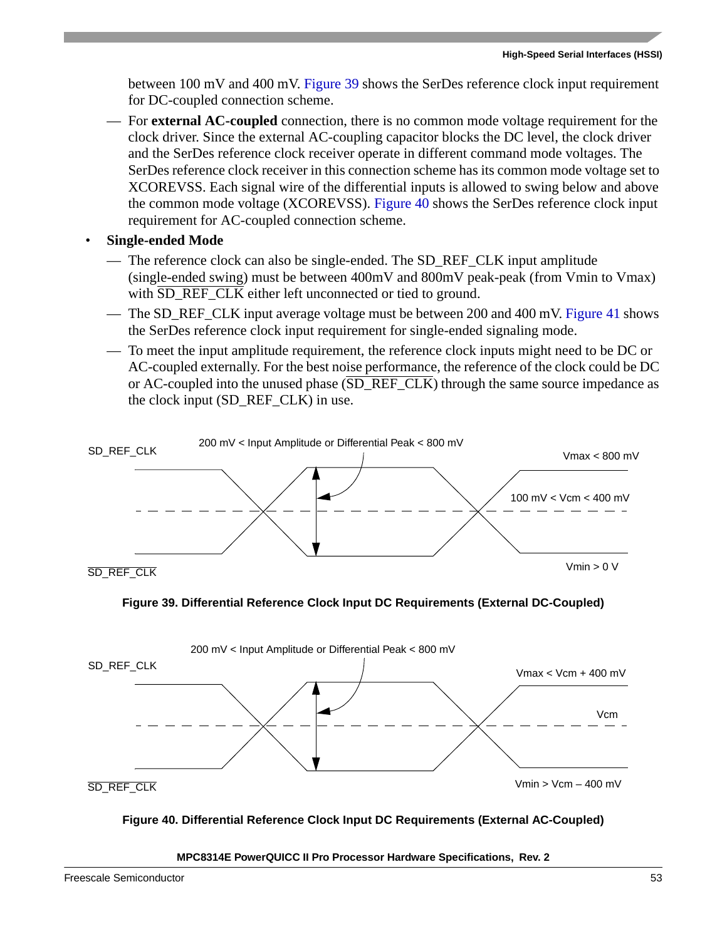between 100 mV and 400 mV. [Figure 39](#page-52-0) shows the SerDes reference clock input requirement for DC-coupled connection scheme.

- For **external AC-coupled** connection, there is no common mode voltage requirement for the clock driver. Since the external AC-coupling capacitor blocks the DC level, the clock driver and the SerDes reference clock receiver operate in different command mode voltages. The SerDes reference clock receiver in this connection scheme has its common mode voltage set to XCOREVSS. Each signal wire of the differential inputs is allowed to swing below and above the common mode voltage (XCOREVSS). [Figure 40](#page-52-1) shows the SerDes reference clock input requirement for AC-coupled connection scheme.
- **Single-ended Mode**
	- The reference clock can also be single-ended. The SD\_REF\_CLK input amplitude (single-ended swing) must be between 400mV and 800mV peak-peak (from Vmin to Vmax) with  $\overline{SD\_REF\_CLK}$  either left unconnected or tied to ground.
	- The SD, REF, CLK input average voltage must be between 200 and 400 mV. [Figure 41](#page-53-0) shows the SerDes reference clock input requirement for single-ended signaling mode.
	- To meet the input amplitude requirement, the reference clock inputs might need to be DC or AC-coupled externally. For the best noise performance, the reference of the clock could be DC or AC-coupled into the unused phase (SD\_REF\_CLK) through the same source impedance as the clock input (SD\_REF\_CLK) in use.





<span id="page-52-0"></span>

### <span id="page-52-1"></span>**Figure 40. Differential Reference Clock Input DC Requirements (External AC-Coupled)**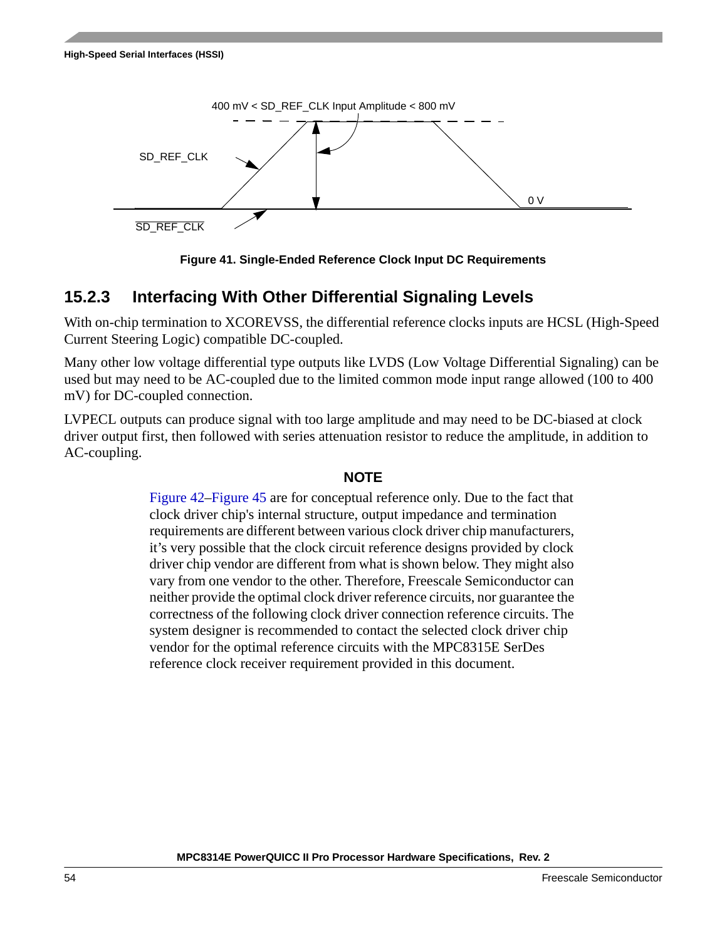



### <span id="page-53-0"></span>**15.2.3 Interfacing With Other Differential Signaling Levels**

With on-chip termination to XCOREVSS, the differential reference clocks inputs are HCSL (High-Speed Current Steering Logic) compatible DC-coupled.

Many other low voltage differential type outputs like LVDS (Low Voltage Differential Signaling) can be used but may need to be AC-coupled due to the limited common mode input range allowed (100 to 400 mV) for DC-coupled connection.

LVPECL outputs can produce signal with too large amplitude and may need to be DC-biased at clock driver output first, then followed with series attenuation resistor to reduce the amplitude, in addition to AC-coupling.

### **NOTE**

[Figure 42](#page-54-0)[–Figure 45](#page-55-0) are for conceptual reference only. Due to the fact that clock driver chip's internal structure, output impedance and termination requirements are different between various clock driver chip manufacturers, it's very possible that the clock circuit reference designs provided by clock driver chip vendor are different from what is shown below. They might also vary from one vendor to the other. Therefore, Freescale Semiconductor can neither provide the optimal clock driver reference circuits, nor guarantee the correctness of the following clock driver connection reference circuits. The system designer is recommended to contact the selected clock driver chip vendor for the optimal reference circuits with the MPC8315E SerDes reference clock receiver requirement provided in this document.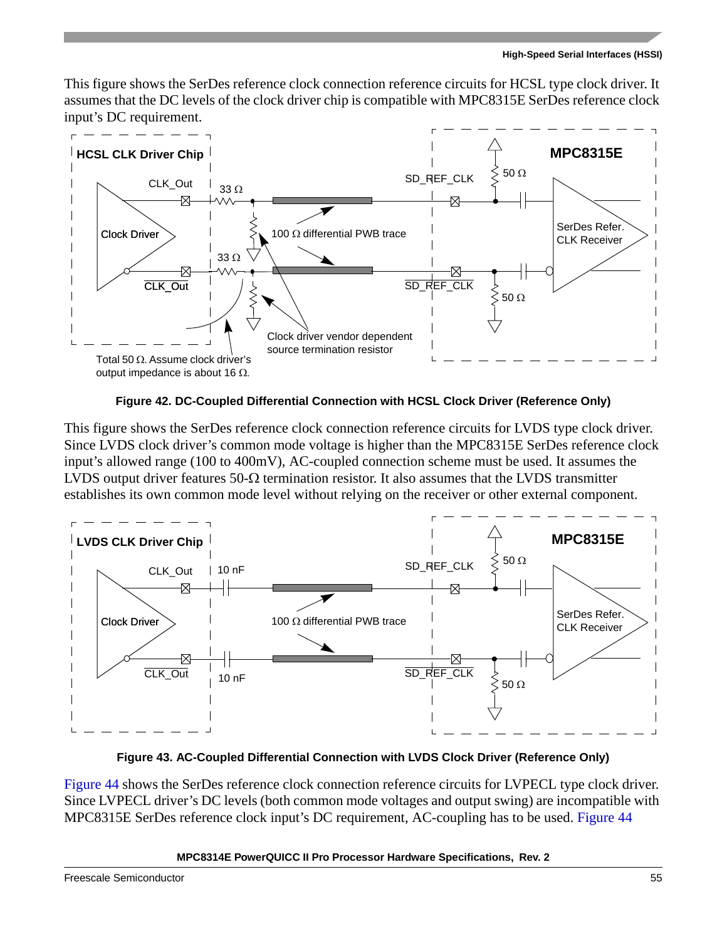This figure shows the SerDes reference clock connection reference circuits for HCSL type clock driver. It assumes that the DC levels of the clock driver chip is compatible with MPC8315E SerDes reference clock input's DC requirement.



**Figure 42. DC-Coupled Differential Connection with HCSL Clock Driver (Reference Only)**

<span id="page-54-0"></span>This figure shows the SerDes reference clock connection reference circuits for LVDS type clock driver. Since LVDS clock driver's common mode voltage is higher than the MPC8315E SerDes reference clock input's allowed range (100 to 400mV), AC-coupled connection scheme must be used. It assumes the LVDS output driver features  $50-\Omega$  termination resistor. It also assumes that the LVDS transmitter establishes its own common mode level without relying on the receiver or other external component.



**Figure 43. AC-Coupled Differential Connection with LVDS Clock Driver (Reference Only)**

[Figure 44](#page-55-1) shows the SerDes reference clock connection reference circuits for LVPECL type clock driver. Since LVPECL driver's DC levels (both common mode voltages and output swing) are incompatible with MPC8315E SerDes reference clock input's DC requirement, AC-coupling has to be used. [Figure 44](#page-55-1)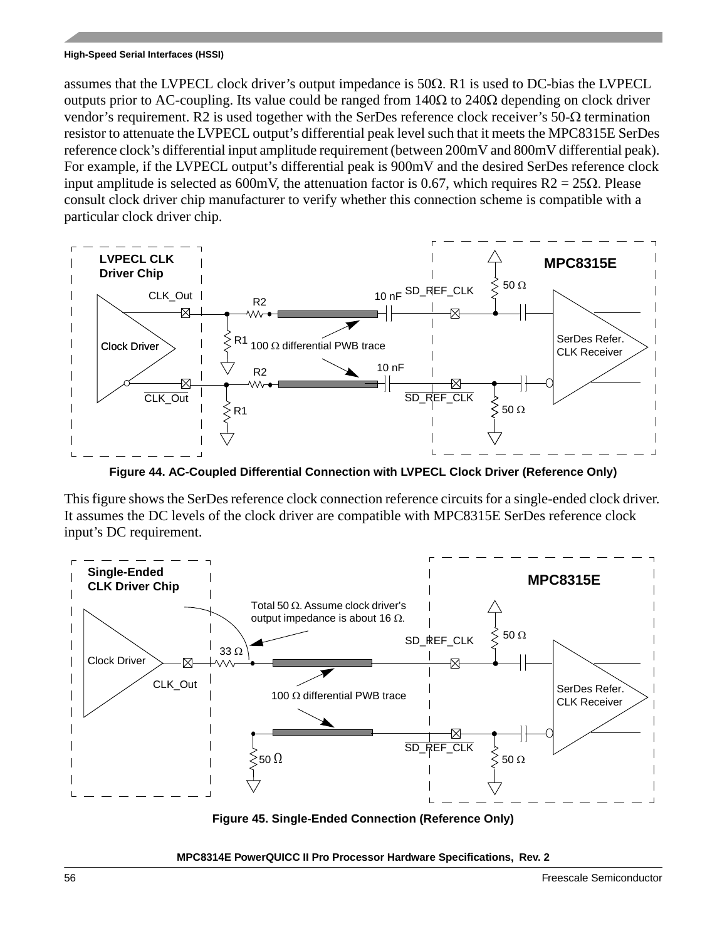assumes that the LVPECL clock driver's output impedance is  $50\Omega$ . R1 is used to DC-bias the LVPECL outputs prior to AC-coupling. Its value could be ranged from  $140\Omega$  to  $240\Omega$  depending on clock driver vendor's requirement. R2 is used together with the SerDes reference clock receiver's  $50-\Omega$  termination resistor to attenuate the LVPECL output's differential peak level such that it meets the MPC8315E SerDes reference clock's differential input amplitude requirement (between 200mV and 800mV differential peak). For example, if the LVPECL output's differential peak is 900mV and the desired SerDes reference clock input amplitude is selected as 600mV, the attenuation factor is 0.67, which requires  $R2 = 25\Omega$ . Please consult clock driver chip manufacturer to verify whether this connection scheme is compatible with a particular clock driver chip.



**Figure 44. AC-Coupled Differential Connection with LVPECL Clock Driver (Reference Only)**

<span id="page-55-1"></span>This figure shows the SerDes reference clock connection reference circuits for a single-ended clock driver. It assumes the DC levels of the clock driver are compatible with MPC8315E SerDes reference clock input's DC requirement.



<span id="page-55-0"></span>**Figure 45. Single-Ended Connection (Reference Only)**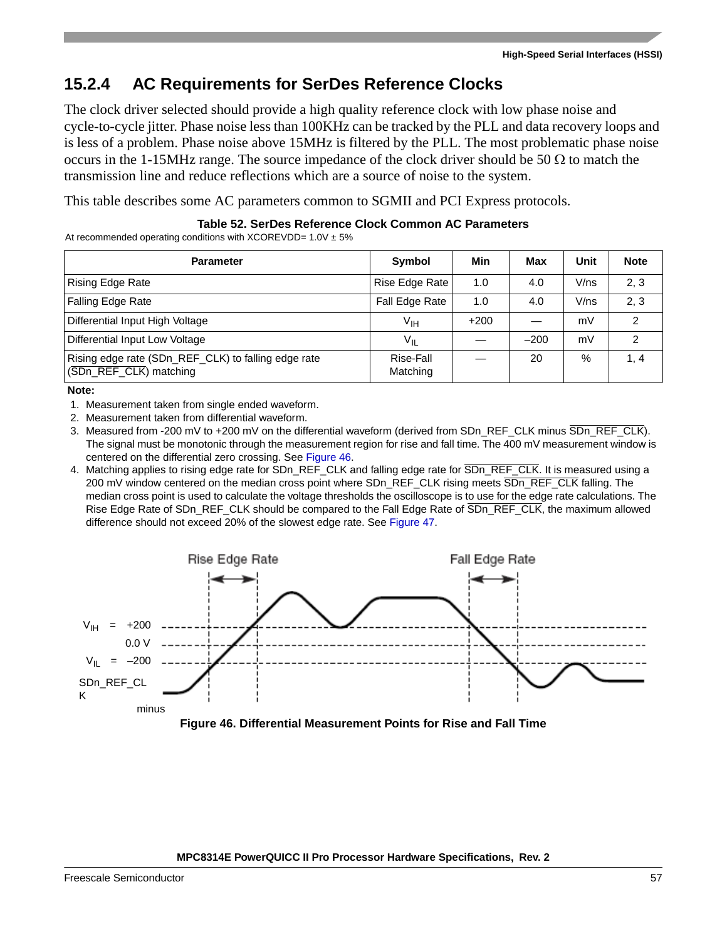## **15.2.4 AC Requirements for SerDes Reference Clocks**

The clock driver selected should provide a high quality reference clock with low phase noise and cycle-to-cycle jitter. Phase noise less than 100KHz can be tracked by the PLL and data recovery loops and is less of a problem. Phase noise above 15MHz is filtered by the PLL. The most problematic phase noise occurs in the 1-15MHz range. The source impedance of the clock driver should be 50  $\Omega$  to match the transmission line and reduce reflections which are a source of noise to the system.

This table describes some AC parameters common to SGMII and PCI Express protocols.

### **Table 52. SerDes Reference Clock Common AC Parameters**

At recommended operating conditions with XCOREVDD=  $1.0V \pm 5\%$ 

| <b>Parameter</b>                                                              | Symbol                | Min    | Max    | Unit | <b>Note</b> |
|-------------------------------------------------------------------------------|-----------------------|--------|--------|------|-------------|
| <b>Rising Edge Rate</b>                                                       | Rise Edge Rate        | 1.0    | 4.0    | V/ns | 2, 3        |
| Falling Edge Rate                                                             | Fall Edge Rate        | 1.0    | 4.0    | V/ns | 2, 3        |
| Differential Input High Voltage                                               | V <sub>IH</sub>       | $+200$ |        | mV   | 2           |
| Differential Input Low Voltage                                                | $V_{IL}$              |        | $-200$ | mV   | 2           |
| Rising edge rate (SDn_REF_CLK) to falling edge rate<br>(SDn_REF_CLK) matching | Rise-Fall<br>Matching |        | 20     | %    | 1, 4        |

**Note:** 

- 1. Measurement taken from single ended waveform.
- 2. Measurement taken from differential waveform.
- 3. Measured from -200 mV to +200 mV on the differential waveform (derived from SDn\_REF\_CLK minus SDn\_REF\_CLK). The signal must be monotonic through the measurement region for rise and fall time. The 400 mV measurement window is centered on the differential zero crossing. See [Figure 46.](#page-56-0)
- 4. Matching applies to rising edge rate for SDn\_REF\_CLK and falling edge rate for SDn\_REF\_CLK. It is measured using a 200 mV window centered on the median cross point where SDn\_REF\_CLK rising meets SDn\_REF\_CLK falling. The median cross point is used to calculate the voltage thresholds the oscilloscope is to use for the edge rate calculations. The Rise Edge Rate of SDn\_REF\_CLK should be compared to the Fall Edge Rate of SDn\_REF\_CLK, the maximum allowed difference should not exceed 20% of the slowest edge rate. See [Figure 47](#page-57-0).



<span id="page-56-0"></span>**Figure 46. Differential Measurement Points for Rise and Fall Time**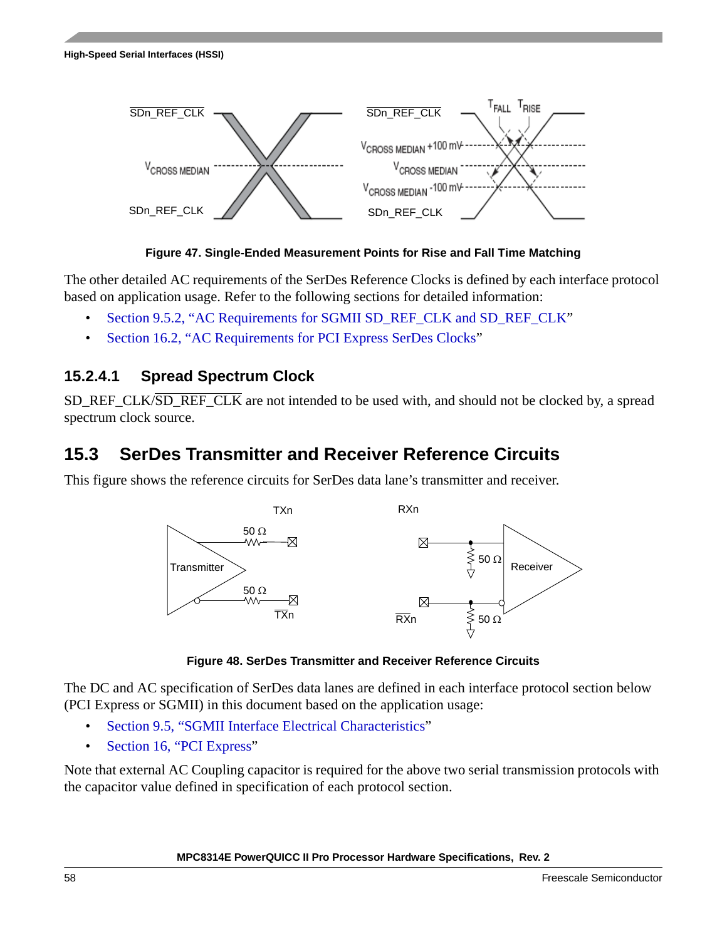

**Figure 47. Single-Ended Measurement Points for Rise and Fall Time Matching**

<span id="page-57-0"></span>The other detailed AC requirements of the SerDes Reference Clocks is defined by each interface protocol based on application usage. Refer to the following sections for detailed information:

- [Section 9.5.2, "AC Requirements for SGMII SD\\_REF\\_CLK and SD\\_REF\\_CLK](#page-31-1)"
- [Section 16.2, "AC Requirements for PCI Express SerDes Clocks](#page-58-0)"

### **15.2.4.1 Spread Spectrum Clock**

SD\_REF\_CLK/SD\_REF\_CLK are not intended to be used with, and should not be clocked by, a spread spectrum clock source.

# **15.3 SerDes Transmitter and Receiver Reference Circuits**

This figure shows the reference circuits for SerDes data lane's transmitter and receiver.



**Figure 48. SerDes Transmitter and Receiver Reference Circuits**

The DC and AC specification of SerDes data lanes are defined in each interface protocol section below (PCI Express or SGMII) in this document based on the application usage:

- [Section 9.5, "SGMII Interface Electrical Characteristics](#page-31-0)"
- [Section 16, "PCI Express"](#page-58-1)

Note that external AC Coupling capacitor is required for the above two serial transmission protocols with the capacitor value defined in specification of each protocol section.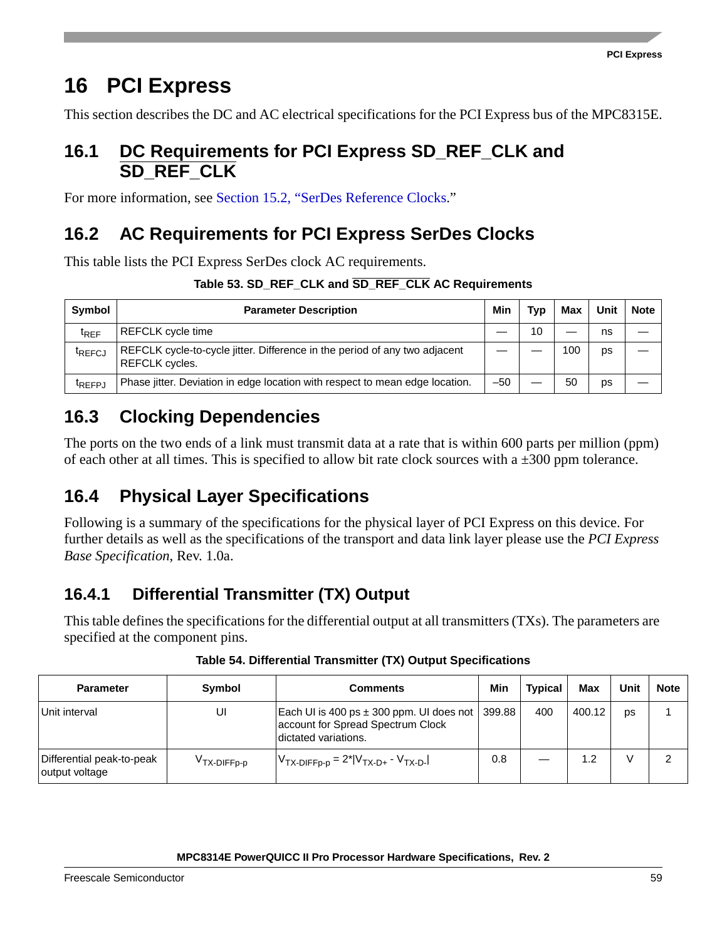# <span id="page-58-1"></span>**16 PCI Express**

This section describes the DC and AC electrical specifications for the PCI Express bus of the MPC8315E.

### **16.1 DC Requirements for PCI Express SD\_REF\_CLK and SD\_REF\_CLK**

For more information, see [Section 15.2, "SerDes Reference Clocks](#page-50-2)."

# <span id="page-58-0"></span>**16.2 AC Requirements for PCI Express SerDes Clocks**

This table lists the PCI Express SerDes clock AC requirements.

| Symbol             | <b>Parameter Description</b>                                                                 | Min   | Typ | Max | Unit | <b>Note</b> |
|--------------------|----------------------------------------------------------------------------------------------|-------|-----|-----|------|-------------|
| $t_{REF}$          | REFCLK cycle time                                                                            |       | 10  |     | ns   |             |
| <sup>T</sup> REFCJ | REFCLK cycle-to-cycle jitter. Difference in the period of any two adjacent<br>REFCLK cycles. |       |     | 100 | ps   |             |
| <sup>t</sup> REFPJ | Phase jitter. Deviation in edge location with respect to mean edge location.                 | $-50$ |     | 50  | ps   |             |

## **16.3 Clocking Dependencies**

The ports on the two ends of a link must transmit data at a rate that is within 600 parts per million (ppm) of each other at all times. This is specified to allow bit rate clock sources with a  $\pm 300$  ppm tolerance.

## **16.4 Physical Layer Specifications**

Following is a summary of the specifications for the physical layer of PCI Express on this device. For further details as well as the specifications of the transport and data link layer please use the *PCI Express Base Specification*, Rev. 1.0a.

## **16.4.1 Differential Transmitter (TX) Output**

This table defines the specifications for the differential output at all transmitters (TXs). The parameters are specified at the component pins.

| <b>Parameter</b>                            | Symbol                  | Comments                                                                                                            | Min | <b>Typical</b> | Max    | Unit | <b>Note</b> |
|---------------------------------------------|-------------------------|---------------------------------------------------------------------------------------------------------------------|-----|----------------|--------|------|-------------|
| Unit interval                               | UI                      | Each UI is 400 ps $\pm$ 300 ppm. UI does not   399.88<br>account for Spread Spectrum Clock<br>Idictated variations. |     | 400            | 400.12 | DS   |             |
| Differential peak-to-peak<br>output voltage | V <sub>TX-DIFFp-p</sub> | $V_{TX-DIFFp-p} = 2^*  V_{TX-D+} - V_{TX-D-}$                                                                       | 0.8 |                | 1.2    |      |             |

### **Table 54. Differential Transmitter (TX) Output Specifications**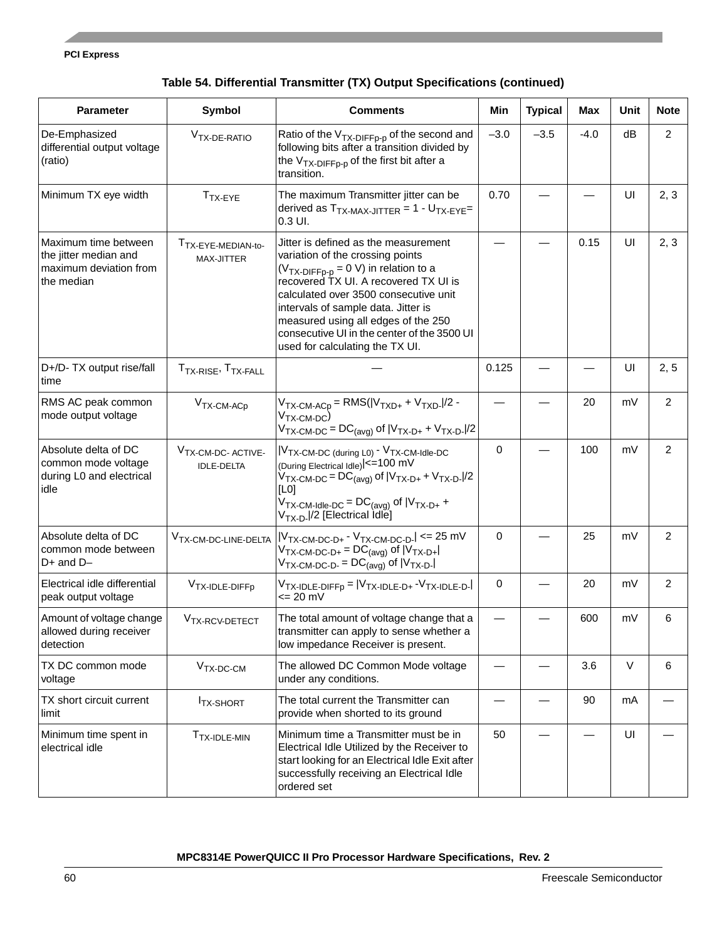#### **PCI Express**

| Table 54. Differential Transmitter (TX) Output Specifications (continued) |  |  |
|---------------------------------------------------------------------------|--|--|
|---------------------------------------------------------------------------|--|--|

| <b>Parameter</b>                                                                      | <b>Symbol</b>                                      | <b>Comments</b>                                                                                                                                                                                                                                                                                                                                                         | Min         | <b>Typical</b> | <b>Max</b> | Unit | <b>Note</b>    |
|---------------------------------------------------------------------------------------|----------------------------------------------------|-------------------------------------------------------------------------------------------------------------------------------------------------------------------------------------------------------------------------------------------------------------------------------------------------------------------------------------------------------------------------|-------------|----------------|------------|------|----------------|
| De-Emphasized<br>differential output voltage<br>(ratio)                               | V <sub>TX-DE-RATIO</sub>                           | Ratio of the $V_{TX-DIFFp-p}$ of the second and<br>following bits after a transition divided by<br>the $V_{TX-DIFFp-p}$ of the first bit after a<br>transition.                                                                                                                                                                                                         | $-3.0$      | $-3.5$         | $-4.0$     | dB   | $\overline{2}$ |
| Minimum TX eye width                                                                  | $TTX-EYE$                                          | The maximum Transmitter jitter can be<br>derived as $T_{TX\text{-MAX-JITER}} = 1 - U_{TX\text{-EYE}}$<br>$0.3$ UI.                                                                                                                                                                                                                                                      | 0.70        |                |            | UI   | 2, 3           |
| Maximum time between<br>the jitter median and<br>maximum deviation from<br>the median | T <sub>TX-EYE-MEDIAN-to-</sub><br>MAX-JITTER       | Jitter is defined as the measurement<br>variation of the crossing points<br>$(V_{TX-DIFFp-p} = 0 V)$ in relation to a<br>recovered TX UI. A recovered TX UI is<br>calculated over 3500 consecutive unit<br>intervals of sample data. Jitter is<br>measured using all edges of the 250<br>consecutive UI in the center of the 3500 UI<br>used for calculating the TX UI. |             |                | 0.15       | UI   | 2, 3           |
| D+/D- TX output rise/fall<br>time                                                     | T <sub>TX-RISE</sub> , T <sub>TX-FALL</sub>        |                                                                                                                                                                                                                                                                                                                                                                         | 0.125       |                |            | UI   | 2, 5           |
| RMS AC peak common<br>mode output voltage                                             | $VTX-CM-ACp$                                       | $V_{TX-CM-ACp} = RMS( V_{TXD+} + V_{TXD-} /2 -$<br>$VTX-CM-DC$<br>$V_{TX-CM-DC} = DC_{(avg)}$ of $ V_{TX-D+} + V_{TX-D-} /2$                                                                                                                                                                                                                                            |             |                | 20         | mV   | $\overline{2}$ |
| Absolute delta of DC<br>common mode voltage<br>during L0 and electrical<br>idle       | V <sub>TX-CM-DC-ACTIVE-</sub><br><b>IDLE-DELTA</b> | V <sub>TX</sub> -CM-DC (during L0) <sup>- V</sup> TX-CM-Idle-DC<br>(During Electrical Idle) <= 100 mV<br>$V_{TX-CM-DC} = DC_{(avg)}$ of $ V_{TX-D+} + V_{TX-D-} /2$<br>[L0]<br>$V_{TX\text{-}CM\text{-}ldle\text{-}DC} = DC_{(avg)}$ of $ V_{TX\text{-}D+} +$<br>V <sub>TX-D-</sub>  /2 [Electrical Idle]                                                               | $\mathbf 0$ |                | 100        | mV   | 2              |
| Absolute delta of DC<br>common mode between<br>$D+$ and $D-$                          | V <sub>TX-CM-DC-LINE-DELTA</sub>                   | $ V_{TX-CM-DC-D+}$ - $V_{TX-CM-DC-D-}$ <= 25 mV<br>$V_{TX-CM-DC-D+} = DC_{(avg)}$ of $ V_{TX-D+} $<br>$V_{TX\text{-}CM\text{-}DC\text{-}D\text{-}} = DC_{(avg)}$ of $ V_{TX\text{-}D\text{-}} $                                                                                                                                                                         | $\mathbf 0$ |                | 25         | mV   | $\overline{c}$ |
| Electrical idle differential<br>peak output voltage                                   | V <sub>TX-IDLE-DIFFp</sub>                         | $V_{TX-IDLE-DIFFp} =  V_{TX-IDLE-D+} - V_{TX-IDLE-D-} \$<br>$= 20$ mV                                                                                                                                                                                                                                                                                                   | 0           |                | 20         | mV   | 2              |
| Amount of voltage change<br>allowed during receiver<br>detection                      | V <sub>TX-RCV-DETECT</sub>                         | The total amount of voltage change that a<br>transmitter can apply to sense whether a<br>low impedance Receiver is present.                                                                                                                                                                                                                                             |             |                | 600        | mV   | 6              |
| TX DC common mode<br>voltage                                                          | $VTX-DC-CM$                                        | The allowed DC Common Mode voltage<br>under any conditions.                                                                                                                                                                                                                                                                                                             |             |                | 3.6        | V    | 6              |
| TX short circuit current<br>limit                                                     | <b>ITX-SHORT</b>                                   | The total current the Transmitter can<br>provide when shorted to its ground                                                                                                                                                                                                                                                                                             |             |                | 90         | mA   |                |
| Minimum time spent in<br>electrical idle                                              | T <sub>TX-IDLE-MIN</sub>                           | Minimum time a Transmitter must be in<br>Electrical Idle Utilized by the Receiver to<br>start looking for an Electrical Idle Exit after<br>successfully receiving an Electrical Idle<br>ordered set                                                                                                                                                                     | 50          |                |            | UI   |                |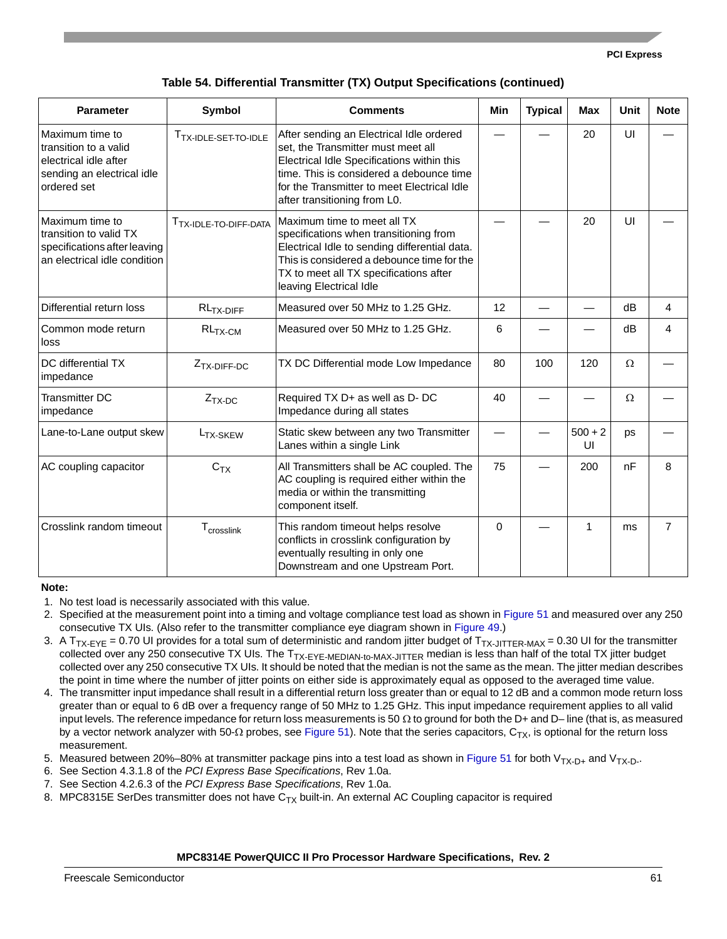#### **PCI Express**

| <b>Parameter</b>                                                                                               | Symbol                            | <b>Comments</b>                                                                                                                                                                                                                                         | <b>Min</b> | <b>Typical</b> | <b>Max</b>      | Unit     | <b>Note</b>    |
|----------------------------------------------------------------------------------------------------------------|-----------------------------------|---------------------------------------------------------------------------------------------------------------------------------------------------------------------------------------------------------------------------------------------------------|------------|----------------|-----------------|----------|----------------|
| Maximum time to<br>transition to a valid<br>electrical idle after<br>sending an electrical idle<br>ordered set | T <sub>TX-IDLE-SET-TO-IDLE</sub>  | After sending an Electrical Idle ordered<br>set, the Transmitter must meet all<br>Electrical Idle Specifications within this<br>time. This is considered a debounce time<br>for the Transmitter to meet Electrical Idle<br>after transitioning from L0. |            |                | 20              | UI       |                |
| Maximum time to<br>transition to valid TX<br>specifications after leaving<br>an electrical idle condition      | T <sub>TX-IDLE-TO-DIFF-DATA</sub> | Maximum time to meet all TX<br>specifications when transitioning from<br>Electrical Idle to sending differential data.<br>This is considered a debounce time for the<br>TX to meet all TX specifications after<br>leaving Electrical Idle               |            |                | 20              | UI       |                |
| Differential return loss                                                                                       | $RLTX-DIFF$                       | Measured over 50 MHz to 1.25 GHz.                                                                                                                                                                                                                       | 12         |                |                 | dB       | 4              |
| Common mode return<br>loss                                                                                     | $RL_{TX-CM}$                      | Measured over 50 MHz to 1.25 GHz.                                                                                                                                                                                                                       | 6          |                |                 | dB       | 4              |
| DC differential TX<br>impedance                                                                                | Z <sub>TX-DIFF-DC</sub>           | TX DC Differential mode Low Impedance                                                                                                                                                                                                                   | 80         | 100            | 120             | $\Omega$ |                |
| <b>Transmitter DC</b><br>impedance                                                                             | $Z_{TX-DC}$                       | Required TX D+ as well as D- DC<br>Impedance during all states                                                                                                                                                                                          | 40         |                |                 | $\Omega$ |                |
| Lane-to-Lane output skew                                                                                       | L <sub>TX-SKEW</sub>              | Static skew between any two Transmitter<br>Lanes within a single Link                                                                                                                                                                                   |            |                | $500 + 2$<br>UI | ps       |                |
| AC coupling capacitor                                                                                          | C <sub>TX</sub>                   | All Transmitters shall be AC coupled. The<br>AC coupling is required either within the<br>media or within the transmitting<br>component itself.                                                                                                         | 75         |                | 200             | nF       | 8              |
| Crosslink random timeout                                                                                       | T <sub>crosslink</sub>            | This random timeout helps resolve<br>conflicts in crosslink configuration by<br>eventually resulting in only one<br>Downstream and one Upstream Port.                                                                                                   | 0          |                | 1               | ms       | $\overline{7}$ |

#### **Note:**

- 2. Specified at the measurement point into a timing and voltage compliance test load as shown in [Figure 51](#page-65-0) and measured over any 250 consecutive TX UIs. (Also refer to the transmitter compliance eye diagram shown in [Figure 49.](#page-61-0))
- 3. A  $T_{TX-EYE}$  = 0.70 UI provides for a total sum of deterministic and random jitter budget of  $T_{TX-JITTER-MAX}$  = 0.30 UI for the transmitter collected over any 250 consecutive TX UIs. The T<sub>TX-EYE-MEDIAN-to-MAX-JITTER</sub> median is less than half of the total TX jitter budget collected over any 250 consecutive TX UIs. It should be noted that the median is not the same as the mean. The jitter median describes the point in time where the number of jitter points on either side is approximately equal as opposed to the averaged time value.
- 4. The transmitter input impedance shall result in a differential return loss greater than or equal to 12 dB and a common mode return loss greater than or equal to 6 dB over a frequency range of 50 MHz to 1.25 GHz. This input impedance requirement applies to all valid input levels. The reference impedance for return loss measurements is 50  $\Omega$  to ground for both the D+ and D– line (that is, as measured by a vector network analyzer with 50- $\Omega$  probes, see [Figure 51\)](#page-65-0). Note that the series capacitors,  $C_{TX}$ , is optional for the return loss measurement.
- 5. Measured between 20%–80% at transmitter package pins into a test load as shown in [Figure 51](#page-65-0) for both  $V_{TX-D+}$  and  $V_{TX-D+}$
- 6. See Section 4.3.1.8 of the *PCI Express Base Specifications*, Rev 1.0a.
- 7. See Section 4.2.6.3 of the *PCI Express Base Specifications*, Rev 1.0a.
- 8. MPC8315E SerDes transmitter does not have  $C<sub>TX</sub>$  built-in. An external AC Coupling capacitor is required

<sup>1.</sup> No test load is necessarily associated with this value.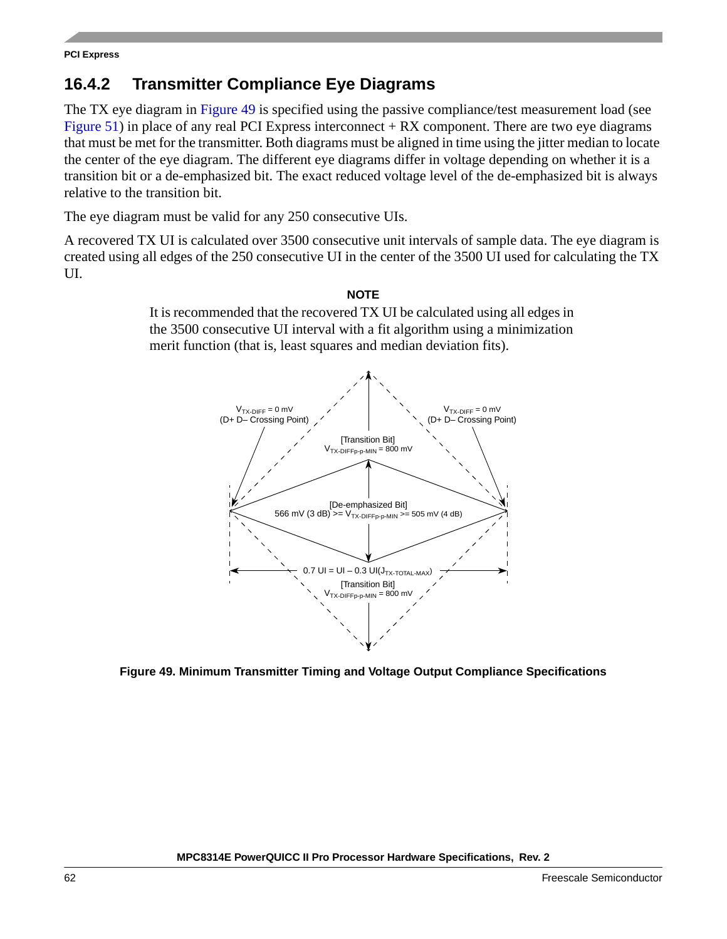## **16.4.2 Transmitter Compliance Eye Diagrams**

The TX eye diagram in [Figure 49](#page-61-0) is specified using the passive compliance/test measurement load (see [Figure 51](#page-65-0)) in place of any real PCI Express interconnect  $+ RX$  component. There are two eye diagrams that must be met for the transmitter. Both diagrams must be aligned in time using the jitter median to locate the center of the eye diagram. The different eye diagrams differ in voltage depending on whether it is a transition bit or a de-emphasized bit. The exact reduced voltage level of the de-emphasized bit is always relative to the transition bit.

The eye diagram must be valid for any 250 consecutive UIs.

A recovered TX UI is calculated over 3500 consecutive unit intervals of sample data. The eye diagram is created using all edges of the 250 consecutive UI in the center of the 3500 UI used for calculating the TX UI.

### **NOTE**

It is recommended that the recovered TX UI be calculated using all edges in the 3500 consecutive UI interval with a fit algorithm using a minimization merit function (that is, least squares and median deviation fits).



<span id="page-61-0"></span>**Figure 49. Minimum Transmitter Timing and Voltage Output Compliance Specifications**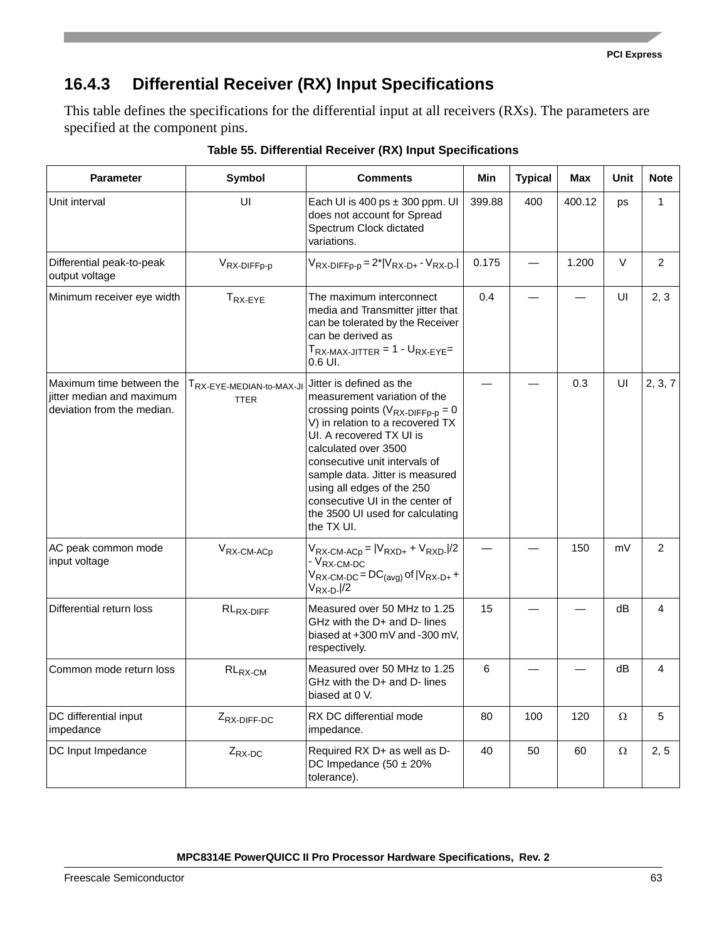## **16.4.3 Differential Receiver (RX) Input Specifications**

This table defines the specifications for the differential input at all receivers (RXs). The parameters are specified at the component pins.

| <b>Parameter</b><br>Symbol                                                          |                                         | <b>Comments</b>                                                                                                                                                                                                                                                                                                                                                                   | Min    | <b>Typical</b> | Max    | <b>Unit</b> | <b>Note</b>    |
|-------------------------------------------------------------------------------------|-----------------------------------------|-----------------------------------------------------------------------------------------------------------------------------------------------------------------------------------------------------------------------------------------------------------------------------------------------------------------------------------------------------------------------------------|--------|----------------|--------|-------------|----------------|
| Unit interval                                                                       | UI                                      | Each UI is 400 ps $\pm$ 300 ppm. UI<br>does not account for Spread<br>Spectrum Clock dictated<br>variations.                                                                                                                                                                                                                                                                      | 399.88 | 400            | 400.12 | ps          | 1              |
| Differential peak-to-peak<br>output voltage                                         | V <sub>RX-DIFFp-p</sub>                 | $V_{RX-DIFFp-p} = 2^*  V_{RX-D+} - V_{RX-D-} $                                                                                                                                                                                                                                                                                                                                    | 0.175  |                | 1.200  | V           | $\overline{2}$ |
| Minimum receiver eye width                                                          | T <sub>RX-EYE</sub>                     | The maximum interconnect<br>media and Transmitter jitter that<br>can be tolerated by the Receiver<br>can be derived as<br>$T_{\text{RX-MAX-JITTER}}$ = 1 - $U_{\text{RX-EYE}}$ =<br>$0.6$ UI.                                                                                                                                                                                     | 0.4    |                |        | UI          | 2, 3           |
| Maximum time between the<br>iitter median and maximum<br>deviation from the median. | TRX-EYE-MEDIAN-to-MAX-JI<br><b>TTER</b> | Jitter is defined as the<br>measurement variation of the<br>crossing points ( $V_{RX-DIFFp-p} = 0$<br>V) in relation to a recovered TX<br>UI. A recovered TX UI is<br>calculated over 3500<br>consecutive unit intervals of<br>sample data. Jitter is measured<br>using all edges of the 250<br>consecutive UI in the center of<br>the 3500 UI used for calculating<br>the TX UI. |        |                | 0.3    | UI          | 2, 3, 7        |
| AC peak common mode<br>input voltage                                                | $V_{RX-CM-ACp}$                         | $V_{RX-CM-ACp} =  V_{RXD+} + V_{RXD-} /2$<br>- V <sub>RX-CM-DC</sub><br>$V_{RX-CM-DC} = DC_{(avg)}$ of $ V_{RX-D+} +$<br>$V_{\mathsf{RX}\text{-}\mathsf{D}}$ ./2                                                                                                                                                                                                                  |        |                | 150    | mV          | $\overline{2}$ |
| Differential return loss                                                            | RL <sub>RX-DIFF</sub>                   | Measured over 50 MHz to 1.25<br>GHz with the D+ and D- lines<br>biased at +300 mV and -300 mV,<br>respectively.                                                                                                                                                                                                                                                                   | 15     |                |        | dB          | 4              |
| Common mode return loss                                                             | $RL_{RX-CM}$                            | Measured over 50 MHz to 1.25<br>GHz with the D+ and D- lines<br>biased at 0 V.                                                                                                                                                                                                                                                                                                    | 6      |                |        | dB          | 4              |
| DC differential input<br>impedance                                                  | Z <sub>RX-DIFF-DC</sub>                 | RX DC differential mode<br>impedance.                                                                                                                                                                                                                                                                                                                                             | 80     | 100            | 120    | Ω           | 5              |
| DC Input Impedance                                                                  | $Z_{RX-DC}$                             | Required RX D+ as well as D-<br>DC Impedance $(50 \pm 20\%)$<br>tolerance).                                                                                                                                                                                                                                                                                                       | 40     | 50             | 60     | $\Omega$    | 2, 5           |

**Table 55. Differential Receiver (RX) Input Specifications**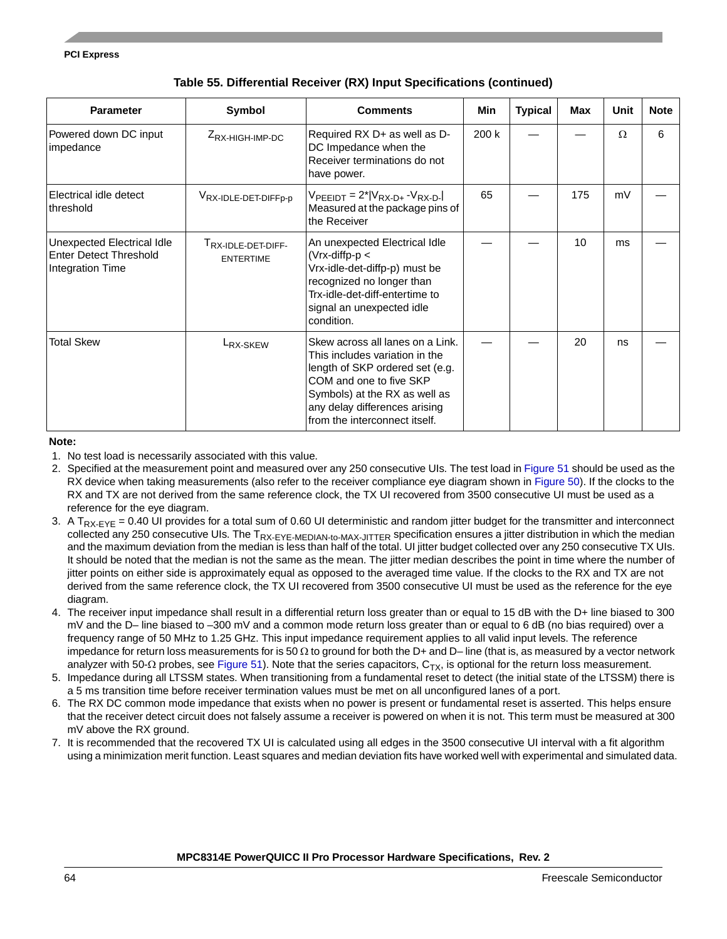| <b>Parameter</b>                                                                | Symbol                                             | <b>Comments</b>                                                                                                                                                                                                                      | Min   | <b>Typical</b> | Max | Unit     | <b>Note</b> |
|---------------------------------------------------------------------------------|----------------------------------------------------|--------------------------------------------------------------------------------------------------------------------------------------------------------------------------------------------------------------------------------------|-------|----------------|-----|----------|-------------|
| Powered down DC input<br>impedance                                              | $Z_{\text{RX-HIGH-IMP-DC}}$                        | Required RX D+ as well as D-<br>DC Impedance when the<br>Receiver terminations do not<br>have power.                                                                                                                                 | 200 k |                |     | $\Omega$ | 6           |
| Electrical idle detect<br>threshold                                             | VRX-IDLE-DET-DIFFp-p                               | $V_{PEEIDT} = 2^*  V_{RX-D+} - V_{RX-D-} $<br>Measured at the package pins of<br>the Receiver                                                                                                                                        | 65    |                | 175 | mV       |             |
| Unexpected Electrical Idle<br><b>Enter Detect Threshold</b><br>Integration Time | T <sub>RX-IDLE-DET-DIFF-</sub><br><b>ENTERTIME</b> | An unexpected Electrical Idle<br>$(Vrx\text{-diffp-p}$<br>Vrx-idle-det-diffp-p) must be<br>recognized no longer than<br>Trx-idle-det-diff-entertime to<br>signal an unexpected idle<br>condition.                                    |       |                | 10  | ms       |             |
| <b>Total Skew</b>                                                               | L <sub>RX-SKEW</sub>                               | Skew across all lanes on a Link.<br>This includes variation in the<br>length of SKP ordered set (e.g.<br>COM and one to five SKP<br>Symbols) at the RX as well as<br>any delay differences arising<br>Ifrom the interconnect itself. |       |                | 20  | ns       |             |

### **Table 55. Differential Receiver (RX) Input Specifications (continued)**

#### **Note:**

- 1. No test load is necessarily associated with this value.
- 2. Specified at the measurement point and measured over any 250 consecutive UIs. The test load in [Figure 51](#page-65-0) should be used as the RX device when taking measurements (also refer to the receiver compliance eye diagram shown in [Figure 50](#page-64-0)). If the clocks to the RX and TX are not derived from the same reference clock, the TX UI recovered from 3500 consecutive UI must be used as a reference for the eye diagram.
- 3. A  $T_{RX-FYF} = 0.40$  UI provides for a total sum of 0.60 UI deterministic and random jitter budget for the transmitter and interconnect collected any 250 consecutive UIs. The T<sub>RX-EYE-MEDIAN-to-MAX-JITTER</sub> specification ensures a jitter distribution in which the median and the maximum deviation from the median is less than half of the total. UI jitter budget collected over any 250 consecutive TX UIs. It should be noted that the median is not the same as the mean. The jitter median describes the point in time where the number of jitter points on either side is approximately equal as opposed to the averaged time value. If the clocks to the RX and TX are not derived from the same reference clock, the TX UI recovered from 3500 consecutive UI must be used as the reference for the eye diagram.
- 4. The receiver input impedance shall result in a differential return loss greater than or equal to 15 dB with the D+ line biased to 300 mV and the D– line biased to –300 mV and a common mode return loss greater than or equal to 6 dB (no bias required) over a frequency range of 50 MHz to 1.25 GHz. This input impedance requirement applies to all valid input levels. The reference impedance for return loss measurements for is 50  $\Omega$  to ground for both the D+ and D– line (that is, as measured by a vector network analyzer with 50- $\Omega$  probes, see [Figure 51](#page-65-0)). Note that the series capacitors,  $C_{TX}$ , is optional for the return loss measurement.
- 5. Impedance during all LTSSM states. When transitioning from a fundamental reset to detect (the initial state of the LTSSM) there is a 5 ms transition time before receiver termination values must be met on all unconfigured lanes of a port.
- 6. The RX DC common mode impedance that exists when no power is present or fundamental reset is asserted. This helps ensure that the receiver detect circuit does not falsely assume a receiver is powered on when it is not. This term must be measured at 300 mV above the RX ground.
- 7. It is recommended that the recovered TX UI is calculated using all edges in the 3500 consecutive UI interval with a fit algorithm using a minimization merit function. Least squares and median deviation fits have worked well with experimental and simulated data.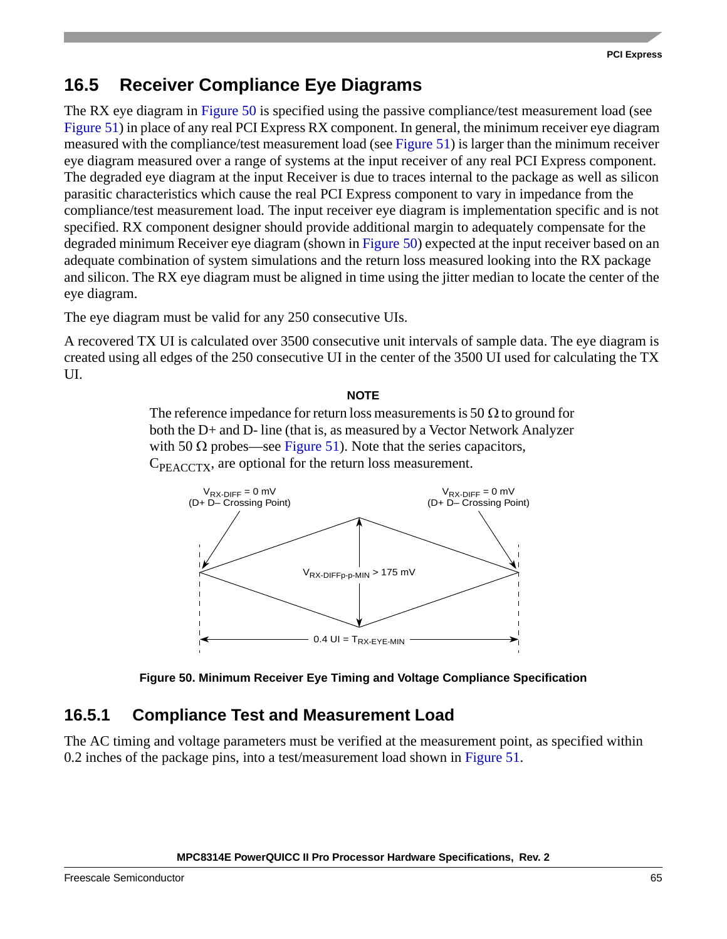## **16.5 Receiver Compliance Eye Diagrams**

The RX eye diagram in [Figure 50](#page-64-0) is specified using the passive compliance/test measurement load (see [Figure 51](#page-65-0)) in place of any real PCI Express RX component. In general, the minimum receiver eye diagram measured with the compliance/test measurement load (see [Figure 51\)](#page-65-0) is larger than the minimum receiver eye diagram measured over a range of systems at the input receiver of any real PCI Express component. The degraded eye diagram at the input Receiver is due to traces internal to the package as well as silicon parasitic characteristics which cause the real PCI Express component to vary in impedance from the compliance/test measurement load. The input receiver eye diagram is implementation specific and is not specified. RX component designer should provide additional margin to adequately compensate for the degraded minimum Receiver eye diagram (shown in [Figure 50\)](#page-64-0) expected at the input receiver based on an adequate combination of system simulations and the return loss measured looking into the RX package and silicon. The RX eye diagram must be aligned in time using the jitter median to locate the center of the eye diagram.

The eye diagram must be valid for any 250 consecutive UIs.

A recovered TX UI is calculated over 3500 consecutive unit intervals of sample data. The eye diagram is created using all edges of the 250 consecutive UI in the center of the 3500 UI used for calculating the TX UI.

### **NOTE**

The reference impedance for return loss measurements is 50  $\Omega$  to ground for both the D+ and D- line (that is, as measured by a Vector Network Analyzer with 50  $\Omega$  probes—see [Figure 51](#page-65-0)). Note that the series capacitors,  $C_{\text{PEACTX}}$ , are optional for the return loss measurement.





### <span id="page-64-0"></span>**16.5.1 Compliance Test and Measurement Load**

The AC timing and voltage parameters must be verified at the measurement point, as specified within 0.2 inches of the package pins, into a test/measurement load shown in [Figure 51](#page-65-0).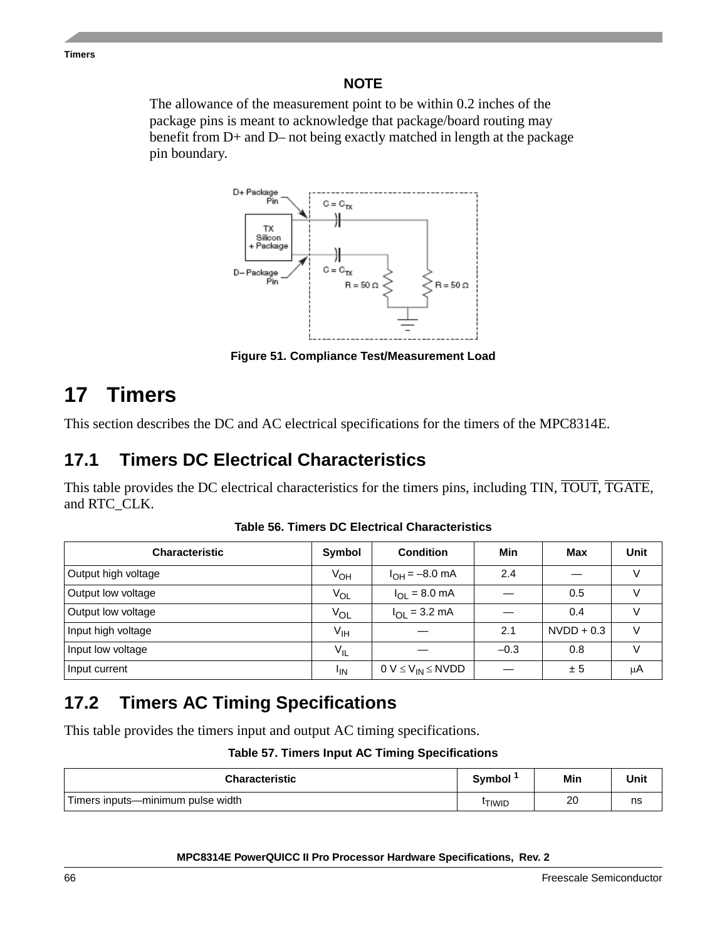**Timers**

### **NOTE**

The allowance of the measurement point to be within 0.2 inches of the package pins is meant to acknowledge that package/board routing may benefit from D+ and D– not being exactly matched in length at the package pin boundary.



**Figure 51. Compliance Test/Measurement Load**

# <span id="page-65-0"></span>**17 Timers**

This section describes the DC and AC electrical specifications for the timers of the MPC8314E.

# **17.1 Timers DC Electrical Characteristics**

This table provides the DC electrical characteristics for the timers pins, including TIN, TOUT, TGATE, and RTC\_CLK.

| <b>Characteristic</b> | <b>Symbol</b> | <b>Condition</b>             | Min    | Max          | <b>Unit</b> |
|-----------------------|---------------|------------------------------|--------|--------------|-------------|
| Output high voltage   | $V_{OH}$      | $I_{OH} = -8.0$ mA           | 2.4    |              | $\vee$      |
| Output low voltage    | $V_{OL}$      | $I_{OL} = 8.0$ mA            |        | 0.5          |             |
| Output low voltage    | VOL           | $I_{OL} = 3.2$ mA            |        | 0.4          |             |
| Input high voltage    | $V_{IH}$      |                              | 2.1    | $NVDD + 0.3$ |             |
| Input low voltage     | $V_{IL}$      |                              | $-0.3$ | 0.8          |             |
| Input current         | 'IN           | $0 V \leq V_{IN} \leq N VDD$ |        | ± 5          | μA          |

**Table 56. Timers DC Electrical Characteristics**

# **17.2 Timers AC Timing Specifications**

This table provides the timers input and output AC timing specifications.

### **Table 57. Timers Input AC Timing Specifications**

| <b>Characteristic</b>             | <b>Symbol</b> | Min | Unit |
|-----------------------------------|---------------|-----|------|
| Timers inputs—minimum pulse width | <b>'TIWID</b> | 20  | ns   |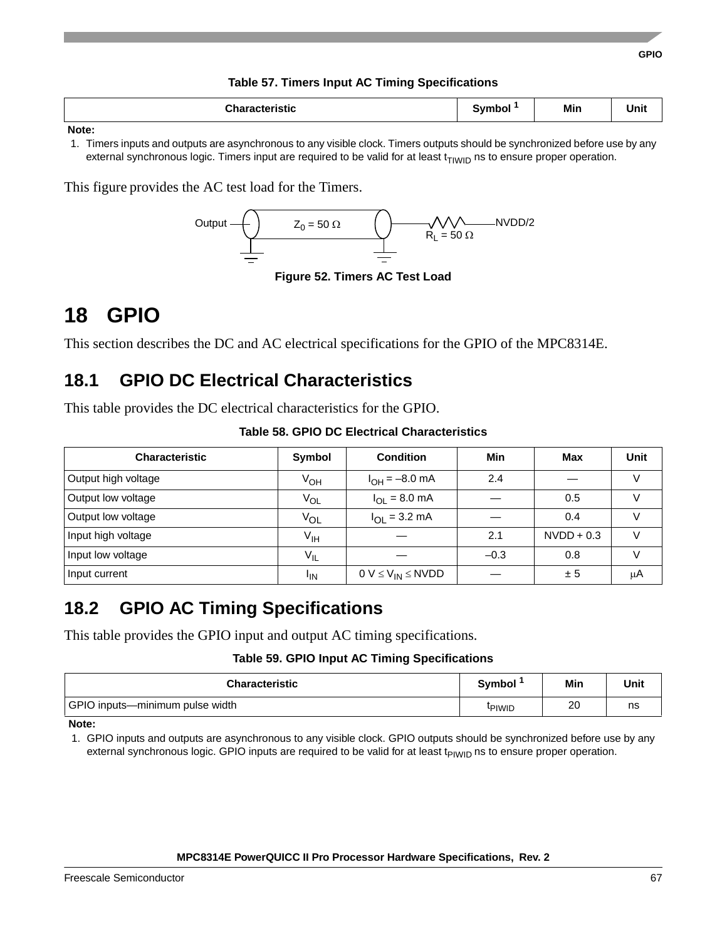### **Table 57. Timers Input AC Timing Specifications**

| <b>Characteristic</b> | Symbol | Min | Jnit |
|-----------------------|--------|-----|------|
| Note:                 |        |     |      |

1. Timers inputs and outputs are asynchronous to any visible clock. Timers outputs should be synchronized before use by any external synchronous logic. Timers input are required to be valid for at least  $t_{T1W1D}$  ns to ensure proper operation.

This figure provides the AC test load for the Timers.



**Figure 52. Timers AC Test Load**

# **18 GPIO**

This section describes the DC and AC electrical specifications for the GPIO of the MPC8314E.

## **18.1 GPIO DC Electrical Characteristics**

This table provides the DC electrical characteristics for the GPIO.

| Table 58, GPIO DC Electrical Characteristics |  |
|----------------------------------------------|--|
|----------------------------------------------|--|

| <b>Characteristic</b> | Symbol          | <b>Condition</b>                 | Min    | Max          | <b>Unit</b> |
|-----------------------|-----------------|----------------------------------|--------|--------------|-------------|
| Output high voltage   | $V_{OH}$        | $I_{OH} = -8.0$ mA               | 2.4    |              | V           |
| Output low voltage    | $V_{OL}$        | $I_{\text{OI}} = 8.0 \text{ mA}$ |        | 0.5          | v           |
| Output low voltage    | VOL             | $I_{\text{OI}} = 3.2 \text{ mA}$ |        | 0.4          |             |
| Input high voltage    | $V_{\text{IH}}$ |                                  | 2.1    | $NVDD + 0.3$ | V           |
| Input low voltage     | $V_{IL}$        |                                  | $-0.3$ | 0.8          |             |
| Input current         | <sup>I</sup> IN | $0 V \leq V_{IN} \leq NVDD$      |        | ± 5          | μA          |

## **18.2 GPIO AC Timing Specifications**

This table provides the GPIO input and output AC timing specifications.

### **Table 59. GPIO Input AC Timing Specifications**

| <b>Characteristic</b>           | <b>Symbol</b> | Min | Unit |
|---------------------------------|---------------|-----|------|
| GPIO inputs—minimum pulse width | <b>PIWID</b>  | 20  | ns   |

**Note:** 

1. GPIO inputs and outputs are asynchronous to any visible clock. GPIO outputs should be synchronized before use by any external synchronous logic. GPIO inputs are required to be valid for at least  $t_{PIWID}$  ns to ensure proper operation.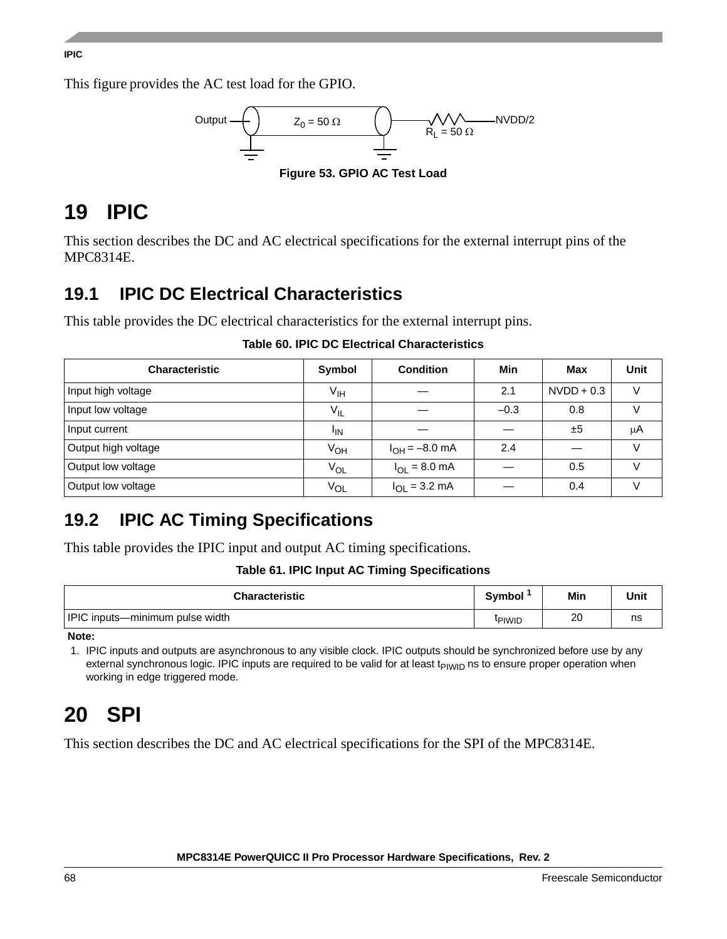### **IPIC**

This figure provides the AC test load for the GPIO.



# **19 IPIC**

This section describes the DC and AC electrical specifications for the external interrupt pins of the MPC8314E.

# **19.1 IPIC DC Electrical Characteristics**

This table provides the DC electrical characteristics for the external interrupt pins.

| <b>Characteristic</b> | Symbol          | <b>Condition</b>          | Min    | Max          | <b>Unit</b> |
|-----------------------|-----------------|---------------------------|--------|--------------|-------------|
| Input high voltage    | V <sub>IH</sub> |                           | 2.1    | $NVDD + 0.3$ |             |
| Input low voltage     | $V_{IL}$        |                           | $-0.3$ | 0.8          |             |
| Input current         | <sup>I</sup> IN |                           |        | ±5           | μA          |
| Output high voltage   | Ѵон             | $I_{OH} = -8.0$ mA        | 2.4    |              | $\vee$      |
| Output low voltage    | $V_{OL}$        | $I_{OL} = 8.0$ mA         |        | 0.5          |             |
| Output low voltage    | VOL             | $I_{OL} = 3.2 \text{ mA}$ |        | 0.4          |             |

### **Table 60. IPIC DC Electrical Characteristics**

# **19.2 IPIC AC Timing Specifications**

This table provides the IPIC input and output AC timing specifications.

### **Table 61. IPIC Input AC Timing Specifications**

| <b>Characteristic</b>           | <b>Symbol</b>      | Min | Unit |
|---------------------------------|--------------------|-----|------|
| IPIC inputs-minimum pulse width | <sup>I</sup> PIWID | 20  | ns   |

**Note:** 

1. IPIC inputs and outputs are asynchronous to any visible clock. IPIC outputs should be synchronized before use by any external synchronous logic. IPIC inputs are required to be valid for at least t<sub>PIWID</sub> ns to ensure proper operation when working in edge triggered mode.

# **20 SPI**

This section describes the DC and AC electrical specifications for the SPI of the MPC8314E.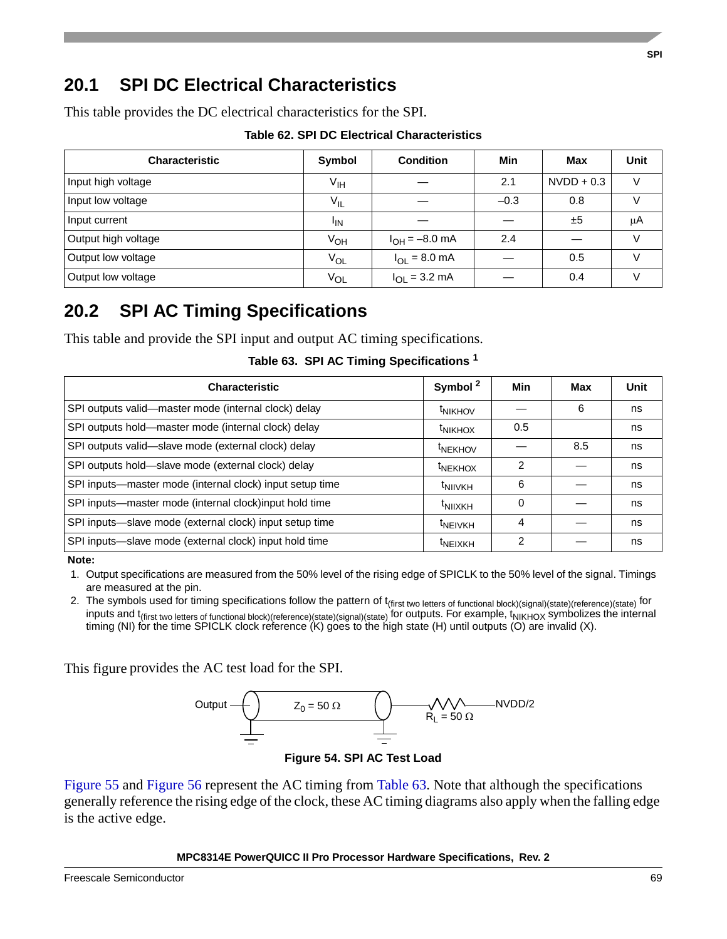### This table provides the DC electrical characteristics for the SPI.

**20.1 SPI DC Electrical Characteristics**

|  |  |  | <b>Table 62. SPI DC Electrical Characteristics</b> |
|--|--|--|----------------------------------------------------|
|--|--|--|----------------------------------------------------|

| <b>Characteristic</b> | Symbol          | <b>Condition</b>   | Min    | Max          | Unit |
|-----------------------|-----------------|--------------------|--------|--------------|------|
| Input high voltage    | $V_{\text{IH}}$ |                    | 2.1    | $NVDD + 0.3$ |      |
| Input low voltage     | $V_{IL}$        |                    | $-0.3$ | 0.8          |      |
| Input current         | <sup>I</sup> IN |                    |        | ±5           | μA   |
| Output high voltage   | $V_{OH}$        | $I_{OH} = -8.0$ mA | 2.4    |              |      |
| Output low voltage    | $V_{OL}$        | $I_{OL} = 8.0$ mA  |        | 0.5          |      |
| Output low voltage    | $V_{OL}$        | $I_{OL} = 3.2$ mA  |        | 0.4          |      |

### **20.2 SPI AC Timing Specifications**

This table and provide the SPI input and output AC timing specifications.

|  |  |  | Table 63. SPI AC Timing Specifications <sup>1</sup> |  |
|--|--|--|-----------------------------------------------------|--|
|--|--|--|-----------------------------------------------------|--|

<span id="page-68-0"></span>

| <b>Characteristic</b>                                    | Symbol <sup>2</sup> | Min | Max | Unit |
|----------------------------------------------------------|---------------------|-----|-----|------|
| SPI outputs valid-master mode (internal clock) delay     | <sup>t</sup> NIKHOV |     | 6   | ns   |
| SPI outputs hold-master mode (internal clock) delay      | <sup>t</sup> NIKHOX | 0.5 |     | ns   |
| SPI outputs valid-slave mode (external clock) delay      | <sup>t</sup> NEKHOV |     | 8.5 | ns   |
| SPI outputs hold-slave mode (external clock) delay       | <sup>t</sup> NEKHOX | 2   |     | ns   |
| SPI inputs-master mode (internal clock) input setup time | <sup>t</sup> NIIVKH | 6   |     | ns   |
| SPI inputs-master mode (internal clock)input hold time   | <sup>t</sup> NIIXKH | 0   |     | ns   |
| SPI inputs-slave mode (external clock) input setup time  | <sup>t</sup> NEIVKH | 4   |     | ns   |
| SPI inputs-slave mode (external clock) input hold time   | <sup>t</sup> NEIXKH | 2   |     | ns   |

**Note:** 

1. Output specifications are measured from the 50% level of the rising edge of SPICLK to the 50% level of the signal. Timings are measured at the pin.

2. The symbols used for timing specifications follow the pattern of t<sub>(first two letters of functional block)(signal)(state)(reference)(state) for</sub> inputs and  $t_{\text{(first two letters of functional block)}(reference)(state)(signal)(state)}$  for outputs. For example,  $t_{\text{NIKHOX}}$  symbolizes the internal timing (NI) for the time SPICLK clock reference (K) goes to the high state (H) until outputs (O) are invalid (X).

This figure provides the AC test load for the SPI.



**Figure 54. SPI AC Test Load**

[Figure 55](#page-69-0) and [Figure 56](#page-69-1) represent the AC timing from [Table 63](#page-68-0). Note that although the specifications generally reference the rising edge of the clock, these AC timing diagrams also apply when the falling edge is the active edge.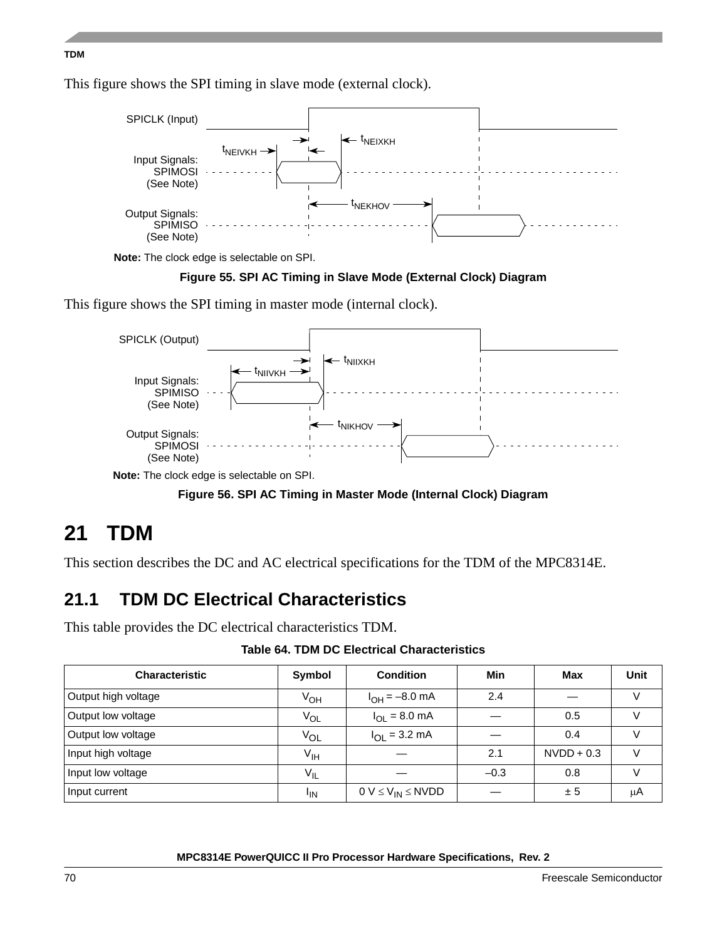#### **TDM**

This figure shows the SPI timing in slave mode (external clock).



**Note:** The clock edge is selectable on SPI.



<span id="page-69-0"></span>This figure shows the SPI timing in master mode (internal clock).



**Note:** The clock edge is selectable on SPI.

**Figure 56. SPI AC Timing in Master Mode (Internal Clock) Diagram**

# <span id="page-69-1"></span>**21 TDM**

This section describes the DC and AC electrical specifications for the TDM of the MPC8314E.

# **21.1 TDM DC Electrical Characteristics**

This table provides the DC electrical characteristics TDM.

**Table 64. TDM DC Electrical Characteristics**

| <b>Characteristic</b> | Symbol          | <b>Condition</b>                 | Min    | Max          | <b>Unit</b> |
|-----------------------|-----------------|----------------------------------|--------|--------------|-------------|
| Output high voltage   | V <sub>OH</sub> | $I_{OH} = -8.0$ mA               | 2.4    |              | V           |
| Output low voltage    | $V_{OL}$        | $I_{\text{OI}} = 8.0 \text{ mA}$ |        | 0.5          | V           |
| Output low voltage    | $V_{OL}$        | $I_{\text{OI}} = 3.2 \text{ mA}$ |        | 0.4          | $\vee$      |
| Input high voltage    | V <sub>IH</sub> |                                  | 2.1    | $NVDD + 0.3$ |             |
| Input low voltage     | $V_{IL}$        |                                  | $-0.3$ | 0.8          | V           |
| Input current         | <sup>I</sup> IN | $0 V \leq V_{IN} \leq N VDD$     |        | ± 5          | μA          |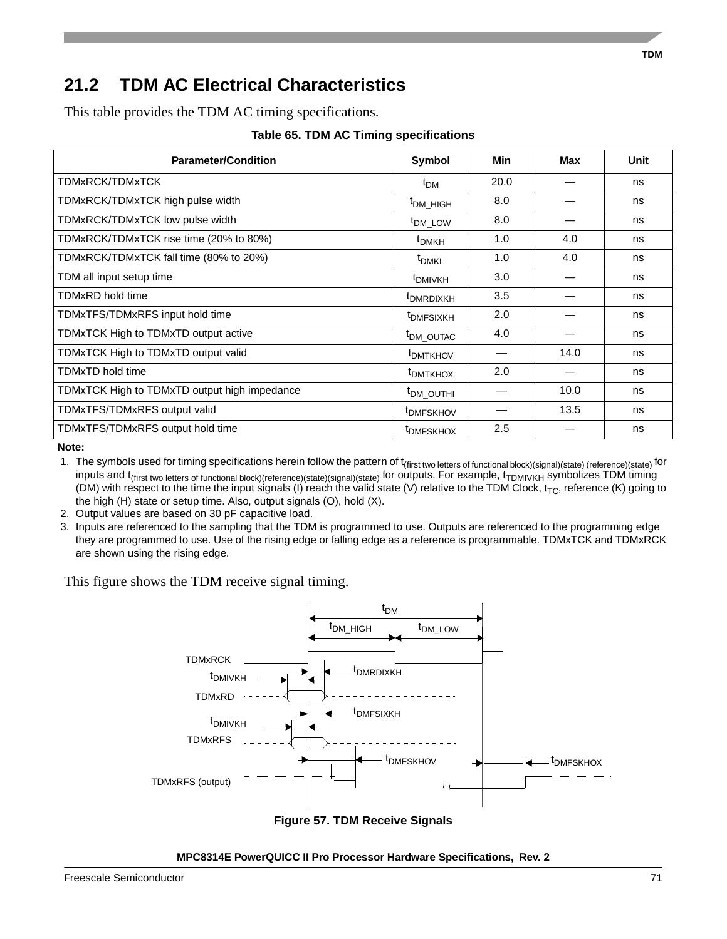## **21.2 TDM AC Electrical Characteristics**

This table provides the TDM AC timing specifications.

**Table 65. TDM AC Timing specifications**

| <b>Parameter/Condition</b>                   | Symbol                | <b>Min</b> | Max  | Unit |
|----------------------------------------------|-----------------------|------------|------|------|
| TDMxRCK/TDMxTCK                              | $t_{DM}$              | 20.0       |      | ns   |
| TDMxRCK/TDMxTCK high pulse width             | <sup>t</sup> DM HIGH  | 8.0        |      | ns   |
| TDMxRCK/TDMxTCK low pulse width              | <sup>t</sup> DM LOW   | 8.0        |      | ns   |
| TDMxRCK/TDMxTCK rise time (20% to 80%)       | t <sub>DMKH</sub>     | 1.0        | 4.0  | ns   |
| TDMxRCK/TDMxTCK fall time (80% to 20%)       | t <sub>DMKL</sub>     | 1.0        | 4.0  | ns   |
| TDM all input setup time                     | <sup>t</sup> DMIVKH   | 3.0        |      | ns   |
| <b>TDMxRD</b> hold time                      | <sup>t</sup> DMRDIXKH | 3.5        |      | ns   |
| TDMxTFS/TDMxRFS input hold time              | <sup>t</sup> DMFSIXKH | 2.0        |      | ns   |
| TDMxTCK High to TDMxTD output active         | <sup>t</sup> DM_OUTAC | 4.0        |      | ns   |
| TDMxTCK High to TDMxTD output valid          | <sup>t</sup> DMTKHOV  |            | 14.0 | ns   |
| <b>TDMxTD hold time</b>                      | <sup>t</sup> DMTKHOX  | 2.0        |      | ns   |
| TDMxTCK High to TDMxTD output high impedance | <sup>t</sup> DM_OUTHI |            | 10.0 | ns   |
| TDMxTFS/TDMxRFS output valid                 | <sup>t</sup> DMFSKHOV |            | 13.5 | ns   |
| TDMxTFS/TDMxRFS output hold time             | <sup>t</sup> DMFSKHOX | 2.5        |      | ns   |

**Note:** 

1. The symbols used for timing specifications herein follow the pattern of t<sub>(first two letters of functional block)(signal)(state) (reference)(state) for</sub> inputs and t<sub>(first two letters of functional block)(reference)(state)(signal)(state) for outputs. For example,  $t_{TDMIVKH}$  symbolizes TDM timing</sub> (DM) with respect to the time the input signals (I) reach the valid state (V) relative to the TDM Clock,  $t_{TC}$ , reference (K) going to the high (H) state or setup time. Also, output signals (O), hold (X).

2. Output values are based on 30 pF capacitive load.

3. Inputs are referenced to the sampling that the TDM is programmed to use. Outputs are referenced to the programming edge they are programmed to use. Use of the rising edge or falling edge as a reference is programmable. TDMxTCK and TDMxRCK are shown using the rising edge.

This figure shows the TDM receive signal timing.



**Figure 57. TDM Receive Signals**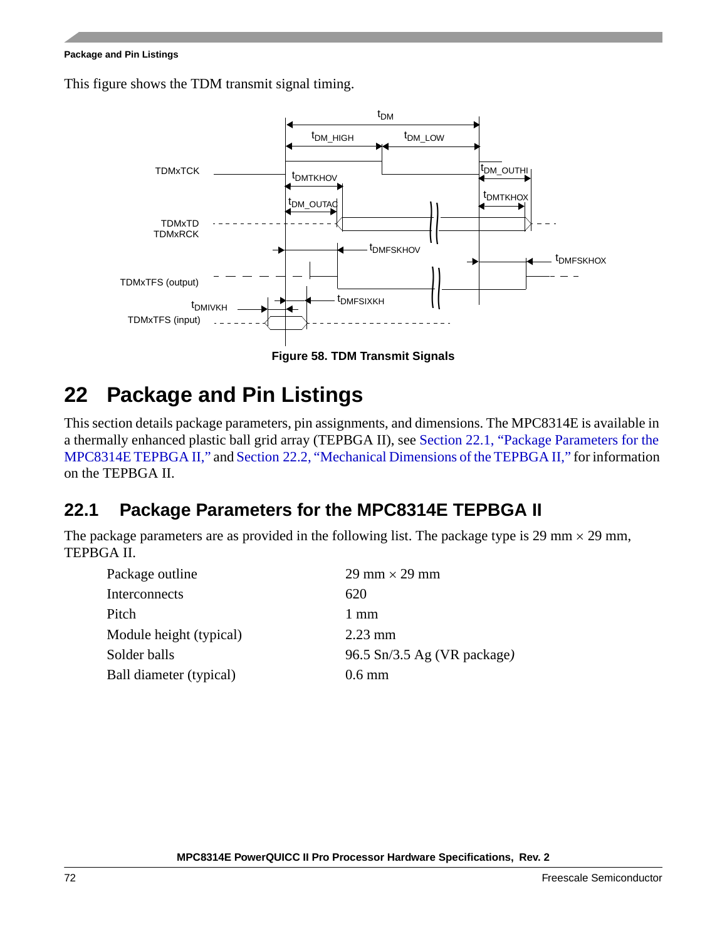#### **Package and Pin Listings**

This figure shows the TDM transmit signal timing.



**Figure 58. TDM Transmit Signals**

# **22 Package and Pin Listings**

This section details package parameters, pin assignments, and dimensions. The MPC8314E is available in a thermally enhanced plastic ball grid array (TEPBGA II), see [Section 22.1, "Package Parameters for the](#page-71-0)  [MPC8314E TEPBGA II,](#page-71-0)" and [Section 22.2, "Mechanical Dimensions of the TEPBGA II,](#page-72-0)" for information on the TEPBGA II.

## <span id="page-71-0"></span>**22.1 Package Parameters for the MPC8314E TEPBGA II**

The package parameters are as provided in the following list. The package type is 29 mm  $\times$  29 mm, TEPBGA II.

| $29 \text{ mm} \times 29 \text{ mm}$ |
|--------------------------------------|
| 620                                  |
| $1 \text{ mm}$                       |
| $2.23$ mm                            |
| 96.5 Sn/3.5 Ag (VR package)          |
| $0.6 \text{ mm}$                     |
|                                      |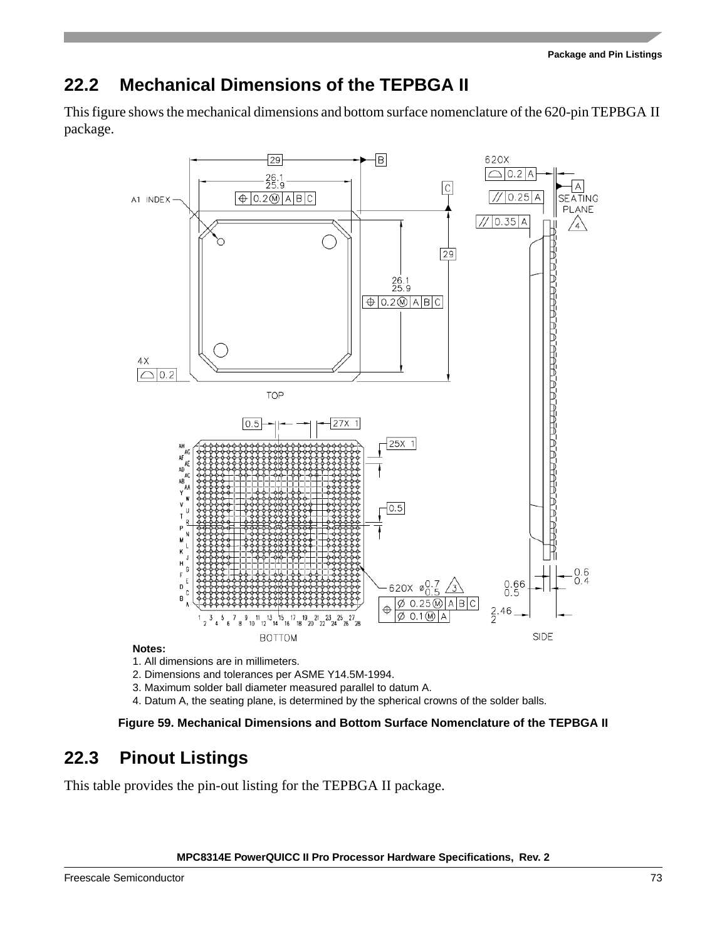## **22.2 Mechanical Dimensions of the TEPBGA II**

This figure shows the mechanical dimensions and bottom surface nomenclature of the 620-pin TEPBGA II package.



#### **Notes:**

1. All dimensions are in millimeters.

- 2. Dimensions and tolerances per ASME Y14.5M-1994.
- 3. Maximum solder ball diameter measured parallel to datum A.
- 4. Datum A, the seating plane, is determined by the spherical crowns of the solder balls.

**Figure 59. Mechanical Dimensions and Bottom Surface Nomenclature of the TEPBGA II**

## **22.3 Pinout Listings**

This table provides the pin-out listing for the TEPBGA II package.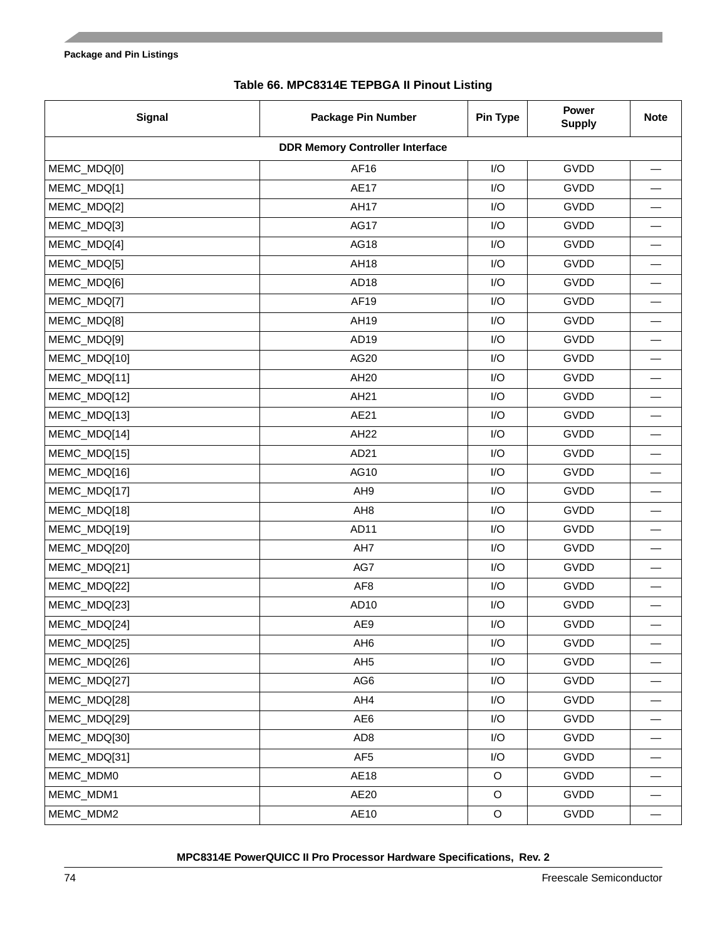### **Table 66. MPC8314E TEPBGA II Pinout Listing**

<span id="page-73-0"></span>

| <b>Signal</b>                          | <b>Package Pin Number</b> | Pin Type                | <b>Power</b><br><b>Supply</b> | <b>Note</b>              |  |
|----------------------------------------|---------------------------|-------------------------|-------------------------------|--------------------------|--|
| <b>DDR Memory Controller Interface</b> |                           |                         |                               |                          |  |
| MEMC_MDQ[0]                            | AF16                      | I/O                     | GVDD                          |                          |  |
| MEMC_MDQ[1]                            | <b>AE17</b>               | I/O                     | <b>GVDD</b>                   |                          |  |
| MEMC_MDQ[2]                            | <b>AH17</b>               | I/O                     | <b>GVDD</b>                   |                          |  |
| MEMC_MDQ[3]                            | <b>AG17</b>               | I/O                     | <b>GVDD</b>                   |                          |  |
| MEMC_MDQ[4]                            | AG18                      | I/O                     | <b>GVDD</b>                   | —                        |  |
| MEMC_MDQ[5]                            | AH18                      | I/O                     | <b>GVDD</b>                   |                          |  |
| MEMC_MDQ[6]                            | AD <sub>18</sub>          | I/O                     | <b>GVDD</b>                   |                          |  |
| MEMC_MDQ[7]                            | AF19                      | I/O                     | <b>GVDD</b>                   |                          |  |
| MEMC_MDQ[8]                            | AH19                      | I/O                     | <b>GVDD</b>                   |                          |  |
| MEMC_MDQ[9]                            | AD <sub>19</sub>          | I/O                     | <b>GVDD</b>                   |                          |  |
| MEMC_MDQ[10]                           | AG20                      | I/O                     | <b>GVDD</b>                   |                          |  |
| MEMC_MDQ[11]                           | AH20                      | I/O                     | <b>GVDD</b>                   |                          |  |
| MEMC_MDQ[12]                           | AH21                      | I/O                     | <b>GVDD</b>                   |                          |  |
| MEMC_MDQ[13]                           | AE21                      | I/O                     | <b>GVDD</b>                   | —                        |  |
| MEMC_MDQ[14]                           | <b>AH22</b>               | I/O                     | <b>GVDD</b>                   |                          |  |
| MEMC_MDQ[15]                           | AD21                      | I/O                     | <b>GVDD</b>                   |                          |  |
| MEMC_MDQ[16]                           | AG10                      | I/O                     | <b>GVDD</b>                   | $\overline{\phantom{0}}$ |  |
| MEMC_MDQ[17]                           | AH9                       | I/O                     | <b>GVDD</b>                   |                          |  |
| MEMC_MDQ[18]                           | AH <sub>8</sub>           | I/O                     | <b>GVDD</b>                   |                          |  |
| MEMC_MDQ[19]                           | AD11                      | I/O                     | <b>GVDD</b>                   | $\overline{\phantom{0}}$ |  |
| MEMC_MDQ[20]                           | AH7                       | I/O                     | <b>GVDD</b>                   |                          |  |
| MEMC_MDQ[21]                           | AG7                       | I/O                     | <b>GVDD</b>                   |                          |  |
| MEMC_MDQ[22]                           | AF <sub>8</sub>           | I/O                     | <b>GVDD</b>                   |                          |  |
| MEMC_MDQ[23]                           | AD10                      | I/O                     | <b>GVDD</b>                   |                          |  |
| MEMC_MDQ[24]                           | AE9                       | I/O                     | <b>GVDD</b>                   |                          |  |
| MEMC_MDQ[25]                           | AH <sub>6</sub>           | I/O                     | <b>GVDD</b>                   |                          |  |
| MEMC_MDQ[26]                           | AH <sub>5</sub>           | I/O                     | GVDD                          |                          |  |
| MEMC_MDQ[27]                           | AG6                       | $\mathsf{I}/\mathsf{O}$ | GVDD                          |                          |  |
| MEMC_MDQ[28]                           | AH4                       | I/O                     | GVDD                          |                          |  |
| MEMC_MDQ[29]                           | AE6                       | $\mathsf{I}/\mathsf{O}$ | GVDD                          |                          |  |
| MEMC_MDQ[30]                           | AD <sub>8</sub>           | $\mathsf{I}/\mathsf{O}$ | GVDD                          | $\overline{\phantom{m}}$ |  |
| MEMC_MDQ[31]                           | AF <sub>5</sub>           | I/O                     | GVDD                          |                          |  |
| MEMC_MDM0                              | AE18                      | $\mathsf O$             | GVDD                          |                          |  |
| MEMC_MDM1                              | AE20                      | $\mathsf O$             | GVDD                          |                          |  |
| MEMC_MDM2                              | AE10                      | $\mathsf O$             | GVDD                          |                          |  |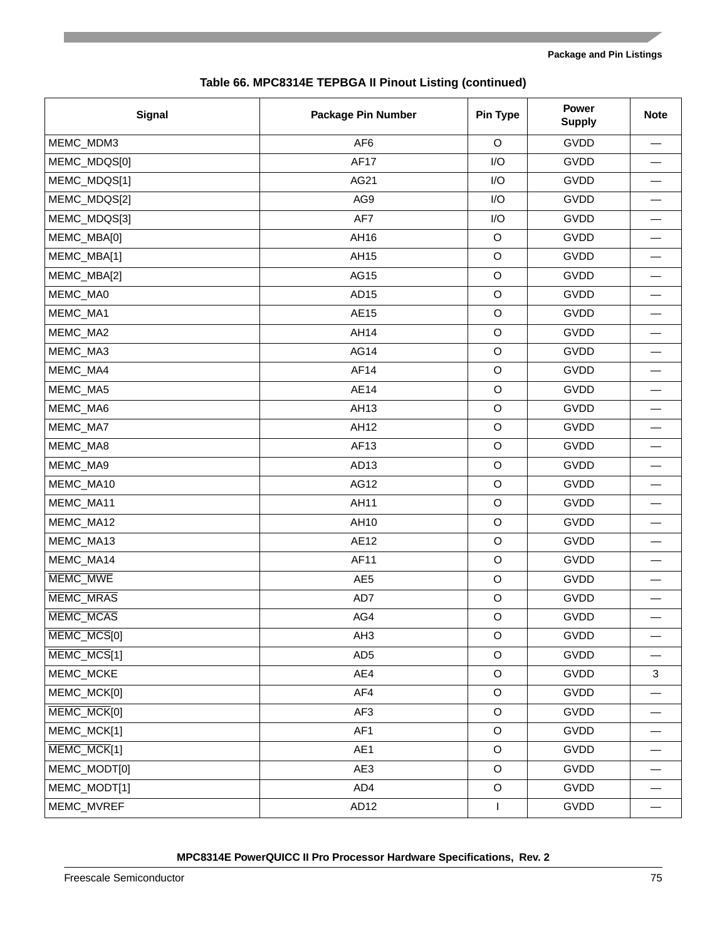| <b>Signal</b>    | <b>Package Pin Number</b> | Pin Type     | <b>Power</b><br><b>Supply</b> | <b>Note</b>              |
|------------------|---------------------------|--------------|-------------------------------|--------------------------|
| MEMC_MDM3        | AF <sub>6</sub>           | O            | GVDD                          |                          |
| MEMC_MDQS[0]     | <b>AF17</b>               | I/O          | GVDD                          |                          |
| MEMC_MDQS[1]     | AG21                      | I/O          | GVDD                          |                          |
| MEMC_MDQS[2]     | AG9                       | I/O          | GVDD                          |                          |
| MEMC_MDQS[3]     | AF7                       | I/O          | GVDD                          |                          |
| MEMC_MBA[0]      | AH16                      | $\mathsf O$  | GVDD                          |                          |
| MEMC_MBA[1]      | AH15                      | $\circ$      | GVDD                          |                          |
| MEMC_MBA[2]      | AG15                      | $\circ$      | GVDD                          |                          |
| MEMC_MA0         | AD <sub>15</sub>          | $\circ$      | GVDD                          | $\overline{\phantom{0}}$ |
| MEMC_MA1         | AE15                      | $\circ$      | GVDD                          |                          |
| MEMC_MA2         | AH14                      | $\circ$      | GVDD                          |                          |
| MEMC_MA3         | <b>AG14</b>               | $\circ$      | GVDD                          | $\overline{\phantom{0}}$ |
| MEMC_MA4         | AF14                      | $\circ$      | GVDD                          |                          |
| MEMC_MA5         | <b>AE14</b>               | $\circ$      | GVDD                          |                          |
| MEMC_MA6         | AH13                      | $\circ$      | GVDD                          | $\overline{\phantom{0}}$ |
| MEMC_MA7         | AH12                      | $\circ$      | GVDD                          |                          |
| MEMC_MA8         | AF13                      | $\circ$      | GVDD                          |                          |
| MEMC_MA9         | AD <sub>13</sub>          | $\circ$      | GVDD                          |                          |
| MEMC_MA10        | AG12                      | $\circ$      | GVDD                          |                          |
| MEMC_MA11        | AH11                      | $\circ$      | GVDD                          |                          |
| MEMC_MA12        | AH10                      | $\mathsf O$  | GVDD                          |                          |
| MEMC_MA13        | AE12                      | $\circ$      | GVDD                          |                          |
| MEMC_MA14        | AF11                      | $\circ$      | GVDD                          |                          |
| MEMC_MWE         | AE <sub>5</sub>           | $\circ$      | GVDD                          |                          |
| <b>MEMC MRAS</b> | AD7                       | $\circ$      | GVDD                          |                          |
| MEMC_MCAS        | AG4                       | $\mathsf O$  | GVDD                          |                          |
| MEMC_MCS[0]      | AH <sub>3</sub>           | $\circ$      | GVDD                          |                          |
| MEMC_MCS[1]      | AD <sub>5</sub>           | $\circ$      | GVDD                          |                          |
| MEMC_MCKE        | AE4                       | $\circ$      | GVDD                          | $\mathbf{3}$             |
| MEMC_MCK[0]      | AF4                       | $\mathsf O$  | GVDD                          |                          |
| MEMC_MCK[0]      | AF3                       | $\circ$      | GVDD                          |                          |
| MEMC_MCK[1]      | AF1                       | $\circ$      | GVDD                          |                          |
| MEMC_MCK[1]      | AE1                       | $\mathsf O$  | GVDD                          |                          |
| MEMC_MODT[0]     | AE3                       | $\circ$      | GVDD                          |                          |
| MEMC_MODT[1]     | AD4                       | $\circ$      | GVDD                          |                          |
| MEMC_MVREF       | AD <sub>12</sub>          | $\mathbf{I}$ | GVDD                          |                          |

### **Table 66. MPC8314E TEPBGA II Pinout Listing (continued)**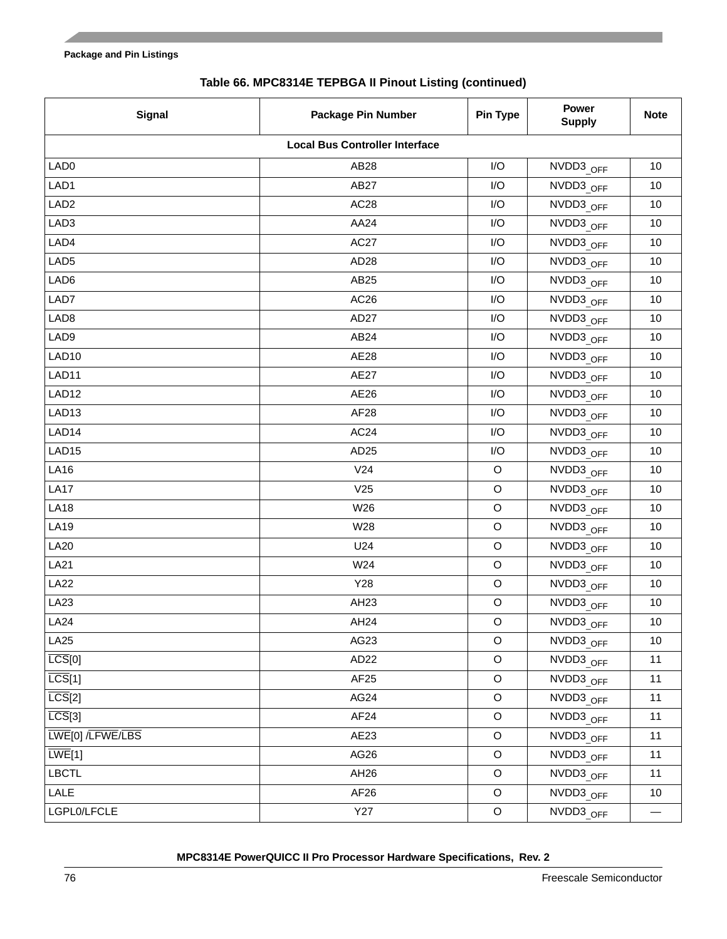| <b>Signal</b>       | <b>Package Pin Number</b>             | Pin Type    | <b>Power</b><br><b>Supply</b> | <b>Note</b>              |
|---------------------|---------------------------------------|-------------|-------------------------------|--------------------------|
|                     | <b>Local Bus Controller Interface</b> |             |                               |                          |
| LAD <sub>0</sub>    | AB28                                  | I/O         | NVDD3 OFF                     | 10                       |
| LAD1                | AB27                                  | I/O         | NVDD3 OFF                     | 10                       |
| LAD <sub>2</sub>    | AC <sub>28</sub>                      | I/O         | NVDD3_OFF                     | 10                       |
| LAD3                | AA24                                  | I/O         | NVDD3_OFF                     | 10                       |
| LAD4                | AC27                                  | I/O         | NVDD3_OFF                     | 10                       |
| LAD <sub>5</sub>    | AD <sub>28</sub>                      | I/O         | NVDD3_OFF                     | 10                       |
| LAD6                | AB25                                  | I/O         | NVDD3 OFF                     | 10                       |
| LAD7                | AC <sub>26</sub>                      | I/O         | NVDD3_OFF                     | 10                       |
| LAD <sub>8</sub>    | AD <sub>27</sub>                      | I/O         | NVDD3_OFF                     | 10                       |
| LAD9                | AB24                                  | I/O         | NVDD3 OFF                     | 10                       |
| LAD <sub>10</sub>   | <b>AE28</b>                           | I/O         | NVDD3 OFF                     | 10                       |
| LAD11               | AE27                                  | I/O         | NVDD3_OFF                     | 10                       |
| LAD12               | AE26                                  | I/O         | NVDD3 OFF                     | 10                       |
| LAD <sub>13</sub>   | AF <sub>28</sub>                      | I/O         | NVDD3 OFF                     | 10                       |
| LAD14               | AC <sub>24</sub>                      | I/O         | NVDD3_OFF                     | 10                       |
| LAD <sub>15</sub>   | AD25                                  | I/O         | NVDD3 OFF                     | 10                       |
| <b>LA16</b>         | V24                                   | $\mathsf O$ | NVDD3 OFF                     | 10                       |
| <b>LA17</b>         | V <sub>25</sub>                       | $\mathsf O$ | NVDD3_OFF                     | 10                       |
| <b>LA18</b>         | W26                                   | $\circ$     | NVDD3_OFF                     | 10                       |
| <b>LA19</b>         | W28                                   | $\mathsf O$ | NVDD3 OFF                     | 10                       |
| <b>LA20</b>         | U24                                   | $\mathsf O$ | NVDD3_OFF                     | 10                       |
| <b>LA21</b>         | W24                                   | $\circ$     | NVDD3_OFF                     | 10                       |
| <b>LA22</b>         | Y28                                   | $\mathsf O$ | NVDD3 OFF                     | 10                       |
| <b>LA23</b>         | AH23                                  | $\mathsf O$ | NVDD3_OFF                     | 10                       |
| LA <sub>24</sub>    | AH24                                  | $\mathsf O$ | NVDD3_OFF                     | 10                       |
| <b>LA25</b>         | AG23                                  | $\circ$     | NVDD3 OFF                     | 10                       |
| LCS[0]              | AD <sub>22</sub>                      | $\mathsf O$ | NVDD3_OFF                     | 11                       |
| $\overline{LCS}[1]$ | AF <sub>25</sub>                      | $\circ$     | NVDD3 OFF                     | 11                       |
| LCS[2]              | AG24                                  | $\mathsf O$ | NVDD3 OFF                     | 11                       |
| LCS[3]              | AF <sub>24</sub>                      | $\mathsf O$ | NVDD3 OFF                     | 11                       |
| LWE[0] /LFWE/LBS    | AE23                                  | $\mathsf O$ | NVDD3 OFF                     | 11                       |
| LWE[1]              | AG26                                  | $\mathsf O$ | NVDD3 OFF                     | 11                       |
| <b>LBCTL</b>        | AH <sub>26</sub>                      | $\mathsf O$ | NVDD3 OFF                     | 11                       |
| LALE                | AF <sub>26</sub>                      | $\mathsf O$ | NVDD3 OFF                     | 10                       |
| LGPL0/LFCLE         | <b>Y27</b>                            | $\mathsf O$ | NVDD3 OFF                     | $\overline{\phantom{0}}$ |

### **Table 66. MPC8314E TEPBGA II Pinout Listing (continued)**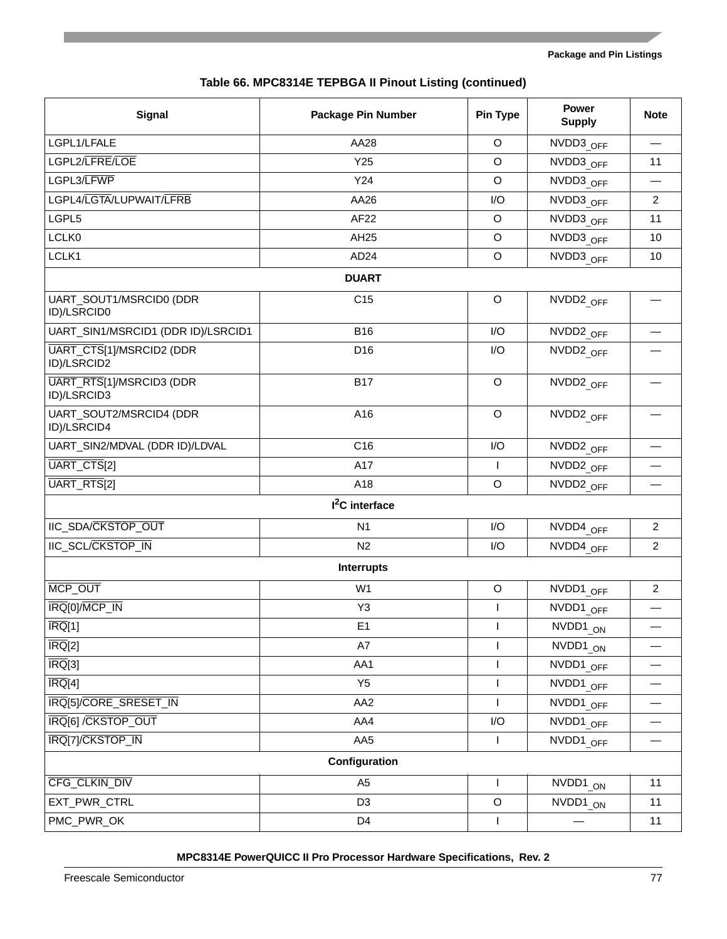|  |  |  | Table 66. MPC8314E TEPBGA II Pinout Listing (continued) |  |
|--|--|--|---------------------------------------------------------|--|
|--|--|--|---------------------------------------------------------|--|

| <b>Signal</b>                           | <b>Package Pin Number</b>  | <b>Pin Type</b> | <b>Power</b><br><b>Supply</b> | <b>Note</b>              |
|-----------------------------------------|----------------------------|-----------------|-------------------------------|--------------------------|
| LGPL1/LFALE                             | AA28                       | $\circ$         | NVDD3 OFF                     |                          |
| LGPL2/LFRE/LOE                          | Y25                        | $\circ$         | NVDD3 OFF                     | 11                       |
| LGPL3/LFWP                              | Y24                        | $\circ$         | NVDD3 OFF                     |                          |
| LGPL4/LGTA/LUPWAIT/LFRB                 | AA26                       | I/O             | NVDD3 OFF                     | $\overline{2}$           |
| LGPL5                                   | AF22                       | O               | NVDD3 OFF                     | 11                       |
| LCLK0                                   | AH25                       | $\circ$         | NVDD3 OFF                     | 10                       |
| LCLK1                                   | AD <sub>24</sub>           | $\mathsf O$     | NVDD3 OFF                     | 10                       |
|                                         | <b>DUART</b>               |                 |                               |                          |
| UART_SOUT1/MSRCID0 (DDR<br>ID)/LSRCID0  | C <sub>15</sub>            | $\circ$         | NVDD2_OFF                     |                          |
| UART_SIN1/MSRCID1 (DDR ID)/LSRCID1      | <b>B16</b>                 | I/O             | NVDD <sub>2</sub> OFF         |                          |
| UART_CTS[1]/MSRCID2 (DDR<br>ID)/LSRCID2 | D16                        | I/O             | NVDD2 OFF                     |                          |
| UART_RTS[1]/MSRCID3 (DDR<br>ID)/LSRCID3 | <b>B17</b>                 | $\circ$         | NVDD <sub>2</sub> OFF         |                          |
| UART_SOUT2/MSRCID4 (DDR<br>ID)/LSRCID4  | A16                        | $\circ$         | NVDD2 OFF                     |                          |
| UART_SIN2/MDVAL (DDR ID)/LDVAL          | C16                        | I/O             | NVDD2 OFF                     |                          |
| UART_CTS[2]                             | A17                        | $\mathsf{I}$    | NVDD2 OFF                     |                          |
| UART_RTS[2]                             | A18                        | $\mathsf O$     | NVDD2 OFF                     |                          |
|                                         | I <sup>2</sup> C interface |                 |                               |                          |
| IIC_SDA/CKSTOP_OUT                      | N <sub>1</sub>             | I/O             | NVDD4 OFF                     | $\overline{2}$           |
| IIC_SCL/CKSTOP_IN                       | N <sub>2</sub>             | I/O             | NVDD4_OFF                     | $\overline{2}$           |
|                                         | Interrupts                 |                 |                               |                          |
| MCP_OUT                                 | W <sub>1</sub>             | $\circ$         | NVDD1_OFF                     | $\overline{2}$           |
| IRQ[0]/MCP_IN                           | Y3                         | $\mathbf{I}$    | NVDD1 OFF                     |                          |
| $\overline{\text{IRQ}}[1]$              | E <sub>1</sub>             |                 | NVDD1_ON                      | $\overline{\phantom{0}}$ |
| $\overline{\mathsf{IRQ}}[2]$            | A7                         |                 | NVDD1_ON                      |                          |
| $\overline{\text{IRQ}}[3]$              | AA1                        | $\mathbf{I}$    | NVDD1_OFF                     |                          |
| $\overline{\text{IRQ}}[4]$              | Y <sub>5</sub>             |                 | NVDD1 OFF                     |                          |
| IRQ[5]/CORE_SRESET_IN                   | AA <sub>2</sub>            |                 | NVDD1 OFF                     |                          |
| IRQ[6] / CKSTOP_OUT                     | AA4                        | I/O             | NVDD1 OFF                     |                          |
| IRQ[7]/CKSTOP_IN                        | AA5                        | $\mathsf{I}$    | NVDD1 OFF                     |                          |
|                                         | Configuration              |                 |                               |                          |
| CFG_CLKIN_DIV                           | A <sub>5</sub>             | $\mathsf{I}$    | NVDD1_ON                      | 11                       |
| EXT_PWR_CTRL                            | D <sub>3</sub>             | $\circ$         | NVDD1 ON                      | 11                       |
| PMC_PWR_OK                              | D <sub>4</sub>             | $\mathsf{I}$    |                               | 11                       |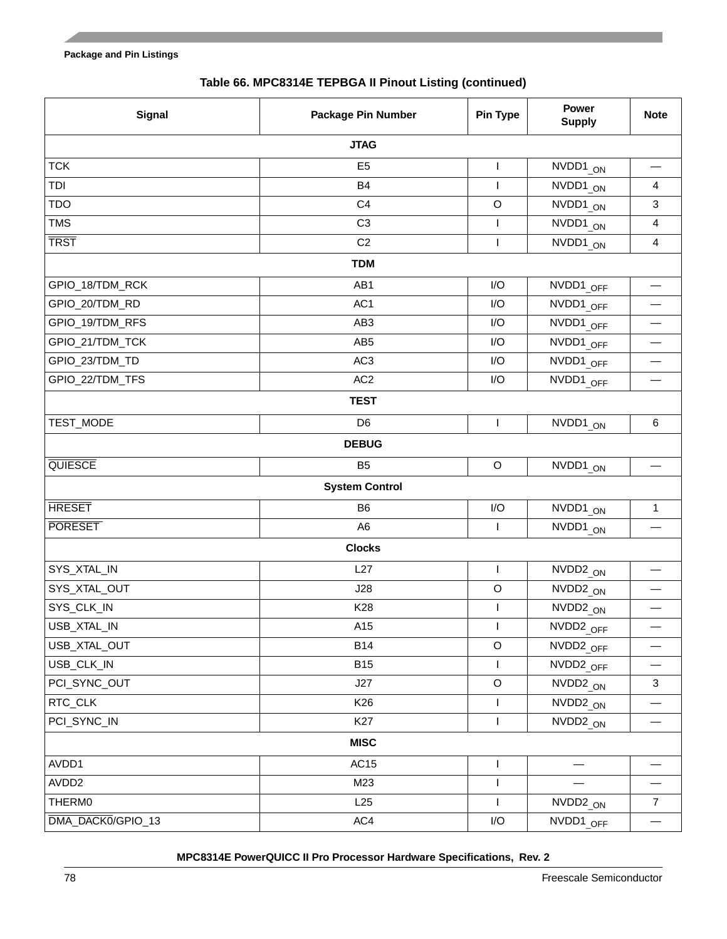|  |  | Table 66. MPC8314E TEPBGA II Pinout Listing (continued) |  |
|--|--|---------------------------------------------------------|--|
|--|--|---------------------------------------------------------|--|

| Signal            | <b>Package Pin Number</b> | Pin Type                | <b>Power</b><br><b>Supply</b>   | <b>Note</b>                   |  |  |
|-------------------|---------------------------|-------------------------|---------------------------------|-------------------------------|--|--|
| <b>JTAG</b>       |                           |                         |                                 |                               |  |  |
| <b>TCK</b>        | E <sub>5</sub>            | $\mathbf{I}$            | NVDD1_ON                        |                               |  |  |
| TDI               | B4                        | $\mathsf{I}$            | NVDD1_ON                        | 4                             |  |  |
| <b>TDO</b>        | C <sub>4</sub>            | $\mathsf O$             | NVDD1 ON                        | $\mathfrak{Z}$                |  |  |
| <b>TMS</b>        | C <sub>3</sub>            | $\mathsf{I}$            | NVDD1_ON                        | $\overline{\mathbf{4}}$       |  |  |
| <b>TRST</b>       | C <sub>2</sub>            | $\mathbf{I}$            | NVDD1_ON                        | $\overline{\mathbf{4}}$       |  |  |
|                   | <b>TDM</b>                |                         |                                 |                               |  |  |
| GPIO_18/TDM_RCK   | AB1                       | I/O                     | NVDD1 OFF                       |                               |  |  |
| GPIO_20/TDM_RD    | AC <sub>1</sub>           | I/O                     | NVDD1 OFF                       |                               |  |  |
| GPIO_19/TDM_RFS   | AB <sub>3</sub>           | I/O                     | NVDD1 OFF                       |                               |  |  |
| GPIO_21/TDM_TCK   | AB <sub>5</sub>           | I/O                     | NVDD1_OFF                       | $\overbrace{\phantom{13333}}$ |  |  |
| GPIO_23/TDM_TD    | AC <sub>3</sub>           | I/O                     | NVDD1 OFF                       |                               |  |  |
| GPIO_22/TDM_TFS   | AC <sub>2</sub>           | I/O                     | NVDD1_OFF                       | $\overline{\phantom{0}}$      |  |  |
|                   | <b>TEST</b>               |                         |                                 |                               |  |  |
| TEST_MODE         | D <sub>6</sub>            | $\mathbf{I}$            | NVDD1_ON                        | $\,6\,$                       |  |  |
|                   | <b>DEBUG</b>              |                         |                                 |                               |  |  |
| QUIESCE           | <b>B5</b>                 | $\circ$                 | NVDD1_ON                        | $\overline{\phantom{0}}$      |  |  |
|                   | <b>System Control</b>     |                         |                                 |                               |  |  |
| <b>HRESET</b>     | B <sub>6</sub>            | $\mathsf{I}/\mathsf{O}$ | NVDD1 ON                        | $\mathbf{1}$                  |  |  |
| <b>PORESET</b>    | A <sub>6</sub>            | $\mathsf{I}$            | NVDD1_ON                        |                               |  |  |
|                   | <b>Clocks</b>             |                         |                                 |                               |  |  |
| SYS_XTAL_IN       | L27                       | $\mathsf{I}$            | NVDD <sub>2</sub> <sub>ON</sub> |                               |  |  |
| SYS_XTAL_OUT      | J28                       | $\mathsf O$             | NVDD2_ON                        |                               |  |  |
| SYS_CLK_IN        | K28                       | $\mathbf{I}$            | NVDD2_ON                        |                               |  |  |
| USB_XTAL_IN       | A15                       |                         | NVDD2_OFF                       |                               |  |  |
| USB_XTAL_OUT      | <b>B14</b>                | $\circ$                 | NVDD2_OFF                       |                               |  |  |
| USB_CLK_IN        | <b>B15</b>                | $\mathbf{I}$            | NVDD2_OFF                       | $\overline{\phantom{0}}$      |  |  |
| PCI_SYNC_OUT      | J27                       | $\mathsf O$             | NVDD2_ON                        | 3                             |  |  |
| RTC_CLK           | K <sub>26</sub>           | $\mathsf{I}$            | NVDD2_ON                        |                               |  |  |
| PCI_SYNC_IN       | K27                       | $\mathsf{I}$            | NVDD2_ON                        | $\overline{\phantom{0}}$      |  |  |
|                   | <b>MISC</b>               |                         |                                 |                               |  |  |
| AVDD1             | AC15                      | $\mathbf{I}$            |                                 |                               |  |  |
| AVDD2             | M23                       | $\mathbf{I}$            |                                 |                               |  |  |
| <b>THERM0</b>     | L25                       | $\mathbf{I}$            | NVDD <sub>2</sub> ON            | $\overline{7}$                |  |  |
| DMA_DACK0/GPIO_13 | AC4                       | $\mathsf{I}/\mathsf{O}$ | NVDD1_OFF                       | $\overline{\phantom{0}}$      |  |  |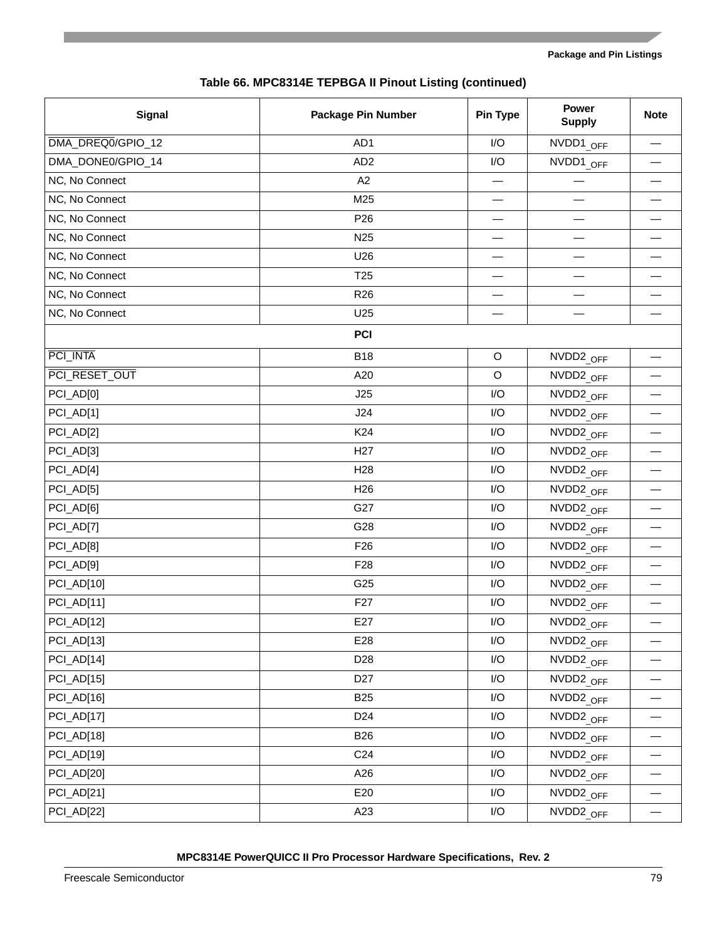| Table 66. MPC8314E TEPBGA II Pinout Listing (continued) |  |
|---------------------------------------------------------|--|
|---------------------------------------------------------|--|

| <b>Signal</b>     | <b>Package Pin Number</b> | Pin Type    | <b>Power</b><br><b>Supply</b> | <b>Note</b>              |
|-------------------|---------------------------|-------------|-------------------------------|--------------------------|
| DMA_DREQ0/GPIO_12 | AD1                       | I/O         | NVDD1_OFF                     |                          |
| DMA_DONE0/GPIO_14 | AD <sub>2</sub>           | I/O         | NVDD1_OFF                     |                          |
| NC, No Connect    | A2                        |             |                               |                          |
| NC, No Connect    | M25                       | —           |                               |                          |
| NC, No Connect    | P <sub>26</sub>           |             |                               |                          |
| NC, No Connect    | N <sub>25</sub>           |             |                               |                          |
| NC, No Connect    | U26                       |             |                               |                          |
| NC, No Connect    | T <sub>25</sub>           |             |                               |                          |
| NC, No Connect    | R <sub>26</sub>           |             |                               |                          |
| NC, No Connect    | U25                       |             |                               |                          |
|                   | <b>PCI</b>                |             |                               |                          |
| PCI INTA          | <b>B18</b>                | $\mathsf O$ | NVDD2_OFF                     | $\overline{\phantom{0}}$ |
| PCI RESET OUT     | A20                       | $\mathsf O$ | NVDD2_OFF                     |                          |
| PCI_AD[0]         | J25                       | I/O         | NVDD2 OFF                     |                          |
| PCI_AD[1]         | J24                       | I/O         | NVDD2_OFF                     | —                        |
| PCI_AD[2]         | K <sub>24</sub>           | I/O         | NVDD2_OFF                     |                          |
| PCI_AD[3]         | H <sub>27</sub>           | I/O         | NVDD2_OFF                     |                          |
| PCI_AD[4]         | H <sub>28</sub>           | I/O         | NVDD2_OFF                     | $\overline{\phantom{0}}$ |
| PCI_AD[5]         | H <sub>26</sub>           | I/O         | NVDD2_OFF                     | $\overline{\phantom{0}}$ |
| PCI_AD[6]         | G27                       | I/O         | NVDD2_OFF                     |                          |
| PCI_AD[7]         | G28                       | I/O         | NVDD2_OFF                     | —                        |
| PCI_AD[8]         | F <sub>26</sub>           | I/O         | NVDD2_OFF                     |                          |
| PCI_AD[9]         | F <sub>28</sub>           | I/O         | NVDD2 OFF                     |                          |
| PCI_AD[10]        | G25                       | I/O         | NVDD2_OFF                     | —                        |
| PCI_AD[11]        | F <sub>27</sub>           | I/O         | NVDD2_OFF                     |                          |
| PCI_AD[12]        | E27                       | I/O         | NVDD2 OFF                     |                          |
| PCI_AD[13]        | E28                       | I/O         | NVDD2_OFF                     |                          |
| PCI_AD[14]        | D <sub>28</sub>           | I/O         | NVDD2_OFF                     |                          |
| PCI_AD[15]        | D <sub>27</sub>           | I/O         | NVDD2 OFF                     |                          |
| PCI_AD[16]        | <b>B25</b>                | I/O         | NVDD2 OFF                     |                          |
| PCI_AD[17]        | D <sub>24</sub>           | I/O         | NVDD2_OFF                     | —                        |
| PCI_AD[18]        | <b>B26</b>                | I/O         | NVDD2 OFF                     |                          |
| PCI_AD[19]        | C <sub>24</sub>           | I/O         | NVDD2_OFF                     |                          |
| PCI_AD[20]        | A26                       | I/O         | NVDD2_OFF                     |                          |
| PCI_AD[21]        | E20                       | I/O         | NVDD2 OFF                     |                          |
| PCI_AD[22]        | A23                       | I/O         | NVDD2_OFF                     |                          |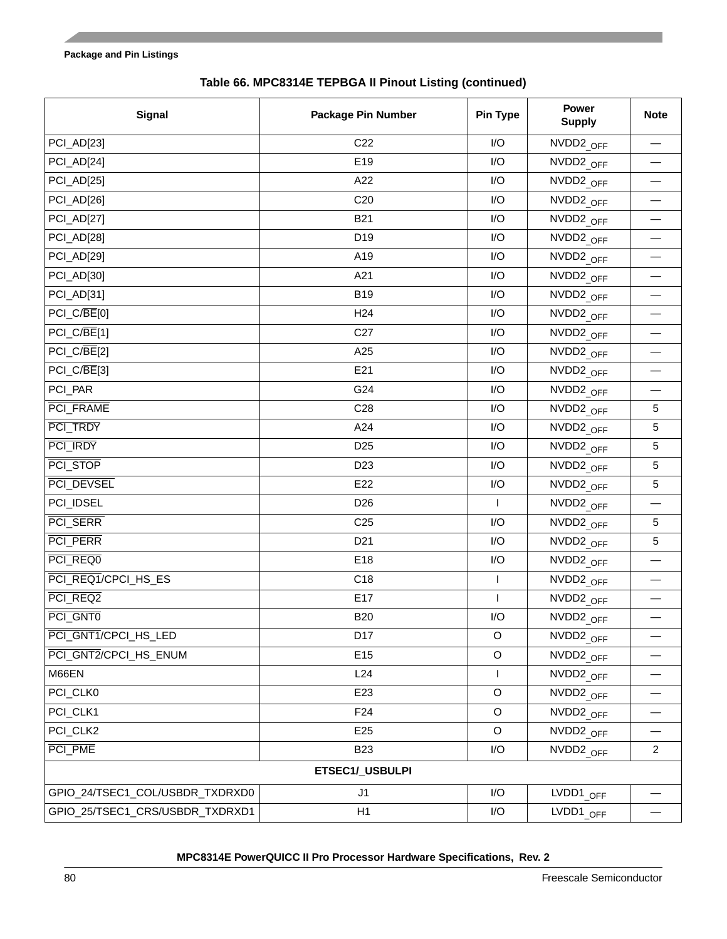| <b>Signal</b>                   | <b>Package Pin Number</b> | Pin Type     | Power<br><b>Supply</b>   | <b>Note</b>                       |
|---------------------------------|---------------------------|--------------|--------------------------|-----------------------------------|
| PCI_AD[23]                      | C <sub>22</sub>           | I/O          | NVDD2_OFF                | $\overbrace{\phantom{123221111}}$ |
| PCI_AD[24]                      | E19                       | I/O          | NVDD2_OFF                |                                   |
| PCI_AD[25]                      | A22                       | I/O          | NVDD2_OFF                |                                   |
| PCI_AD[26]                      | C <sub>20</sub>           | I/O          | NVDD2_OFF                |                                   |
| PCI_AD[27]                      | <b>B21</b>                | I/O          | NVDD <sub>2</sub> OFF    |                                   |
| PCI_AD[28]                      | D19                       | I/O          | NVDD2_OFF                |                                   |
| PCI_AD[29]                      | A19                       | I/O          | NVDD2_OFF                |                                   |
| PCI_AD[30]                      | A21                       | I/O          | NVDD <sub>2</sub> OFF    |                                   |
| PCI_AD[31]                      | <b>B19</b>                | I/O          | NVDD2_OFF                |                                   |
| PCI_C/BE[0]                     | H <sub>24</sub>           | I/O          | NVDD2_OFF                |                                   |
| PCI_C/BE[1]                     | C <sub>27</sub>           | I/O          | NVDD <sub>2</sub> OFF    |                                   |
| PCI_C/BE[2]                     | A25                       | I/O          | NVDD2_OFF                |                                   |
| PCI_C/BE[3]                     | E21                       | I/O          | NVDD2_OFF                | $\overbrace{\phantom{123321}}$    |
| PCI_PAR                         | G24                       | I/O          | NVDD <sub>2</sub> OFF    |                                   |
| PCI_FRAME                       | C <sub>28</sub>           | I/O          | NVDD2_OFF                | $5\phantom{.0}$                   |
| PCI TRDY                        | A24                       | I/O          | NVDD2_OFF                | $\sqrt{5}$                        |
| PCI_IRDY                        | D <sub>25</sub>           | I/O          | NVDD2_OFF                | 5                                 |
| PCI_STOP                        | D <sub>23</sub>           | I/O          | NVDD <sub>2</sub> OFF    | 5                                 |
| PCI DEVSEL                      | E22                       | I/O          | NVDD2_OFF                | $\sqrt{5}$                        |
| PCI_IDSEL                       | D <sub>26</sub>           |              | NVDD <sub>2</sub> OFF    |                                   |
| PCI_SERR                        | C <sub>25</sub>           | I/O          | NVDD <sub>2</sub> OFF    | $5\phantom{.0}$                   |
| PCI_PERR                        | D <sub>21</sub>           | I/O          | NVDD2 OFF                | $\sqrt{5}$                        |
| PCI_REQ0                        | E18                       | I/O          | NVDD2_OFF                |                                   |
| PCI_REQ1/CPCI_HS_ES             | C18                       | $\mathsf{I}$ | NVDD2_OFF                |                                   |
| PCI_REQ2                        | E17                       | $\mathbf{I}$ | NVDD2 OFF                | $\overbrace{\phantom{123321}}$    |
| PCI_GNT0                        | <b>B20</b>                | I/O          | NVDD2_OFF                |                                   |
| PCI_GNT1/CPCI_HS_LED            | D <sub>17</sub>           | $\circ$      | NVDD2_OFF                |                                   |
| PCI_GNT2/CPCI_HS_ENUM           | E15                       | $\mathsf O$  | NVDD2 OFF                |                                   |
| M66EN                           | L24                       |              | NVDD <sub>2</sub> OFF    |                                   |
| PCI_CLK0                        | E23                       | $\mathsf O$  | NVDD2 OFF                |                                   |
| PCI_CLK1                        | F <sub>24</sub>           | $\mathsf O$  | NVDD2 OFF                |                                   |
| PCI_CLK2                        | E <sub>25</sub>           | $\mathsf O$  | NVDD2 OFF                |                                   |
| PCI_PME                         | <b>B23</b>                | I/O          | NVDD2_OFF                | $\overline{2}$                    |
|                                 | ETSEC1/_USBULPI           |              |                          |                                   |
| GPIO_24/TSEC1_COL/USBDR_TXDRXD0 | J <sub>1</sub>            | I/O          | LVDD1_OFF                |                                   |
| GPIO_25/TSEC1_CRS/USBDR_TXDRXD1 | H1                        | I/O          | $LVDD1_{\overline{OFF}}$ |                                   |

### **Table 66. MPC8314E TEPBGA II Pinout Listing (continued)**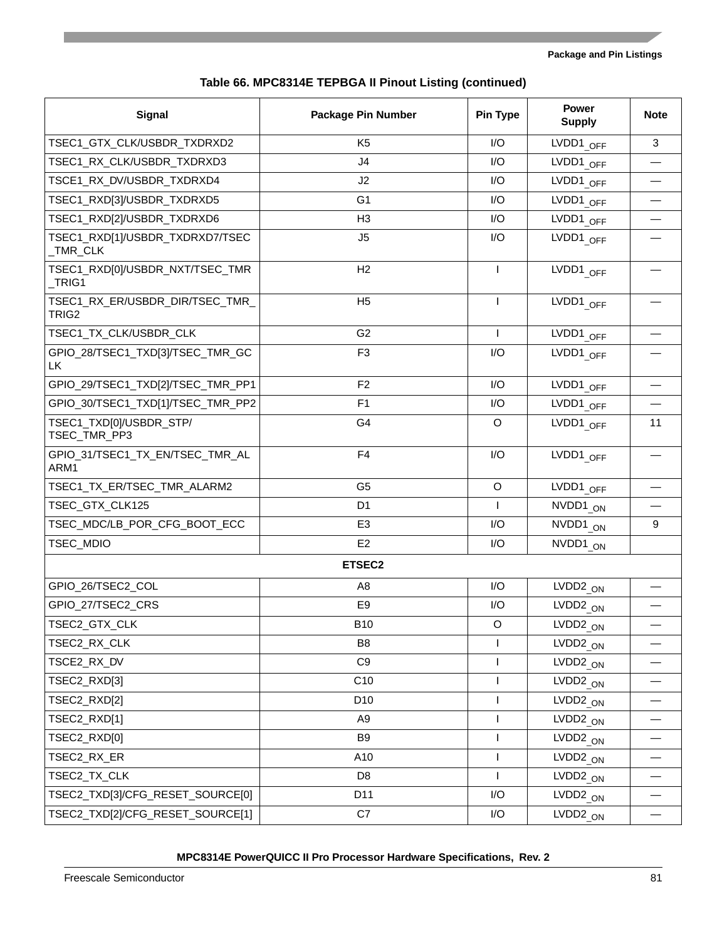| Table 66. MPC8314E TEPBGA II Pinout Listing (continued) |  |  |  |
|---------------------------------------------------------|--|--|--|
|---------------------------------------------------------|--|--|--|

| <b>Signal</b>                                        | <b>Package Pin Number</b> | Pin Type     | <b>Power</b><br><b>Supply</b> | <b>Note</b> |
|------------------------------------------------------|---------------------------|--------------|-------------------------------|-------------|
| TSEC1_GTX_CLK/USBDR_TXDRXD2                          | K <sub>5</sub>            | I/O          | LVDD1 $_{OFF}$                | 3           |
| TSEC1_RX_CLK/USBDR_TXDRXD3                           | J4                        | I/O          | LVDD1 $_{OFF}$                |             |
| TSCE1_RX_DV/USBDR_TXDRXD4                            | J2                        | I/O          | LVDD1 OFF                     |             |
| TSEC1_RXD[3]/USBDR_TXDRXD5                           | G <sub>1</sub>            | I/O          | LVDD1 $_{OFF}$                |             |
| TSEC1_RXD[2]/USBDR_TXDRXD6                           | H <sub>3</sub>            | I/O          | LVDD1 $_{OFF}$                |             |
| TSEC1_RXD[1]/USBDR_TXDRXD7/TSEC<br>_TMR_CLK          | J5                        | I/O          | LVDD1_OFF                     |             |
| TSEC1_RXD[0]/USBDR_NXT/TSEC_TMR<br>TRIG1             | H2                        | $\mathsf{I}$ | LVDD1 OFF                     |             |
| TSEC1_RX_ER/USBDR_DIR/TSEC_TMR_<br>TRIG <sub>2</sub> | H <sub>5</sub>            | $\mathbf{I}$ | LVDD1 OFF                     |             |
| TSEC1_TX_CLK/USBDR_CLK                               | G <sub>2</sub>            | $\mathsf{I}$ | LVDD1 $_{OFF}$                |             |
| GPIO_28/TSEC1_TXD[3]/TSEC_TMR_GC<br>LK               | F <sub>3</sub>            | I/O          | LVDD1 <sub>_OFF</sub>         |             |
| GPIO_29/TSEC1_TXD[2]/TSEC_TMR_PP1                    | F <sub>2</sub>            | I/O          | LVDD1 $_{OFF}$                |             |
| GPIO_30/TSEC1_TXD[1]/TSEC_TMR_PP2                    | F <sub>1</sub>            | I/O          | LVDD1 $_{OFF}$                |             |
| TSEC1_TXD[0]/USBDR_STP/<br>TSEC_TMR_PP3              | G4                        | O            | LVDD1 $_{OFF}$                | 11          |
| GPIO_31/TSEC1_TX_EN/TSEC_TMR_AL<br>ARM1              | F <sub>4</sub>            | I/O          | LVDD1 OFF                     |             |
| TSEC1_TX_ER/TSEC_TMR_ALARM2                          | G <sub>5</sub>            | $\circ$      | LVDD1 <sub>_OFF</sub>         |             |
| TSEC_GTX_CLK125                                      | D <sub>1</sub>            | $\mathsf{I}$ | NVDD1 <sub>_ON</sub>          |             |
| TSEC_MDC/LB_POR_CFG_BOOT_ECC                         | E <sub>3</sub>            | I/O          | NVDD1 <sub>ON</sub>           | 9           |
| TSEC_MDIO                                            | E <sub>2</sub>            | I/O          | NVDD1 ON                      |             |
|                                                      | ETSEC2                    |              |                               |             |
| GPIO 26/TSEC2_COL                                    | A <sub>8</sub>            | I/O          | $LVDD2_{ON}$                  |             |
| GPIO_27/TSEC2_CRS                                    | E <sub>9</sub>            | I/O          | $LVDD2_{ON}$                  |             |
| TSEC2_GTX_CLK                                        | <b>B10</b>                | O            | $LVDD2_{ON}$                  |             |
| TSEC2_RX_CLK                                         | B8                        | $\mathbf{I}$ | $LVDD2_{ON}$                  |             |
| TSCE2_RX_DV                                          | C <sub>9</sub>            | $\mathsf{I}$ | $LVDD2_{ON}$                  |             |
| TSEC2_RXD[3]                                         | C10                       | $\mathbf{I}$ | LVDD <sub>2</sub> $_{ON}$     |             |
| TSEC2_RXD[2]                                         | D <sub>10</sub>           | $\mathsf{I}$ | $LVDD2$ <sub>_ON</sub>        |             |
| TSEC2_RXD[1]                                         | A <sub>9</sub>            | $\mathsf{I}$ | $LVDD2_{ON}$                  |             |
| TSEC2_RXD[0]                                         | B9                        | $\mathbf{I}$ | $LVDD2_{ON}$                  |             |
| TSEC2_RX_ER                                          | A10                       | $\mathsf{I}$ | LVDD <sub>2</sub> $_{ON}$     |             |
| TSEC2_TX_CLK                                         | D <sub>8</sub>            | $\mathsf{I}$ | LVDD <sub>2</sub> $_{ON}$     |             |
| TSEC2_TXD[3]/CFG_RESET_SOURCE[0]                     | D <sub>11</sub>           | I/O          | LVDD <sub>2</sub> $_{ON}$     |             |
| TSEC2_TXD[2]/CFG_RESET_SOURCE[1]                     | C7                        | I/O          | $LVDD2_{ON}$                  |             |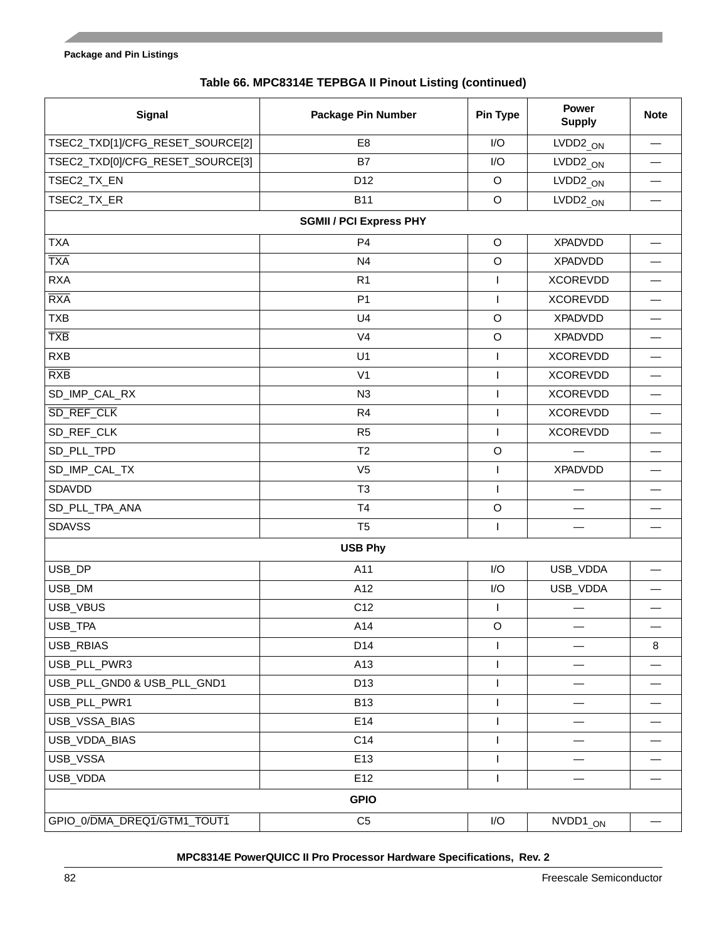|  |  |  |  |  | Table 66. MPC8314E TEPBGA II Pinout Listing (continued) |
|--|--|--|--|--|---------------------------------------------------------|
|--|--|--|--|--|---------------------------------------------------------|

| <b>Signal</b>                    | <b>Package Pin Number</b>      | Pin Type                 | <b>Power</b><br><b>Supply</b> | <b>Note</b>              |  |  |  |
|----------------------------------|--------------------------------|--------------------------|-------------------------------|--------------------------|--|--|--|
| TSEC2_TXD[1]/CFG_RESET_SOURCE[2] | E <sub>8</sub>                 | I/O                      | $LVDD2_{ON}$                  |                          |  |  |  |
| TSEC2_TXD[0]/CFG_RESET_SOURCE[3] | B7                             | I/O                      | $LVDD2_{ON}$                  |                          |  |  |  |
| TSEC2_TX_EN                      | D12                            | $\circ$                  | $LVDD2_{ON}$                  |                          |  |  |  |
| TSEC2_TX_ER                      | <b>B11</b>                     | $\mathsf O$              | $LVDD2_{ON}$                  |                          |  |  |  |
|                                  | <b>SGMII / PCI Express PHY</b> |                          |                               |                          |  |  |  |
| <b>TXA</b>                       | P <sub>4</sub>                 | $\mathsf O$              | <b>XPADVDD</b>                |                          |  |  |  |
| <b>TXA</b>                       | N <sub>4</sub>                 | $\mathsf O$              | <b>XPADVDD</b>                |                          |  |  |  |
| <b>RXA</b>                       | R <sub>1</sub>                 | $\mathsf{I}$             | <b>XCOREVDD</b>               |                          |  |  |  |
| <b>RXA</b>                       | P <sub>1</sub>                 | $\overline{\phantom{a}}$ | <b>XCOREVDD</b>               | $\overline{\phantom{0}}$ |  |  |  |
| <b>TXB</b>                       | U <sub>4</sub>                 | $\mathsf O$              | <b>XPADVDD</b>                |                          |  |  |  |
| <b>TXB</b>                       | V <sub>4</sub>                 | $\circ$                  | <b>XPADVDD</b>                |                          |  |  |  |
| <b>RXB</b>                       | U1                             | $\mathsf{I}$             | <b>XCOREVDD</b>               | $\overline{\phantom{0}}$ |  |  |  |
| <b>RXB</b>                       | V <sub>1</sub>                 | I.                       | <b>XCOREVDD</b>               |                          |  |  |  |
| SD_IMP_CAL_RX                    | N3                             | $\mathsf{I}$             | <b>XCOREVDD</b>               |                          |  |  |  |
| SD_REF_CLK                       | R4                             | $\mathsf{I}$             | <b>XCOREVDD</b>               | $\overline{\phantom{0}}$ |  |  |  |
| SD_REF_CLK                       | R <sub>5</sub>                 | $\mathsf{I}$             | <b>XCOREVDD</b>               |                          |  |  |  |
| SD_PLL_TPD                       | T <sub>2</sub>                 | $\mathsf O$              |                               |                          |  |  |  |
| SD_IMP_CAL_TX                    | V <sub>5</sub>                 | $\mathsf{I}$             | <b>XPADVDD</b>                | $\overline{\phantom{0}}$ |  |  |  |
| SDAVDD                           | T <sub>3</sub>                 | $\mathsf{I}$             |                               |                          |  |  |  |
| SD_PLL_TPA_ANA                   | T <sub>4</sub>                 | $\mathsf O$              |                               |                          |  |  |  |
| <b>SDAVSS</b>                    | T <sub>5</sub>                 | $\mathbf{I}$             |                               |                          |  |  |  |
|                                  | <b>USB Phy</b>                 |                          |                               |                          |  |  |  |
| USB_DP                           | A11                            | I/O                      | USB_VDDA                      |                          |  |  |  |
| USB_DM                           | A12                            | I/O                      | USB_VDDA                      |                          |  |  |  |
| USB_VBUS                         | C12                            | $\mathbf{I}$             |                               |                          |  |  |  |
| USB_TPA                          | A14                            | $\circ$                  |                               |                          |  |  |  |
| USB_RBIAS                        | D14                            | I.                       |                               | $\bf8$                   |  |  |  |
| USB_PLL_PWR3                     | A13                            | $\mathsf{I}$             |                               |                          |  |  |  |
| USB_PLL_GND0 & USB_PLL_GND1      | D13                            | $\mathbf{I}$             |                               |                          |  |  |  |
| USB_PLL_PWR1                     | <b>B13</b>                     | $\mathsf{I}$             |                               |                          |  |  |  |
| USB_VSSA_BIAS                    | E14                            | $\mathsf{I}$             |                               |                          |  |  |  |
| USB_VDDA_BIAS                    | C14                            | $\mathbf{I}$             |                               |                          |  |  |  |
| USB_VSSA                         | E13                            | $\mathsf{I}$             |                               |                          |  |  |  |
| USB_VDDA                         | E12                            | $\mathsf{I}$             |                               |                          |  |  |  |
|                                  | <b>GPIO</b>                    |                          |                               |                          |  |  |  |
| GPIO_0/DMA_DREQ1/GTM1_TOUT1      | C <sub>5</sub>                 | I/O                      | $NVDD1_{ON}$                  |                          |  |  |  |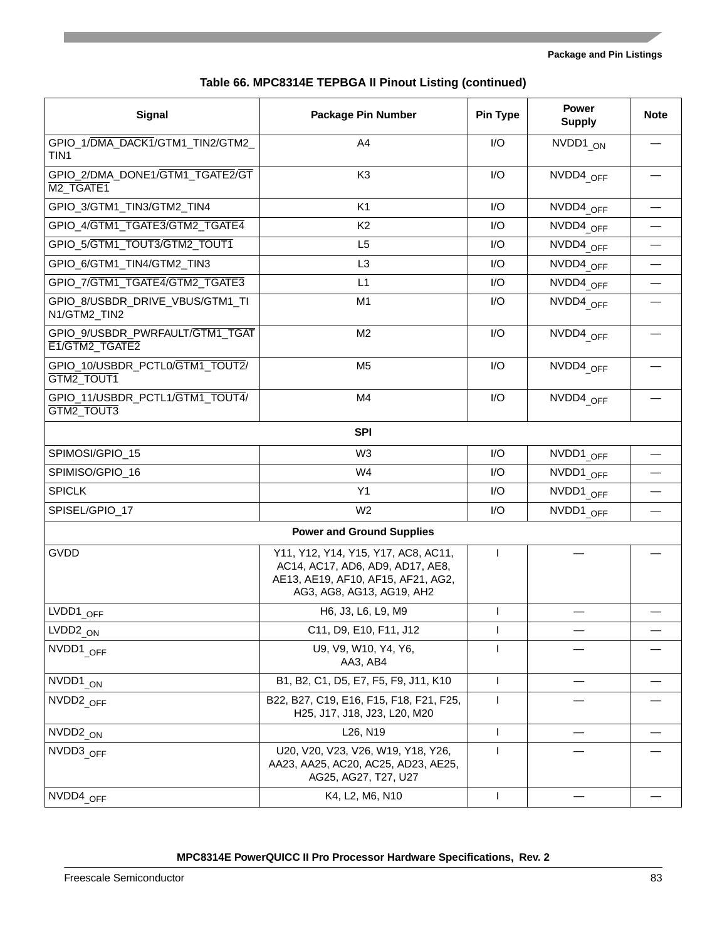| <b>Signal</b>                                            | <b>Package Pin Number</b>                                                                                                                  | Pin Type     | <b>Power</b><br><b>Supply</b> | <b>Note</b> |
|----------------------------------------------------------|--------------------------------------------------------------------------------------------------------------------------------------------|--------------|-------------------------------|-------------|
| GPIO_1/DMA_DACK1/GTM1_TIN2/GTM2_<br>TIN1                 | A4                                                                                                                                         | I/O          | NVDD1 ON                      |             |
| GPIO_2/DMA_DONE1/GTM1_TGATE2/GT<br>M <sub>2_TGATE1</sub> | K <sub>3</sub>                                                                                                                             | I/O          | NVDD4 OFF                     |             |
| GPIO_3/GTM1_TIN3/GTM2_TIN4                               | K <sub>1</sub>                                                                                                                             | I/O          | NVDD4 OFF                     |             |
| GPIO 4/GTM1_TGATE3/GTM2_TGATE4                           | K <sub>2</sub>                                                                                                                             | 1/O          | NVDD4 OFF                     |             |
| GPIO_5/GTM1_TOUT3/GTM2_TOUT1                             | L <sub>5</sub>                                                                                                                             | I/O          | NVDD4 OFF                     |             |
| GPIO_6/GTM1_TIN4/GTM2_TIN3                               | L <sub>3</sub>                                                                                                                             | I/O          | NVDD4 OFF                     |             |
| GPIO 7/GTM1_TGATE4/GTM2_TGATE3                           | L1                                                                                                                                         | 1/O          | NVDD4 OFF                     |             |
| GPIO_8/USBDR_DRIVE_VBUS/GTM1_TI<br>N1/GTM2_TIN2          | M1                                                                                                                                         | 1/O          | NVDD4 OFF                     |             |
| GPIO_9/USBDR_PWRFAULT/GTM1_TGAT<br>E1/GTM2_TGATE2        | M <sub>2</sub>                                                                                                                             | I/O          | NVDD4 OFF                     |             |
| GPIO_10/USBDR_PCTL0/GTM1_TOUT2/<br>GTM2 TOUT1            | M <sub>5</sub>                                                                                                                             | I/O          | NVDD4 OFF                     |             |
| GPIO_11/USBDR_PCTL1/GTM1_TOUT4/<br>GTM2_TOUT3            | M4                                                                                                                                         | I/O          | NVDD4 OFF                     |             |
|                                                          | <b>SPI</b>                                                                                                                                 |              |                               |             |
| SPIMOSI/GPIO_15                                          | W <sub>3</sub>                                                                                                                             | I/O          | NVDD1 OFF                     |             |
| SPIMISO/GPIO_16                                          | W4                                                                                                                                         | I/O          | NVDD1 OFF                     |             |
| <b>SPICLK</b>                                            | Y1                                                                                                                                         | I/O          | NVDD1 OFF                     |             |
| SPISEL/GPIO_17                                           | W <sub>2</sub>                                                                                                                             | 1/O          | NVDD1 OFF                     |             |
|                                                          | <b>Power and Ground Supplies</b>                                                                                                           |              |                               |             |
| GVDD                                                     | Y11, Y12, Y14, Y15, Y17, AC8, AC11,<br>AC14, AC17, AD6, AD9, AD17, AE8,<br>AE13, AE19, AF10, AF15, AF21, AG2,<br>AG3, AG8, AG13, AG19, AH2 |              |                               |             |
| $LVDD1_{\overline{OFF}}$                                 | H6, J3, L6, L9, M9                                                                                                                         | $\mathbf{I}$ |                               |             |
| $LVDD2_{ON}$                                             | C11, D9, E10, F11, J12                                                                                                                     | $\mathsf I$  |                               |             |
| NVDD1 OFF                                                | U9, V9, W10, Y4, Y6,<br>AA3, AB4                                                                                                           | $\mathbf{I}$ |                               |             |
| NVDD1 ON                                                 | B1, B2, C1, D5, E7, F5, F9, J11, K10                                                                                                       | $\mathbf{I}$ |                               |             |
| NVDD <sub>2</sub> OFF                                    | B22, B27, C19, E16, F15, F18, F21, F25,<br>H25, J17, J18, J23, L20, M20                                                                    | $\mathsf{I}$ |                               |             |
| NVDD2_ON                                                 | L <sub>26</sub> , N <sub>19</sub>                                                                                                          | $\mathbf{I}$ |                               |             |
| NVDD3 OFF                                                | U20, V20, V23, V26, W19, Y18, Y26,<br>AA23, AA25, AC20, AC25, AD23, AE25,<br>AG25, AG27, T27, U27                                          | $\mathbf{I}$ |                               |             |
| NVDD4 OFF                                                | K4, L2, M6, N10                                                                                                                            | $\mathbf{I}$ |                               |             |

### **Table 66. MPC8314E TEPBGA II Pinout Listing (continued)**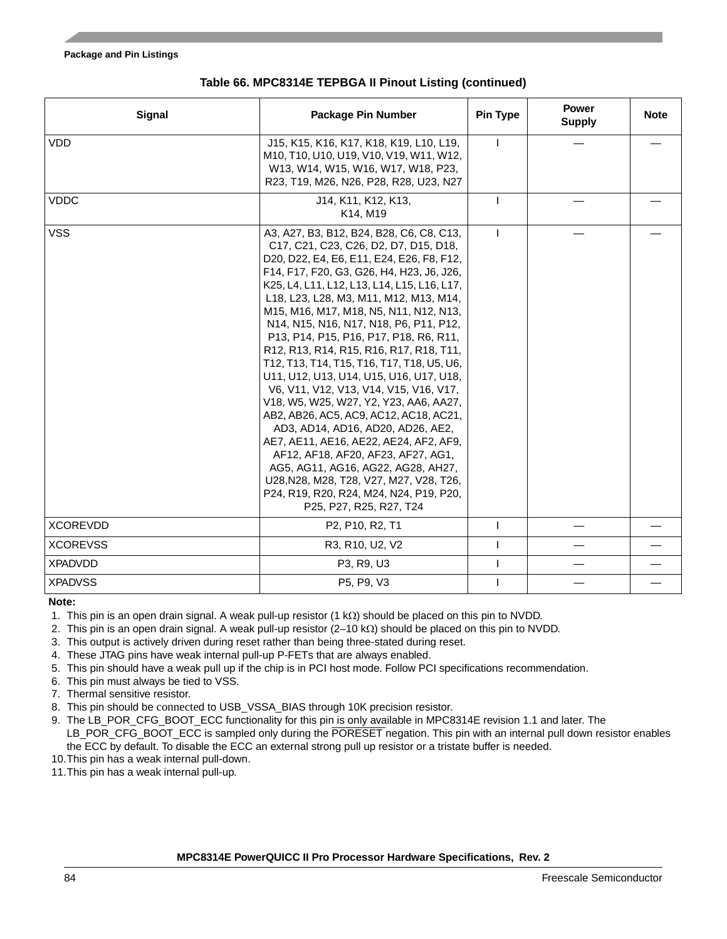| <b>Signal</b>   | <b>Package Pin Number</b>                                                                                                                                                                                                                                                                                                                                                                                                                                                                                                                                                                                                                                                                                                                                                                                                                                                                                                                        | <b>Pin Type</b> | <b>Power</b><br><b>Supply</b> | <b>Note</b> |
|-----------------|--------------------------------------------------------------------------------------------------------------------------------------------------------------------------------------------------------------------------------------------------------------------------------------------------------------------------------------------------------------------------------------------------------------------------------------------------------------------------------------------------------------------------------------------------------------------------------------------------------------------------------------------------------------------------------------------------------------------------------------------------------------------------------------------------------------------------------------------------------------------------------------------------------------------------------------------------|-----------------|-------------------------------|-------------|
| <b>VDD</b>      | J15, K15, K16, K17, K18, K19, L10, L19,<br>M <sub>10</sub> , T <sub>10</sub> , U <sub>10</sub> , U <sub>19</sub> , V <sub>10</sub> , V <sub>19</sub> , W <sub>11</sub> , W <sub>12</sub> ,<br>W13, W14, W15, W16, W17, W18, P23,<br>R23, T19, M26, N26, P28, R28, U23, N27                                                                                                                                                                                                                                                                                                                                                                                                                                                                                                                                                                                                                                                                       |                 |                               |             |
| <b>VDDC</b>     | J14, K11, K12, K13,<br>K14, M19                                                                                                                                                                                                                                                                                                                                                                                                                                                                                                                                                                                                                                                                                                                                                                                                                                                                                                                  |                 |                               |             |
| <b>VSS</b>      | A3, A27, B3, B12, B24, B28, C6, C8, C13,<br>C17, C21, C23, C26, D2, D7, D15, D18,<br>D20, D22, E4, E6, E11, E24, E26, F8, F12,<br>F14, F17, F20, G3, G26, H4, H23, J6, J26,<br>K25, L4, L11, L12, L13, L14, L15, L16, L17,<br>L18, L23, L28, M3, M11, M12, M13, M14,<br>M15, M16, M17, M18, N5, N11, N12, N13,<br>N14, N15, N16, N17, N18, P6, P11, P12,<br>P13, P14, P15, P16, P17, P18, R6, R11,<br>R12, R13, R14, R15, R16, R17, R18, T11,<br>T12, T13, T14, T15, T16, T17, T18, U5, U6,<br>U11, U12, U13, U14, U15, U16, U17, U18,<br>V6, V11, V12, V13, V14, V15, V16, V17,<br>V18, W5, W25, W27, Y2, Y23, AA6, AA27,<br>AB2, AB26, AC5, AC9, AC12, AC18, AC21,<br>AD3, AD14, AD16, AD20, AD26, AE2,<br>AE7, AE11, AE16, AE22, AE24, AF2, AF9,<br>AF12, AF18, AF20, AF23, AF27, AG1,<br>AG5, AG11, AG16, AG22, AG28, AH27,<br>U28, N28, M28, T28, V27, M27, V28, T26,<br>P24, R19, R20, R24, M24, N24, P19, P20,<br>P25, P27, R25, R27, T24 |                 |                               |             |
| <b>XCOREVDD</b> | P2, P10, R2, T1                                                                                                                                                                                                                                                                                                                                                                                                                                                                                                                                                                                                                                                                                                                                                                                                                                                                                                                                  |                 |                               |             |
| <b>XCOREVSS</b> | R3, R10, U2, V2                                                                                                                                                                                                                                                                                                                                                                                                                                                                                                                                                                                                                                                                                                                                                                                                                                                                                                                                  |                 |                               |             |
| <b>XPADVDD</b>  | P3, R9, U3                                                                                                                                                                                                                                                                                                                                                                                                                                                                                                                                                                                                                                                                                                                                                                                                                                                                                                                                       |                 |                               |             |
| <b>XPADVSS</b>  | P5, P9, V3                                                                                                                                                                                                                                                                                                                                                                                                                                                                                                                                                                                                                                                                                                                                                                                                                                                                                                                                       |                 |                               |             |

### **Table 66. MPC8314E TEPBGA II Pinout Listing (continued)**

#### **Note:**

<span id="page-83-7"></span>1. This pin is an open drain signal. A weak pull-up resistor  $(1 k\Omega)$  should be placed on this pin to NVDD.

<span id="page-83-3"></span>2. This pin is an open drain signal. A weak pull-up resistor  $(2-10 \text{ k}\Omega)$  should be placed on this pin to NVDD.

<span id="page-83-0"></span>3. This output is actively driven during reset rather than being three-stated during reset.

<span id="page-83-4"></span>4. These JTAG pins have weak internal pull-up P-FETs that are always enabled.

<span id="page-83-8"></span>5. This pin should have a weak pull up if the chip is in PCI host mode. Follow PCI specifications recommendation.

<span id="page-83-5"></span>6. This pin must always be tied to VSS.

<span id="page-83-6"></span>7. Thermal sensitive resistor.

<span id="page-83-10"></span>8. This pin should be connected to USB\_VSSA\_BIAS through 10K precision resistor.

<span id="page-83-9"></span>9. The LB\_POR\_CFG\_BOOT\_ECC functionality for this pin is only available in MPC8314E revision 1.1 and later. The LB\_POR\_CFG\_BOOT\_ECC is sampled only during the PORESET negation. This pin with an internal pull down resistor enables the ECC by default. To disable the ECC an external strong pull up resistor or a tristate buffer is needed.

<span id="page-83-1"></span>10.This pin has a weak internal pull-down.

<span id="page-83-2"></span>11.This pin has a weak internal pull-up.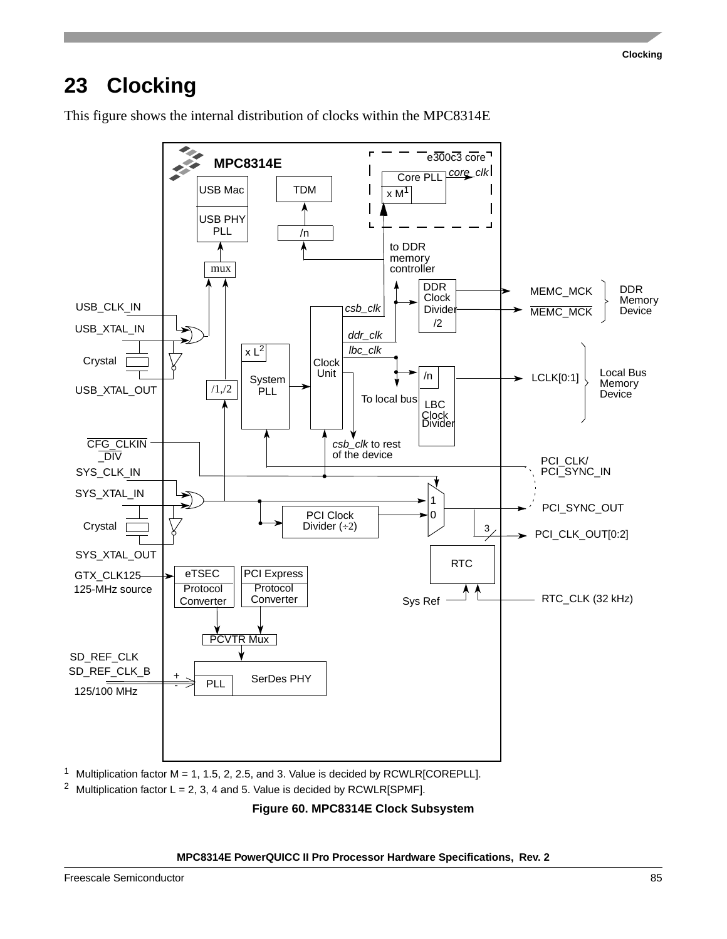<span id="page-84-1"></span>This figure shows the internal distribution of clocks within the MPC8314E



<sup>1</sup> Multiplication factor M = 1, 1.5, 2, 2.5, and 3. Value is decided by RCWLR[COREPLL].

<span id="page-84-0"></span><sup>2</sup> Multiplication factor L = 2, 3, 4 and 5. Value is decided by RCWLR[SPMF].

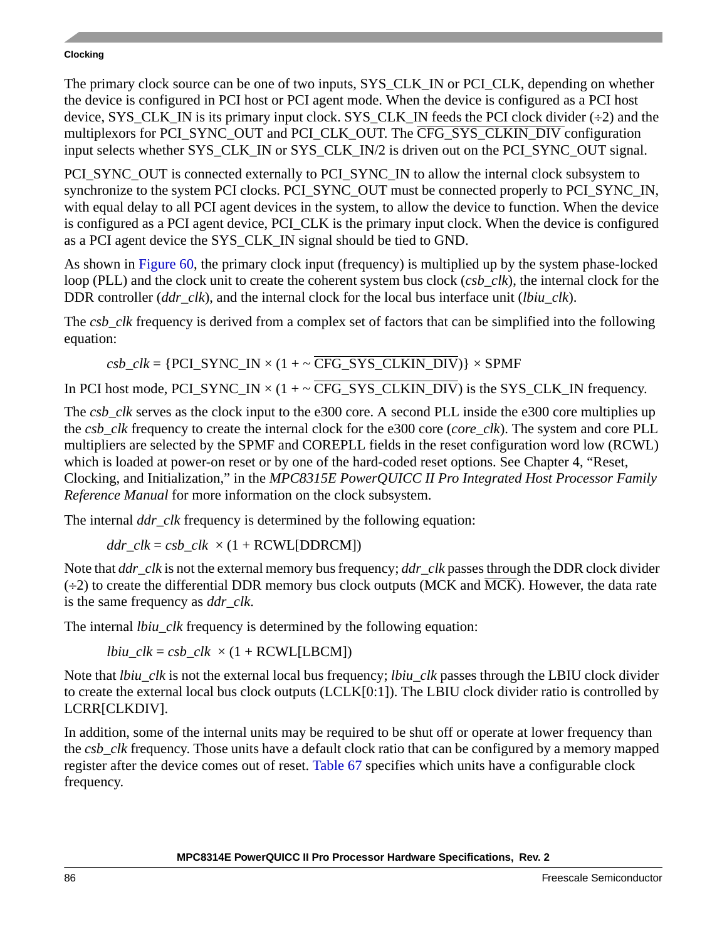The primary clock source can be one of two inputs, SYS\_CLK\_IN or PCI\_CLK, depending on whether the device is configured in PCI host or PCI agent mode. When the device is configured as a PCI host device, SYS\_CLK\_IN is its primary input clock. SYS\_CLK\_IN feeds the PCI clock divider  $(\div 2)$  and the multiplexors for PCI\_SYNC\_OUT and PCI\_CLK\_OUT. The CFG\_SYS\_CLKIN\_DIV configuration input selects whether SYS\_CLK\_IN or SYS\_CLK\_IN/2 is driven out on the PCI\_SYNC\_OUT signal.

PCI\_SYNC\_OUT is connected externally to PCI\_SYNC\_IN to allow the internal clock subsystem to synchronize to the system PCI clocks. PCI\_SYNC\_OUT must be connected properly to PCI\_SYNC\_IN, with equal delay to all PCI agent devices in the system, to allow the device to function. When the device is configured as a PCI agent device, PCI CLK is the primary input clock. When the device is configured as a PCI agent device the SYS\_CLK\_IN signal should be tied to GND.

As shown in [Figure 60](#page-84-0), the primary clock input (frequency) is multiplied up by the system phase-locked loop (PLL) and the clock unit to create the coherent system bus clock (*csb\_clk*), the internal clock for the DDR controller (*ddr\_clk*), and the internal clock for the local bus interface unit (*lbiu clk*).

The *csb* clk frequency is derived from a complex set of factors that can be simplified into the following equation:

 $csb\_clk = {PCI\_SYNC\_IN \times (1 + \sim \overline{CFG\_SYS\_CLKIN\_DIV})} \times SPMF$ 

In PCI host mode, PCI\_SYNC\_IN  $\times$  (1 + ~ CFG\_SYS\_CLKIN\_DIV) is the SYS\_CLK\_IN frequency.

The *csb* clk serves as the clock input to the e300 core. A second PLL inside the e300 core multiplies up the *csb\_clk* frequency to create the internal clock for the e300 core (*core\_clk*). The system and core PLL multipliers are selected by the SPMF and COREPLL fields in the reset configuration word low (RCWL) which is loaded at power-on reset or by one of the hard-coded reset options. See Chapter 4, "Reset, Clocking, and Initialization," in the *MPC8315E PowerQUICC II Pro Integrated Host Processor Family Reference Manual* for more information on the clock subsystem.

The internal *ddr\_clk* frequency is determined by the following equation:

 $ddr_c$ *clk* = *csb\_clk* × (1 + RCWL[DDRCM])

Note that *ddr\_clk* is not the external memory bus frequency; *ddr\_clk* passes through the DDR clock divider  $(\div 2)$  to create the differential DDR memory bus clock outputs (MCK and MCK). However, the data rate is the same frequency as *ddr\_clk*.

The internal *lbiu clk* frequency is determined by the following equation:

*lbiu\_clk* =  $csb$ \_*clk*  $\times$  (1 + RCWL[LBCM])

Note that *lbiu clk* is not the external local bus frequency; *lbiu clk* passes through the LBIU clock divider to create the external local bus clock outputs (LCLK[0:1]). The LBIU clock divider ratio is controlled by LCRR[CLKDIV].

In addition, some of the internal units may be required to be shut off or operate at lower frequency than the *csb\_clk* frequency. Those units have a default clock ratio that can be configured by a memory mapped register after the device comes out of reset. [Table 67](#page-86-0) specifies which units have a configurable clock frequency.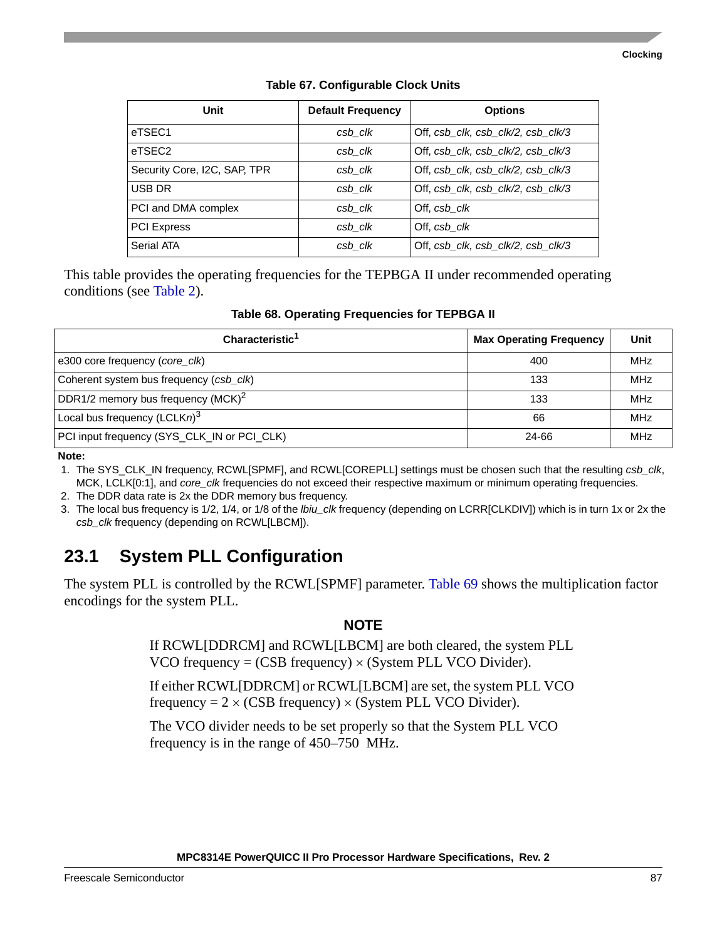<span id="page-86-0"></span>

| Unit                         | <b>Default Frequency</b> | <b>Options</b>                     |
|------------------------------|--------------------------|------------------------------------|
| eTSEC1                       | csb clk                  | Off, csb_clk, csb_clk/2, csb_clk/3 |
| eTSEC2                       | csb clk                  | Off, csb clk, csb clk/2, csb clk/3 |
| Security Core, I2C, SAP, TPR | csb clk                  | Off, csb_clk, csb_clk/2, csb_clk/3 |
| USB DR                       | csb clk                  | Off, csb clk, csb clk/2, csb clk/3 |
| PCI and DMA complex          | csb clk                  | Off, csb clk                       |
| <b>PCI Express</b>           | csb clk                  | Off, csb clk                       |
| Serial ATA                   | csb clk                  | Off, csb_clk, csb_clk/2, csb_clk/3 |

### **Table 67. Configurable Clock Units**

This table provides the operating frequencies for the TEPBGA II under recommended operating conditions (see [Table 2\)](#page-8-0).

**Table 68. Operating Frequencies for TEPBGA II**

| Characteristic <sup>1</sup>                 | <b>Max Operating Frequency</b> | Unit       |
|---------------------------------------------|--------------------------------|------------|
| e300 core frequency (core clk)              | 400                            | <b>MHz</b> |
| Coherent system bus frequency (csb_clk)     | 133                            | <b>MHz</b> |
| DDR1/2 memory bus frequency $(MCK)^2$       | 133                            | <b>MHz</b> |
| Local bus frequency $(LCLKn)^3$             | 66                             | <b>MHz</b> |
| PCI input frequency (SYS_CLK_IN or PCI_CLK) | 24-66                          | <b>MHz</b> |

**Note:** 

1. The SYS\_CLK\_IN frequency, RCWL[SPMF], and RCWL[COREPLL] settings must be chosen such that the resulting *csb\_clk*, MCK, LCLK[0:1], and *core\_clk* frequencies do not exceed their respective maximum or minimum operating frequencies.

2. The DDR data rate is 2x the DDR memory bus frequency.

3. The local bus frequency is 1/2, 1/4, or 1/8 of the *lbiu\_clk* frequency (depending on LCRR[CLKDIV]) which is in turn 1x or 2x the *csb\_clk* frequency (depending on RCWL[LBCM]).

# <span id="page-86-1"></span>**23.1 System PLL Configuration**

The system PLL is controlled by the RCWL[SPMF] parameter. [Table 69](#page-87-0) shows the multiplication factor encodings for the system PLL.

### **NOTE**

If RCWL[DDRCM] and RCWL[LBCM] are both cleared, the system PLL VCO frequency =  $(CSB$  frequency)  $\times$  (System PLL VCO Divider).

If either RCWL[DDRCM] or RCWL[LBCM] are set, the system PLL VCO frequency =  $2 \times (CSB$  frequency)  $\times$  (System PLL VCO Divider).

The VCO divider needs to be set properly so that the System PLL VCO frequency is in the range of 450–750 MHz.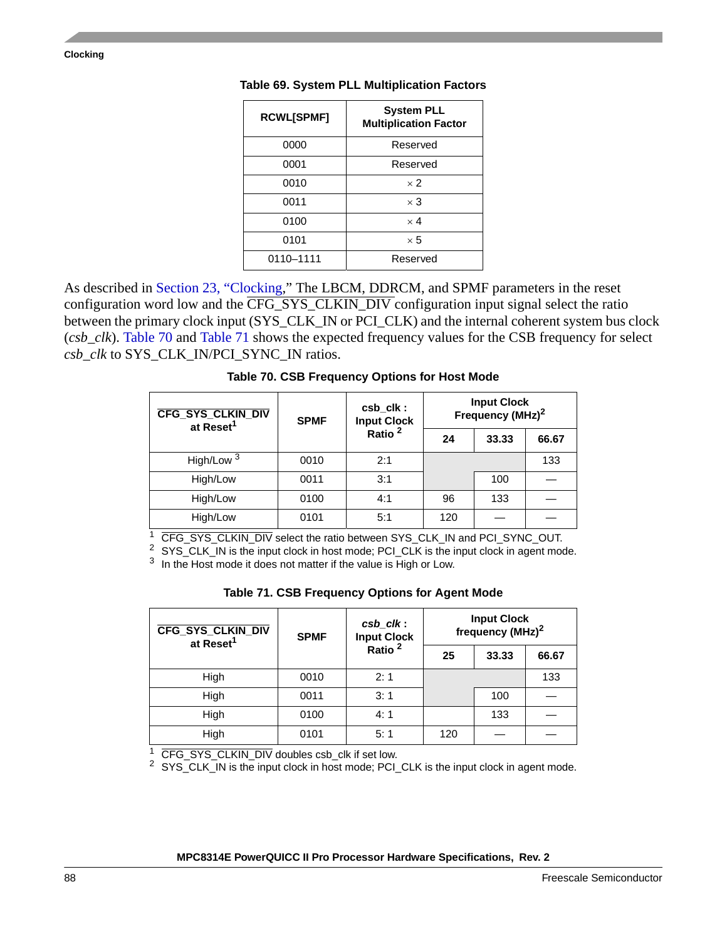| <b>RCWL[SPMF]</b> | <b>System PLL</b><br><b>Multiplication Factor</b> |
|-------------------|---------------------------------------------------|
| 0000              | Reserved                                          |
| 0001              | Reserved                                          |
| 0010              | $\times$ 2                                        |
| 0011              | $\times 3$                                        |
| 0100              | $\times$ 4                                        |
| 0101              | $\times 5$                                        |
| 0110-1111         | Reserved                                          |

### <span id="page-87-0"></span>**Table 69. System PLL Multiplication Factors**

As described in [Section 23, "Clocking,](#page-84-1)" The LBCM, DDRCM, and SPMF parameters in the reset configuration word low and the CFG\_SYS\_CLKIN\_DIV configuration input signal select the ratio between the primary clock input (SYS\_CLK\_IN or PCI\_CLK) and the internal coherent system bus clock (*csb\_clk*). [Table 70](#page-87-1) and [Table 71](#page-87-2) shows the expected frequency values for the CSB frequency for select *csb\_clk* to SYS\_CLK\_IN/PCI\_SYNC\_IN ratios.

### **Table 70. CSB Frequency Options for Host Mode**

<span id="page-87-1"></span>

| <b>CFG_SYS_CLKIN_DIV</b><br>at Reset <sup>1</sup> | csb_clk:<br><b>SPMF</b><br><b>Input Clock</b> |     | <b>Input Clock</b><br>Frequency (MHz) <sup>2</sup> |       |     |
|---------------------------------------------------|-----------------------------------------------|-----|----------------------------------------------------|-------|-----|
|                                                   | Ratio <sup>2</sup>                            | 24  | 33.33                                              | 66.67 |     |
| High/Low <sup>3</sup>                             | 0010                                          | 2:1 |                                                    |       | 133 |
| High/Low                                          | 0011                                          | 3:1 |                                                    | 100   |     |
| High/Low                                          | 0100                                          | 4:1 | 96                                                 | 133   |     |
| High/Low                                          | 0101                                          | 5:1 | 120                                                |       |     |

<sup>1</sup> CFG\_SYS\_CLKIN\_DIV select the ratio between SYS\_CLK\_IN and PCI\_SYNC\_OUT.

<sup>2</sup> SYS\_CLK\_IN is the input clock in host mode; PCI\_CLK is the input clock in agent mode.

<sup>3</sup> In the Host mode it does not matter if the value is High or Low.

| Table 71. CSB Frequency Options for Agent Mode |  |  |  |  |
|------------------------------------------------|--|--|--|--|
|------------------------------------------------|--|--|--|--|

<span id="page-87-2"></span>

| <b>CFG_SYS_CLKIN_DIV</b><br>at Reset <sup>1</sup> | $csb$ <sub>_<math>clk</math></sub> :<br>Input Clock<br>Ratio <sup>2</sup><br><b>SPMF</b> |     | frequency (MHz) <sup>2</sup> | <b>Input Clock</b> |       |
|---------------------------------------------------|------------------------------------------------------------------------------------------|-----|------------------------------|--------------------|-------|
|                                                   |                                                                                          |     |                              | 25                 | 33.33 |
| High                                              | 0010                                                                                     | 2:1 |                              |                    | 133   |
| High                                              | 0011                                                                                     | 3:1 |                              | 100                |       |
| High                                              | 0100                                                                                     | 4:1 |                              | 133                |       |
| High                                              | 0101                                                                                     | 5:1 | 120                          |                    |       |

<sup>1</sup> CFG\_SYS\_CLKIN\_DIV doubles csb\_clk if set low.

<sup>2</sup> SYS\_CLK\_IN is the input clock in host mode; PCI\_CLK is the input clock in agent mode.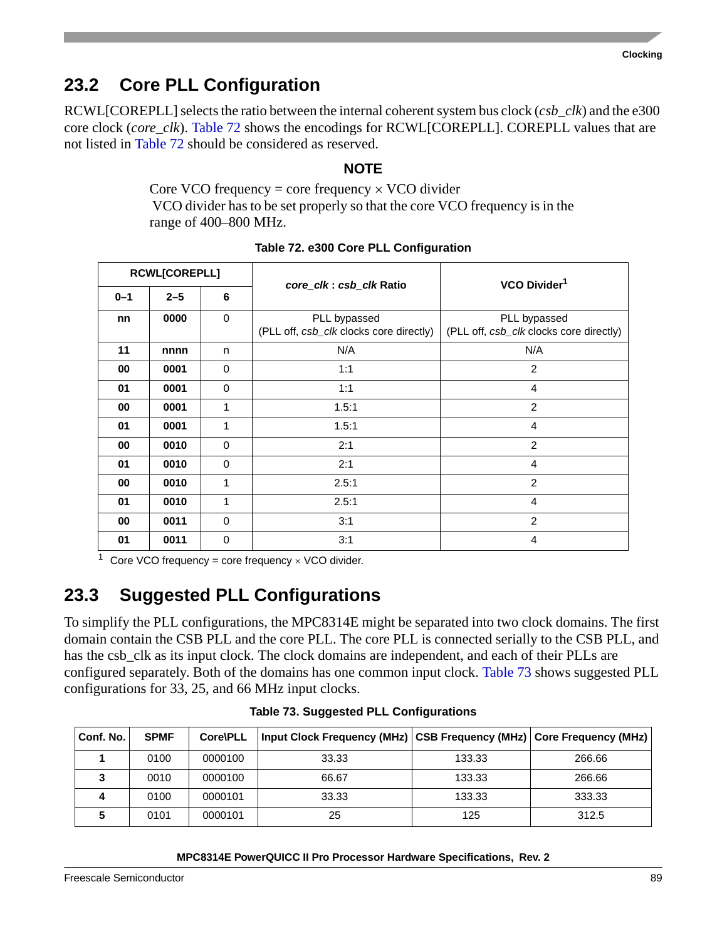# <span id="page-88-2"></span>**23.2 Core PLL Configuration**

RCWL[COREPLL] selects the ratio between the internal coherent system bus clock (*csb\_clk*) and the e300 core clock (*core\_clk*). [Table 72](#page-88-1) shows the encodings for RCWL[COREPLL]. COREPLL values that are not listed in [Table 72](#page-88-1) should be considered as reserved.

### **NOTE**

Core VCO frequency = core frequency  $\times$  VCO divider VCO divider has to be set properly so that the core VCO frequency is in the range of 400–800 MHz.

<span id="page-88-1"></span>

| RCWL[COREPLL] |         |             | core_clk: csb_clk Ratio                                 | VCO Divider <sup>1</sup>                                |  |
|---------------|---------|-------------|---------------------------------------------------------|---------------------------------------------------------|--|
| $0 - 1$       | $2 - 5$ | 6           |                                                         |                                                         |  |
| nn            | 0000    | $\mathbf 0$ | PLL bypassed<br>(PLL off, csb_clk clocks core directly) | PLL bypassed<br>(PLL off, csb_clk clocks core directly) |  |
| 11            | nnnn    | n           | N/A                                                     | N/A                                                     |  |
| 00            | 0001    | $\Omega$    | 1:1                                                     | 2                                                       |  |
| 01            | 0001    | 0           | 1:1                                                     | $\overline{4}$                                          |  |
| 00            | 0001    | 1           | 1.5:1                                                   | $\overline{2}$                                          |  |
| 01            | 0001    | 1           | 1.5:1                                                   | 4                                                       |  |
| 00            | 0010    | 0           | 2:1                                                     | $\overline{2}$                                          |  |
| 01            | 0010    | $\Omega$    | 2:1                                                     | 4                                                       |  |
| 00            | 0010    | 1           | 2.5:1                                                   | $\overline{2}$                                          |  |
| 01            | 0010    | 1           | 2.5:1                                                   | 4                                                       |  |
| 00            | 0011    | $\Omega$    | 3:1                                                     | 2                                                       |  |
| 01            | 0011    | 0           | 3:1                                                     | 4                                                       |  |

### **Table 72. e300 Core PLL Configuration**

<sup>1</sup> Core VCO frequency = core frequency  $\times$  VCO divider.

# **23.3 Suggested PLL Configurations**

To simplify the PLL configurations, the MPC8314E might be separated into two clock domains. The first domain contain the CSB PLL and the core PLL. The core PLL is connected serially to the CSB PLL, and has the csb\_clk as its input clock. The clock domains are independent, and each of their PLLs are configured separately. Both of the domains has one common input clock. [Table 73](#page-88-0) shows suggested PLL configurations for 33, 25, and 66 MHz input clocks.

<span id="page-88-0"></span>

| Conf. No. | <b>SPMF</b> | Core\PLL |       |        |        |
|-----------|-------------|----------|-------|--------|--------|
|           | 0100        | 0000100  | 33.33 | 133.33 | 266.66 |
|           | 0010        | 0000100  | 66.67 | 133.33 | 266.66 |
|           | 0100        | 0000101  | 33.33 | 133.33 | 333.33 |
|           | 0101        | 0000101  | 25    | 125    | 312.5  |

**Table 73. Suggested PLL Configurations**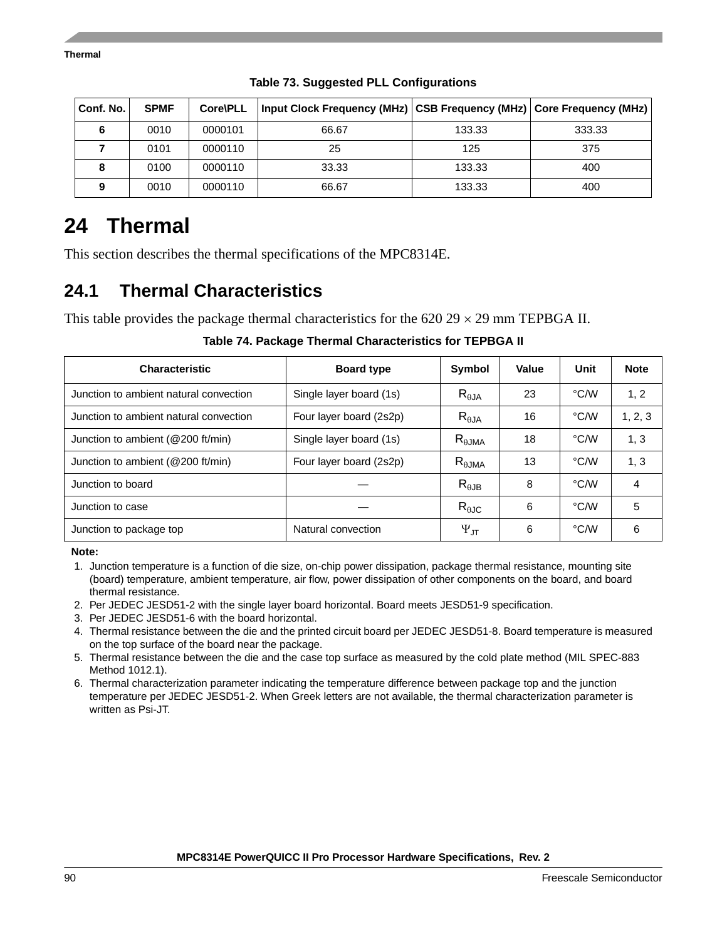| Conf. No. | <b>SPMF</b> | Core\PLL | Input Clock Frequency (MHz) CSB Frequency (MHz) Core Frequency (MHz) |        |        |
|-----------|-------------|----------|----------------------------------------------------------------------|--------|--------|
| 6         | 0010        | 0000101  | 66.67                                                                | 133.33 | 333.33 |
|           | 0101        | 0000110  | 25                                                                   | 125    | 375    |
| 8         | 0100        | 0000110  | 33.33                                                                | 133.33 | 400    |
| 9         | 0010        | 0000110  | 66.67                                                                | 133.33 | 400    |

**Table 73. Suggested PLL Configurations**

# <span id="page-89-0"></span>**24 Thermal**

This section describes the thermal specifications of the MPC8314E.

# **24.1 Thermal Characteristics**

This table provides the package thermal characteristics for the 620 29  $\times$  29 mm TEPBGA II.

| <b>Characteristic</b>                  | <b>Board type</b>       | <b>Symbol</b>      | Value | Unit | <b>Note</b> |
|----------------------------------------|-------------------------|--------------------|-------|------|-------------|
| Junction to ambient natural convection | Single layer board (1s) | $R_{\theta$ JA     | 23    | °C/W | 1, 2        |
| Junction to ambient natural convection | Four layer board (2s2p) | $R_{\theta$ JA     | 16    | °C/W | 1, 2, 3     |
| Junction to ambient (@200 ft/min)      | Single layer board (1s) | $R_{\theta JMA}$   | 18    | °C/W | 1, 3        |
| Junction to ambient (@200 ft/min)      | Four layer board (2s2p) | $R_{\theta JMA}$   | 13    | °C∕W | 1, 3        |
| Junction to board                      |                         | $R_{\theta$ JB     | 8     | °C∕W | 4           |
| Junction to case                       |                         | $R_{\theta$ JC     | 6     | °C∕W | 5           |
| Junction to package top                | Natural convection      | $\Psi_{\text{JT}}$ | 6     | °C/W | 6           |

**Table 74. Package Thermal Characteristics for TEPBGA II**

**Note:** 

- 2. Per JEDEC JESD51-2 with the single layer board horizontal. Board meets JESD51-9 specification.
- 3. Per JEDEC JESD51-6 with the board horizontal.
- 4. Thermal resistance between the die and the printed circuit board per JEDEC JESD51-8. Board temperature is measured on the top surface of the board near the package.
- 5. Thermal resistance between the die and the case top surface as measured by the cold plate method (MIL SPEC-883 Method 1012.1).
- 6. Thermal characterization parameter indicating the temperature difference between package top and the junction temperature per JEDEC JESD51-2. When Greek letters are not available, the thermal characterization parameter is written as Psi-JT.

<sup>1.</sup> Junction temperature is a function of die size, on-chip power dissipation, package thermal resistance, mounting site (board) temperature, ambient temperature, air flow, power dissipation of other components on the board, and board thermal resistance.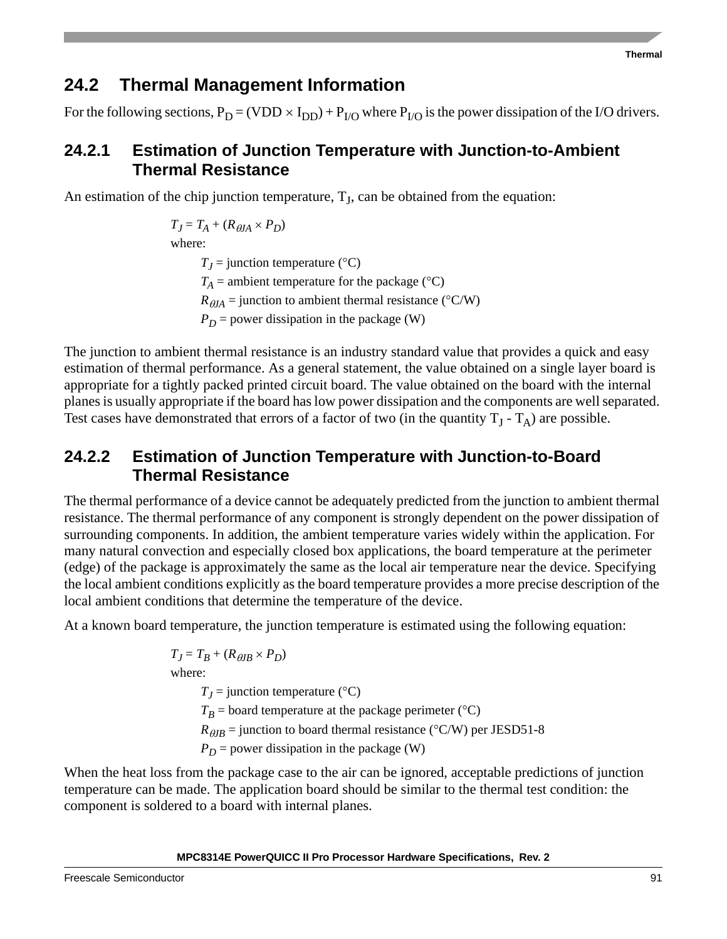### **24.2 Thermal Management Information**

For the following sections,  $P_D = (VDD \times I_{DD}) + P_{I/O}$  where  $P_{I/O}$  is the power dissipation of the I/O drivers.

### **24.2.1 Estimation of Junction Temperature with Junction-to-Ambient Thermal Resistance**

An estimation of the chip junction temperature,  $T<sub>J</sub>$ , can be obtained from the equation:

 $T_J = T_A + (R_{AIA} \times P_D)$ where:  $T_I$  = junction temperature (°C)  $T_A$  = ambient temperature for the package ( $\rm ^{\circ}C)$ )  $R_{\theta JA}$  = junction to ambient thermal resistance (°C/W)  $P_D$  = power dissipation in the package (W)

The junction to ambient thermal resistance is an industry standard value that provides a quick and easy estimation of thermal performance. As a general statement, the value obtained on a single layer board is appropriate for a tightly packed printed circuit board. The value obtained on the board with the internal planes is usually appropriate if the board has low power dissipation and the components are well separated. Test cases have demonstrated that errors of a factor of two (in the quantity  $T_1 - T_A$ ) are possible.

### **24.2.2 Estimation of Junction Temperature with Junction-to-Board Thermal Resistance**

The thermal performance of a device cannot be adequately predicted from the junction to ambient thermal resistance. The thermal performance of any component is strongly dependent on the power dissipation of surrounding components. In addition, the ambient temperature varies widely within the application. For many natural convection and especially closed box applications, the board temperature at the perimeter (edge) of the package is approximately the same as the local air temperature near the device. Specifying the local ambient conditions explicitly as the board temperature provides a more precise description of the local ambient conditions that determine the temperature of the device.

At a known board temperature, the junction temperature is estimated using the following equation:

 $T_J = T_B + (R_{\theta I B} \times P_D)$ where:  $T_J$  = junction temperature (°C)  $T_B$  = board temperature at the package perimeter ( $\rm ^{\circ}C)$ )

 $R_{\theta} =$  junction to board thermal resistance (°C/W) per JESD51-8

 $P_D$  = power dissipation in the package (W)

When the heat loss from the package case to the air can be ignored, acceptable predictions of junction temperature can be made. The application board should be similar to the thermal test condition: the component is soldered to a board with internal planes.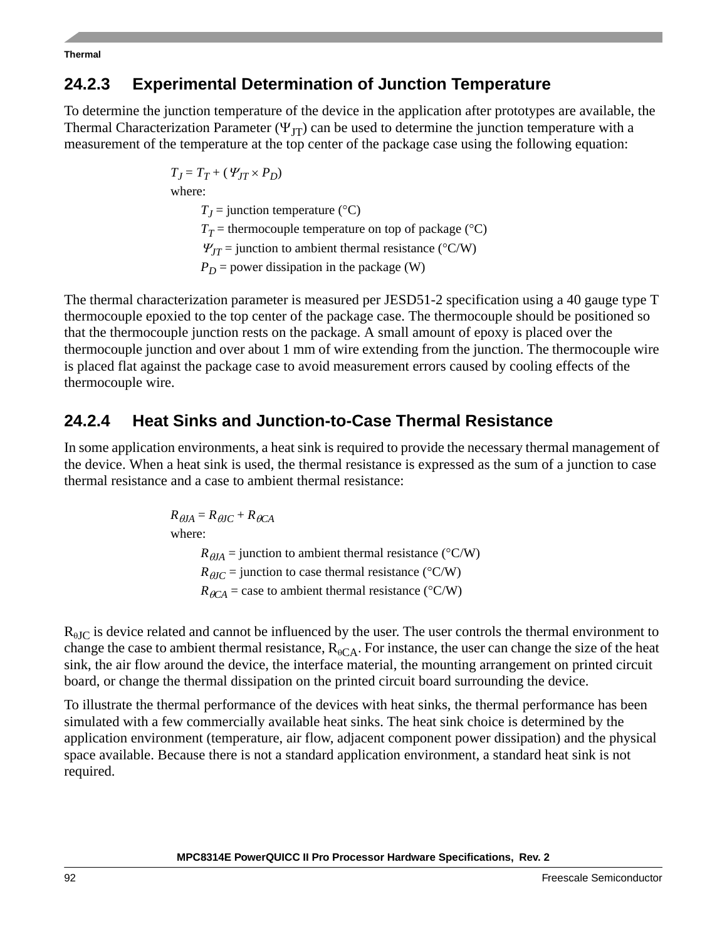**Thermal**

### **24.2.3 Experimental Determination of Junction Temperature**

To determine the junction temperature of the device in the application after prototypes are available, the Thermal Characterization Parameter ( $\Psi_{IT}$ ) can be used to determine the junction temperature with a measurement of the temperature at the top center of the package case using the following equation:

$$
T_J = T_T + (\Psi_{JT} \times P_D)
$$
  
where:  

$$
T_J = \text{junction temperature } (^{\circ}C)
$$
  

$$
T_T = \text{thermocouple temperature on top of package } (^{\circ}C)
$$
  

$$
\Psi_{JT} = \text{junction to ambient thermal resistance } (^{\circ}C/W)
$$
  

$$
P_D = \text{power dissipation in the package (W)}
$$

The thermal characterization parameter is measured per JESD51-2 specification using a 40 gauge type T thermocouple epoxied to the top center of the package case. The thermocouple should be positioned so that the thermocouple junction rests on the package. A small amount of epoxy is placed over the thermocouple junction and over about 1 mm of wire extending from the junction. The thermocouple wire is placed flat against the package case to avoid measurement errors caused by cooling effects of the thermocouple wire.

## **24.2.4 Heat Sinks and Junction-to-Case Thermal Resistance**

 $\mathbf{w}$ 

In some application environments, a heat sink is required to provide the necessary thermal management of the device. When a heat sink is used, the thermal resistance is expressed as the sum of a junction to case thermal resistance and a case to ambient thermal resistance:

$$
R_{\theta J A} = R_{\theta J C} + R_{\theta C A}
$$
  
where:  

$$
R_{\theta J A} = \text{junction to ambient thermal resistance } (^{\circ}C/W)
$$
  

$$
R_{\theta J C} = \text{junction to case thermal resistance } (^{\circ}C/W)
$$
  

$$
R_{\theta C A} = \text{case to ambient thermal resistance } (^{\circ}C/W)
$$

 $R_{\theta I}$  is device related and cannot be influenced by the user. The user controls the thermal environment to change the case to ambient thermal resistance,  $R_{\theta CA}$ . For instance, the user can change the size of the heat sink, the air flow around the device, the interface material, the mounting arrangement on printed circuit board, or change the thermal dissipation on the printed circuit board surrounding the device.

To illustrate the thermal performance of the devices with heat sinks, the thermal performance has been simulated with a few commercially available heat sinks. The heat sink choice is determined by the application environment (temperature, air flow, adjacent component power dissipation) and the physical space available. Because there is not a standard application environment, a standard heat sink is not required.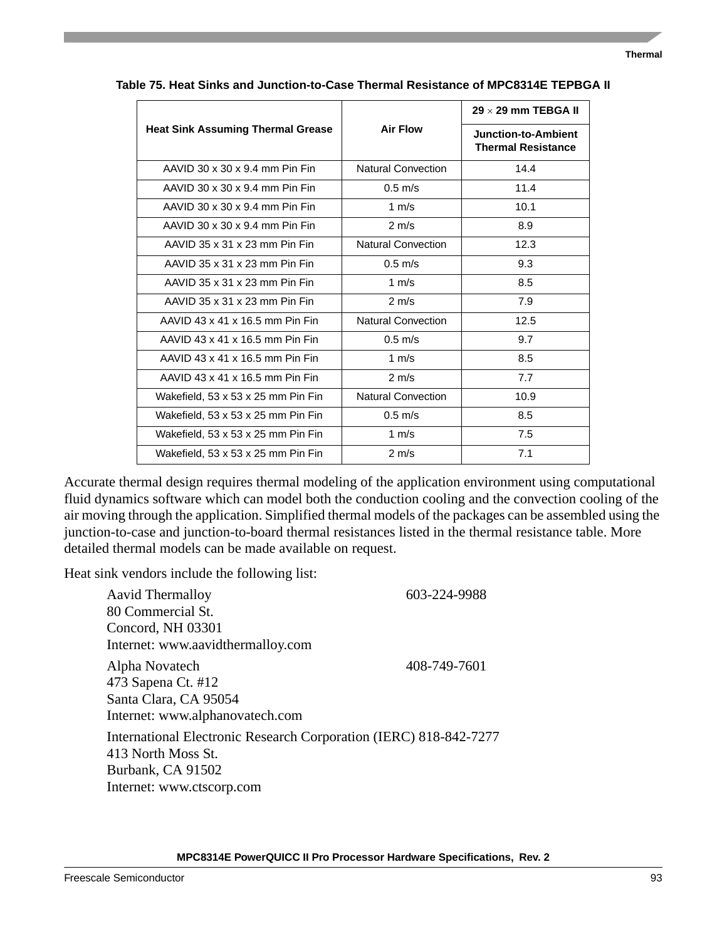|                                          |                           | $29 \times 29$ mm TEBGA II                       |
|------------------------------------------|---------------------------|--------------------------------------------------|
| <b>Heat Sink Assuming Thermal Grease</b> | <b>Air Flow</b>           | Junction-to-Ambient<br><b>Thermal Resistance</b> |
| AAVID 30 x 30 x 9.4 mm Pin Fin           | <b>Natural Convection</b> | 14.4                                             |
| AAVID 30 x 30 x 9.4 mm Pin Fin           | $0.5$ m/s                 | 11.4                                             |
| AAVID 30 x 30 x 9.4 mm Pin Fin           | 1 $m/s$                   | 10.1                                             |
| AAVID 30 x 30 x 9.4 mm Pin Fin           | $2 \text{ m/s}$           | 8.9                                              |
| AAVID 35 x 31 x 23 mm Pin Fin            | <b>Natural Convection</b> | 12.3                                             |
| AAVID 35 x 31 x 23 mm Pin Fin            | $0.5$ m/s                 | 9.3                                              |
| AAVID 35 x 31 x 23 mm Pin Fin            | 1 $m/s$                   | 8.5                                              |
| AAVID 35 x 31 x 23 mm Pin Fin            | $2 \text{ m/s}$           | 7.9                                              |
| AAVID 43 x 41 x 16.5 mm Pin Fin          | <b>Natural Convection</b> | 12.5                                             |
| AAVID 43 x 41 x 16.5 mm Pin Fin          | $0.5 \text{ m/s}$         | 9.7                                              |
| AAVID 43 x 41 x 16.5 mm Pin Fin          | 1 $m/s$                   | 8.5                                              |
| AAVID 43 x 41 x 16.5 mm Pin Fin          | $2 \text{ m/s}$           | 7.7                                              |
| Wakefield, 53 x 53 x 25 mm Pin Fin       | <b>Natural Convection</b> | 10.9                                             |
| Wakefield, 53 x 53 x 25 mm Pin Fin       | $0.5$ m/s                 | 8.5                                              |
| Wakefield, 53 x 53 x 25 mm Pin Fin       | 1 $m/s$                   | 7.5                                              |
| Wakefield, 53 x 53 x 25 mm Pin Fin       | $2 \text{ m/s}$           | 7.1                                              |

**Table 75. Heat Sinks and Junction-to-Case Thermal Resistance of MPC8314E TEPBGA II**

Accurate thermal design requires thermal modeling of the application environment using computational fluid dynamics software which can model both the conduction cooling and the convection cooling of the air moving through the application. Simplified thermal models of the packages can be assembled using the junction-to-case and junction-to-board thermal resistances listed in the thermal resistance table. More detailed thermal models can be made available on request.

Heat sink vendors include the following list:

| <b>Aavid Thermalloy</b><br>80 Commercial St.                                                                                              | 603-224-9988 |
|-------------------------------------------------------------------------------------------------------------------------------------------|--------------|
| Concord, NH 03301<br>Internet: www.aavidthermalloy.com                                                                                    |              |
| Alpha Novatech<br>473 Sapena Ct. #12<br>Santa Clara, CA 95054<br>Internet: www.alphanovatech.com                                          | 408-749-7601 |
| International Electronic Research Corporation (IERC) 818-842-7277<br>413 North Moss St.<br>Burbank, CA 91502<br>Internet: www.ctscorp.com |              |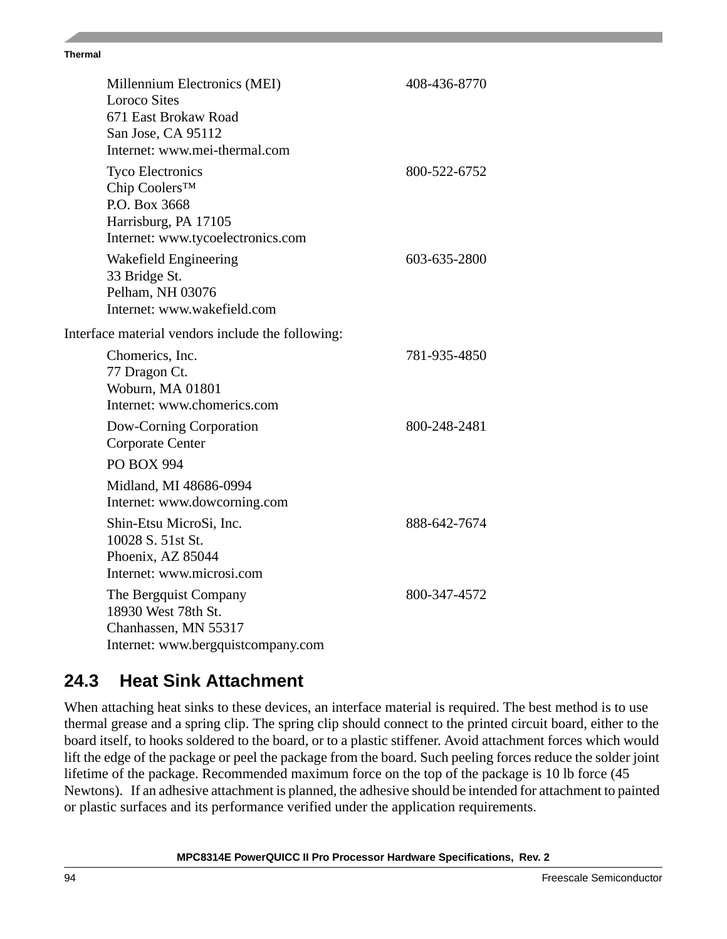#### **Thermal**

| Millennium Electronics (MEI)<br><b>Loroco Sites</b> | 408-436-8770 |
|-----------------------------------------------------|--------------|
| 671 East Brokaw Road                                |              |
| San Jose, CA 95112                                  |              |
| Internet: www.mei-thermal.com                       |              |
| <b>Tyco Electronics</b>                             | 800-522-6752 |
| Chip Coolers™<br>P.O. Box 3668                      |              |
| Harrisburg, PA 17105                                |              |
| Internet: www.tycoelectronics.com                   |              |
| Wakefield Engineering                               | 603-635-2800 |
| 33 Bridge St.                                       |              |
| Pelham, NH 03076                                    |              |
| Internet: www.wakefield.com                         |              |
| Interface material vendors include the following:   |              |
| Chomerics, Inc.                                     | 781-935-4850 |
| 77 Dragon Ct.                                       |              |
| Woburn, MA 01801<br>Internet: www.chomerics.com     |              |
| Dow-Corning Corporation                             | 800-248-2481 |
| Corporate Center                                    |              |
| <b>PO BOX 994</b>                                   |              |
| Midland, MI 48686-0994                              |              |
| Internet: www.dowcorning.com                        |              |
| Shin-Etsu MicroSi, Inc.                             | 888-642-7674 |
| 10028 S. 51st St.                                   |              |
| Phoenix, AZ 85044<br>Internet: www.microsi.com      |              |
|                                                     |              |
| The Bergquist Company<br>18930 West 78th St.        | 800-347-4572 |
| Chanhassen, MN 55317                                |              |
| Internet: www.bergquistcompany.com                  |              |

### **24.3 Heat Sink Attachment**

When attaching heat sinks to these devices, an interface material is required. The best method is to use thermal grease and a spring clip. The spring clip should connect to the printed circuit board, either to the board itself, to hooks soldered to the board, or to a plastic stiffener. Avoid attachment forces which would lift the edge of the package or peel the package from the board. Such peeling forces reduce the solder joint lifetime of the package. Recommended maximum force on the top of the package is 10 lb force (45 Newtons). If an adhesive attachment is planned, the adhesive should be intended for attachment to painted or plastic surfaces and its performance verified under the application requirements.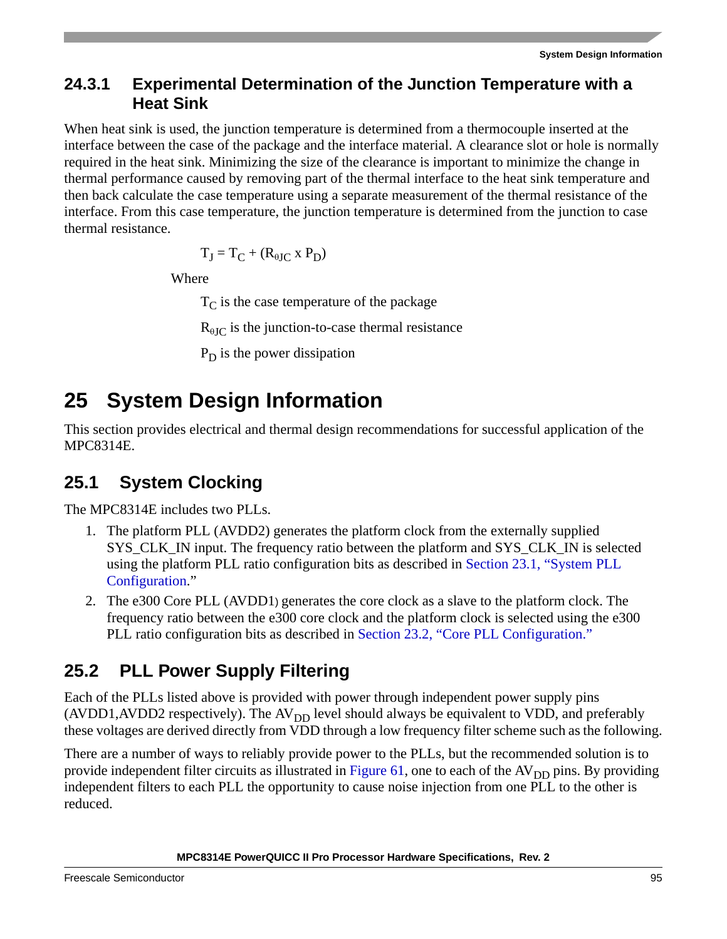### **24.3.1 Experimental Determination of the Junction Temperature with a Heat Sink**

When heat sink is used, the junction temperature is determined from a thermocouple inserted at the interface between the case of the package and the interface material. A clearance slot or hole is normally required in the heat sink. Minimizing the size of the clearance is important to minimize the change in thermal performance caused by removing part of the thermal interface to the heat sink temperature and then back calculate the case temperature using a separate measurement of the thermal resistance of the interface. From this case temperature, the junction temperature is determined from the junction to case thermal resistance.

$$
T_J=T_C+(R_{\theta JC}\ge P_D)
$$

Where

 $T_{\rm C}$  is the case temperature of the package

 $R_{\text{aIC}}$  is the junction-to-case thermal resistance

 $P_D$  is the power dissipation

# **25 System Design Information**

This section provides electrical and thermal design recommendations for successful application of the MPC8314E.

# **25.1 System Clocking**

The MPC8314E includes two PLLs.

- 1. The platform PLL (AVDD2) generates the platform clock from the externally supplied SYS\_CLK\_IN input. The frequency ratio between the platform and SYS\_CLK\_IN is selected using the platform PLL ratio configuration bits as described in [Section 23.1, "System PLL](#page-86-1)  [Configuration](#page-86-1)."
- 2. The e300 Core PLL (AVDD1) generates the core clock as a slave to the platform clock. The frequency ratio between the e300 core clock and the platform clock is selected using the e300 PLL ratio configuration bits as described in [Section 23.2, "Core PLL Configuration.](#page-88-2)"

# **25.2 PLL Power Supply Filtering**

Each of the PLLs listed above is provided with power through independent power supply pins (AVDD1,AVDD2 respectively). The  $AV_{DD}$  level should always be equivalent to VDD, and preferably these voltages are derived directly from VDD through a low frequency filter scheme such as the following.

There are a number of ways to reliably provide power to the PLLs, but the recommended solution is to provide independent filter circuits as illustrated in [Figure 61,](#page-95-0) one to each of the AV<sub>DD</sub> pins. By providing independent filters to each PLL the opportunity to cause noise injection from one PLL to the other is reduced.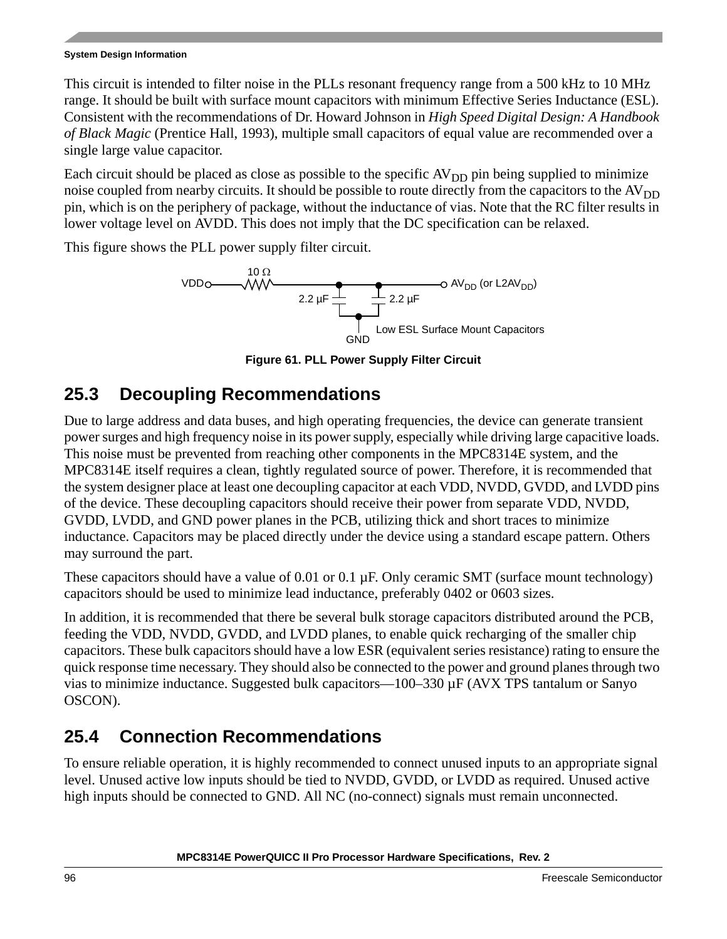### **System Design Information**

This circuit is intended to filter noise in the PLLs resonant frequency range from a 500 kHz to 10 MHz range. It should be built with surface mount capacitors with minimum Effective Series Inductance (ESL). Consistent with the recommendations of Dr. Howard Johnson in *High Speed Digital Design: A Handbook of Black Magic* (Prentice Hall, 1993), multiple small capacitors of equal value are recommended over a single large value capacitor.

Each circuit should be placed as close as possible to the specific  $AV_{DD}$  pin being supplied to minimize noise coupled from nearby circuits. It should be possible to route directly from the capacitors to the  $AV<sub>DD</sub>$ pin, which is on the periphery of package, without the inductance of vias. Note that the RC filter results in lower voltage level on AVDD. This does not imply that the DC specification can be relaxed.

This figure shows the PLL power supply filter circuit.



**Figure 61. PLL Power Supply Filter Circuit**

## <span id="page-95-0"></span>**25.3 Decoupling Recommendations**

Due to large address and data buses, and high operating frequencies, the device can generate transient power surges and high frequency noise in its power supply, especially while driving large capacitive loads. This noise must be prevented from reaching other components in the MPC8314E system, and the MPC8314E itself requires a clean, tightly regulated source of power. Therefore, it is recommended that the system designer place at least one decoupling capacitor at each VDD, NVDD, GVDD, and LVDD pins of the device. These decoupling capacitors should receive their power from separate VDD, NVDD, GVDD, LVDD, and GND power planes in the PCB, utilizing thick and short traces to minimize inductance. Capacitors may be placed directly under the device using a standard escape pattern. Others may surround the part.

These capacitors should have a value of  $0.01$  or  $0.1 \mu$ F. Only ceramic SMT (surface mount technology) capacitors should be used to minimize lead inductance, preferably 0402 or 0603 sizes.

In addition, it is recommended that there be several bulk storage capacitors distributed around the PCB, feeding the VDD, NVDD, GVDD, and LVDD planes, to enable quick recharging of the smaller chip capacitors. These bulk capacitors should have a low ESR (equivalent series resistance) rating to ensure the quick response time necessary. They should also be connected to the power and ground planes through two vias to minimize inductance. Suggested bulk capacitors—100–330 µF (AVX TPS tantalum or Sanyo OSCON).

# **25.4 Connection Recommendations**

To ensure reliable operation, it is highly recommended to connect unused inputs to an appropriate signal level. Unused active low inputs should be tied to NVDD, GVDD, or LVDD as required. Unused active high inputs should be connected to GND. All NC (no-connect) signals must remain unconnected.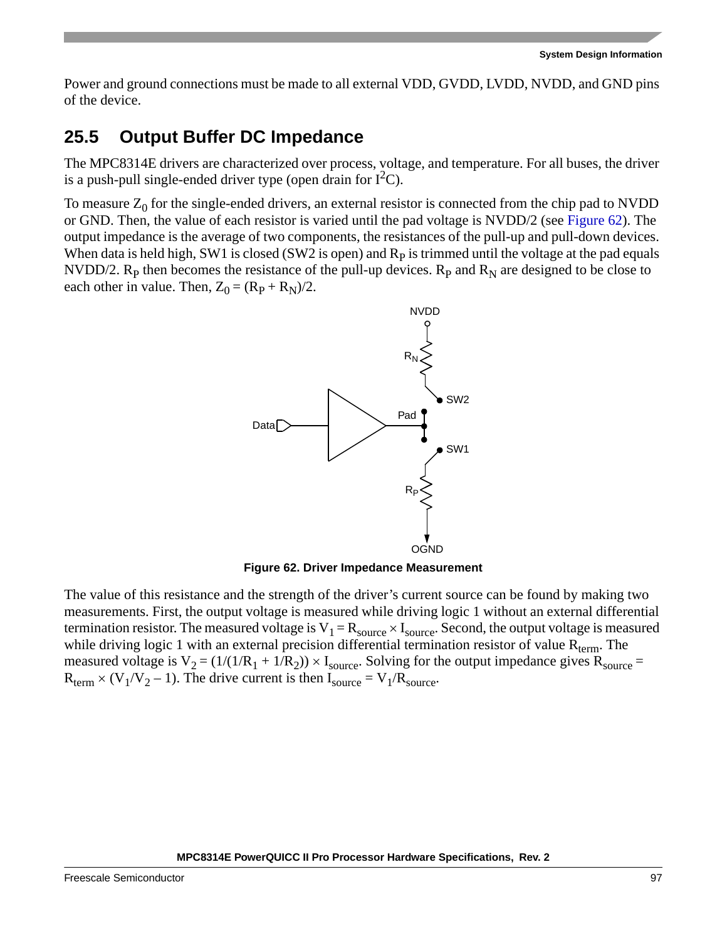Power and ground connections must be made to all external VDD, GVDD, LVDD, NVDD, and GND pins of the device.

### **25.5 Output Buffer DC Impedance**

The MPC8314E drivers are characterized over process, voltage, and temperature. For all buses, the driver is a push-pull single-ended driver type (open drain for  $I<sup>2</sup>C$ ).

To measure  $Z_0$  for the single-ended drivers, an external resistor is connected from the chip pad to NVDD or GND. Then, the value of each resistor is varied until the pad voltage is NVDD/2 (see [Figure 62](#page-96-0)). The output impedance is the average of two components, the resistances of the pull-up and pull-down devices. When data is held high, SW1 is closed (SW2 is open) and  $R<sub>p</sub>$  is trimmed until the voltage at the pad equals NVDD/2. R<sub>p</sub> then becomes the resistance of the pull-up devices. R<sub>p</sub> and R<sub>N</sub> are designed to be close to each other in value. Then,  $Z_0 = (R_P + R_N)/2$ .



**Figure 62. Driver Impedance Measurement**

<span id="page-96-0"></span>The value of this resistance and the strength of the driver's current source can be found by making two measurements. First, the output voltage is measured while driving logic 1 without an external differential termination resistor. The measured voltage is  $V_1 = R_{source} \times I_{source}$ . Second, the output voltage is measured while driving logic 1 with an external precision differential termination resistor of value  $R_{term}$ . The measured voltage is  $V_2 = (1/(1/R_1 + 1/R_2)) \times I_{source}$ . Solving for the output impedance gives  $R_{source} =$  $R_{term}$  × (V<sub>1</sub>/V<sub>2</sub> – 1). The drive current is then I<sub>source</sub> = V<sub>1</sub>/R<sub>source</sub>.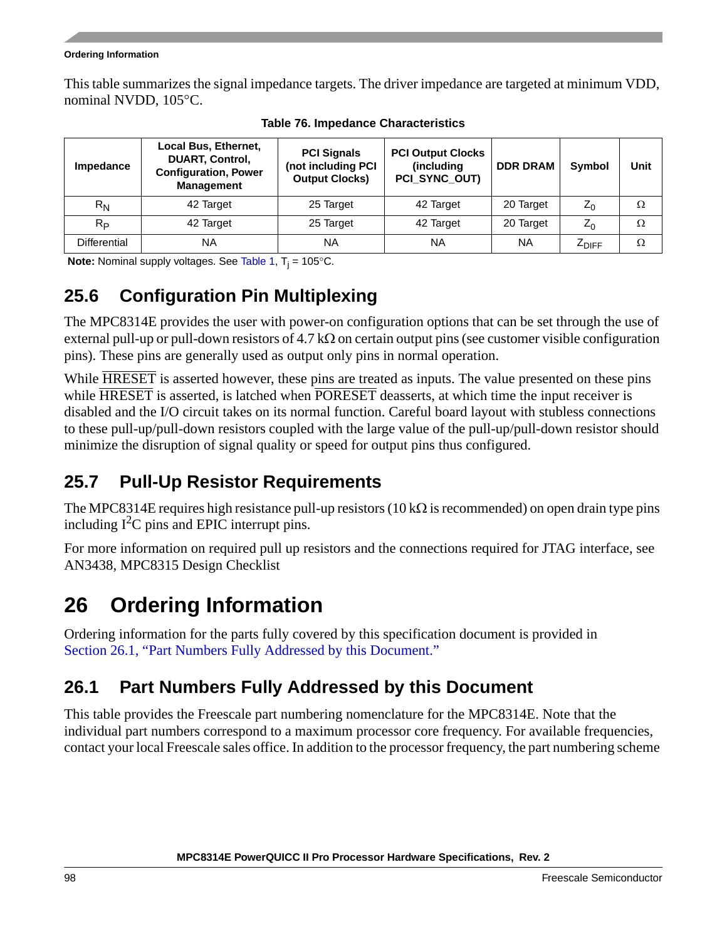### **Ordering Information**

This table summarizes the signal impedance targets. The driver impedance are targeted at minimum VDD, nominal NVDD, 105 °C.

| <b>Impedance</b>    | Local Bus, Ethernet,<br><b>PCI Signals</b><br><b>DUART, Control,</b><br>(not including PCI<br><b>Configuration, Power</b><br><b>Output Clocks)</b><br><b>Management</b> |           | <b>PCI Output Clocks</b><br>(including<br>PCI_SYNC_OUT) | <b>DDR DRAM</b> | <b>Symbol</b> | Unit |
|---------------------|-------------------------------------------------------------------------------------------------------------------------------------------------------------------------|-----------|---------------------------------------------------------|-----------------|---------------|------|
| $R_{N}$             | 42 Target                                                                                                                                                               | 25 Target | 42 Target                                               | 20 Target       | $Z_0$         | Ω    |
| $R_{\rm P}$         | 42 Target                                                                                                                                                               | 25 Target | 42 Target                                               | 20 Target       | $Z_0$         | Ω    |
| <b>Differential</b> | NA                                                                                                                                                                      | <b>NA</b> | <b>NA</b>                                               | <b>NA</b>       | <b>4DIFF</b>  | Ω    |

**Table 76. Impedance Characteristics**

**Note:** Nominal supply voltages. See [Table 1,](#page-6-0) T<sub>j</sub> = 105°C.

# **25.6 Configuration Pin Multiplexing**

The MPC8314E provides the user with power-on configuration options that can be set through the use of external pull-up or pull-down resistors of 4.7 k $\Omega$  on certain output pins (see customer visible configuration pins). These pins are generally used as output only pins in normal operation.

While HRESET is asserted however, these pins are treated as inputs. The value presented on these pins while HRESET is asserted, is latched when PORESET deasserts, at which time the input receiver is disabled and the I/O circuit takes on its normal function. Careful board layout with stubless connections to these pull-up/pull-down resistors coupled with the large value of the pull-up/pull-down resistor should minimize the disruption of signal quality or speed for output pins thus configured.

# <span id="page-97-1"></span>**25.7 Pull-Up Resistor Requirements**

The MPC8314E requires high resistance pull-up resistors (10 k $\Omega$  is recommended) on open drain type pins including  $I^2C$  pins and EPIC interrupt pins.

For more information on required pull up resistors and the connections required for JTAG interface, see AN3438, MPC8315 Design Checklist

# **26 Ordering Information**

Ordering information for the parts fully covered by this specification document is provided in [Section 26.1, "Part Numbers Fully Addressed by this Document.](#page-97-0)"

# <span id="page-97-0"></span>**26.1 Part Numbers Fully Addressed by this Document**

This table provides the Freescale part numbering nomenclature for the MPC8314E. Note that the individual part numbers correspond to a maximum processor core frequency. For available frequencies, contact your local Freescale sales office. In addition to the processor frequency, the part numbering scheme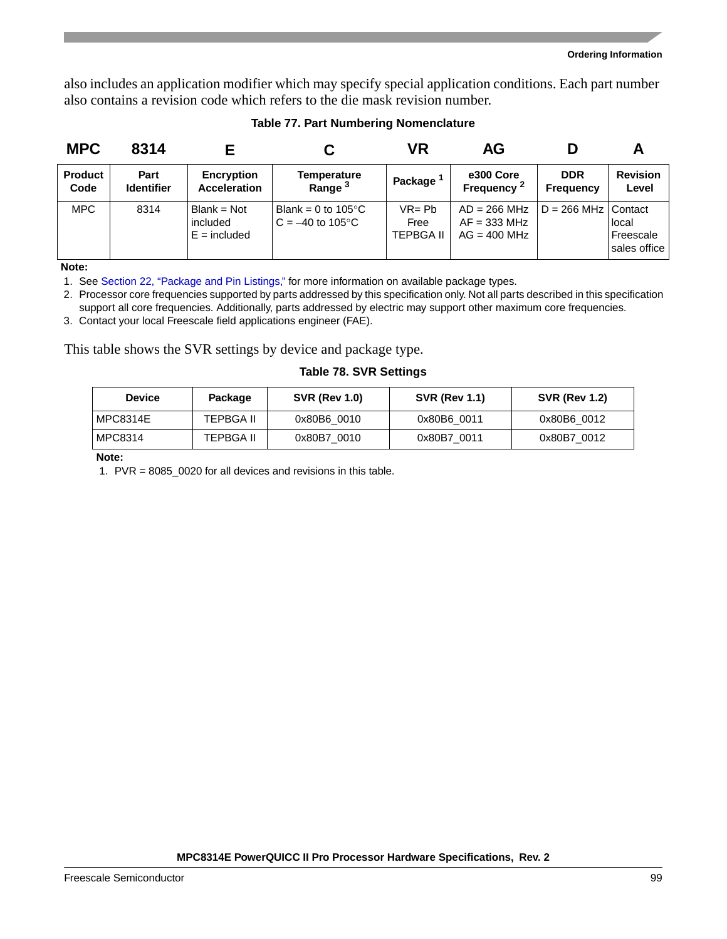also includes an application modifier which may specify special application conditions. Each part number also contains a revision code which refers to the die mask revision number.

| <b>MPC</b>             | 8314                      |                                           |                                                    | VR                             | AG                                                 |                                |                                    |
|------------------------|---------------------------|-------------------------------------------|----------------------------------------------------|--------------------------------|----------------------------------------------------|--------------------------------|------------------------------------|
| <b>Product</b><br>Code | Part<br><b>Identifier</b> | <b>Encryption</b><br><b>Acceleration</b>  | <b>Temperature</b><br>Range <sup>3</sup>           | Package <sup>1</sup>           | e300 Core<br>Frequency <sup>2</sup>                | <b>DDR</b><br><b>Frequency</b> | <b>Revision</b><br>Level           |
| <b>MPC</b>             | 8314                      | Blank = Not<br>included<br>$E =$ included | Blank = 0 to $105^{\circ}$ C<br>$C = -40$ to 105°C | $VR = Pb$<br>Free<br>TEPBGA II | $AD = 266 MHz$<br>$AF = 333 MHz$<br>$AG = 400 MHz$ | $D = 266$ MHz Contact          | local<br>Freescale<br>sales office |

### **Table 77. Part Numbering Nomenclature**

**Note:** 

1. See [Section 22, "Package and Pin Listings,](#page-71-0)" for more information on available package types.

2. Processor core frequencies supported by parts addressed by this specification only. Not all parts described in this specification support all core frequencies. Additionally, parts addressed by electric may support other maximum core frequencies.

3. Contact your local Freescale field applications engineer (FAE).

This table shows the SVR settings by device and package type.

### **Table 78. SVR Settings**

| <b>Device</b> | Package          | <b>SVR (Rev 1.0)</b> | <b>SVR (Rev 1.1)</b> | <b>SVR (Rev 1.2)</b> |
|---------------|------------------|----------------------|----------------------|----------------------|
| MPC8314E      | <b>TEPBGA II</b> | 0x80B6 0010          | 0x80B6 0011          | 0x80B6 0012          |
| MPC8314       | TEPBGA II        | 0x80B7 0010          | 0x80B7 0011          | 0x80B7 0012          |

**Note:** 

1. PVR = 8085\_0020 for all devices and revisions in this table.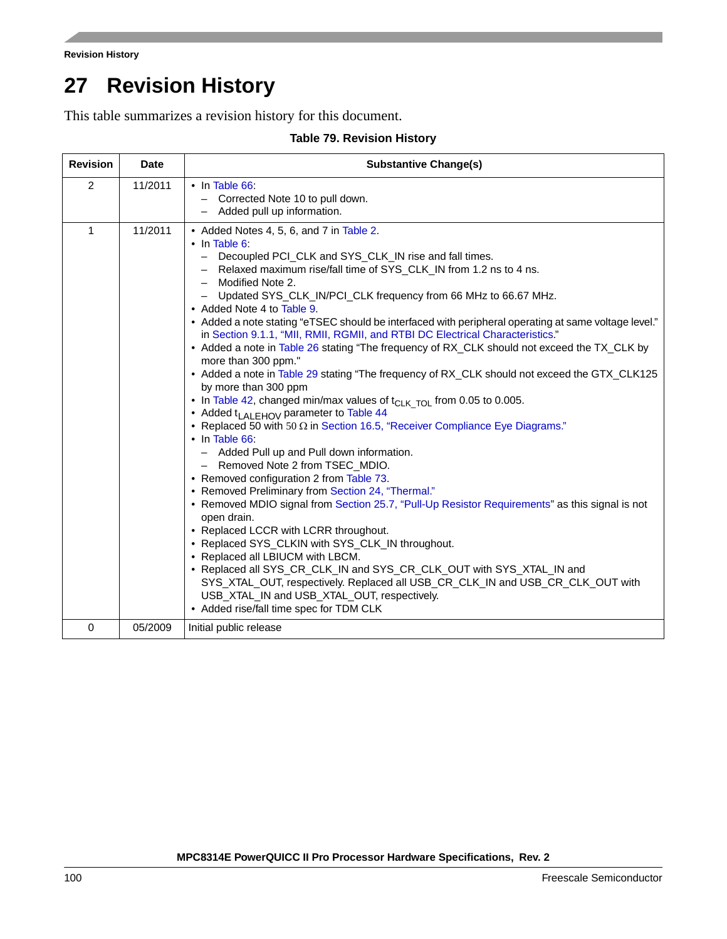```
Revision History
```
# **27 Revision History**

This table summarizes a revision history for this document.

| <b>Revision</b> | <b>Date</b> | <b>Substantive Change(s)</b>                                                                                                                                                                                                                                                                                                                                                                                                                                                                                                                                                                                                                                                                                                                                                                                                                                                                                                                                                                                                                                                                                                                                                                                                                                                                                                                                                                                                                                                                                                                                                                                                                                                                                                                                                               |
|-----------------|-------------|--------------------------------------------------------------------------------------------------------------------------------------------------------------------------------------------------------------------------------------------------------------------------------------------------------------------------------------------------------------------------------------------------------------------------------------------------------------------------------------------------------------------------------------------------------------------------------------------------------------------------------------------------------------------------------------------------------------------------------------------------------------------------------------------------------------------------------------------------------------------------------------------------------------------------------------------------------------------------------------------------------------------------------------------------------------------------------------------------------------------------------------------------------------------------------------------------------------------------------------------------------------------------------------------------------------------------------------------------------------------------------------------------------------------------------------------------------------------------------------------------------------------------------------------------------------------------------------------------------------------------------------------------------------------------------------------------------------------------------------------------------------------------------------------|
| 2               | 11/2011     | $\cdot$ In Table 66:<br>Corrected Note 10 to pull down.<br>Added pull up information.                                                                                                                                                                                                                                                                                                                                                                                                                                                                                                                                                                                                                                                                                                                                                                                                                                                                                                                                                                                                                                                                                                                                                                                                                                                                                                                                                                                                                                                                                                                                                                                                                                                                                                      |
| $\mathbf{1}$    | 11/2011     | • Added Notes 4, 5, 6, and 7 in Table 2.<br>$\cdot$ In Table 6:<br>Decoupled PCI_CLK and SYS_CLK_IN rise and fall times.<br>$\overline{\phantom{0}}$<br>Relaxed maximum rise/fall time of SYS_CLK_IN from 1.2 ns to 4 ns.<br>$\overline{\phantom{m}}$<br>Modified Note 2.<br>$\overline{\phantom{m}}$<br>- Updated SYS_CLK_IN/PCI_CLK frequency from 66 MHz to 66.67 MHz.<br>• Added Note 4 to Table 9.<br>• Added a note stating "eTSEC should be interfaced with peripheral operating at same voltage level."<br>in Section 9.1.1, "MII, RMII, RGMII, and RTBI DC Electrical Characteristics."<br>• Added a note in Table 26 stating "The frequency of RX_CLK should not exceed the TX_CLK by<br>more than 300 ppm."<br>• Added a note in Table 29 stating "The frequency of RX_CLK should not exceed the GTX_CLK125<br>by more than 300 ppm<br>• In Table 42, changed min/max values of $t_{CLK TOL}$ from 0.05 to 0.005.<br>• Added t <sub>LALEHOV</sub> parameter to Table 44<br>• Replaced 50 with 50 $\Omega$ in Section 16.5, "Receiver Compliance Eye Diagrams."<br>$\cdot$ In Table 66:<br>- Added Pull up and Pull down information.<br>- Removed Note 2 from TSEC_MDIO.<br>• Removed configuration 2 from Table 73.<br>• Removed Preliminary from Section 24, "Thermal."<br>• Removed MDIO signal from Section 25.7, "Pull-Up Resistor Requirements" as this signal is not<br>open drain.<br>• Replaced LCCR with LCRR throughout.<br>• Replaced SYS_CLKIN with SYS_CLK_IN throughout.<br>• Replaced all LBIUCM with LBCM.<br>• Replaced all SYS_CR_CLK_IN and SYS_CR_CLK_OUT with SYS_XTAL_IN and<br>SYS_XTAL_OUT, respectively. Replaced all USB_CR_CLK_IN and USB_CR_CLK_OUT with<br>USB_XTAL_IN and USB_XTAL_OUT, respectively.<br>• Added rise/fall time spec for TDM CLK |
| 0               | 05/2009     | Initial public release                                                                                                                                                                                                                                                                                                                                                                                                                                                                                                                                                                                                                                                                                                                                                                                                                                                                                                                                                                                                                                                                                                                                                                                                                                                                                                                                                                                                                                                                                                                                                                                                                                                                                                                                                                     |

### **Table 79. Revision History**